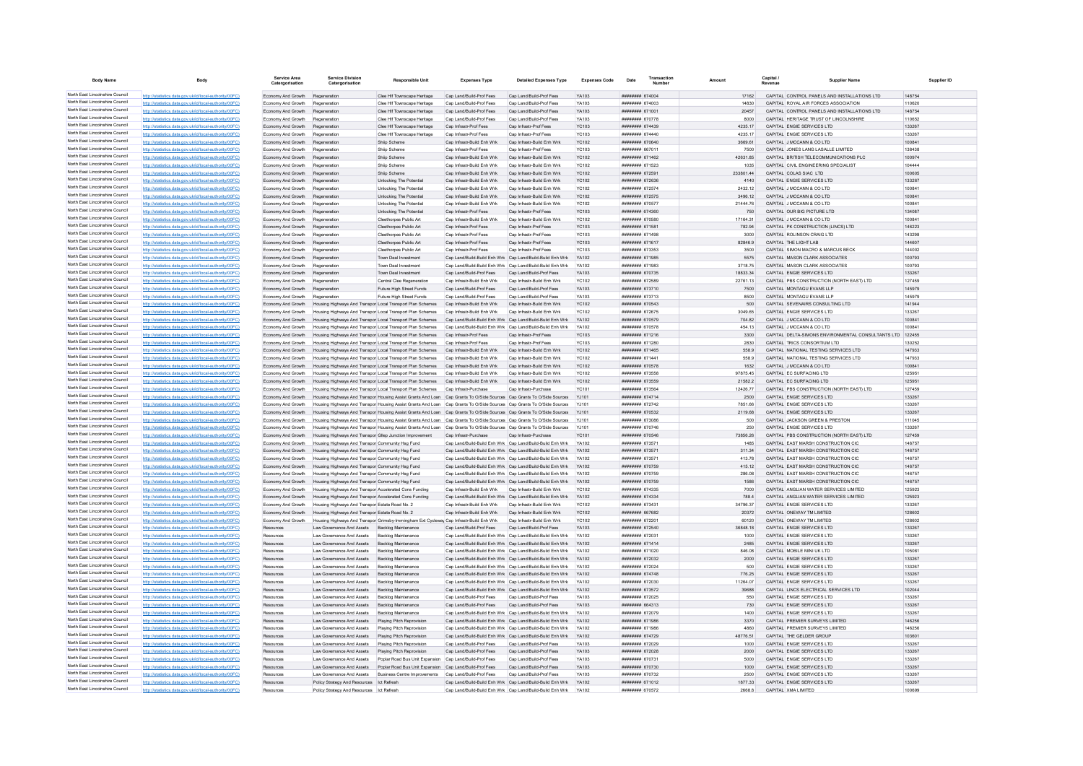| <b>Body Name</b>                                                   | Body                                                                                                             | Service Area<br>Catergorisation          | <b>Service Division</b><br>Catergorisation                                                                               | <b>Responsible Unit</b>                                                                                                | <b>Expenses Type</b>                                     | <b>Detailed Expenses Type</b>                                                                                                  | <b>Expenses Code</b>         | Date                               | Transactio | Amount             | Capital /<br>Revenue | Supplier Name                                                                    | Supplier ID      |
|--------------------------------------------------------------------|------------------------------------------------------------------------------------------------------------------|------------------------------------------|--------------------------------------------------------------------------------------------------------------------------|------------------------------------------------------------------------------------------------------------------------|----------------------------------------------------------|--------------------------------------------------------------------------------------------------------------------------------|------------------------------|------------------------------------|------------|--------------------|----------------------|----------------------------------------------------------------------------------|------------------|
| North East Lincolnshire Council                                    | http://statistics.data.gov.uk/id/local-authority/00FC)                                                           | Economy And Growth                       | Regeneration                                                                                                             | Clee Hif Townscape Heritage                                                                                            | Cap Land/Build-Prof Fees                                 | Cap Land/Build-Prof Fees                                                                                                       | YA103                        | ######## 674004                    |            | 17162              |                      | CAPITAL CONTROL PANELS AND INSTALLATIONS LTD                                     | 148754           |
| North East Lincolnshire Council                                    | http://statistics.data.gov.uk/id/local-authority/00FC)                                                           | Economy And Growth                       | Regeneration                                                                                                             | Clee Hif Townscape Heritage                                                                                            | Cap Land/Build-Prof Fees                                 | Cap Land/Build-Prof Fees                                                                                                       | YA103                        | ######## 674003                    |            | 14830              |                      | CAPITAL ROYAL AIR FORCES ASSOCIATION                                             | 110620           |
| North East Lincolnshire Council                                    | http://statistics.data.gov.uk/id/local-authority/00FC)                                                           | Economy And Growth                       | Regeneration                                                                                                             | Clee Hif Townscape Heritage                                                                                            | Cap Land/Build-Prof Fees                                 | Cap Land/Build-Prof Fees                                                                                                       | YA103                        | ####### 671001                     |            | 20457              |                      | CAPITAL CONTROL PANELS AND INSTALLATIONS LTD                                     | 148754           |
| North East Lincolnshire Council<br>North East Lincolnshire Council | http://statistics.data.gov.uk/id/local-authority/00FC)                                                           | Economy And Growth                       | Regeneration                                                                                                             | Clee Hif Townscape Heritage                                                                                            | Cap Land/Build-Prof Fees                                 | Cap Land/Build-Prof Fees                                                                                                       | YA103                        | ######## 670778                    |            | 8000               |                      | CAPITAL HERITAGE TRUST OF LINCOLNSHIRE                                           | 110652           |
| North East Lincolnshire Council                                    | http://statistics.data.gov.uk/id/local-authority/00FC)                                                           | Economy And Growth                       | Regeneration                                                                                                             | Clee Hif Townscape Heritage                                                                                            | Cap Infrastr-Prof Fees<br>Cap Infrastr-Prof Fees         | Cap Infrastr-Prof Fees                                                                                                         | <b>YC103</b><br>YC103        | ######## 674439<br>######## 674440 |            | 4235.17<br>4235.17 |                      | CAPITAL ENGIE SERVICES LTD<br>CAPITAL ENGIE SERVICES LTD                         | 133267<br>133267 |
| North East Lincolnshire Council                                    | http://statistics.data.gov.uk/id/local-authority/00FC)<br>http://statistics.data.gov.uk/id/local-authority/00FC  | Economy And Growth<br>Economy And Growth | Regeneration<br>Regeneration                                                                                             | Clee Hif Townscape Heritage<br>Shiip Scheme                                                                            | Cap Infrastr-Build Enh Wrk                               | Cap Infrastr-Prof Fees<br>Cap Infrastr-Build Enh Wrk                                                                           | <b>YC102</b>                 | ######## 670640                    |            | 3669.61            |                      | CAPITAL J MCCANN & CO LTD                                                        | 100841           |
| North East Lincolnshire Council                                    | http://statistics.data.gov.uk/id/local-authority/00FC)                                                           | Economy And Growth                       | Regeneration                                                                                                             | Shiip Scheme                                                                                                           | Cap Infrastr-Prof Fees                                   | Cap Infrastr-Prof Fees                                                                                                         | YC103                        | ######## 667011                    |            | 7500               |                      | CAPITAL JONES LANG LASALLE LIMITED                                               | 138438           |
| North East Lincolnshire Council                                    | http://statistics.data.gov.uk/id/local-authority/00FC                                                            | Economy And Growth                       | Regeneration                                                                                                             | Shiip Scheme                                                                                                           | Cap Infrastr-Build Enh Wrk                               | Cap Infrastr-Build Enh Wrk                                                                                                     | <b>YC102</b>                 | ######## 671462                    |            | 42631.85           |                      | CAPITAL BRITISH TELECOMMUNICATIONS PLC                                           | 100974           |
| North East Lincolnshire Council                                    | tics.data.gov.uk/id/local-authority/00FC                                                                         | Economy And Growth                       | Regeneration                                                                                                             | Shiip Schem                                                                                                            | Cap Infrastr-Build Enh Wri                               | Cap Infrastr-Build Enh Wrk                                                                                                     | <b>YC102</b>                 | ####### 671523                     |            | 1035               |                      | CAPITAL CIVIL ENGINEERING SPECIALIST                                             | 104444           |
| North East Lincolnshire Council                                    | http://statistics.data.gov.uk/id/local-authority/00FC                                                            | Economy And Growth                       |                                                                                                                          | Shiip Scheme                                                                                                           | Cap Infrastr-Build Enh Wrk                               | Cap Infrastr-Build Enh Wrk                                                                                                     | <b>YC102</b>                 | ####### 672591                     |            | 233801.44          |                      | CAPITAL COLAS SIAC LTD                                                           | 100605           |
| North East Lincolnshire Council                                    | http://statistics.data.gov.uk/id/local-authority/00FC                                                            | Economy And Growth                       | Regeneration                                                                                                             | <b>Unlocking The Potential</b>                                                                                         | Cap Infrastr-Build Enh Wrk                               | Cap Infrastr-Build Enh Wrk                                                                                                     | YC102                        | ######## 672636                    |            | 4140               |                      | CAPITAL ENGIE SERVICES LTD                                                       | 133267           |
| North East Lincolnshire Council                                    | http://statistics.data.gov.uk/id/local-authority/00FC                                                            | Economy And Growth                       | Regeneration                                                                                                             | Unlocking The Potentia                                                                                                 | Cap Infrastr-Build Enh Wrk                               | Cap Infrastr-Build Enh Wrk                                                                                                     | <b>YC102</b>                 | ######## 672574                    |            | 2432.12            |                      | CAPITAL J MCCANN & CO LTD                                                        | 100841           |
| North East Lincolnshire Council<br>North East Lincolnshire Council | http://statistics.data.gov.uk/id/local-authority/00FC                                                            | Economy And Growth                       | Regeneration                                                                                                             | Unlocking The Potential                                                                                                | Cap Infrastr-Build Enh Wrk                               | Cap Infrastr-Build Enh Wrk                                                                                                     | <b>YC102</b>                 | ######## 672575                    |            | 3496.12            |                      | CAPITAL J MCCANN & CO LTD                                                        | 100841           |
| North East Lincolnshire Council                                    | http://statistics.data.gov.uk/id/local-authority/00FC<br>http://statistics.data.gov.uk/id/local-authority/00FC   | Economy And Growth<br>Economy And Growth | Regeneration<br>Regeneration                                                                                             | Unlocking The Potential<br>Unlocking The Potential                                                                     | Cap Infrastr-Build Enh Wrk<br>Cap Infrastr-Prof Fees     | Cap Infrastr-Build Enh Wrk<br>Cap Infrastr-Prof Fees                                                                           | <b>YC102</b><br>YC103        | ######## 670577<br>######## 674360 |            | 21444 76<br>750    |                      | CAPITAL J MCCANN & CO LTD<br>CAPITAL OUR BIG PICTURE LTD                         | 100841<br>134087 |
| North East Lincolnshire Council                                    | http://statistics.data.gov.uk/id/local-authority/00FC)                                                           | Economy And Growth                       | Regeneration                                                                                                             | Cleethorpes Public Art                                                                                                 | Cap Infrastr-Build Enh Wrk                               | Cap Infrastr-Build Enh Wrk                                                                                                     | <b>YC102</b>                 | ######## 670580                    |            | 17164.31           |                      | CAPITAL J MCCANN & CO LTD                                                        | 100841           |
| North East Lincolnshire Council                                    | http://statistics.data.gov.uk/id/local-authority/00FC                                                            | Economy And Growth                       | Regeneration                                                                                                             | Cleethorpes Public Art                                                                                                 | Cap Infrastr-Prof Fees                                   | Cap Infrastr-Prof Fees                                                                                                         | <b>YC103</b>                 | ######## 671581                    |            | 782.94             |                      | CAPITAL PK CONSTRUCTION (LINCS) LTD                                              | 146223           |
| North East Lincolnshire Council                                    | http://statistics.data.gov.uk/id/local-authority/00FC                                                            | Economy And Growth                       | Regeneration                                                                                                             | Cleethorpes Public Art                                                                                                 | Cap Infrastr-Prof Fees                                   | Cap Infrastr-Prof Fees                                                                                                         | YC103                        | ######## 671498                    |            | 3000               |                      | CAPITAL ROLINSON CRAIG LTD                                                       | 143298           |
| North East Lincolnshire Council                                    | http://statistics.data.gov.uk/id/local-authority/00FC)                                                           | Economy And Growth                       | Regeneration                                                                                                             | Cleethorpes Public Art                                                                                                 | Cap Infrastr-Prof Fees                                   | Cap Infrastr-Prof Fees                                                                                                         | <b>YC103</b>                 | ######## 671617                    |            | 82846.9            |                      | CAPITAL THE LIGHT LAB                                                            | 144607           |
| North East Lincolnshire Council                                    | http://statistics.data.gov.uk/id/local-authority/00FC)                                                           | Economy And Growth                       | Regeneration                                                                                                             | Cleethorpes Public Art                                                                                                 | Cap Infrastr-Prof Fees                                   | Cap Infrastr-Prof Fees                                                                                                         | YC103                        | ######## 673353                    |            | 3500               |                      | CAPITAL SIMON MACRO & MARCUS BECK                                                | 144002           |
| North East Lincolnshire Council                                    | http://statistics.data.gov.uk/id/local-authority/00FC                                                            | Economy And Growth                       | Regeneration                                                                                                             | Town Deal Investment                                                                                                   |                                                          | Cap Land/Build-Build Enh Wrk Cap Land/Build-Build Enh Wrk                                                                      | YA102                        | ####### 671985                     |            | 5575               |                      | CAPITAL MASON CLARK ASSOCIATES                                                   | 100793           |
| North East Lincolnshire Council                                    | http://statistics.data.gov.uk/id/local-authority/00FC)                                                           | Economy And Growth                       | Regeneration                                                                                                             | Town Deal Investment                                                                                                   |                                                          | Cap Land/Build-Build Enh Wrk Cap Land/Build-Build Enh Wrk                                                                      | YA102                        | ######## 671983                    |            | 3718.75            |                      | CAPITAL MASON CLARK ASSOCIATES                                                   | 100793           |
| North East Lincolnshire Council<br>North East Lincolnshire Council | http://statistics.data.gov.uk/id/local-authority/00FC)                                                           | Economy And Growth                       | Regeneration                                                                                                             | <b>Town Deal Investment</b>                                                                                            | Cap Land/Build-Prof Fees                                 | Cap Land/Build-Prof Fees                                                                                                       | YA103                        | ######## 670735                    |            | 18833.34           |                      | CAPITAL ENGIE SERVICES LTD                                                       | 133267           |
| North East Lincolnshire Council                                    | tics.data.gov.uk/id/local-authority/00FC<br>http://statistics.data.gov.uk/id/local-authority/00FC                | Economy And Growth<br>Economy And Growth | Regeneration                                                                                                             | Central Clee Regeneration<br>Future High Street Funds                                                                  | Cap Infrastr-Build Enh Wri<br>Cap Land/Build-Prof Fees   | Cap Infrastr-Build Enh Wrk<br>Cap Land/Build-Prof Fees                                                                         | <b>YC102</b><br>YA103        | ####### 672589<br>######## 673710  |            | 22761.13<br>7500   |                      | CAPITAL PBS CONSTRUCTION (NORTH EAST) LTD<br>CAPITAL MONTAGU EVANS LLP           | 127459<br>145979 |
| North East Lincolnshire Council                                    | http://statistics.data.gov.uk/id/local-authority/00FC                                                            | Economy And Growth                       | Regeneration                                                                                                             | Future High Street Funds                                                                                               | Cap Land/Build-Prof Fees                                 | Cap Land/Build-Prof Fees                                                                                                       | YA103                        | ######## 673713                    |            | 8500               |                      | CAPITAL MONTAGU EVANS LLP                                                        | 145979           |
| North East Lincolnshire Council                                    | http://statistics.data.gov.uk/id/local-authority/00FC                                                            | Economy And Growth                       | Housing Highways And Transpor Local Transport Plan Schemes                                                               |                                                                                                                        | Cap Infrastr-Build Enh Wrk                               | Cap Infrastr-Build Enh Wrk                                                                                                     | <b>YC102</b>                 | ######## 670543                    |            | 500                |                      | CAPITAL SEVENAIRS CONSULTING LTD                                                 | 141944           |
| North East Lincolnshire Council                                    | http://statistics.data.gov.uk/id/local-authority/00FC                                                            | Economy And Growth                       | Housing Highways And Transpor Local Transport Plan Schemes                                                               |                                                                                                                        | Cap Infrastr-Build Enh Wrk                               | Cap Infrastr-Build Enh Wrk                                                                                                     | <b>YC102</b>                 | ####### 672675                     |            | 3049.65            |                      | CAPITAL ENGIE SERVICES LTD                                                       | 133267           |
| North East Lincolnshire Council                                    | http://statistics.data.gov.uk/id/local-authority/00FC)                                                           | Economy And Growth                       | Housing Highways And Transpor Local Transport Plan Schemes                                                               |                                                                                                                        |                                                          | Cap Land/Build-Build Enh Wrk Cap Land/Build-Build Enh Wrk                                                                      | YA102                        | ######## 670579                    |            | 704.82             |                      | CAPITAL J MCCANN & CO LTD                                                        | 100841           |
| North East Lincolnshire Council                                    | http://statistics.data.gov.uk/id/local-authority/00FC                                                            | Economy And Growth                       | Housing Highways And Transpor Local Transport Plan Schemes                                                               |                                                                                                                        |                                                          | Cap Land/Build-Build Enh Wrk Cap Land/Build-Build Enh Wrk                                                                      | <b>YA102</b>                 | ######## 670578                    |            | 454.13             |                      | CAPITAL J MCCANN & CO LTD                                                        | 100841           |
| North East Lincolnshire Council                                    | http://statistics.data.gov.uk/id/local-authority/00FC)                                                           | Economy And Growth                       | Housing Highways And Transpor Local Transport Plan Schemes                                                               |                                                                                                                        | Cap Infrastr-Prof Fees                                   | Cap Infrastr-Prof Fees                                                                                                         | <b>YC103</b>                 | ######## 671216                    |            | 3300               |                      | CAPITAL DELTA-SIMONS ENVIRONMENTAL CONSULTANTS LTD 122455                        |                  |
| North East Lincolnshire Council                                    | http://statistics.data.gov.uk/id/local-authority/00FC                                                            | Economy And Growth                       |                                                                                                                          | sing Highways And Transpor Local Transport Plan Schemes                                                                | Cap Infrastr-Prof Fees                                   | Cap Infrastr-Prof Fees                                                                                                         | YC103                        | ######## 671280                    |            | 2830               |                      | CAPITAL TRICS CONSORTIUM LTD                                                     | 130252           |
| North East Lincolnshire Council<br>North East Lincolnshire Council | http://statistics.data.gov.uk/id/local-authority/00FC                                                            | Economy And Growth                       | Housing Highways And Transpor Local Transport Plan Schemes                                                               |                                                                                                                        | Can Infrastr-Build Enh Wrk                               | Cap Infrastr-Build Enh Wrk                                                                                                     | YC102                        | ######## 671465                    |            | 558.9              |                      | CAPITAL NATIONAL TESTING SERVICES LTD                                            | 147933           |
| North East Lincolnshire Council                                    | http://statistics.data.gov.uk/id/local-authority/00FC)<br>http://statistics.data.gov.uk/id/local-authority/00FC  | Economy And Growth<br>Economy And Growth | Housing Highways And Transpor Local Transport Plan Schemes<br>Housing Highways And Transpor Local Transport Plan Schemes |                                                                                                                        | Cap Infrastr-Build Enh Wrk<br>Cap Infrastr-Build Enh Wrk | Cap Infrastr-Build Enh Wrk<br>Cap Infrastr-Build Enh Wrk                                                                       | YC102<br>YC102               | ######## 671441<br>######## 670578 |            | 558.9<br>1632      |                      | CAPITAL NATIONAL TESTING SERVICES LTD<br>CAPITAL J MCCANN & CO LTD               | 147933<br>100841 |
| North East Lincolnshire Council                                    | http://statistics.data.gov.uk/id/local-authority/00FC                                                            | Economy And Growth                       | Housing Highways And Transpor Local Transport Plan Schemes                                                               |                                                                                                                        | Cap Infrastr-Build Enh Wrk                               | Cap Infrastr-Build Enh Wrk                                                                                                     | <b>YC102</b>                 | ######## 673558                    |            | 97875.45           |                      | CAPITAL EC SURFACING LTD                                                         | 125951           |
| North East Lincolnshire Council                                    | http://statistics.data.gov.uk/id/local-authority/00FC                                                            | Economy And Growth                       | Housing Highways And Transpor Local Transport Plan Schemes                                                               |                                                                                                                        | Cap Infrastr-Build Enh Wrk                               | Cap Infrastr-Build Enh Wrk                                                                                                     | <b>YC102</b>                 | ######## 673559                    |            | 21582.2            |                      | CAPITAL EC SURFACING LTD                                                         | 125951           |
| North East Lincolnshire Council                                    | http://statistics.data.gov.uk/id/local-authority/00FC)                                                           | Economy And Growth                       | Housing Highways And Transpor Local Transport Plan Schemes                                                               |                                                                                                                        | Cap Infrastr-Purchase                                    | Cap Infrastr-Purchase                                                                                                          | <b>YC101</b>                 | ######## 673564                    |            | 12426.77           |                      | CAPITAL PBS CONSTRUCTION (NORTH EAST) LTD                                        | 127459           |
| North East Lincolnshire Council                                    | http://statistics.data.gov.uk/id/local-authority/00FC                                                            | Economy And Growth                       |                                                                                                                          | Housing Highways And Transpor Housing Assist Grants And Loan Cap Grants To O/Side Sources                              |                                                          | Cap Grants To O/Side Sources                                                                                                   | YJ101                        | ######## 674714                    |            | 2500               |                      | CAPITAL ENGIE SERVICES LTD                                                       | 133267           |
| North East Lincolnshire Council                                    | http://statistics.data.gov.uk/id/local-authority/00FC                                                            | Economy And Growth                       |                                                                                                                          | Housing Highways And Transpor Housing Assist Grants And Loan Cap Grants To O/Side Sources Cap Grants To O/Side Sources |                                                          |                                                                                                                                | Y.1101                       | ######## 672742                    |            | 7851 66            |                      | CAPITAL ENGIF SERVICES LTD                                                       | 133267           |
| North East Lincolnshire Council                                    | http://statistics.data.gov.uk/id/local-authority/00FC                                                            | Economy And Growth                       |                                                                                                                          |                                                                                                                        |                                                          | Housing Highways And Transpor Housing Assist Grants And Loan Cap Grants To O/Side Sources Cap Grants To O/Side Sources         | YJ101                        | ######## 670532                    |            | 2119.68            |                      | CAPITAL ENGIE SERVICES LTD                                                       | 133267           |
| North East Lincolnshire Council                                    | http://statistics.data.gov.uk/id/local-authority/00FC                                                            | Economy And Growth                       |                                                                                                                          |                                                                                                                        |                                                          | Housing Highways And Transpor Housing Assist Grants And Loan Cap Grants To O/Side Sources Cap Grants To O/Side Sources   YJ101 |                              | ######## 673086                    |            | 500                |                      | CAPITAL JACKSON GREEN & PRESTON                                                  | 111045           |
| North East Lincolnshire Council<br>North East Lincolnshire Council | http://statistics.data.gov.uk/id/local-authority/00FC                                                            | Economy And Growth                       |                                                                                                                          |                                                                                                                        |                                                          | Housing Highways And Transpor Housing Assist Grants And Loan Cap Grants To O/Side Sources Cap Grants To O/Side Sources YJ101   |                              | ######## 670746                    |            | 250                |                      | CAPITAL ENGIE SERVICES LTD                                                       | 133267           |
| North East Lincolnshire Council                                    | http://statistics.data.gov.uk/id/local-authority/00FC)<br>http://statistics.data.gov.uk/id/local-authority/00EC  | Economy And Growth<br>Economy And Growth | Housing Highways And Transpor Gllep Junction Improvement                                                                 |                                                                                                                        | Cap Infrastr-Purchase                                    | Cap Infrastr-Purchase<br>Cap Land/Build-Build Enh Wrk Cap Land/Build-Build Enh Wrk                                             | <b>YC101</b><br>YA102        | ######## 670546<br>######## 673571 |            | 73856.26<br>1485   |                      | CAPITAL PBS CONSTRUCTION (NORTH EAST) LTD<br>CAPITAL EAST MARSH CONSTRUCTION CIC | 127459<br>146757 |
| North East Lincolnshire Council                                    | tics.data.gov.uk/id/local-authority/00FC                                                                         | Economy And Growth                       | Housing Highways And Transpor Community Hsg Fund<br>Housing Highways And Transpor Community Hsg Fund                     |                                                                                                                        |                                                          | Cap Land/Build-Build Enh Wrk Cap Land/Build-Build Enh Wrk YA102                                                                |                              | ######## 673571                    |            | 311.34             |                      | CAPITAL EAST MARSH CONSTRUCTION CIC                                              | 146757           |
| North East Lincolnshire Council                                    | statistics.data.gov.uk/id/local-authority/00FC                                                                   | Economy And Growth                       | Housing Highways And Transpor Community Hsg Fund                                                                         |                                                                                                                        |                                                          | Cap Land/Build-Build Enh Wrk Cap Land/Build-Build Enh Wrk                                                                      | YA102                        | ######## 673571                    |            | 413.78             |                      | CAPITAL EAST MARSH CONSTRUCTION CIO                                              | 146757           |
| North East Lincolnshire Council                                    | httn://statistics.data.gov.uk/id/local-authority/00FC)                                                           | Economy And Growth                       | sing Highways And Transpor Community Hsg Fund                                                                            |                                                                                                                        |                                                          | Cap Land/Build-Build Enh Wrk Cap Land/Build-Build Enh Wrk                                                                      | YA102                        | ######## 670759                    |            | 415.12             |                      | CAPITAL EAST MARSH CONSTRUCTION CIC                                              | 146757           |
| North East Lincolnshire Council                                    | http://statistics.data.gov.uk/id/local-authority/00FC)                                                           | Economy And Growth                       | Housing Highways And Transpor Community Hsg Fund                                                                         |                                                                                                                        |                                                          | Cap Land/Build-Build Enh Wrk Cap Land/Build-Build Enh Wrk YA102                                                                |                              | ######## 670759                    |            | 286.08             |                      | CAPITAL EAST MARSH CONSTRUCTION CIC                                              | 146757           |
| North East Lincolnshire Council                                    | http://statistics.data.gov.uk/id/local-authority/00FC)                                                           | Economy And Growth                       | Housing Highways And Transpor Community Hsg Fund                                                                         |                                                                                                                        |                                                          | Cap Land/Build-Build Enh Wrk Cap Land/Build-Build Enh Wrk YA102                                                                |                              | ######## 670759                    |            | 1586               |                      | CAPITAL EAST MARSH CONSTRUCTION CIC                                              | 146757           |
| North East Lincolnshire Council                                    | http://statistics.data.gov.uk/id/local-authority/00FC)                                                           | Economy And Growth                       | Housing Highways And Transpor Accelerated Cons Funding                                                                   |                                                                                                                        | Cap Infrastr-Build Enh Wrk                               | Cap Infrastr-Build Enh Wrk                                                                                                     | YC102                        | ####### 674335                     |            | 7000               |                      | CAPITAL ANGLIAN WATER SERVICES LIMITED                                           | 125923           |
| North East Lincolnshire Council<br>North East Lincolnshire Council | http://statistics.data.gov.uk/id/local-authority/00FC)                                                           | Economy And Growth                       | Housing Highways And Transpor Accelerated Cons Funding                                                                   |                                                                                                                        |                                                          | Cap Land/Build-Build Enh Wrk Cap Land/Build-Build Enh Wrk YA102                                                                |                              | ######## 674334                    |            | 788.4              |                      | CAPITAL ANGLIAN WATER SERVICES LIMITED                                           | 125923           |
| North East Lincolnshire Council                                    | http://statistics.data.gov.uk/id/local-authority/00FC                                                            | Economy And Growth<br>Economy And Growth | Housing Highways And Transpor Estate Road No. 2<br>Housing Highways And Transpor Estate Road No. 2                       |                                                                                                                        | Cap Infrastr-Build Enh Wrk<br>Cap Infrastr-Build Enh Wrk | Cap Infrastr-Build Enh Wrk<br>Cap Infrastr-Build Enh Wrk                                                                       | <b>YC102</b><br><b>YC102</b> | ######## 673431<br>######## 667682 |            | 34796.37<br>20372  |                      | CAPITAL ENGIE SERVICES LTD<br>CAPITAL ONEWAY TM LIMITED                          | 133267<br>128602 |
| North East Lincolnshire Council                                    | http://statistics.data.gov.uk/id/local-authority/00EC)                                                           | Economy And Growth                       |                                                                                                                          | Housing Highways And Transpor Grimsby-Immingham Ext Cycleway Cap Infrastr-Build Enh Wrk                                |                                                          | Cap Infrastr-Build Enh Wrk                                                                                                     | YC102                        | ######## 672201                    |            | 60120              |                      | CAPITAL ONEWAY TM LIMITED                                                        | 128602           |
| North East Lincolnshire Council                                    | http://statistics.data.gov.uk/id/local-authority/00EC)                                                           |                                          | Law Governance And Assets Backlog Maintenance                                                                            |                                                                                                                        | Can Land/Build-Prof Fees                                 | Cap Land/Build-Prof Fees                                                                                                       | YA103                        | ######## 672540                    |            | 36848 18           |                      | CAPITAL ENGIE SERVICES LTD                                                       | 133267           |
| North East Lincolnshire Council                                    | http://statistics.data.gov.uk/id/local-authoritv/00FC1                                                           | Resources                                | Law Governance And Assets                                                                                                | <b>Backlog Maintenance</b>                                                                                             |                                                          | Cap Land/Build-Build Enh Wrk Cap Land/Build-Build Enh Wrk                                                                      | YA102                        | ######## 672031                    |            | 1000               |                      | CAPITAL ENGIE SERVICES LTD                                                       | 133267           |
| North East Lincolnshire Council                                    | http://statistics.data.gov.uk/id/local-authority/00FC                                                            | Resources                                | Law Governance And Assets                                                                                                | Backlog Maintenance                                                                                                    |                                                          | Cap Land/Build-Build Enh Wrk Cap Land/Build-Build Enh Wrk YA102                                                                |                              | ######## 671414                    |            | 2485               |                      | CAPITAL ENGIE SERVICES LTD                                                       | 133267           |
| North East Lincolnshire Council                                    | http://statistics.data.gov.uk/id/local-authority/00FC                                                            | Resources                                | Law Governance And Assets                                                                                                | <b>Backlog Maintenance</b>                                                                                             |                                                          | Cap Land/Build-Build Enh Wrk Cap Land/Build-Build Enh Wrk                                                                      | YA102                        | ####### 671020                     |            | 846.08             |                      | CAPITAL MOBILE MINI UK LTD                                                       | 105081           |
| North East Lincolnshire Council                                    | http://statistics.data.gov.uk/id/local-authority/00FC                                                            | Resources                                | Law Governance And Assets                                                                                                | Backlog Maintenance                                                                                                    |                                                          | Cap Land/Build-Build Enh Wrk Cap Land/Build-Build Enh Wrk                                                                      | YA102                        | ######## 672032                    |            | 2000               |                      | CAPITAL ENGIE SERVICES LTD                                                       | 133267           |
| North East Lincolnshire Council                                    | tics.data.gov.uk/id/local-authority/00FC)                                                                        | Resources                                | Law Governance And Assets                                                                                                | Backlog Maintenance                                                                                                    |                                                          | Cap Land/Build-Build Enh Wrk Cap Land/Build-Build Enh Wrk                                                                      | YA102                        | ######## 672024                    |            | 500                |                      | CAPITAL ENGIE SERVICES LTD                                                       | 133267           |
| North East Lincolnshire Council<br>North East Lincolnshire Council | ://statistics.data.gov.uk/id/local-authority/00FC                                                                | Resources                                | Law Governance And Assets                                                                                                | <b>Backlog Maintenance</b>                                                                                             |                                                          | Cap Land/Build-Build Enh Wrk Cap Land/Build-Build Enh Wrk                                                                      | YA102                        | ######## 674748                    |            | 776.25             |                      | CAPITAL ENGIE SERVICES LTD                                                       | 133267           |
| North East Lincolnshire Council                                    | http://statistics.data.gov.uk/id/local-authority/00EC)<br>http://statistics.data.gov.uk/id/local-authority/00FC) | Resources                                | Law Governance And Assets                                                                                                | <b>Backlon Maintenance</b>                                                                                             |                                                          | Cap Land/Build-Build Enh Wrk Cap Land/Build-Build Enh Wrk                                                                      | YA102                        | ######## 672030<br>######## 673572 |            | 11264.07           |                      | CAPITAL ENGIE SERVICES LTD<br>CAPITAL LINCS ELECTRICAL SERVICES LTD              | 133267           |
| North East Lincolnshire Council                                    | http://statistics.data.gov.uk/id/local-authority/00FC                                                            | Resources<br>Resources                   | Law Governance And Assets<br>Law Governance And Assets                                                                   | Backlog Maintenance<br>Backlog Maintenance                                                                             | Cap Land/Build-Prof Fees                                 | Cap Land/Build-Build Enh Wrk Cap Land/Build-Build Enh Wrk YA102<br>Cap Land/Build-Prof Fees                                    | YA103                        | ######## 672025                    |            | 39688<br>550       |                      | CAPITAL ENGIE SERVICES LTD                                                       | 102044<br>133267 |
| North East Lincolnshire Council                                    | http://statistics.data.gov.uk/id/local-authority/00FC)                                                           | Resources                                | Law Governance And Assets                                                                                                | Backlog Maintenance                                                                                                    | Cap Land/Build-Prof Fees                                 | Cap Land/Build-Prof Fees                                                                                                       | YA103                        | ######## 664313                    |            | 730                |                      | CAPITAL ENGIE SERVICES LTD                                                       | 133267           |
| North East Lincolnshire Council                                    | http://statistics.data.gov.uk/id/local-authority/00FC                                                            | Resources                                | Law Governance And Assets                                                                                                | <b>Backlog Maintenance</b>                                                                                             |                                                          | Cap Land/Build-Build Enh Wrk Cap Land/Build-Build Enh Wrk                                                                      | YA102                        | ######## 672079                    |            | 1400               |                      | CAPITAL ENGIE SERVICES LTD                                                       | 133267           |
| North East Lincolnshire Council                                    | http://statistics.data.gov.uk/id/local-authority/00FC                                                            | Resources                                | Law Governance And Assets                                                                                                | Plaving Pitch Reprovision                                                                                              |                                                          | Cap Land/Build-Build Enh Wrk Cap Land/Build-Build Enh Wrk                                                                      | YA102                        | ######## 671986                    |            | 3370               |                      | CAPITAL PREMIER SURVEYS LIMITED                                                  | 146256           |
| North East Lincolnshire Council                                    |                                                                                                                  | Resources                                | Law Governance And Assets                                                                                                | Playing Pitch Reprovision                                                                                              |                                                          | Cap Land/Build-Build Enh Wrk Cap Land/Build-Build Enh Wrk                                                                      | YA102                        | ######## 671986                    |            | 4860               |                      | CAPITAL PREMIER SURVEYS LIMITED                                                  | 146256           |
| North East Lincolnshire Council                                    | http://statistics.data.gov.uk/id/local-authority/00FC)                                                           |                                          | Law Governance And Assets                                                                                                | Playing Pitch Reprovision                                                                                              |                                                          | Cap Land/Build-Build Enh Wrk Cap Land/Build-Build Enh Wrk                                                                      | YA102                        | ######## 674729                    |            | 48776.51           |                      | CAPITAL THE GELDER GROUP                                                         | 103601           |
| North East Lincolnshire Council                                    | http://statistics.data.gov.uk/id/local-authority/00FC)                                                           | Resources                                | Law Governance And Assets                                                                                                | Plaving Pitch Reprovision                                                                                              | Cap Land/Build-Prof Fees                                 | Cap Land/Build-Prof Fees                                                                                                       | YA103                        | ######## 672029                    |            | 1000               |                      | CAPITAL ENGIE SERVICES LTD                                                       | 133267           |
| North East Lincolnshire Council<br>North East Lincolnshire Council | http://statistics.data.gov.uk/id/local-authority/00FC                                                            | Resources                                | Law Governance And Assets                                                                                                | Playing Pitch Reprovision                                                                                              | Cap Land/Build-Prof Fees                                 | Cap Land/Build-Prof Fees                                                                                                       | YA103                        | ######## 672028                    |            | 2000               |                      | CAPITAL ENGIE SERVICES LTD                                                       | 133267           |
| North East Lincolnshire Council                                    | http://statistics.data.gov.uk/id/local-authority/00FC                                                            | Resources                                | Law Governance And Assets                                                                                                | Poplar Road Bus Unit Expansion Cap Land/Build-Prof Fees                                                                |                                                          | Cap Land/Build-Prof Fees                                                                                                       | YA103                        | ######## 670731                    |            | 5000<br>1000       |                      | CAPITAL ENGIE SERVICES LTD                                                       | 133267<br>133267 |
| North East Lincolnshire Council                                    | http://statistics.data.gov.uk/id/local-authority/00FC<br>http://statistics.data.gov.uk/id/local-authority/00FC   | Resources<br>Resources                   | Law Governance And Assets<br>Law Governance And Assets                                                                   | Poplar Road Bus Unit Expansion Cap Land/Build-Prof Fees<br>Business Centre Improvements                                | Cap Land/Build-Prof Fees                                 | Cap Land/Build-Prof Fees<br>Cap Land/Build-Prof Fees                                                                           | YA103<br>YA103               | ######## 670730<br>######## 670732 |            | 2500               |                      | CAPITAL ENGIE SERVICES LTD<br>CAPITAL ENGIE SERVICES LTD                         | 133267           |
| North East Lincolnshire Council                                    | tics.data.gov.uk/id/local-authority/00FC)                                                                        | Resources                                | Policy Strategy And Resources Ict Refresh                                                                                |                                                                                                                        |                                                          | Cap Land/Build-Build Enh Wrk Cap Land/Build-Build Enh Wrk                                                                      | YA102                        | ######## 671012                    |            | 1877.33            |                      | CAPITAL ENGIE SERVICES LTD                                                       | 133267           |
| North East Lincolnshire Council                                    | http://statistics.data.gov.uk/id/local-authority/00FC)                                                           | Resources                                | Policy Strategy And Resources Ict Refres!                                                                                |                                                                                                                        |                                                          | Cap Land/Build-Build Enh Wrk Cap Land/Build-Build Enh Wrk                                                                      | YA102                        | ######## 670572                    |            | 2668.8             |                      | CAPITAL XMA LIMITED                                                              | 100699           |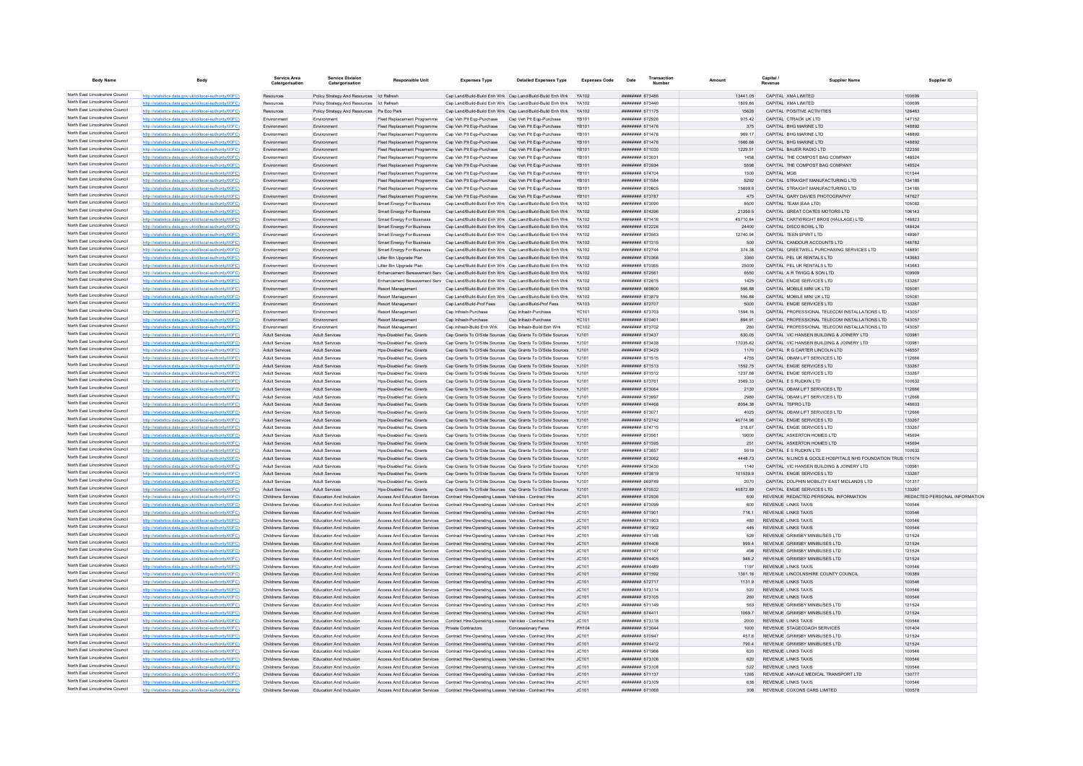| <b>Body Name</b>                                                   | Body                                                                                                             | Service Area<br>Catergorisation          | <b>Service Division</b><br>Catergorisation                | <b>Responsible Unit</b>                                                                                     | <b>Expenses Type</b>                                                                                               | <b>Detailed Expenses Type</b>                                                                                                      | <b>Expenses Code</b>  | Transaction<br>Date                             |                    | Capital | Supplier Name                                                  | Supplier ID                   |
|--------------------------------------------------------------------|------------------------------------------------------------------------------------------------------------------|------------------------------------------|-----------------------------------------------------------|-------------------------------------------------------------------------------------------------------------|--------------------------------------------------------------------------------------------------------------------|------------------------------------------------------------------------------------------------------------------------------------|-----------------------|-------------------------------------------------|--------------------|---------|----------------------------------------------------------------|-------------------------------|
| North East Lincolnshire Council                                    | http://statistics.data.gov.uk/id/local-authority/00FC)                                                           | Resources                                | Policy Strategy And Resources   Ict Refresh               |                                                                                                             |                                                                                                                    | Cap Land/Build-Build Enh Wrk Cap Land/Build-Build Enh Wrk YA102                                                                    |                       | ####### 673486                                  | 13441.05           |         | CAPITAL XMA LIMITED                                            | 100699                        |
| North East Lincolnshire Council                                    | http://statistics.data.gov.uk/id/local-authority/00FC)                                                           | Resources                                | Policy Strategy And Resources Ict Refresh                 |                                                                                                             |                                                                                                                    | Cap Land/Build-Build Enh Wrk Cap Land/Build-Build Enh Wrk                                                                          | YA102                 | ######## 673440                                 | 1809 86            |         | CAPITAL XMA LIMITED                                            | 100699                        |
| North East Lincolnshire Council                                    | http://statistics.data.gov.uk/id/local-authority/00FC)                                                           | Resources                                | Policy Strategy And Resources Pa Eco Park                 |                                                                                                             |                                                                                                                    | Cap Land/Build-Build Enh Wrk Cap Land/Build-Build Enh Wrk                                                                          | YA102                 | ######## 671175                                 | 15628              |         | CAPITAL POSITIVE ACTIVITIES                                    | 126463                        |
| North East Lincolnshire Council<br>North East Lincolnshire Council | http://statistics.data.gov.uk/id/local-authority/00FC)                                                           | Environmen                               | Environmen                                                | Fleet Replacement Programme                                                                                 | Cap Veh Plt Eqp-Purchase                                                                                           | Cap Veh Plt Eqp-Purchase                                                                                                           | YB101                 | ######## 672926                                 | 975.42             |         | CAPITAL CTRACK UK LTD                                          | 147152                        |
| North East Lincolnshire Council                                    | http://statistics.data.gov.uk/id/local-authority/00EC)                                                           | Fnvironmen                               | Environment<br>Environment                                | Fleet Replacement Programme<br>Fleet Replacement Programme                                                  | Cap Veh Plt Ego-Purchase Cap Veh Plt Ego-Purchase<br>Cap Veh Pit Egp-Purchase                                      | Cap Veh Plt Egp-Purchase                                                                                                           | <b>YR101</b><br>YB101 | <b>########</b> 671476<br><b>ининнин</b> 671476 | 375<br>969 17      |         | CAPITAL BHG MARINE LTD<br>CAPITAL BHG MARINE LTD               | 148892<br>148892              |
| North East Lincolnshire Council                                    | http://statistics.data.gov.uk/id/local-authority/00FC)<br>http://statistics.data.gov.uk/id/local-authority/00FC) | Environment<br>Environmen                | Environment                                               | Fleet Replacement Programme                                                                                 | Cap Veh Pit Ego-Purchase                                                                                           | Cap Veh Plt Ego-Purchase                                                                                                           | <b>YB101</b>          | ######## 671476                                 | 1666.66            |         | CAPITAL BHG MARINE LTD                                         | 148892                        |
| North East Lincolnshire Council                                    | http://statistics.data.gov.uk/id/local-authority/00FC)                                                           | Environmen                               | Environment                                               | Fleet Replacement Programme                                                                                 | Cap Veh Plt Eqp-Purchase                                                                                           | Cap Veh Plt Egp-Purchase                                                                                                           | <b>YB101</b>          | ######## 671030                                 | 1229.51            |         | CAPITAL BAUER RADIO LTD                                        | 122350                        |
| North East Lincolnshire Council                                    | http://statistics.data.gov.uk/id/local-authority/00FC)                                                           | Environmen                               | Environment                                               | Fleet Renlacement Programme                                                                                 | Can Veh Pit Fon-Purchase                                                                                           | Can Veh Plt Fon-Purchase                                                                                                           | <b>YR101</b>          | ######## 673031                                 | 1458               |         | CAPITAL THE COMPOST BAG COMPANY                                | 148524                        |
| North East Lincolnshire Council                                    | http://statistics.data.gov.uk/id/local-authority/00FC)                                                           | Environmen                               | Environment                                               | Fleet Replacement Programme                                                                                 | Cap Veh Pit Eqp-Purchase                                                                                           | Cap Veh Plt Eqp-Purchase                                                                                                           | <b>YB101</b>          | ######## 673934                                 | 5598               |         | CAPITAL THE COMPOST BAG COMPANY                                | 148524                        |
| North East Lincolnshire Council                                    | stics.data.gov.uk/id/local-authority/00FC)                                                                       |                                          | Environmer                                                | Fleet Replacement Programme                                                                                 | Cap Veh Pit Eqp-Purchase                                                                                           | Cap Veh Plt Eqp-Purchase                                                                                                           | YB101                 | ######## 674704                                 | 1500               |         |                                                                | 101544                        |
| North East Lincolnshire Council                                    | http://statistics.data.gov.uk/id/local-authority/00FC)                                                           | Fnvironmen                               | Environment                                               | Fleet Replacement Programme                                                                                 | Cap Veh Plt Eqp-Purchase                                                                                           | Cap Veh Plt Eqp-Purchase                                                                                                           | <b>YB101</b>          | ######## 671584                                 | 5292               |         | CAPITAL STRAIGHT MANUFACTURING LTD                             | 134185                        |
| North East Lincolnshire Council<br>North East Lincolnshire Council | http://statistics.data.gov.uk/id/local-authority/00FC)                                                           | Environmen                               | Environment                                               | Fleet Replacement Programme                                                                                 | Cap Veh Plt Egp-Purchase                                                                                           | Cap Veh Plt Egp-Purchase                                                                                                           | YB101                 | ######## 670805                                 | 15699.6            |         | CAPITAL STRAIGHT MANUFACTURING LTD                             | 134185                        |
| North East Lincolnshire Council                                    | http://statistics.data.gov.uk/id/local-authority/00FC)                                                           | Environmen                               | Environment                                               | Fleet Replacement Programme                                                                                 | Cap Veh Plt Eqp-Purchase Cap Veh Plt Eqp-Purchase                                                                  |                                                                                                                                    | <b>YB101</b>          | ######## 673787                                 | 475<br>5500        |         | CAPITAL GARY DAVIES PHOTOGRAPHY                                | 147627                        |
| North East Lincolnshire Council                                    | http://statistics.data.gov.uk/id/local-authority/00FC<br>http://statistics.data.gov.uk/id/local-authority/00FC)  | Environmen<br>Fnvironmen                 | Environmen<br>Environment                                 | <b>Smart Energy For Business</b><br>Smart Energy For Business                                               |                                                                                                                    | Cap Land/Build-Build Enh Wrk Cap Land/Build-Build Enh Wrk<br>Cap Land/Build-Build Enh Wrk Cap Land/Build-Build Enh Wrk             | YA102<br>YA102        | ######## 673090<br>######## 674396              | 21250.5            |         | CAPITAL TEAM (EAA LTD)<br>CAPITAL GREAT COATES MOTORS LTD      | 105082<br>106143              |
| North East Lincolnshire Council                                    | http://statistics.data.gov.uk/id/local-authority/00FC)                                                           | Environmen                               | Environment                                               | <b>Smart Energy For Business</b>                                                                            |                                                                                                                    | Cap Land/Build-Build Enh Wrk Cap Land/Build-Build Enh Wrk                                                                          | YA102                 | ######## 671416                                 | 4571084            |         | CAPITAL CARTWRIGHT BROS (HAULAGE) LTD                          | 148823                        |
| North East Lincolnshire Council                                    | http://statistics.data.gov.uk/id/local-authority/00FC)                                                           | Environmen                               | Environment                                               | Smart Energy For Business                                                                                   |                                                                                                                    | Cap Land/Build-Build Enh Wrk Cap Land/Build-Build Enh Wrk                                                                          | YA102                 | ######## 672226                                 | 24400              |         | CAPITAL DISCO BOWL LTD                                         | 148424                        |
| North East Lincolnshire Council                                    | http://statistics.data.gov.uk/id/local-authority/00FC)                                                           | Environmen                               | Environment                                               | <b>Smart Energy For Business</b>                                                                            |                                                                                                                    | Cap Land/Build-Build Enh Wrk Cap Land/Build-Build Enh Wrk                                                                          | YA102                 | ######## 673563                                 | 12740.94           |         | CAPITAL TEEN SPIRIT ITD                                        | 148967                        |
| North East Lincolnshire Council                                    | http://statistics.data.gov.uk/id/local-authority/00FC)                                                           | Fnvironment                              | Environment                                               | <b>Smart Energy For Business</b>                                                                            |                                                                                                                    | Can Land/Build-Build Enh Wrk Can Land/Build-Build Enh Wrk YA102                                                                    |                       | <b>########</b> 671315                          | 500                |         | CAPITAL CANDOLIR ACCOUNTS LTD.                                 | 148782                        |
| North East Lincolnshire Council                                    | http://statistics.data.gov.uk/id/local-authority/00FC)                                                           | Environmen                               | Environment                                               | <b>Smart Energy For Business</b>                                                                            |                                                                                                                    | Cap Land/Build-Build Enh Wrk Cap Land/Build-Build Enh Wrk YA102                                                                    |                       | <b>ининнин</b> 672744                           | 374 38             |         | CAPITAL GREETWELL PURCHASING SERVICES LTD                      | 148891                        |
| North East Lincolnshire Council                                    | http://statistics.data.gov.uk/id/local-authority/00FC)                                                           | Environmen                               | Environment                                               | Litter Bin Upgrade Plan                                                                                     |                                                                                                                    | Cap Land/Build-Build Enh Wrk Cap Land/Build-Build Enh Wrk YA102                                                                    |                       | ####### 670366                                  | 3360               |         | CAPITAL PEL UK RENTALS LTD                                     | 143683                        |
| North East Lincolnshire Council<br>North East Lincolnshire Council | http://statistics.data.gov.uk/id/local-authority/00FC                                                            | Environmen                               | Environment                                               | Litter Bin Upgrade Plan                                                                                     |                                                                                                                    | Cap Land/Build-Build Enh Wrk Cap Land/Build-Build Enh Wrk                                                                          | YA102                 | ####### 670365                                  | 25000              |         | CAPITAL PEL UK RENTALS LTD                                     | 143683                        |
| North East Lincolnshire Council                                    | http://statistics.data.gov.uk/id/local-authority/00FC)                                                           | Environmen                               | Environment                                               | Enhancement Bereavement Serv Cap Land/Build-Build Enh Wrk Cap Land/Build-Build Enh Wrk                      |                                                                                                                    |                                                                                                                                    | <b>YA102</b>          | ######## 672561                                 | 6550               |         | CAPITAL A R TWIGG & SON LTD                                    | 109909                        |
| North East Lincolnshire Council                                    | http://statistics.data.gov.uk/id/local-authority/00FC)<br>http://statistics.data.gov.uk/id/local-authority/00FC) | Environmen<br>Environmen                 | Environmen<br>Environmen                                  | Enhancement Bereavement Serv Cap Land/Build-Build Enh Wrk Cap Land/Build-Build Enh Wrk<br>Resort Management |                                                                                                                    | Cap Land/Build-Build Enh Wrk Cap Land/Build-Build Enh Wrk                                                                          | YA102<br>YA102        | ####### 672615<br>######## 669800               | 1425<br>556.88     |         | CAPITAL ENGIE SERVICES LTD<br>CAPITAL MOBILE MINI UK LTD       | 133267<br>105081              |
| North East Lincolnshire Council                                    | http://statistics.data.gov.uk/id/local-authority/00FC                                                            | Environmen                               | Environment                                               | Resort Management                                                                                           |                                                                                                                    | Can Land/Build-Build Enh Wrk Can Land/Build-Build Enh Wrk                                                                          | YA102                 | ####### 673879                                  | 556.88             |         | CAPITAL MOBILE MINI UK LTD                                     | 105081                        |
| North East Lincolnshire Council                                    | http://statistics.data.gov.uk/id/local-authority/00FC)                                                           | Environmen                               | Environment                                               | Resort Management                                                                                           | Cap Land/Build-Prof Fees Cap Land/Build-Prof Fees                                                                  |                                                                                                                                    | YA103                 | ######## 672707                                 | 5000               |         | CAPITAL ENGIE SERVICES LTD                                     | 133267                        |
| North East Lincolnshire Council                                    | http://statistics.data.gov.uk/id/local-authority/00FC)                                                           | Environmen                               | Environmen                                                | Resort Management                                                                                           | Cap Infrastr-Purchase                                                                                              | Cap Infrastr-Purchase                                                                                                              | <b>YC101</b>          | ######## 673703                                 | 1594.16            |         | CAPITAL PROFESSIONAL TELECOM INSTALLATIONS LTD                 | 143057                        |
| North East Lincolnshire Council                                    | http://statistics.data.gov.uk/id/local-authority/00FC                                                            | Environmen                               | Environment                                               | Resort Management                                                                                           | Cap Infrastr-Purchase                                                                                              | Cap Infrastr-Purchase                                                                                                              | <b>YC101</b>          | ######## 670401                                 | 894.91             |         | CAPITAL PROFESSIONAL TELECOM INSTALLATIONS LTD                 | 143057                        |
| North East Lincolnshire Council                                    | http://statistics.data.gov.uk/id/local-authority/00FC)                                                           | Environmen                               | Environment                                               | Resort Management                                                                                           | Can Infrastr-Build Enh Wrk                                                                                         | Cap Infrastr-Build Enh Wrk                                                                                                         | YC102                 | ######## 673702                                 | 260                |         | CAPITAL PROFESSIONAL TELECOM INSTALLATIONS LTD                 | 143057                        |
| North East Lincolnshire Council                                    | http://statistics.data.gov.uk/id/local-authority/00FC)                                                           | <b>Adult Services</b>                    | <b>Adult Services</b>                                     | Hos-Disabled Fac. Grants                                                                                    |                                                                                                                    | Cap Grants To O/Side Sources Cap Grants To O/Side Sources                                                                          | YJ101                 | ######## 673437                                 | 630.05             |         | CAPITAL VIC HANSEN BUILDING & JOINERY LTD                      | 103981                        |
| North East Lincolnshire Council                                    | http://statistics.data.gov.uk/id/local-authority/00FC)                                                           | Adult Service                            | Adult Service                                             | Hos-Disabled Fac. Grant                                                                                     |                                                                                                                    | Cap Grants To O/Side Sources Cap Grants To O/Side Sources                                                                          | YJ101                 | ######## 673438                                 | 17035.62           |         | CAPITAL VIC HANSEN BUILDING & JOINERY LTD                      | 10398                         |
| North East Lincolnshire Council                                    | http://statistics.data.gov.uk/id/local-authority/00FC                                                            | Adult Services                           | Adult Service                                             | Hps-Disabled Fac. Grants                                                                                    |                                                                                                                    | Cap Grants To O/Side Sources Cap Grants To O/Side Sources                                                                          | YJ101                 | ######## 673429                                 | 1170               |         | CAPITAL R G CARTER LINCOLN LTD                                 | 146557                        |
| North East Lincolnshire Council<br>North East Lincolnshire Council | http://statistics.data.gov.uk/id/local-authority/00FC)                                                           | Adult Services                           | <b>Adult Services</b>                                     | Hos-Disabled Fac. Grants                                                                                    |                                                                                                                    | Cap Grants To O/Side Sources Cap Grants To O/Side Sources YJ101                                                                    |                       | ######## 671515                                 | 4755               |         | CAPITAL OBAM LIFT SERVICES LTD                                 | 112666                        |
| North East Lincolnshire Council                                    | http://statistics.data.gov.uk/id/local-authority/00FC)<br>http://statistics.data.gov.uk/id/local-authority/00FC) | <b>Adult Services</b><br>Adult Services  | Adult Services<br><b>Adult Services</b>                   | Hps-Disabled Fac. Grants<br>Hps-Disabled Fac. Grants                                                        |                                                                                                                    | Cap Grants To O/Side Sources Cap Grants To O/Side Sources YJ101<br>Cap Grants To O/Side Sources Cap Grants To O/Side Sources YJ101 |                       | ####### 671513<br>####### 671512                | 1552.75<br>1237.68 |         | CAPITAL ENGIE SERVICES LTD<br>CAPITAL ENGIE SERVICES LTD       | 133267<br>133267              |
| North East Lincolnshire Council                                    | http://statistics.data.gov.uk/id/local-authority/00FC)                                                           | Adult Services                           | Adult Services                                            | Hos-Disabled Fac. Grants                                                                                    |                                                                                                                    | Cap Grants To O/Side Sources Cap Grants To O/Side Sources                                                                          | YJ101                 | <b>####### 673761</b>                           | 3569 33            |         | CAPITAL E S RUDKIN LTD                                         | 100632                        |
| North East Lincolnshire Council                                    | http://statistics.data.gov.uk/id/local-authority/00FC)                                                           | Adult Services                           | <b>Adult Services</b>                                     | Hos-Disabled Fac. Grants                                                                                    |                                                                                                                    | Cap Grants To O/Side Sources Cap Grants To O/Side Sources                                                                          | YJ101                 | ######## 673064                                 | 2130               |         | CAPITAL OBAM LIFT SERVICES LTD                                 | 112666                        |
| North East Lincolnshire Council                                    | http://statistics.data.gov.uk/id/local-authority/00FC)                                                           | Adult Services                           | Adult Services                                            | Hos-Disabled Fac. Grants                                                                                    |                                                                                                                    | Cap Grants To O/Side Sources Cap Grants To O/Side Sources                                                                          | YJ10                  | ######## 67399                                  | 2980               |         | CAPITAL OBAM LIFT SERVICES LTD                                 | 112666                        |
| North East Lincolnshire Council                                    | istics.data.gov.uk/id/local-authority/00FC                                                                       | <b>Adult Services</b>                    | <b>Adult Services</b>                                     | Hps-Disabled Fac. Grants                                                                                    |                                                                                                                    | Cap Grants To O/Side Sources Cap Grants To O/Side Sources                                                                          | YJ101                 | ######## 674468                                 | 8054.38            |         | CAPITAL TSPRO LTD                                              | 146603                        |
| North East Lincolnshire Council                                    | http://statistics.data.gov.uk/id/local-authority/00FC)                                                           | <b>Adult Services</b>                    | <b>Adult Services</b>                                     | Hns-Disabled Fac Grants                                                                                     |                                                                                                                    | Cap Grants To O/Side Sources Cap Grants To O/Side Sources                                                                          | Y.1101                | ######## 673071                                 | 4025               |         | CAPITAL ORAM LIFT SERVICES LTD.                                | 112666                        |
| North East Lincolnshire Council                                    | http://statistics.data.gov.uk/id/local-authority/00EC)                                                           | <b>Adult Services</b>                    | Adult Services                                            | Hos-Disabled Fac Grants                                                                                     |                                                                                                                    | Cap Grants To O/Side Sources Cap Grants To O/Side Sources                                                                          | Y.1101                | ######## 672742                                 | 4077498            |         | CAPITAL ENGIF SERVICES LTD                                     | 133267                        |
| North East Lincolnshire Council                                    | http://statistics.data.gov.uk/id/local-authority/00FC)                                                           | <b>Adult Services</b>                    | Adult Services                                            | Hos-Disabled Fac. Grants                                                                                    |                                                                                                                    | Cap Grants To O/Side Sources Cap Grants To O/Side Sources YJ101                                                                    |                       | ####### 674715                                  | 318.67             |         | CAPITAL ENGIE SERVICES LTD                                     | 133267                        |
| North East Lincolnshire Council<br>North East Lincolnshire Council | http://statistics.data.gov.uk/id/local-authority/00FC)                                                           | Adult Services                           | <b>Adult Services</b>                                     | Hps-Disabled Fac. Grants                                                                                    |                                                                                                                    | Cap Grants To O/Side Sources Cap Grants To O/Side Sources                                                                          | YJ101                 | ####### 673561                                  | 19000              |         | CAPITAL ASKERTON HOMES LTD                                     | 145694                        |
| North East Lincolnshire Council                                    | http://statistics.data.gov.uk/id/local-authority/00FC)<br>http://statistics.data.gov.uk/id/local-authority/00FC) | Adult Services<br><b>Adult Services</b>  | Adult Services<br><b>Adult Services</b>                   | Hps-Disabled Fac. Grants<br>Hos-Disabled Fac. Grants                                                        |                                                                                                                    | Cap Grants To O/Side Sources Cap Grants To O/Side Sources<br>Cap Grants To O/Side Sources Cap Grants To O/Side Sources             | YJ101<br>YJ101        | ####### 671595<br>######## 673857               | 251<br>5519        |         | CAPITAL ASKERTON HOMES LTD<br>CAPITAL E S RUDKIN LTD           | 145694<br>100632              |
| North East Lincolnshire Council                                    | cs.data.gov.uk/id/local-authority/00FC)                                                                          | <b>Adult Services</b>                    | <b>Adult Services</b>                                     | Hps-Disabled Fac. Grants                                                                                    |                                                                                                                    | Cap Grants To O/Side Sources Cap Grants To O/Side Sources                                                                          | YJ101                 | ######## 673062                                 | 4448.73            |         | CAPITAL N LINCS & GOOLE HOSPITALS NHS FOUNDATION TRUS 111074   |                               |
| North East Lincolnshire Council                                    | http://statistics.data.gov.uk/id/local-authority/00FC)                                                           | Adult Services                           | Adult Service                                             | Hps-Disabled Fac. Grant                                                                                     |                                                                                                                    | Cap Grants To O/Side Sources Cap Grants To O/Side Sources                                                                          | YJ10                  | ######## 673430                                 | 1140               |         | CAPITAL VIC HANSEN BUILDING & JOINERY LTD                      | 103981                        |
| North East Lincolnshire Council                                    | http://statistics.data.gov.uk/id/local-authority/00EC)                                                           | Adult Services                           | Adult Services                                            | Hps-Disabled Fac. Grants                                                                                    |                                                                                                                    | Cap Grants To O/Side Sources Cap Grants To O/Side Sources YJ101                                                                    |                       | ######## 673819                                 | 101539.9           |         | CAPITAL ENGIE SERVICES LTD                                     | 133267                        |
| North East Lincolnshire Council                                    | http://statistics.data.gov.uk/id/local-authority/00FC)                                                           | Adult Services                           | <b>Adult Services</b>                                     | Hos-Disabled Fac. Grants                                                                                    |                                                                                                                    | Cap Grants To O/Side Sources Cap Grants To O/Side Sources YJ101                                                                    |                       | ######## 669749                                 | 2070               |         | CAPITAL DOLPHIN MOBILITY EAST MIDLANDS LTD                     | 101317                        |
| North East Lincolnshire Council                                    | http://statistics.data.gov.uk/id/local-authority/00FC)                                                           | Adult Services                           | <b>Adult Services</b>                                     | Hos-Disabled Fac. Grants                                                                                    |                                                                                                                    | Cap Grants To O/Side Sources Cap Grants To O/Side Sources YJ101                                                                    |                       | ######## 670532                                 | 40872.89           |         | CAPITAL ENGIE SERVICES LTD                                     | 133267                        |
| North East Lincolnshire Council                                    | http://statistics.data.gov.uk/id/local-authority/00FC)                                                           | Childrens Services                       | Education And Inclusion                                   | Access And Education Services                                                                               | Contract Hire-Operating Leases Vehicles - Contract Hire                                                            |                                                                                                                                    | JC101                 | ####### 672936                                  | 600                |         | REVENUE REDACTED PERSONAL INFORMATION                          | REDACTED PERSONAL INFORMATION |
| North East Lincolnshire Council<br>North East Lincolnshire Council | http://statistics.data.gov.uk/id/local-authority/00EC)                                                           | Childrens Services                       | Education And Inclusion                                   | Access And Education Services                                                                               | Contract Hire-Operating Leases Vehicles - Contract Hire                                                            |                                                                                                                                    | JC101                 | ######## 673099                                 | 600                |         | <b>REVENUE LINKS TAXIS</b>                                     | 100546                        |
| North East Lincolnshire Council                                    | tics data nov uk/id/local-authority/00EC)                                                                        | <b>Childrens Services</b>                | <b>Education And Inclusion</b>                            | Access And Education Services                                                                               | Contract Hire-Operating Leases Vehicles - Contract Hire                                                            |                                                                                                                                    | JC101                 | ######## 671901                                 | 716.1              |         | <b>REVENUE LINKS TAXIS</b>                                     | 100546                        |
| North East Lincolnshire Council                                    | ow uk/id/local-authority/00EC)<br>http://etgtigting.clgtg.cov.uk/id/longLauthority/00EC)                         | Childrens Services                       | <b>Education And Inclusion</b>                            | Access And Education Services                                                                               | Contract Hire-Operating Leases Vehicles - Contract Hire                                                            |                                                                                                                                    | JC101<br>JC101        | ####### 671903                                  | 445                |         | <b>REVENUE LINKS TAXIS</b>                                     | 100546<br>100546              |
| North East Lincolnshire Council                                    | http://statistics.data.gov.uk/id/local-authority/00FC)                                                           | Childrens Services<br>Childrens Services | <b>Education And Inclusion</b><br>Education And Inclusion | Access And Education Services<br>Access And Education Services                                              | Contract Hire-Operating Leases Vehicles - Contract Hire<br>Contract Hire-Operating Leases Vehicles - Contract Hire |                                                                                                                                    | JC101                 | ######## 671902<br>######## 671148              | 526                |         | REVENUE LINKS TAXIS<br>REVENUE GRIMSBY MINIBUSES LTD           | 121524                        |
| North East Lincolnshire Council                                    | http://statistics.data.gov.uk/id/local-authority/00FC)                                                           | Childrens Services                       | Education And Inclusion                                   | Access And Education Services                                                                               | Contract Hire-Operating Leases Vehicles - Contract Hire                                                            |                                                                                                                                    | JC101                 | ######## 674406                                 | 999.4              |         | REVENUE GRIMSBY MINIBUSES LTD                                  | 121524                        |
| North East Lincolnshire Council                                    | http://statistics.data.gov.uk/id/local-authority/00FC)                                                           | Childrens Services                       | Education And Inclusion                                   | Access And Education Services                                                                               | Contract Hire-Operating Leases Vehicles - Contract Hire                                                            |                                                                                                                                    | JC101                 | ********* 671147                                | 498                |         | REVENUE GRIMSBY MINIBUSES LTD                                  | 121524                        |
| North East Lincolnshire Council                                    | http://statistics.data.gov.uk/id/local-authority/00FC)                                                           | Childrens Services                       | Education And Inclusion                                   | Access And Education Services                                                                               | Contract Hire-Operating Leases Vehicles - Contract Hire                                                            |                                                                                                                                    | JC101                 | ######## 674405                                 | 946.2              |         | REVENUE GRIMSBY MINIBUSES LTD                                  | 121524                        |
| North East Lincolnshire Council                                    | http://statistics.data.gov.uk/id/local-authority/00FC)                                                           | Childrens Services                       | Education And Inclusion                                   | Access And Education Services                                                                               | Contract Hire-Operating Leases Vehicles - Contract Hire                                                            |                                                                                                                                    | JC101                 | ######## 674489                                 | 1197               |         | <b>REVENUE LINKS TAXIS</b>                                     | 100546                        |
| North East Lincolnshire Council                                    | cs.data.gov.uk/id/local-auth                                                                                     | Childrens Services                       | <b>Education And Inclusion</b>                            | Access And Education Services                                                                               | Contract Hire-Operating Leases Vehicles - Contract Hire                                                            |                                                                                                                                    | JC101                 | ####### 671592                                  | 1301.16            |         | REVENUE LINCOLNSHIRE COUNTY COUNCIL                            | 100389                        |
| North East Lincolnshire Council                                    | http://statistics.data.gov.uk/id/local-authority/00FC)                                                           | Childrens Services                       | Education And Inclusion                                   | Access And Education Services                                                                               | Contract Hire-Operating Leases Vehicles - Contract Hire                                                            |                                                                                                                                    | JC101                 | ####### 672717                                  | 1131.9             |         | REVENUE LINKS TAXIS                                            | 100546                        |
| North East Lincolnshire Council<br>North East Lincolnshire Council | http://statistics.data.gov.uk/id/local-authority/00EC)                                                           | Childrens Services                       | Education And Inclusion                                   | Access And Education Services                                                                               | Contract Hire-Operating Leases Vehicles - Contract Hire                                                            |                                                                                                                                    | JC101                 | ######## 673114                                 | 520                |         | <b>REVENUE LINKS TAXIS</b>                                     | 100546                        |
| North East Lincolnshire Council                                    | http://statistics.data.gov.uk/id/local-authority/00FC)                                                           | Childrens Services                       | Education And Inclusion                                   | Access And Education Services  Contract Hire-Operating Leases Vehicles - Contract Hire                      |                                                                                                                    |                                                                                                                                    | JC101                 | ######## 673105                                 | 260                |         | <b>REVENUE LINKS TAXIS</b>                                     | 100546                        |
| North East Lincolnshire Council                                    | http://statistics.data.gov.uk/id/local-authority/00FC)                                                           | Childrens Services                       | Education And Inclusion<br>Education And Inclusion        | Access And Education Services Contract Hire-Operating Leases Vehicles - Contract Hire                       |                                                                                                                    |                                                                                                                                    | JC101<br>JC101        | ####### 671149<br>######## 674411               | 563<br>1069.7      |         | REVENUE GRIMSBY MINIBUSES LTD<br>REVENUE GRIMSBY MINIBUSES LTD | 121524<br>121524              |
| North East Lincolnshire Council                                    | http://statistics.data.gov.uk/id/local-authority/00FC)<br>http://statistics.data.gov.uk/id/local-authority/00EC) | Childrens Services<br>Childrens Services | Education And Inclusion                                   | Access And Education Services<br>Access And Education Services                                              | Contract Hire-Operating Leases Vehicles - Contract Hire<br>Contract Hire-Operating Leases Vehicles - Contract Hire |                                                                                                                                    | JCA01                 | ####### 673118                                  | 2000               |         | REVENUE LINKS TAXIS                                            | 100546                        |
| North East Lincolnshire Council                                    | tics.data.gov.uk/id/local-authority/00FC)                                                                        | Childrens Services                       | Education And Inclusion                                   | Access And Education Services                                                                               | <b>Private Contractors</b>                                                                                         | Concessionary Fares                                                                                                                | PH104                 | ####### 673044                                  | 1000               |         | REVENUE STAGECOACH SERVICES                                    | 101404                        |
| North East Lincolnshire Council                                    | distics.data.gov.uk/id/local-authority/00FC)                                                                     | Childrens Services                       | Education And Inclusion                                   | Access And Education Services                                                                               | Contract Hire-Operating Leases Vehicles - Contract Hire                                                            |                                                                                                                                    | JC101                 | ####### 67094                                   | 457.6              |         | REVENUE GRIMSBY MINIBUSES LTD                                  | 121524                        |
| North East Lincolnshire Council                                    | http://statistics.data.gov.uk/id/local-authority/00EC)                                                           | Childrens Services                       | Education And Inclusion                                   | Access And Education Services                                                                               | Contract Hire-Operating Leases Vehicles - Contract Hire                                                            |                                                                                                                                    | JC101                 | ####### 674412                                  | 790.4              |         | REVENUE GRIMSBY MINIBUSES LTD                                  | 121524                        |
| North East Lincolnshire Council                                    | http://statistics.data.gov.uk/id/local-authority/00FC)                                                           | Childrens Services                       | Education And Inclusion                                   | Access And Education Services                                                                               | Contract Hire-Operating Leases Vehicles - Contract Hire                                                            |                                                                                                                                    | JC101                 | ######## 671966                                 | 620                |         | <b>REVENUE LINKS TAXIS</b>                                     | 100546                        |
| North East Lincolnshire Council                                    | http://statistics.data.gov.uk/id/local-authority/00FC)                                                           | Childrens Services                       | Education And Inclusion                                   | Access And Education Services Contract Hire-Operating Leases Vehicles - Contract Hire                       |                                                                                                                    |                                                                                                                                    | JC101                 | ######## 673106                                 | 620                |         | <b>REVENUE LINKS TAXIS</b>                                     | 100546                        |
| North East Lincolnshire Council                                    | http://statistics.data.gov.uk/id/local-authority/00FC                                                            | Childrens Services                       | Education And Inclusion                                   | Access And Education Services                                                                               | Contract Hire-Operating Leases Vehicles - Contract Hire                                                            |                                                                                                                                    | JC101                 | ####### 673108                                  | 522                |         | REVENUE LINKS TAXIS                                            | 100546                        |
| North East Lincolnshire Council<br>North East Lincolnshire Council | http://statistics.data.gov.uk/id/local-authority/00FC)                                                           | Childrens Services                       | Education And Inclusion                                   | Access And Education Services Contract Hire-Operating Leases Vehicles - Contract Hire                       |                                                                                                                    |                                                                                                                                    | JC101                 | ######## 671137                                 | 1265               |         | REVENUE AMVALE MEDICAL TRANSPORT LTD                           | 130777                        |
| North East Lincolnshire Council                                    | http://statistics.data.gov.uk/id/local-authority/00FC)                                                           | <b>Childrens Services</b>                | Education And Inclusion                                   | Access And Education Services   Contract Hire-Operating Leases Vehicles - Contract Hire                     |                                                                                                                    |                                                                                                                                    | JC101                 | ######## 673109                                 | 638                |         | <b>REVENUE LINKS TAXIS</b>                                     | 100546                        |
|                                                                    | distics.data.gov.uk/id/local-authority/00FC)                                                                     | <b>Childrens Services</b>                | <b>Education And Inclusion</b>                            | Access And Education Services                                                                               | Contract Hire-Operating Leases Vehicles - Contract Hire                                                            |                                                                                                                                    | JC101                 | ######## 671068                                 | 308                |         | REVENUE COXONS CARS LIMITED                                    | 100578                        |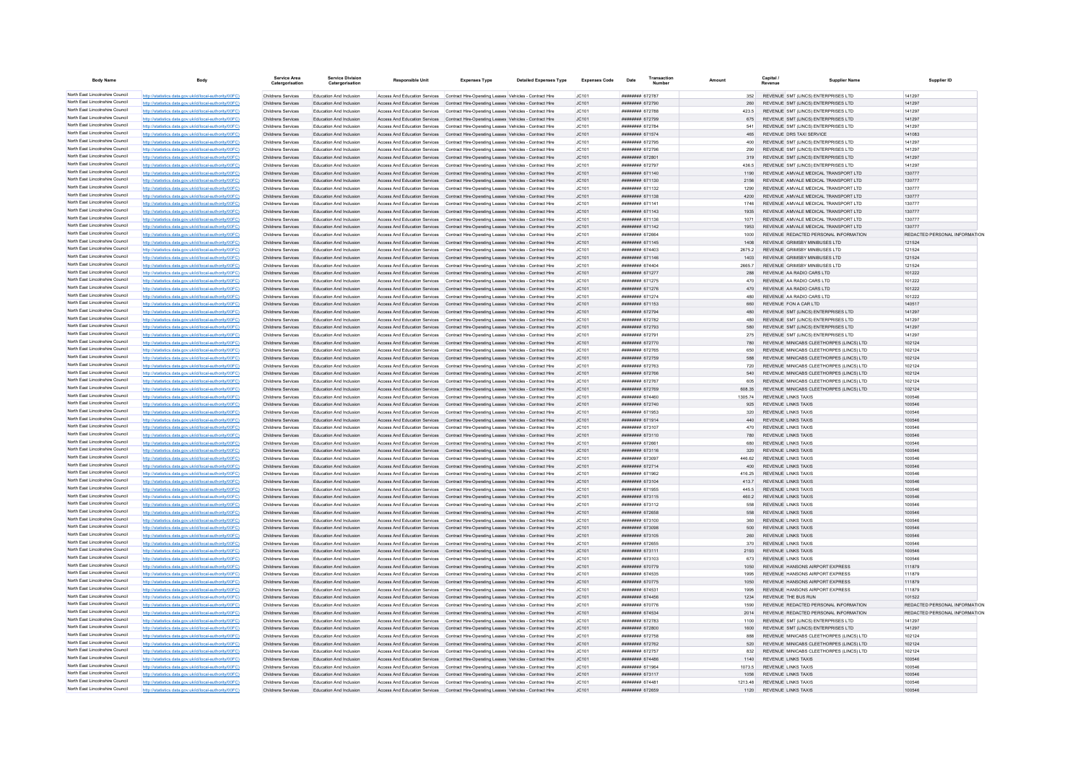| <b>Body Name</b>                                                   | Body                                                                                                             | Service Area<br>Catergorisation          | <b>Service Division</b><br>Catergorisation         | <b>Responsible Unit</b>                                                                                                                                                          | <b>Expenses Type</b>                                                                                               | <b>Detailed Expenses Type</b> | <b>Expenses Code</b> | Transaction<br>Date                      |                 | Capital<br><b>Supplier Name</b>                                                 | Supplier ID                                                    |
|--------------------------------------------------------------------|------------------------------------------------------------------------------------------------------------------|------------------------------------------|----------------------------------------------------|----------------------------------------------------------------------------------------------------------------------------------------------------------------------------------|--------------------------------------------------------------------------------------------------------------------|-------------------------------|----------------------|------------------------------------------|-----------------|---------------------------------------------------------------------------------|----------------------------------------------------------------|
| North East Lincolnshire Council                                    | http://statistics.data.gov.uk/id/local-authority/00FC)                                                           | Childrens Services                       | Education And Inclusion                            | Access And Education Services Contract Hire-Operating Leases Vehicles - Contract Hire                                                                                            |                                                                                                                    |                               | JC101                | ######## 672787                          | 352             | REVENUE SMT (LINCS) ENTERPRISES LTD.                                            | 141297                                                         |
| North East Lincolnshire Council                                    | http://statistics.data.gov.uk/id/local-authority/00FC)                                                           | Childrens Services                       | Education And Inclusion                            | Access And Education Services Contract Hire-Operating Leases Vehicles - Contract Hire                                                                                            |                                                                                                                    |                               | JC101                | ######## 672790                          | 260             | REVENUE SMT (LINCS) ENTERPRISES LTD                                             | 141297                                                         |
| North East Lincolnshire Council<br>North East Lincolnshire Council | http://statistics.data.gov.uk/id/local-authority/00FC)                                                           | Childrens Services                       | Education And Inclusion                            | Access And Education Services  Contract Hire-Operating Leases Vehicles - Contract Hire                                                                                           |                                                                                                                    |                               | JC101                | ####### 672788                           | 423.5           | REVENUE SMT (LINCS) ENTERPRISES LTD                                             | 141297                                                         |
| North East Lincolnshire Council                                    | http://statistics.data.gov.uk/id/local-authority/00FC)                                                           | Childrens Services                       | Education And Inclusion                            | Access And Education Services Contract Hire-Operating Leases Vehicles - Contract Hire                                                                                            |                                                                                                                    |                               | JC101                | ######## 672799                          | 675             | REVENUE SMT (LINCS) ENTERPRISES LTD                                             | 141297                                                         |
| North East Lincolnshire Council                                    | http://statistics.data.gov.uk/id/local-authority/00EC)<br>http://statistics.data.gov.uk/id/local-authority/00FC) | Childrens Services<br>Childrens Services | Education And Inclusion<br>Education And Inclusion | Access And Education Services Contract Hire-Operating Leases Vehicles - Contract Hire<br>Access And Education Services Contract Hire-Operating Leases Vehicles - Contract Hire   |                                                                                                                    |                               | IC101<br>JC101       | <b>ининнин</b> 672784<br>####### 671574  | 541<br>465      | REVENUE SMT (LINCS) ENTERPRISES LTD<br>REVENUE DRS TAXI SERVICE                 | 141297<br>141083                                               |
| North East Lincolnshire Council                                    | http://statistics.data.gov.uk/id/local-authority/00FC)                                                           | Childrens Services                       | Education And Inclusion                            | Access And Education Services   Contract Hire-Operating Leases Vehicles - Contract Hire                                                                                          |                                                                                                                    |                               | JC101                | ####### 672795                           | 400             | REVENUE SMT (LINCS) ENTERPRISES LTD                                             | 141297                                                         |
| North East Lincolnshire Council                                    | http://statistics.data.gov.uk/id/local-authority/00FC)                                                           | Childrens Services                       | Education And Inclusion                            | Access And Education Services  Contract Hire-Operating Leases Vehicles - Contract Hire                                                                                           |                                                                                                                    |                               | JC101                | ######## 672796                          | 290             | REVENUE SMT (LINCS) ENTERPRISES LTD                                             | 141297                                                         |
| North East Lincolnshire Council                                    | http://statistics.data.gov.uk/id/local-authority/00FC)                                                           | Childrens Services                       | Education And Inclusion                            | Access And Education Services  Contract Hire-Operating Leases Vehicles - Contract Hire                                                                                           |                                                                                                                    |                               | IC.101               | ######## 672801                          | 319             | REVENUE SMT (LINCS) ENTERPRISES LTD                                             | 141297                                                         |
| North East Lincolnshire Council                                    | http://statistics.data.gov.uk/id/local-authority/00FC)                                                           | Childrens Services                       | Education And Inclusion                            | Access And Education Services   Contract Hire-Operating Leases   Vehicles - Contract Hire                                                                                        |                                                                                                                    |                               | JC101                | <b>######## 672797</b>                   | 436.5           | REVENUE SMT (LINCS) ENTERPRISES LTD                                             | 141297                                                         |
| North East Lincolnshire Council                                    | http://statistics.data.gov.uk/id/local-authority/00FC)                                                           | Childrens Services                       | <b>Education And Inclusion</b>                     | Access And Education Services                                                                                                                                                    | Contract Hire-Operating Leases Vehicles - Contract Hire                                                            |                               | JC101                | ######## 671140                          | 1190            | REVENUE AMVALE MEDICAL TRANSPORT LTD                                            | 130777                                                         |
| North East Lincolnshire Council<br>North East Lincolnshire Council | http://statistics.data.gov.uk/id/local-authority/00FC)                                                           | Childrens Services                       | Education And Inclusion                            | Access And Education Services  Contract Hire-Operating Leases Vehicles - Contract Hire                                                                                           |                                                                                                                    |                               | JC101                | ####### 671130                           | 2156            | REVENUE AMVALE MEDICAL TRANSPORT LTD.                                           | 130777                                                         |
| North East Lincolnshire Council                                    | http://statistics.data.gov.uk/id/local-authority/00EC)                                                           | Childrens Services                       | Education And Inclusion                            | Access And Education Services Contract Hire-Operating Leases Vehicles - Contract Hire                                                                                            |                                                                                                                    |                               | IC.101               | ####### 671132<br>######## 671138        | 1290            | REVENUE AMVALE MEDICAL TRANSPORT LTD.<br>REVENUE AMVALE MEDICAL TRANSPORT LTD   | 130777                                                         |
| North East Lincolnshire Council                                    | http://statistics.data.gov.uk/id/local-authority/00FC)<br>http://statistics.data.gov.uk/id/local-authority/00FC) | Childrens Services<br>Childrens Services | Education And Inclusion<br>Education And Inclusion | Access And Education Services Contract Hire-Operating Leases Vehicles - Contract Hire<br>Access And Education Services  Contract Hire-Operating Leases Vehicles - Contract Hire  |                                                                                                                    |                               | JC101<br>JC101       | ######## 671141                          | 4200<br>1746    | REVENUE AMVALE MEDICAL TRANSPORT LTD                                            | 130777<br>130777                                               |
| North East Lincolnshire Council                                    | http://statistics.data.gov.uk/id/local-authority/00FC)                                                           | Childrens Services                       | Education And Inclusion                            | Access And Education Services Contract Hire-Operating Leases Vehicles - Contract Hire                                                                                            |                                                                                                                    |                               | JC101                | ####### 671143                           | 1935            | REVENUE AMVALE MEDICAL TRANSPORT LTD                                            | 130777                                                         |
| North East Lincolnshire Council                                    | http://statistics.data.gov.uk/id/local-authority/00FC)                                                           | <b>Childrens Services</b>                | Education And Inclusion                            | Access And Education Services  Contract Hire-Operating Leases Vehicles - Contract Hire                                                                                           |                                                                                                                    |                               | JC101                | ######## 671136                          | 1071            | REVENUE AMVALE MEDICAL TRANSPORT LTD                                            | 130777                                                         |
| North East Lincolnshire Council                                    | http://statistics.data.gov.uk/id/local-authority/00FC)                                                           | Childrens Services                       | Education And Inclusion                            | Access And Education Services                                                                                                                                                    | Contract Hire-Operating Leases Vehicles - Contract Hire                                                            |                               | JC101                | ######## 671142                          | 1953            | REVENUE AMVALE MEDICAL TRANSPORT LTD                                            | 130777                                                         |
| North East Lincolnshire Council                                    | http://statistics.data.gov.uk/id/local-authority/00FC)                                                           | Childrens Services                       | Education And Inclusion                            | Access And Education Services                                                                                                                                                    | Contract Hire-Operating Leases Vehicles - Contract Hire                                                            |                               | JC101                | ####### 672664                           | 1000            | REVENUE REDACTED PERSONAL INFORMATION                                           | REDACTED PERSONAL INFORMATION                                  |
| North East Lincolnshire Council                                    | http://statistics.data.gov.uk/id/local-authority/00FC)                                                           | Childrens Services                       | Education And Inclusion                            | Access And Education Services Contract Hire-Operating Leases Vehicles - Contract Hire                                                                                            |                                                                                                                    |                               | JC101                | ####### 671145                           | 1408            | REVENUE GRIMSBY MINIBUSES LTD                                                   | 121524                                                         |
| North East Lincolnshire Council<br>North East Lincolnshire Council | http://statistics.data.gov.uk/id/local-authority/00FC)                                                           | Childrens Services                       | Education And Inclusion                            | Access And Education Services Contract Hire-Operating Leases Vehicles - Contract Hire                                                                                            |                                                                                                                    |                               | JC101                | ######## 674403                          | 26752           | REVENUE GRIMSBY MINIBUSES LTD                                                   | 121524                                                         |
| North East Lincolnshire Council                                    | http://statistics.data.gov.uk/id/local-authority/00FC)                                                           | Childrens Services<br>Childrens Services | Education And Inclusion<br>Education And Inclusion | Access And Education Services Contract Hire-Operating Leases Vehicles - Contract Hire                                                                                            |                                                                                                                    |                               | JC101                | ######## 671146<br>######## 674404       | 1403<br>2665.7  | REVENUE GRIMSBY MINIBUSES LTD<br>REVENUE GRIMSBY MINIBUSES LTD                  | 121524<br>121524                                               |
| North East Lincolnshire Council                                    | http://statistics.data.gov.uk/id/local-authority/00FC)<br>http://statistics.data.gov.uk/id/local-authority/00FC) | Childrens Services                       | Education And Inclusion                            | Access And Education Services  Contract Hire-Operating Leases Vehicles - Contract Hire<br>Access And Education Services  Contract Hire-Operating Leases Vehicles - Contract Hire |                                                                                                                    |                               | JC101<br>JC101       | <b>######## 671277</b>                   | 288             | REVENUE AA RADIO CARS LTD                                                       | 101222                                                         |
| North East Lincolnshire Council                                    | http://statistics.data.gov.uk/id/local-authority/00FC)                                                           | Childrens Services                       | Education And Inclusion                            | Access And Education Services   Contract Hire-Operating Leases   Vehicles - Contract Hire                                                                                        |                                                                                                                    |                               | JC101                | <b>####### 671275</b>                    | 470             | REVENUE AA RADIO CARS LTD                                                       | 101222                                                         |
| North East Lincolnshire Council                                    | http://statistics.data.gov.uk/id/local-authority/00FC)                                                           | Childrens Services                       | <b>Education And Inclusion</b>                     | Access And Education Services                                                                                                                                                    | Contract Hire-Operating Leases Vehicles - Contract Hire                                                            |                               | JC101                | ####### 671276                           | 470             | REVENUE AA RADIO CARS LTD                                                       | 101222                                                         |
| North East Lincolnshire Council                                    | http://statistics.data.gov.uk/id/local-authority/00FC)                                                           | Childrens Services                       | Education And Inclusion                            | Access And Education Services                                                                                                                                                    | Contract Hire-Operating Leases Vehicles - Contract Hire                                                            |                               | JC101                | <b><i>BRAHHHHH 671974</i></b>            | 480             | REVENUE AA RADIO CARS LTD.                                                      | 101222                                                         |
| North East Lincolnshire Council                                    | http://statistics.data.gov.uk/id/local-authority/00FC)                                                           | Childrens Services                       | Education And Inclusion                            | Access And Education Services Contract Hire-Oneration Leases Vehicles - Contract Hire                                                                                            |                                                                                                                    |                               | IC.101               | ####### 671153                           | 660             | REVENUE FON A CAR LTD                                                           | 140517                                                         |
| North East Lincolnshire Council                                    | http://statistics.data.gov.uk/id/local-authority/00FC)                                                           | Childrens Services                       | Education And Inclusion                            | Access And Education Services Contract Hire-Operating Leases Vehicles - Contract Hire                                                                                            |                                                                                                                    |                               | JC101                | ######## 672794                          | 480             | REVENUE SMT (LINCS) ENTERPRISES LTD                                             | 141297                                                         |
| North East Lincolnshire Council                                    | http://statistics.data.gov.uk/id/local-authority/00FC)                                                           | Childrens Services                       | Education And Inclusion                            | Access And Education Services                                                                                                                                                    | Contract Hire-Operating Leases Vehicles - Contract Hire                                                            |                               | JC101                | ######## 672782                          | 480             | REVENUE SMT (LINCS) ENTERPRISES LTD                                             | 141297                                                         |
| North East Lincolnshire Council<br>North East Lincolnshire Council | http://statistics.data.gov.uk/id/local-authority/00FC)                                                           | Childrens Services                       | Education And Inclusion                            | Access And Education Services Contract Hire-Operating Leases Vehicles - Contract Hire                                                                                            |                                                                                                                    |                               | JC101                | ######## 672793                          | 580             | REVENUE SMT (LINCS) ENTERPRISES LTD                                             | 141297                                                         |
| North East Lincolnshire Council                                    | http://statistics.data.gov.uk/id/local-authority/00FC)<br>http://statistics.data.gov.uk/id/local-authority/00FC) | Childrens Services<br>Childrens Services | Education And Inclusion<br>Education And Inclusion | Access And Education Services  Contract Hire-Operating Leases Vehicles - Contract Hire<br>Access And Education Services                                                          | Contract Hire-Operating Leases Vehicles - Contract Hire                                                            |                               | JC101<br>JC101       | ######## 672791<br>######## 672770       | 275<br>780      | REVENUE SMT (LINCS) ENTERPRISES LTD<br>REVENUE MINICABS CLEETHORPES (LINCS) LTD | 141297<br>102124                                               |
| North East Lincolnshire Council                                    | http://statistics.data.gov.uk/id/local-authority/00FC)                                                           | Childrens Services                       | Education And Inclusion                            | Access And Education Services                                                                                                                                                    | Contract Hire-Operating Leases Vehicles - Contract Hire                                                            |                               | JC101                | ####### 672765                           | 650             | REVENUE MINICABS CLEETHORPES (LINCS) LTD                                        | 102124                                                         |
| North East Lincolnshire Council                                    | http://statistics.data.gov.uk/id/local-authority/00FC)                                                           | Childrens Services                       | Education And Inclusion                            | Access And Education Services Contract Hire-Operating Leases Vehicles - Contract Hire                                                                                            |                                                                                                                    |                               | JC101                | ####### 672759                           | 588             | REVENUE MINICABS CLEETHORPES (LINCS) LTD                                        | 102124                                                         |
| North East Lincolnshire Council                                    | http://statistics.data.gov.uk/id/local-authority/00FC)                                                           | Childrens Services                       | Education And Inclusion                            | Access And Education Services  Contract Hire-Operating Leases Vehicles - Contract Hire                                                                                           |                                                                                                                    |                               | JC101                | ######## 672763                          | 720             | REVENUE MINICABS CLEETHORPES (LINCS) LTD                                        | 102124                                                         |
| North East Lincolnshire Council                                    | http://statistics.data.gov.uk/id/local-authority/00FC)                                                           | Childrens Services                       | Education And Inclusion                            | Access And Education Services Contract Hire-Operating Leases Vehicles - Contract Hire                                                                                            |                                                                                                                    |                               | JC101                | ######## 672766                          | 540             | REVENUE MINICABS CLEETHORPES (LINCS) LTD                                        | 102124                                                         |
| North East Lincolnshire Council                                    | http://statistics.data.gov.uk/id/local-authority/00FC)                                                           | Childrens Services                       | Education And Inclusion                            | Access And Education Services  Contract Hire-Operating Leases Vehicles - Contract Hire                                                                                           |                                                                                                                    |                               | JC101                | ####### 672767                           | 605             | REVENUE MINICABS CLEETHORPES (LINCS) LTD                                        | 102124                                                         |
| North East Lincolnshire Council                                    | http://statistics.data.gov.uk/id/local-authority/00FC)                                                           | Childrens Services                       | Education And Inclusion                            | Access And Education Services Contract Hire-Operating Leases Vehicles - Contract Hire                                                                                            |                                                                                                                    |                               | JC101                | ####### 672769                           | 608.35          | REVENUE MINICABS CLEETHORPES (LINCS) LTD                                        | 102124                                                         |
| North East Lincolnshire Council<br>North East Lincolnshire Council | http://statistics.data.gov.uk/id/local-authority/00FC)<br>http://statistics.data.gov.uk/id/local-authority/00FC) | Childrens Services<br>Childrens Services | Education And Inclusion<br>Education And Inclusion | Access And Education Services    Contract Hire-Operating Leases Vehicles - Contract Hire<br>Access And Education Services                                                        |                                                                                                                    |                               | JC101<br>JC101       | <b>HEHEHEH 674460</b><br>######## 672740 | 1305 74<br>925  | <b>REVENUE LINKS TAXIS</b><br><b>REVENUE LINKS TAXIS</b>                        | 100546<br>100546                                               |
| North East Lincolnshire Council                                    | http://statistics.data.gov.uk/id/local-authority/00EC)                                                           | Childrens Services                       | Education And Inclusion                            | Access And Education Services                                                                                                                                                    | Contract Hire-Operating Leases Vehicles - Contract Hire<br>Contract Hire-Operating Leases Vehicles - Contract Hire |                               | JC101                | ####### 671953                           | 320             | <b>REVENUE LINKS TAXIS</b>                                                      | 100546                                                         |
| North East Lincolnshire Council                                    | http://etgtietics.data.gov.uk/id/local.guthority/00EC)                                                           | Childrens Services                       | Education And Inclusion                            | Access And Education Services                                                                                                                                                    | Contract Hire-Operating Leases Vehicles - Contract Hire                                                            |                               | JC101                | ######## 671914                          | 440             | <b>REVENUE LINKS TAXIS</b>                                                      | 100546                                                         |
| North East Lincolnshire Council                                    | http://statistics.data.gov.uk/id/local-authority/00EC)                                                           | Childrens Services                       | Education And Inclusion                            | Access And Education Services Contract Hire-Oneration Leases Vehicles - Contract Hire                                                                                            |                                                                                                                    |                               | IC.101               | ######## 673107                          | 470             | <b>REVENUE LINKS TAXIS</b>                                                      | 100546                                                         |
| North East Lincolnshire Council                                    | http://statistics.data.gov.uk/id/local-authority/00FC)                                                           | Childrens Services                       | Education And Inclusion                            | Access And Education Services Contract Hire-Operating Leases Vehicles - Contract Hire                                                                                            |                                                                                                                    |                               | JC101                | ######## 673110                          | 780             | REVENUE LINKS TAXIS                                                             | 100546                                                         |
| North East Lincolnshire Council                                    | http://statistics.data.gov.uk/id/local-authority/00FC)                                                           | Childrens Services                       | Education And Inclusion                            | Access And Education Services                                                                                                                                                    | Contract Hire-Operating Leases Vehicles - Contract Hire                                                            |                               | JC101                | ####### 672661                           |                 | REVENUE LINKS TAXIS                                                             | 100546                                                         |
| North East Lincolnshire Council                                    | http://statistics.data.gov.uk/id/local-authority/00FC)                                                           | Childrens Services                       | Education And Inclusion                            | Access And Education Services                                                                                                                                                    | Contract Hire-Operating Leases Vehicles - Contract Hire                                                            |                               | JC101                | ####### 673116                           | 320             | <b>REVENUE LINKS TAXIS</b>                                                      | 100546                                                         |
| North East Lincolnshire Council<br>North East Lincolnshire Council | http://statistics.data.gov.uk/id/local-authority/00FC)                                                           | Childrens Services                       | Education And Inclusion                            | Access And Education Services  Contract Hire-Operating Leases Vehicles - Contract Hire                                                                                           |                                                                                                                    |                               | JC101                | ######## 673097                          | 446.62          | <b>REVENUE LINKS TAXIS</b>                                                      | 100546                                                         |
| North East Lincolnshire Council                                    | cs.data.gov.uk/id/local-authority/00FC)<br>http://statistics.data.gov.uk/id/local-authority/00FC1                | Childrens Services<br>Childrens Services | Education And Inclusion<br>Education And Inclusion | Access And Education Services<br>Access And Education Services                                                                                                                   | Contract Hire-Operating Leases Vehicles - Contract Hire<br>Contract Hire-Operating Leases Vehicles - Contract Hire |                               | JC101<br>JC101       | ######## 672714<br>####### 671962        | 400<br>416.25   | REVENUE LINKS TAXIS<br>REVENUE LINKS TAXIS                                      | 100546<br>100546                                               |
| North East Lincolnshire Council                                    | http://statistics.data.gov.uk/id/local-authority/00EC)                                                           | Childrens Services                       | Education And Inclusion                            | Access And Education Services Contract Hire-Operating Leases Vehicles - Contract Hire                                                                                            |                                                                                                                    |                               | JC101                | ######## 673104                          | 4137            | <b>REVENUE LINKS TAXIS</b>                                                      | 100546                                                         |
| North East Lincolnshire Council                                    | http://statistics.data.gov.uk/id/local-authority/00FC)                                                           | Childrens Services                       | Education And Inclusion                            | Access And Education Services  Contract Hire-Operating Leases Vehicles - Contract Hire                                                                                           |                                                                                                                    |                               | JC101                | ######## 671955                          | 445.5           | <b>REVENUE LINKS TAXIS</b>                                                      | 100546                                                         |
| North East Lincolnshire Council                                    | http://statistics.data.gov.uk/id/local-authority/00FC)                                                           | Childrens Services                       | Education And Inclusion                            | Access And Education Services Contract Hire-Operating Leases Vehicles - Contract Hire                                                                                            |                                                                                                                    |                               | JC101                | ####### 673115                           | 460.2           | <b>REVENUE LINKS TAXIS</b>                                                      | 100546                                                         |
| North East Lincolnshire Council                                    | http://statistics.data.gov.uk/id/local-authority/00FC)                                                           | Childrens Services                       | Education And Inclusion                            | Access And Education Services  Contract Hire-Operating Leases Vehicles - Contract Hire                                                                                           |                                                                                                                    |                               | JC101                | ######## 673112                          | 558             | REVENUE LINKS TAXIS                                                             | 100546                                                         |
| North East Lincolnshire Council                                    | http://statistics.data.gov.uk/id/local-authority/00FC)                                                           | Childrens Services                       | Education And Inclusion                            | Access And Education Services  Contract Hire-Operating Leases Vehicles - Contract Hire                                                                                           |                                                                                                                    |                               | JC101                | ####### 672658                           | 558             | <b>REVENUE LINKS TAXIS</b>                                                      | 100546                                                         |
| North East Lincolnshire Council<br>North East Lincolnshire Council | http://statistics.data.gov.uk/id/local-authority/00FC)                                                           | Childrens Services                       | Education And Inclusion                            | Access And Education Services   Contract Hire-Operating Leases Vehicles - Contract Hire                                                                                          |                                                                                                                    |                               | JC101                | ######## 673100                          | 360             | <b>REVENUE LINKS TAXIS</b>                                                      | 100546                                                         |
| North East Lincolnshire Council                                    | rs data gov uk/id/local-authority/00EC)                                                                          | Childrens Services                       | Education And Inclusion                            | Access And Education Services                                                                                                                                                    | Contract Hire-Operating Leases Vehicles - Contract Hire                                                            |                               | JC101                | ######## 673098                          | 500             | REVENUE LINKS TAXIS                                                             | 100546                                                         |
| North East Lincolnshire Council                                    | http://statistics.data.gov.uk/id/local-authority/00EC)<br>http://statistics.data.gov.uk/id/local-authority/00EC) | Childrens Services<br>Childrens Services | Education And Inclusion<br>Education And Inclusion | Access And Education Services<br>Access And Education Services                                                                                                                   | Contract Hire-Operating Leases Vehicles - Contract Hire<br>Contract Hire-Oneration Leases Vehicles - Contract Hire |                               | JC101<br>IC.101      | ####### 673105<br>######## 672655        | 260<br>370      | <b>REVENUE LINKS TAXIS</b><br><b>REVENUE LINKS TAXIS</b>                        | 100546<br>100546                                               |
| North East Lincolnshire Council                                    | http://statistics.data.gov.uk/id/local-authority/00FC)                                                           | Childrens Services                       | Education And Inclusion                            | Access And Education Services Contract Hire-Operating Leases Vehicles - Contract Hire                                                                                            |                                                                                                                    |                               | JC101                | ######## 673111                          | 2193            | <b>REVENUE LINKS TAXIS</b>                                                      | 100546                                                         |
| North East Lincolnshire Council                                    | http://statistics.data.gov.uk/id/local-authority/00FC)                                                           | Childrens Services                       | Education And Inclusion                            | Access And Education Services                                                                                                                                                    | Contract Hire-Operating Leases Vehicles - Contract Hire                                                            |                               | JC101                | ######## 673103                          | 673             | <b>REVENUE LINKS TAXIS</b>                                                      | 100546                                                         |
| North East Lincolnshire Council                                    | http://statistics.data.gov.uk/id/local-authority/00FC)                                                           | Childrens Services                       | Education And Inclusion                            | Access And Education Services                                                                                                                                                    | Contract Hire-Operating Leases Vehicles - Contract Hire                                                            |                               | JC101                | ######## 670779                          | 1050            | REVENUE HANSONS AIRPORT EXPRESS                                                 | 111879                                                         |
| North East Lincolnshire Council                                    | http://statistics.data.gov.uk/id/local-authority/00EC)                                                           | Childrens Services                       | Education And Inclusion                            | Access And Education Services                                                                                                                                                    | Contract Hire-Operating Leases Vehicles - Contract Hire                                                            |                               | IC.101               | ######## 674535                          | 1995            | REVENUE HANSONS AIRPORT EXPRESS                                                 | 111879                                                         |
| North East Lincolnshire Council                                    | http://statistics.data.gov.uk/id/local-authority/00FC)                                                           | Childrens Services                       | Education And Inclusion                            | Access And Education Services                                                                                                                                                    | Contract Hire-Operating Leases Vehicles - Contract Hire                                                            |                               | JC101                | ######## 670775                          | 1050            | REVENUE HANSONS AIRPORT EXPRESS                                                 | 111879                                                         |
| North East Lincolnshire Council                                    | http://statistics.data.gov.uk/id/local-authority/00FC)                                                           | Childrens Services                       | Education And Inclusion                            | Access And Education Services                                                                                                                                                    | Contract Hire-Operating Leases Vehicles - Contract Hire                                                            |                               | JC101                | ####### 674531                           | 1995            | REVENUE HANSONS AIRPORT EXPRESS                                                 | 111879                                                         |
| North East Lincolnshire Council<br>North East Lincolnshire Council | http://statistics.data.gov.uk/id/local-authority/00EC)                                                           | Childrens Services                       | Education And Inclusion                            | Access And Education Services Contract Hire-Operating Leases Vehicles - Contract Hire                                                                                            |                                                                                                                    |                               | JC101                | ######## 674456                          | 1234            | REVENUE THE BUS RUN                                                             | 101522                                                         |
| North East Lincolnshire Council                                    | http://statistics.data.gov.uk/id/local-authority/00FC)<br>http://statistics.data.gov.uk/id/local-authority/00FC) | Childrens Services<br>Childrens Services | Education And Inclusion<br>Education And Inclusion | Access And Education Services  Contract Hire-Operating Leases Vehicles - Contract Hire<br>Access And Education Services Contract Hire-Operating Leases Vehicles - Contract Hire  |                                                                                                                    |                               | JC101<br>JC101       | ######## 670776<br>######## 674534       | 1590<br>2014    | REVENUE REDACTED PERSONAL INFORMATION<br>REVENUE REDACTED PERSONAL INFORMATION  | REDACTED PERSONAL INFORMATION<br>REDACTED PERSONAL INFORMATION |
| North East Lincolnshire Council                                    | http://statistics.data.gov.uk/id/local-authority/00FC)                                                           | Childrens Services                       | Education And Inclusion                            | Access And Education Services  Contract Hire-Operating Leases Vehicles - Contract Hire                                                                                           |                                                                                                                    |                               | JC101                | ####### 672783                           | 1100            | REVENUE SMT (LINCS) ENTERPRISES LTD                                             | 141297                                                         |
| North East Lincolnshire Council                                    | http://statistics.data.gov.uk/id/local-authority/00FC)                                                           | Childrens Services                       | Education And Inclusion                            | Access And Education Services  Contract Hire-Operating Leases Vehicles - Contract Hire                                                                                           |                                                                                                                    |                               | JC101                | ######## 672800                          | 1600            | REVENUE SMT (LINCS) ENTERPRISES LTD                                             | 141297                                                         |
| North East Lincolnshire Council                                    | http://statistics.data.gov.uk/id/local-authority/00FC)                                                           | Childrens Services                       | Education And Inclusion                            | Access And Education Services  Contract Hire-Operating Leases Vehicles - Contract Hire                                                                                           |                                                                                                                    |                               | JC101                | ####### 672758                           | 888             | REVENUE MINICABS CLEETHORPES (LINCS) LTD                                        | 102124                                                         |
| North East Lincolnshire Council                                    | s.data.gov.uk/id/local-authority/00FC)                                                                           | Childrens Services                       | Education And Inclusion                            | Access And Education Services                                                                                                                                                    | Contract Hire-Operating Leases Vehicles - Contract Hire                                                            |                               | JC101                | ######## 672762                          | 520             | REVENUE MINICABS CLEETHORPES (LINCS) LTD                                        | 102124                                                         |
| North East Lincolnshire Council                                    | http://statistics.data.gov.uk/id/local-authority/00FC1                                                           | Childrens Services                       | Education And Inclusion                            | Access And Education Services                                                                                                                                                    | Contract Hire-Operating Leases Vehicles - Contract Hire                                                            |                               | JC101                | ####### 672757                           | 832             | REVENUE MINICABS CLEETHORPES (LINCS) LTD                                        | 102124                                                         |
| North East Lincolnshire Council                                    | http://statistics.data.gov.uk/id/local-authority/00EC)                                                           | Childrens Services                       | Education And Inclusion                            | Access And Education Services Contract Hire-Operating Leases Vehicles - Contract Hire                                                                                            |                                                                                                                    |                               | JC101                | ######## 674486                          | 1140            | <b>REVENUE LINKS TAXIS</b>                                                      | 100546                                                         |
| North East Lincolnshire Council<br>North East Lincolnshire Council | http://statistics.data.gov.uk/id/local-authority/00FC)                                                           | Childrens Services                       | Education And Inclusion                            | Access And Education Services    Contract Hire-Operating Leases Vehicles - Contract Hire                                                                                         |                                                                                                                    |                               | JC101                | ####### 671964                           | 1073.5          | <b>REVENUE LINKS TAXIS</b>                                                      | 100546                                                         |
| North East Lincolnshire Council                                    | http://statistics.data.gov.uk/id/local-authority/00FC)<br>http://statistics.data.gov.uk/id/local-authority/00FC) | Childrens Services<br>Childrens Services | Education And Inclusion<br>Education And Inclusion | Access And Education Services Contract Hire-Operating Leases Vehicles - Contract Hire                                                                                            |                                                                                                                    |                               | JC101                | ####### 673117<br><b>######## 674481</b> | 1056<br>1213.48 | <b>REVENUE LINKS TAXIS</b><br><b>REVENUE LINKS TAXIS</b>                        | 100546<br>100546                                               |
| North East Lincolnshire Council                                    | http://statistics.data.gov.uk/id/local-authority/00FC                                                            | Childrens Services                       | Education And Inclusion                            | Access And Education Services  Contract Hire-Operating Leases Vehicles - Contract Hire<br>Access And Education Services  Contract Hire-Operating Leases Vehicles - Contract Hire |                                                                                                                    |                               | JC101<br>JC101       | ####### 672659                           | 1120            | <b>REVENUE LINKS TAXIS</b>                                                      | 100546                                                         |
|                                                                    |                                                                                                                  |                                          |                                                    |                                                                                                                                                                                  |                                                                                                                    |                               |                      |                                          |                 |                                                                                 |                                                                |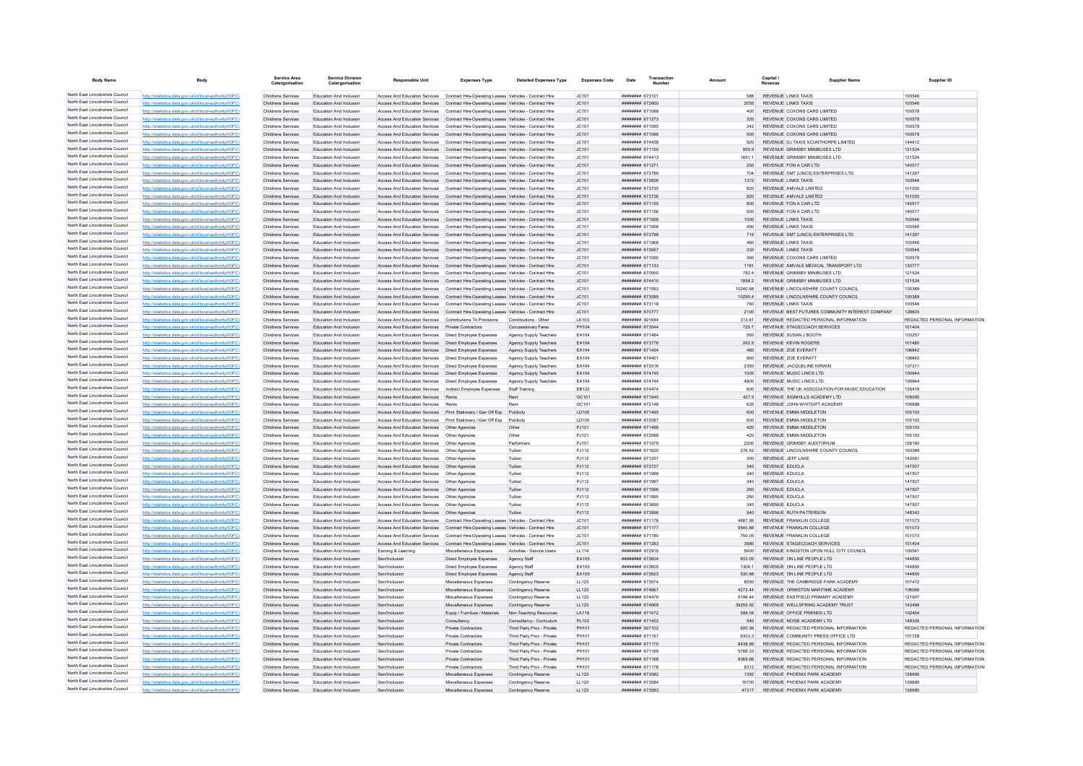| <b>Body Name</b>                                                   | Body                                                                                                             | Service Area<br>Catergorisation          | <b>Service Division</b><br>Catergorisation                | <b>Responsible Unit</b>                                                                                                                                                        | <b>Expenses Type</b>                                    | <b>Detailed Expenses Type</b>                            | <b>Expenses Code</b> | Transaction<br>Date               |                  | Capital<br>Supplier Name                                                    | Supplier ID                             |
|--------------------------------------------------------------------|------------------------------------------------------------------------------------------------------------------|------------------------------------------|-----------------------------------------------------------|--------------------------------------------------------------------------------------------------------------------------------------------------------------------------------|---------------------------------------------------------|----------------------------------------------------------|----------------------|-----------------------------------|------------------|-----------------------------------------------------------------------------|-----------------------------------------|
| North East Lincolnshire Council                                    | http://statistics.data.gov.uk/id/local-authority/00FC)                                                           | Childrens Services                       | Education And Inclusion                                   | Access And Education Services Contract Hire-Operating Leases Vehicles - Contract Hire                                                                                          |                                                         |                                                          | IC101                | ####### 673101                    | 588              | <b>REVENUE LINKS TAXIS</b>                                                  | 100546                                  |
| North East Lincolnshire Council                                    | http://statistics.data.gov.uk/id/local-authority/00FC)                                                           | Childrens Services                       | Education And Inclusion                                   | Access And Education Services Contract Hire-Operating Leases Vehicles - Contract Hire                                                                                          |                                                         |                                                          | JC101                | ######## 672660                   | 2055             | <b>REVENUE LINKS TAXIS</b>                                                  | 100546                                  |
| North East Lincolnshire Council                                    | http://statistics.data.gov.uk/id/local-authority/00FC)                                                           | Childrens Services                       | Education And Inclusion                                   | Access And Education Services                                                                                                                                                  | Contract Hire-Operating Leases Vehicles - Contract Hire |                                                          | JC101                | ####### 671088                    | 400              | REVENUE COXONS CARS LIMITED                                                 | 100578                                  |
| North East Lincolnshire Council<br>North East Lincolnshire Council | http://statistics.data.gov.uk/id/local-authority/00FC)                                                           | Childrens Services                       | Education And Inclusion                                   | Access And Education Services Contract Hire-Operating Leases Vehicles - Contract Hire                                                                                          |                                                         |                                                          | JC101                | <b>иннинин 671273</b>             | 320              | REVENUE COXONS CARS LIMITED                                                 | 100578                                  |
| North East Lincolnshire Council                                    | http://statistics.data.gov.uk/id/local-authority/00EC)                                                           | Childrens Services                       | Education And Inclusion                                   | Access And Education Services Contract Hire-Oneration Leases Vehicles - Contract Hire                                                                                          |                                                         |                                                          | IC.101               | ######## 671085                   | 342              | REVENUE COXONS CARS LIMITED                                                 | 100578                                  |
| North East Lincolnshire Council                                    | http://statistics.data.gov.uk/id/local-authority/00FC)                                                           | Childrens Services<br>Childrens Services | Education And Inclusion<br>Education And Inclusion        | Access And Education Services Contract Hire-Operating Leases Vehicles - Contract Hire<br>Access And Education Services Contract Hire-Operating Leases Vehicles - Contract Hire |                                                         |                                                          | JC101<br>JC101       | ######## 671086<br>####### 674438 | 500<br>920       | REVENUE COXONS CARS LIMITED<br>REVENUE DJ TAXIS SCUNTHORPE LIMITED          | 100578<br>144612                        |
| North East Lincolnshire Council                                    | http://statistics.data.gov.uk/id/local-authority/00FC)<br>http://statistics.data.gov.uk/id/local-authority/00FC) | Childrens Services                       | Education And Inclusion                                   | Access And Education Services  Contract Hire-Operating Leases Vehicles - Contract Hire                                                                                         |                                                         |                                                          | JC101                | ####### 671150                    | 955.9            | REVENUE GRIMSBY MINIBUSES LTD                                               | 121524                                  |
| North East Lincolnshire Council                                    | http://statistics.data.gov.uk/id/local-authority/00EC)                                                           | Childrens Services                       | Education And Inclusion                                   | Access And Education Services Contract Hire-Oneration Leases Vehicles - Contract Hire                                                                                          |                                                         |                                                          | JCA01                | ######## 674413                   | 16511            | REVENUE GRIMSBY MINIBUSES LTD                                               | 121524                                  |
| North East Lincolnshire Council                                    | http://statistics.data.gov.uk/id/local-authority/00FC)                                                           | Childrens Services                       | Education And Inclusion                                   | Access And Education Services  Contract Hire-Operating Leases Vehicles - Contract Hire                                                                                         |                                                         |                                                          | JC101                | <b>####### 671271</b>             | 250              | REVENUE FON A CAR LTD                                                       | 140517                                  |
| North East Lincolnshire Council                                    | tistics.data.gov.uk/id/local-authority/00FC)                                                                     | Childrens Services                       | Education And Inclusion                                   | Access And Education Services                                                                                                                                                  | Contract Hire-Operating Leases Vehicles - Contract Hire |                                                          | JC101                | ####### 672789                    | 704              | REVENUE SMT (LINCS) ENTERPRISES LTD                                         | 141297                                  |
| North East Lincolnshire Council                                    | http://statistics.data.gov.uk/id/local-authority/00FC)                                                           | Childrens Services                       | Education And Inclusion                                   | Access And Education Services Contract Hire-Operating Leases Vehicles - Contract Hire                                                                                          |                                                         |                                                          | JC101                | ####### 672656                    | 1372             | REVENUE LINKS TAXIS                                                         | 100546                                  |
| North East Lincolnshire Council                                    | http://statistics.data.gov.uk/id/local-authority/00FC)                                                           | Childrens Services                       | Education And Inclusion                                   | Access And Education Services Contract Hire-Operating Leases Vehicles - Contract Hire                                                                                          |                                                         |                                                          | JC101                | ######## 673735                   | 820              | REVENUE AMVALE LIMITED                                                      | 101030                                  |
| North East Lincolnshire Council                                    | http://statistics.data.gov.uk/id/local-authority/00FC)                                                           | Childrens Services                       | Education And Inclusion                                   | Access And Education Services  Contract Hire-Operating Leases Vehicles - Contract Hire                                                                                         |                                                         |                                                          | JC101                | ######## 673736                   | 820              | REVENUE AMVALE LIMITED                                                      | 101030                                  |
| North East Lincolnshire Council                                    | http://statistics.data.gov.uk/id/local-authority/00FC                                                            | Childrens Services                       | Education And Inclusion                                   | Access And Education Services Contract Hire-Operating Leases Vehicles - Contract Hire                                                                                          |                                                         |                                                          | JC101                | ####### 671155                    | 800              | REVENUE FON A CAR LTD                                                       | 140517                                  |
| North East Lincolnshire Council<br>North East Lincolnshire Council | http://statistics.data.gov.uk/id/local-authority/00FC)                                                           | Childrens Services                       | Education And Inclusion                                   | Access And Education Services Contract Hire-Operating Leases Vehicles - Contract Hire                                                                                          |                                                         |                                                          | IC101                | ####### 671156                    | 500              | REVENUE FON A CAR LTD                                                       | 140517                                  |
| North East Lincolnshire Council                                    | http://statistics.data.gov.uk/id/local-authority/00FC)<br>http://statistics.data.gov.uk/id/local-authority/00FC) | Childrens Services<br>Childrens Services | Education And Inclusion<br><b>Education And Inclusion</b> | Access And Education Services Contract Hire-Operating Leases Vehicles - Contract Hire<br>Access And Education Services                                                         | Contract Hire-Operating Leases Vehicles - Contract Hire |                                                          | JC101<br>JC101       | ####### 671956<br>####### 671958  | 1000<br>490      | <b>REVENUE LINKS TAXIS</b><br><b>REVENUE LINKS TAXIS</b>                    | 100546<br>100546                        |
| North East Lincolnshire Council                                    | http://statistics.data.gov.uk/id/local-authority/00FC)                                                           | Childrens Services                       | Education And Inclusion                                   | Access And Education Services  Contract Hire-Operating Leases Vehicles - Contract Hire                                                                                         |                                                         |                                                          | JC101                | ######## 672798                   | 715              | REVENUE SMT (LINCS) ENTERPRISES LTD                                         | 141297                                  |
| North East Lincolnshire Council                                    | http://statistics.data.gov.uk/id/local-authority/00FC)                                                           | Childrens Services                       | Education And Inclusion                                   | Access And Education Services Contract Hire-Operating Leases Vehicles - Contract Hire                                                                                          |                                                         |                                                          | IC.101               | ######## 671968                   | 460              | <b>REVENUE LINKS TAXIS</b>                                                  | 100546                                  |
| North East Lincolnshire Council                                    | http://statistics.data.gov.uk/id/local-authority/00FC)                                                           | Childrens Services                       | Education And Inclusion                                   | Access And Education Services  Contract Hire-Operating Leases Vehicles - Contract Hire                                                                                         |                                                         |                                                          | JC101                | ######## 672657                   | 330              | REVENUE LINKS TAXIS                                                         | 100546                                  |
| North East Lincolnshire Council                                    | http://statistics.data.gov.uk/id/local-authority/00FC)                                                           | Childrens Services                       | Education And Inclusion                                   | Access And Education Services  Contract Hire-Operating Leases Vehicles - Contract Hire                                                                                         |                                                         |                                                          | JC101                | ####### 671090                    | 360              | REVENUE COXONS CARS LIMITED                                                 | 100578                                  |
| North East Lincolnshire Council                                    | http://statistics.data.gov.uk/id/local-authority/00FC)                                                           | Childrens Services                       | Education And Inclusion                                   | Access And Education Services Contract Hire-Operating Leases Vehicles - Contract Hire                                                                                          |                                                         |                                                          | JC101                | ####### 671133                    | 1161             | REVENUE AMVALE MEDICAL TRANSPORT LTD                                        | 130777                                  |
| North East Lincolnshire Council                                    | http://statistics.data.gov.uk/id/local-authority/00FC)                                                           | Childrens Services                       | Education And Inclusion                                   | Access And Education Services  Contract Hire-Operating Leases Vehicles - Contract Hire                                                                                         |                                                         |                                                          | JC101                | ######## 670950                   | 782.4            | REVENUE GRIMSBY MINIBUSES LTD                                               | 121524                                  |
| North East Lincolnshire Council                                    | http://statistics.data.gov.uk/id/local-authority/00FC)                                                           | Childrens Services                       | Education And Inclusion                                   | Access And Education Services  Contract Hire-Operating Leases Vehicles - Contract Hire                                                                                         |                                                         |                                                          | JC101                | ######## 674410                   | 1858.2           | REVENUE GRIMSBY MINIBUSES LTD                                               | 121524                                  |
| North East Lincolnshire Council                                    | http://statistics.data.gov.uk/id/local-authority/00FC)                                                           | Childrens Services                       | Education And Inclusion                                   | Access And Education Services                                                                                                                                                  | Contract Hire-Operating Leases Vehicles - Contract Hire |                                                          | JC101                | ####### 671593                    | 10240.68         | REVENUE LINCOLNSHIRE COUNTY COUNCIL                                         | 100389                                  |
| North East Lincolnshire Council                                    | http://statistics.data.gov.uk/id/local-authority/00FC)                                                           | Childrens Services                       | Education And Inclusion                                   | Access And Education Services Contract Hire-Operating Leases Vehicles - Contract Hire                                                                                          |                                                         |                                                          | JC101                | ####### 673089                    | 102904           | REVENUE I INCOLNSHIRE COUNTY COUNCIL                                        | 100389                                  |
| North East Lincolnshire Council                                    | http://statistics.data.gov.uk/id/local-authority/00FC)                                                           | Childrens Services                       | Education And Inclusion                                   | Access And Education Services Contract Hire-Operating Leases Vehicles - Contract Hire                                                                                          |                                                         |                                                          | JC101                | ######## 673118                   | 760              | <b>REVENUE LINKS TAXIS</b>                                                  | 100546                                  |
| North East Lincolnshire Council                                    | http://statistics.data.gov.uk/id/local-authority/00FC)                                                           | Childrens Services                       | Education And Inclusion                                   | Access And Education Services Contract Hire-Operating Leases Vehicles - Contract Hire                                                                                          |                                                         |                                                          | JC101                | ********* 670777                  | 2100             | REVENUE BEST FUTURES COMMUNITY INTEREST COMPANY                             | 128600                                  |
| North East Lincolnshire Council                                    | http://statistics.data.gov.uk/id/local-authority/00FC                                                            | Childrens Services                       | Education And Inclusion                                   | Access And Education Services  Contributions To Provisions                                                                                                                     |                                                         | Contributions - Other                                    | LK103                | ######## 921944                   | 313.61           | REVENUE REDACTED PERSONAL INFORMATION                                       | REDACTED PERSONAL INFORMATION           |
| North East Lincolnshire Council                                    | http://statistics.data.gov.uk/id/local-authority/00FC)                                                           | Childrens Services                       | Education And Inclusion                                   | Access And Education Services Private Contractors                                                                                                                              |                                                         | Concessionary Fares                                      | PH104                | ######## 673044                   | 7257             | REVENUE STAGECOACH SERVICES                                                 | 101404                                  |
| North East Lincolnshire Council                                    | http://statistics.data.gov.uk/id/local-authority/00FC)                                                           | Childrens Services                       | Education And Inclusion                                   | Access And Education Services   Direct Employee Expenses                                                                                                                       |                                                         | Agency Supply Teachers                                   | FA104                | <b><i>BREEBERREE 671484</i></b>   | 560              | REVENUE SUSAN J BOOTH                                                       | 103257                                  |
| North East Lincolnshire Council<br>North East Lincolnshire Council | http://statistics.data.gov.uk/id/local-authority/00FC)                                                           | Childrens Services                       | <b>Education And Inclusion</b>                            | Access And Education Services                                                                                                                                                  | Direct Employee Expenses                                | Agency Supply Teachers                                   | EA104                | ######## 673776                   | 262.5            | <b>REVENUE KEVIN ROGERS</b>                                                 | 101480                                  |
| North East Lincolnshire Council                                    | http://statistics.data.gov.uk/id/local-authority/00FC)                                                           | Childrens Services                       | Education And Inclusion                                   | Access And Education Services   Direct Employee Expenses                                                                                                                       |                                                         | Agency Supply Teachers                                   | EA104                | <b>НЕВИНИНИ 671434</b>            | 480              | REVENUE ZOE EVERATT                                                         | 106842                                  |
| North East Lincolnshire Council                                    | http://statistics.data.gov.uk/id/local-authority/00FC)                                                           | Childrens Services<br>Childrens Services | Education And Inclusion                                   | Access And Education Services   Direct Employee Expenses                                                                                                                       |                                                         | Agency Supply Teachers                                   | EA104<br>EA104       | ######## 674401<br>####### 672016 | 960              | REVENUE ZOE EVERATT<br>REVENUE JACQUELINE KIRWIN                            | 106842<br>107311                        |
| North East Lincolnshire Council                                    | http://statistics.data.gov.uk/id/local-authority/00FC)<br>http://statistics.data.gov.uk/id/local-authority/00FC) | Childrens Services                       | Education And Inclusion<br>Education And Inclusion        | Access And Education Services   Direct Employee Expenses<br>Access And Education Services   Direct Employee Expenses                                                           |                                                         | Agency Supply Teachers<br>Agency Supply Teachers         | EA104                | ####### 674745                    | 2350<br>1005     | REVENUE MUSIC LINCS LTD                                                     | 100944                                  |
| North East Lincolnshire Council                                    | http://statistics.data.gov.uk/id/local-authority/00FC)                                                           | Childrens Services                       | Education And Inclusion                                   | Access And Education Services   Direct Employee Expenses                                                                                                                       |                                                         | Agency Supply Teachers                                   | EA104                | ######## 674744                   | 4800             | REVENUE MUSIC LINCS LTD                                                     | 100944                                  |
| North East Lincolnshire Council                                    | http://statistics.data.gov.uk/id/local-authority/00FC)                                                           | Childrens Services                       | Education And Inclusion                                   | Access And Education Services  Indirect Employee Expenses                                                                                                                      |                                                         | Staff Training                                           | EB122                | ####### 674474                    | 600              | REVENUE THE UK ASSOCIATION FOR MUSIC EDUCATION                              | 135418                                  |
| North East Lincolnshire Council                                    | http://statistics.data.gov.uk/id/local-authority/00FC)                                                           | Childrens Services                       | Education And Inclusion                                   | Access And Education Services                                                                                                                                                  | Rents                                                   |                                                          | GC101                | ####### 671645                    | 427.5            | REVENUE SIGNHILLS ACADEMY LTD                                               | 106065                                  |
| North East Lincolnshire Council                                    | http://statistics.data.gov.uk/id/local-authority/00FC                                                            | <b>Childrens Services</b>                | Education And Inclusion                                   | Access And Education Services                                                                                                                                                  |                                                         |                                                          | GC101                | <b>иннинин</b> 672148             | 625              | REVENUE JOHN WHITGIET ACADEMY                                               | 106898                                  |
| North East Lincolnshire Council                                    | http://statistics.data.gov.uk/id/local-authority/00EC)                                                           | Childrens Services                       | Education And Inclusion                                   | Access And Education Services Print Stationery / Gen Off Exp Publicity                                                                                                         |                                                         |                                                          | <b>ID105</b>         | <b>########</b> 671495            | 600              | REVENUE EMMA MIDDLETON                                                      | 105103                                  |
| North East Lincolnshire Council                                    | http://statistics.data.gov.uk/id/local-authority/00EC)                                                           | Childrens Services                       | Education And Inclusion                                   | Access And Education Services Print Stationery / Gen Off Exp Publicity                                                                                                         |                                                         |                                                          | LD105                | ######## 672087                   | 600              | REVENUE EMMA MIDDLETON                                                      | 105103                                  |
| North East Lincolnshire Council                                    | http://statistics.data.gov.uk/id/local-authority/00FC)                                                           | Childrens Services                       | Education And Inclusion                                   | Access And Education Services   Other Agencies                                                                                                                                 |                                                         | Other                                                    | PJ121                | ####### 671496                    | 420              | REVENUE EMMA MIDDLETON                                                      | 105103                                  |
| North East Lincolnshire Council                                    | http://statistics.data.gov.uk/id/local-authority/00FC)                                                           | Childrens Services                       | Education And Inclusion                                   | Access And Education Services   Other Agencies                                                                                                                                 |                                                         | Other                                                    | PJ121                | ####### 672088                    | 420              | REVENUE EMMA MIDDLETON                                                      | 105103                                  |
| North East Lincolnshire Council                                    | http://statistics.data.gov.uk/id/local-authority/00FC)                                                           | Childrens Services                       | Education And Inclusion                                   | Access And Education Services   Other Agencies                                                                                                                                 |                                                         | Performers                                               | PJ101                | ######## 671579                   | 2200             | REVENUE GRIMSBY AUDITORIUM                                                  | 128160                                  |
| North East Lincolnshire Council                                    | http://statistics.data.gov.uk/id/local-authority/00FC)                                                           | Childrens Services                       | Education And Inclusion                                   | Access And Education Services   Other Agencies                                                                                                                                 |                                                         | Tuition                                                  | PJ112                | ######## 671620                   | 276.52           | REVENUE LINCOLNSHIRE COUNTY COUNCIL                                         | 100389                                  |
| North East Lincolnshire Council                                    | s.data.gov.uk/id/local-auth                                                                                      | Childrens Services                       | <b>Education And Inclusion</b>                            | Access And Education Services   Other Agencies                                                                                                                                 |                                                         | Tuition                                                  | PJ112                | ####### 671257                    | 300              | REVENUE JEFF LAKE                                                           | 142061                                  |
| North East Lincolnshire Council                                    | http://statistics.data.gov.uk/id/local-authority/00FC)                                                           | Childrens Services                       | Education And Inclusion                                   | Access And Education Services                                                                                                                                                  | Other Agencie                                           | Tuition                                                  | PJ112                | ####### 672727                    | 340              | REVENUE EDUCLA                                                              | 147507                                  |
| North East Lincolnshire Council<br>North East Lincolnshire Council | http://statistics.data.gov.uk/id/local-authority/00EC)                                                           | Childrens Services                       | Education And Inclusion                                   | Access And Education Services   Other Agencies                                                                                                                                 |                                                         | Tuition                                                  | PJ112                | ######## 671998                   | 340              | REVENUE EDUCLA                                                              | 147507                                  |
| North East Lincolnshire Council                                    | http://statistics.data.gov.uk/id/local-authority/00FC)                                                           | Childrens Services                       | Education And Inclusion                                   | Access And Education Services   Other Agencies                                                                                                                                 |                                                         | Tuition                                                  | PJ112                | ######## 671997                   | 340              | REVENUE EDUCLA                                                              | 147507                                  |
| North East Lincolnshire Council                                    | http://statistics.data.gov.uk/id/local-authority/00FC)                                                           | Childrens Services                       | Education And Inclusion                                   | Access And Education Services   Other Agencies                                                                                                                                 |                                                         | Tuition                                                  | PJ112                | ######## 671996                   | 260              | REVENUE EDUCLA                                                              | 147507                                  |
| North East Lincolnshire Council                                    | http://statistics.data.gov.uk/id/local-authority/00FC)<br>http://statistics.data.gov.uk/id/local-authority/00EC) | Childrens Services<br>Childrens Services | Education And Inclusion<br>Education And Inclusion        | Access And Education Services   Other Agencies<br>Access And Education Services   Other Agencies                                                                               |                                                         | Tuition<br>Tuition                                       | PJ112<br>PJ112       | ######## 671995<br>00253 BBBBBBBB | 260<br>340       | <b>REVENUE EDUCLA</b><br>REVENUE EDUCLA                                     | 147507<br>147507                        |
| North East Lincolnshire Council                                    | ics data gov uk/id/local-authority/00EC)                                                                         | Childrens Services                       | Education And Inclusion                                   | Access And Education Services   Other Agencies                                                                                                                                 |                                                         | Tuition                                                  | PJ112                | ######## 673996                   | 540              | REVENUE RUTH PATTERSON                                                      | 148343                                  |
| North East Lincolnshire Council                                    | istics data nov uk/id/local-authority/00EC)                                                                      | Childrens Services                       | <b>Education And Inclusion</b>                            | Access And Education Services                                                                                                                                                  | Contract Hire-Operating Leases Vehicles - Contract Hire |                                                          | JC101                | ####### 671176                    | 4687.95          | REVENUE FRANKLIN COLLEGE                                                    | 101073                                  |
| North East Lincolnshire Council                                    | http://etgtietics.data.gov.uk/id/local.guthority/00EC)                                                           | Childrens Services                       | Education And Inclusion                                   | Access And Education Services Contract Hire-Operating Leases Vehicles - Contract Hire                                                                                          |                                                         |                                                          | JC101                | ####### 671177                    | 9540 86          | REVENUE FRANKLIN COLLEGE                                                    | 101073                                  |
| North East Lincolnshire Council                                    | http://statistics.data.gov.uk/id/local-authority/00FC)                                                           | Childrens Services                       | Education And Inclusion                                   | Access And Education Services  Contract Hire-Operating Leases Vehicles - Contract Hire                                                                                         |                                                         |                                                          | JC101                | ######## 671180                   | 750.05           | REVENUE FRANKLIN COLLEGE                                                    | 101073                                  |
| North East Lincolnshire Council                                    | http://statistics.data.gov.uk/id/local-authority/00FC)                                                           | Childrens Services                       | Education And Inclusion                                   | Access And Education Services Contract Hire-Operating Leases Vehicles - Contract Hire                                                                                          |                                                         |                                                          | JC101                | ####### 671283                    | 3980             | REVENUE STAGECOACH SERVICES                                                 | 101404                                  |
| North East Lincolnshire Council                                    | http://statistics.data.gov.uk/id/local-authority/00FC)                                                           | Childrens Services                       | Education And Inclusion                                   | Earning & Learning                                                                                                                                                             | Miscellaneous Expenses                                  | Activities - Service Users                               | LL114                | ####### 672915                    | 5000             | REVENUE KINGSTON UPON HULL CITY COUNCIL                                     | 100541                                  |
| North East Lincolnshire Council                                    | http://statistics.data.gov.uk/id/local-authority/00FC)                                                           | Childrens Services                       | Education And Inclusion                                   | Sen/Inclusion                                                                                                                                                                  | Direct Employee Expenses                                | Agency Staff                                             | EA105                | ######## 672604                   | 653.05           | REVENUE ON LINE PEOPLE LTD                                                  | 144850                                  |
| North East Lincolnshire Council                                    | http://statistics.data.gov.uk/id/local-authority/00FC)                                                           | <b>Childrens Services</b>                | Education And Inclusion                                   | Sen/Inclusion                                                                                                                                                                  | Direct Employee Expenses                                | Agency Staff                                             | EA105                | ######## 672605                   | 1306.1           | REVENUE ON LINE PEOPLE LTD                                                  | 144850                                  |
| North East Lincolnshire Council                                    | s.data.gov.uk/id/local-authority/00FC)                                                                           | Childrens Services                       | Education And Inclusion                                   | Sen/Inclusion                                                                                                                                                                  | Direct Employee Expenses                                | Agency Staff                                             | EA105                | ######## 673923                   | 520.68           | REVENUE ON LINE PEOPLE LTD                                                  | 144850                                  |
| North East Lincolnshire Council                                    | http://statistics.data.gov.uk/id/local-authority/00EC)                                                           | Childrens Services                       | <b>Education And Inclusion</b>                            | Sen/Inclusion                                                                                                                                                                  | Miscellaneous Expenses                                  | Contingency Reserve                                      | LL123                | ######## 673574                   | 8550             | REVENUE THE CAMBRIDGE PARK ACADEMY                                          | 107472                                  |
| North East Lincolnshire Council                                    | http://statistics.data.gov.uk/id/local-authority/00EC)                                                           | Childrens Services                       | Education And Inclusion                                   | Sen/Inclusion                                                                                                                                                                  | Miscellaneous Expenses                                  | Contingency Reserve                                      | LL123                | <b>######## 674667</b>            | 427244           | REVENUE ORMISTON MARITIME ACADEMY                                           | 106066                                  |
| North East Lincolnshire Council                                    | http://statistics.data.gov.uk/id/local-authority/00FC)                                                           | Childrens Services                       | Education And Inclusion                                   | Sen/Inclusion                                                                                                                                                                  | Miscellaneous Expenses                                  | Contingency Reserve                                      | LL123                | ######## 674479                   | 5196.44          | REVENUE EASTFIELD PRIMARY ACADEMY                                           | 121907                                  |
| North East Lincolnshire Council<br>North East Lincolnshire Council | http://statistics.data.gov.uk/id/local-authority/00FC)                                                           | Childrens Services                       | Education And Inclusion                                   | Sen/Inclusion                                                                                                                                                                  | Miscellaneous Expenses                                  | Contingency Reserve                                      | LL123                | ######## 674669                   | 39255.92         | REVENUE WELLSPRING ACADEMY TRUST                                            | 143489                                  |
| North East Lincolnshire Council                                    | http://statistics.data.gov.uk/id/local-authority/00FC)                                                           | Childrens Services                       | Education And Inclusion                                   | Sen/Inclusion                                                                                                                                                                  | Equip / Furniture / Materials                           | Non-Teaching Resources                                   | LA118                | ######## 671472                   | 589.04           | REVENUE OFFICE FRIENDS LTD                                                  | 102454                                  |
| North East Lincolnshire Council                                    | http://statistics.data.gov.uk/id/local-authority/00EC)                                                           | Childrens Services                       | Education And Inclusion                                   | Sen/Inclusion                                                                                                                                                                  | Consultancy                                             | Consultancy - Curriculum                                 | PI 102               | ######## 671452                   | 540              | REVENUE NOISE ACADEMY LTD                                                   | 148305                                  |
| North East Lincolnshire Council                                    | ics.data.gov.uk/id/local-authority/00FC)                                                                         | Childrens Services                       | Education And Inclusion                                   | Sen/Inclusion                                                                                                                                                                  | Private Contractors                                     | Third Party Prov - Private                               | PH101                | ######## 927102                   | 620.36           | REVENUE REDACTED PERSONAL INFORMATION                                       | REDACTED PERSONAL INFORMATION           |
| North East Lincolnshire Council                                    | http://statistics.data.gov.uk/id/local-authority/00FC)<br>http://statistics.data.gov.uk/id/local-authority/00EC) | Childrens Services<br>Childrens Services | Education And Inclusion<br>Education And Inclusion        | Sen/Inclusion<br>Sen/Inclusion                                                                                                                                                 | Private Contractors<br>Private Contractors              | Third Party Prov - Private<br>Third Party Prov - Private | PH101<br>PH101       | ####### 671167<br>######## 671170 | 6303.<br>8438.99 | REVENUE COMMUNITY PRESS OFFICE LTD<br>REVENUE REDACTED PERSONAL INFORMATION | 101728<br>REDACTED PERSONAL INFORMATION |
| North East Lincolnshire Council                                    | http://statistics.data.gov.uk/id/local-authority/00FC)                                                           | Childrens Services                       | Education And Inclusion                                   | Sen/Inclusion                                                                                                                                                                  | Private Contractors                                     | Third Party Prov - Private                               | PH101                | ######## 671169                   | 5788.33          | REVENUE REDACTED PERSONAL INFORMATION                                       | REDACTED PERSONAL INFORMATION           |
| North East Lincolnshire Council                                    | http://statistics.data.gov.uk/id/local-authority/00FC)                                                           | Childrens Services                       | Education And Inclusion                                   | Sen/Inclusion                                                                                                                                                                  | Private Contractors                                     | Third Party Prov - Private                               | PH101                | ####### 671168                    | 8369.66          | REVENUE REDACTED PERSONAL INFORMATION                                       | REDACTED PERSONAL INFORMATION           |
| North East Lincolnshire Council                                    | http://statistics.data.gov.uk/id/local-authority/00FC)                                                           | Childrens Services                       | Education And Inclusion                                   | Sen/Inclusion                                                                                                                                                                  | Private Contractors                                     | Third Party Prov - Private                               | PH101                | ####### 671178                    | 8312             | REVENUE REDACTED PERSONAL INFORMATION                                       | REDACTED PERSONAL INFORMATION           |
| North East Lincolnshire Council                                    | http://statistics.data.gov.uk/id/local-authority/00FC)                                                           | Childrens Services                       | Education And Inclusion                                   | Sen/Inclusion                                                                                                                                                                  | Miscellaneous Expenses                                  | Contingency Reserve                                      | LL123                | <b>иннинни</b> 673582             | 1392             | REVENUE PHOENIX PARK ACADEMY                                                | 126685                                  |
| North East Lincolnshire Council                                    | http://statistics.data.gov.uk/id/local-authority/00FC)                                                           | Childrens Services                       | Education And Inclusion                                   | Sen/Inclusion                                                                                                                                                                  | Miscellaneous Expenses                                  | <b>Contingency Reserve</b>                               | LL123                | ######## 673584                   | 16700            | REVENUE PHOENIX PARK ACADEMY                                                | 126685                                  |
| North East Lincolnshire Council                                    | http://statistics.data.gov.uk/id/local-authority/00FC)                                                           | Childrens Services                       | <b>Education And Inclusion</b>                            | Sen/Inclusion                                                                                                                                                                  | Miscellaneous Expenses                                  | Contingency Reserve                                      | LL123                | ######## 673583                   | 47317            | REVENUE PHOENIX PARK ACADEMY                                                | 126685                                  |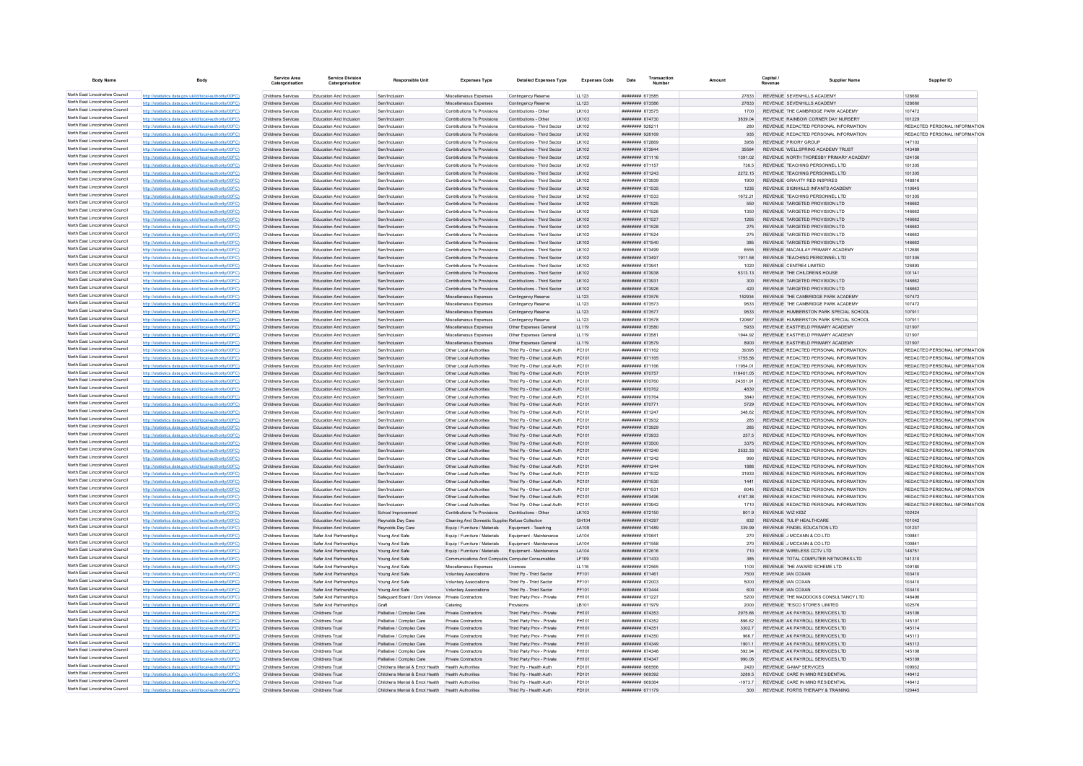| <b>Body Name</b>                                                   | Body                                                                                                             | Service Area<br>Catergorisation          | <b>Service Division</b><br>Catergorisation         | <b>Responsible Unit</b>                                | <b>Expenses Type</b>                                           | <b>Detailed Expenses Type</b>                                | <b>Expenses Code</b> | Transaction<br>Date                      |                       | Capital /<br>Supplier Name                                                     | Supplier ID                                                    |
|--------------------------------------------------------------------|------------------------------------------------------------------------------------------------------------------|------------------------------------------|----------------------------------------------------|--------------------------------------------------------|----------------------------------------------------------------|--------------------------------------------------------------|----------------------|------------------------------------------|-----------------------|--------------------------------------------------------------------------------|----------------------------------------------------------------|
| North East Lincolnshire Council                                    | http://statistics.data.gov.uk/id/local-authority/00FC)                                                           | Childrens Services                       | Education And Inclusion                            | Sen/Inclusion                                          | Miscellaneous Expenses                                         | Contingency Reserve                                          | LL123                | ######## 673585                          | 27833                 | REVENUE SEVENHILLS ACADEMY                                                     | 128660                                                         |
| North East Lincolnshire Council                                    | http://statistics.data.gov.uk/id/local-authority/00FC)                                                           | Childrens Services                       | Education And Inclusion                            | Sen/Inclusion                                          | Miscellaneous Expenses                                         | Contingency Reserve                                          | LL123                | ######## 673586                          | 27833                 | REVENUE SEVENHILLS ACADEMY                                                     | 128660                                                         |
| North East Lincolnshire Council                                    | http://statistics.data.gov.uk/id/local-authority/00FC                                                            | Childrens Services                       | Education And Inclusion                            | Sen/Inclusion                                          | Contributions To Provisions                                    | Contributions - Othe                                         | LK103                | <b>####### 673575</b>                    | 1700                  | REVENUE THE CAMBRIDGE PARK ACADEMY                                             | 107472                                                         |
| North East Lincolnshire Council<br>North East Lincolnshire Council | http://statistics.data.gov.uk/id/local-authority/00FC                                                            | Childrens Services                       | Education And Inclusion                            | Sen/Inclusion                                          | Contributions To Provisions                                    | Contributions - Other                                        | LK103                | ######## 674730                          | 3839.04               | REVENUE RAINBOW CORNER DAY NURSERY                                             | 101229                                                         |
| North East Lincolnshire Council                                    | http://statistics.data.gov.uk/id/local-authority/00FC)<br>http://statistics.data.gov.uk/id/local-authority/00FC) | Childrens Services<br>Childrens Services | Education And Inclusion<br>Education And Inclusion | Sen/Inclusion<br>Sen/Inclusion                         | Contributions To Provisions<br>Contributions To Provisions     | Contributions - Third Sector<br>Contributions - Third Sector | LK102<br>LK102       | ######## 926211<br>######## 926169       | 280<br>935            | REVENUE REDACTED PERSONAL INFORMATION<br>REVENUE REDACTED PERSONAL INFORMATION | REDACTED PERSONAL INFORMATION<br>REDACTED PERSONAL INFORMATION |
| North East Lincolnshire Council                                    | http://statistics.data.gov.uk/id/local-authority/00FC                                                            | Childrens Services                       | Education And Inclusion                            | Sen/Inclusion                                          | Contributions To Provisions                                    | Contributions - Third Sector                                 | LK102                | ####### 672869                           | 3956                  | <b>REVENUE PRIORY GROUP</b>                                                    | 147103                                                         |
| North East Lincolnshire Council                                    | http://statistics.data.gov.uk/id/local-authority/00FC)                                                           | Childrens Services                       | Education And Inclusion                            | Sen/Inclusion                                          | Contributions To Provisions                                    | Contributions - Third Sector                                 | LK102                | <b>########</b> 673944                   | 35584                 | REVENUE WELL SPRING ACADEMY TRUST                                              | 143489                                                         |
| North East Lincolnshire Council                                    | http://statistics.data.gov.uk/id/local-authority/00FC                                                            | Childrens Services                       | Education And Inclusion                            | Sen/Inclusion                                          | Contributions To Provisions                                    | Contributions - Third Sector                                 | LK102                | <b><i>инивний</i></b> 671116             | 1391 02               | REVENUE NORTH THORESBY PRIMARY ACADEMY                                         | 124156                                                         |
| North East Lincolnshire Council                                    | http://statistics.data.gov.uk/id/local-authority/00FC                                                            | Childrens Services                       | Education And Inclusion                            | Sen/Inclusion                                          | Contributions To Provisions                                    | Contributions - Third Sector                                 | LK102                | ####### 671157                           |                       | REVENUE TEACHING PERSONNEL LTD                                                 | 101305                                                         |
| North East Lincolnshire Council                                    | http://statistics.data.gov.uk/id/local-authority/00FC                                                            | Childrens Services                       | Education And Inclusion                            | Sen/Inclusion                                          | Contributions To Provisions                                    | Contributions - Third Sector                                 | LK102                | ######## 671243                          | 2272.15               | REVENUE TEACHING PERSONNEL LTD                                                 | 101305                                                         |
| North East Lincolnshire Council                                    | http://statistics.data.gov.uk/id/local-authority/00FC                                                            | Childrens Services                       | Education And Inclusion                            | Sen/Inclusion                                          | Contributions To Provisions                                    | Contributions - Third Sector                                 | LK102                | ######## 673939                          | 1900                  | REVENUE GRAVITY RED INSPIRES                                                   | 148816                                                         |
| North East Lincolnshire Council<br>North East Lincolnshire Council | http://statistics.data.gov.uk/id/local-authority/00FC)                                                           | Childrens Services                       | Education And Inclusion                            | Sen/Inclusion                                          | Contributions To Provisions                                    | Contributions - Third Sector                                 | LK102                | ######## 671535                          | 1235                  | REVENUE SIGNHILLS INFANTS ACADEMY                                              | 110645                                                         |
| North East Lincolnshire Council                                    | http://statistics.data.gov.uk/id/local-authority/00FC<br>http://statistics.data.gov.uk/id/local-authority/00FC   | Childrens Services<br>Childrens Services | Education And Inclusion<br>Education And Inclusion | Sen/Inclusion<br>Sen/Inclusion                         | Contributions To Provisions<br>Contributions To Provisions     | Contributions - Third Sector<br>Contributions - Third Sector | LK102<br>LK102       | ######## 671533<br>####### 671525        | 1672.21<br>550        | REVENUE TEACHING PERSONNEL LTD<br>REVENUE TARGETED PROVISION LTD               | 101305<br>146662                                               |
| North East Lincolnshire Council                                    | http://statistics.data.gov.uk/id/local-authority/00FC                                                            | Childrens Services                       | Education And Inclusion                            | Sen/Inclusion                                          | Contributions To Provisions                                    | Contributions - Third Sector                                 | LK102                | ######## 671526                          | 1350                  | REVENUE TARGETED PROVISION LTD                                                 | 146662                                                         |
| North East Lincolnshire Council                                    | http://statistics.data.gov.uk/id/local-authority/00FC)                                                           | Childrens Services                       | <b>Education And Inclusion</b>                     | Sen/Inclusion                                          | Contributions To Provisions                                    | Contributions - Third Sector                                 | LK102                | ######## 671527                          | 1265                  | REVENUE TARGETED PROVISION LTD                                                 | 146662                                                         |
| North East Lincolnshire Council                                    | http://statistics.data.gov.uk/id/local-authority/00FC                                                            | Childrens Services                       | Education And Inclusion                            | Sen/Inclusion                                          | Contributions To Provisions                                    | Contributions - Third Sector                                 | LK102                | ######## 671528                          | 275                   | REVENUE TARGETED PROVISION LTD                                                 | 146662                                                         |
| North East Lincolnshire Council                                    | http://statistics.data.gov.uk/id/local-authority/00EC)                                                           | Childrens Services                       | Education And Inclusion                            | Sen/Inclusion                                          | Contributions To Provisions                                    | Contributions - Third Sector                                 | I K102               | <b>НИВВИНИ</b> 671524                    | 275                   | REVENUE TARGETED PROVISION LTD                                                 | 146662                                                         |
| North East Lincolnshire Council                                    | http://statistics.data.gov.uk/id/local-authority/00FC)                                                           | Childrens Services                       | Education And Inclusion                            | Sen/Inclusion                                          | Contributions To Provisions Contributions - Third Sector       |                                                              | LK102                | ######## 671540                          | 385                   | REVENUE TARGETED PROVISION LTD                                                 | 146662                                                         |
| North East Lincolnshire Council                                    | http://statistics.data.gov.uk/id/local-authority/00FC)                                                           | Childrens Services                       | Education And Inclusion                            | Sen/Inclusion                                          | Contributions To Provisions                                    | Contributions - Third Sector                                 | LK102                | ######## 673499                          | 6555                  | REVENUE MACAULAY PRIMARY ACADEMY                                               | 112680                                                         |
| North East Lincolnshire Council                                    | http://statistics.data.gov.uk/id/local-authority/00FC                                                            | Childrens Services                       | Education And Inclusion                            | Sen/Inclusion                                          | Contributions To Provisions                                    | Contributions - Third Sector                                 | LK102                | <b>иннинни</b> 673497                    | 1911 58               | REVENUE TEACHING PERSONNEL LTD.                                                | 101305                                                         |
| North East Lincolnshire Council                                    | http://statistics.data.gov.uk/id/local-authority/00FC)                                                           | Childrens Services                       | Education And Inclusion                            | Sen/Inclusion                                          | Contributions To Provisions                                    | Contributions - Third Sector                                 | LK102                | ######## 673941                          | 1020                  | REVENUE CENTRE4 LIMITED                                                        | 126893                                                         |
| North East Lincolnshire Council<br>North East Lincolnshire Council | http://statistics.data.gov.uk/id/local-authority/00FC)                                                           | Childrens Services                       | Education And Inclusion                            | Sen/Inclusion                                          | Contributions To Provisions                                    | Contributions - Third Sector                                 | <b>LK102</b>         | ######## 673938                          | 5313.13               | REVENUE THE CHILDRENS HOUSE                                                    | 101141                                                         |
| North East Lincolnshire Council                                    | ics.data.gov.uk/id/local-authority/00FC<br>http://statistics.data.gov.uk/id/local-authority/00FC                 | Childrens Services<br>Childrens Services | Education And Inclusion<br>Education And Inclusion | Sen/Inclusion<br>Sen/Inclusion                         | Contributions To Provisions<br>Contributions To Provisions     | Contributions - Third Sector<br>Contributions - Third Sector | LK102<br>I K102      | ######## 673931<br><b>####### 673926</b> | 300<br>420            | REVENUE TARGETED PROVISION LTD<br>REVENUE TARGETED PROVISION LTD               | 146662<br>146662                                               |
| North East Lincolnshire Council                                    | http://statistics.data.gov.uk/id/local-authority/00FC                                                            | Childrens Services                       | Education And Inclusion                            | Sen/Inclusion                                          | Miscellaneous Expenses                                         | Contingency Reserve                                          | LL123                | ######## 673576                          | 152934                | REVENUE THE CAMBRIDGE PARK ACADEMY                                             | 107472                                                         |
| North East Lincolnshire Council                                    | http://statistics.data.gov.uk/id/local-authority/00FC)                                                           | Childrens Services                       | Education And Inclusion                            | Sen/Inclusion                                          | Miscellaneous Expenses                                         | Contingency Reserve                                          | LL123                | ######## 673573                          |                       | REVENUE THE CAMBRIDGE PARK ACADEMY                                             | 107472                                                         |
| North East Lincolnshire Council                                    | http://statistics.data.gov.uk/id/local-authority/00FC                                                            | Childrens Services                       | Education And Inclusion                            | Sen/Inclusion                                          | Miscellaneous Expenses                                         | Contingency Reserve                                          | LL123                | ######## 673577                          | 9533                  | REVENUE HUMBERSTON PARK SPECIAL SCHOOL                                         | 107911                                                         |
| North East Lincolnshire Council                                    | http://statistics.data.gov.uk/id/local-authority/00FC                                                            | Childrens Services                       | Education And Inclusion                            | Sen/Inclusion                                          | Miscellaneous Expenses                                         | Contingency Reserve                                          | 11123                | <b>########</b> 673578                   | 120667                | REVENUE HUMBERSTON PARK SPECIAL SCHOOL                                         | 107911                                                         |
| North East Lincolnshire Council                                    | http://statistics.data.gov.uk/id/local-authority/00FC                                                            | Childrens Services                       | Education And Inclusion                            | Sen/Inclusion                                          | Miscellaneous Expenses                                         | Other Expenses General                                       | LL119                | ######## 673580                          | 5933                  | REVENUE EASTFIELD PRIMARY ACADEMY                                              | 121907                                                         |
| North East Lincolnshire Council                                    | http://statistics.data.gov.uk/id/local-authority/00FC                                                            | Childrens Services                       | Education And Inclusio                             | Sen/Inclusion                                          | Miscellaneous Expenses                                         | Other Expenses Genera                                        | LL119                | ####### 67358                            | 1944.92               | REVENUE EASTFIELD PRIMARY ACADEMY                                              | 121907                                                         |
| North East Lincolnshire Council                                    | http://statistics.data.gov.uk/id/local-authority/00FC                                                            | Childrens Services                       | Education And Inclusion                            | Sen/Inclusion                                          | Miscellaneous Expenses                                         | Other Expenses General                                       | LL119                | ######## 673579                          | 8900                  | REVENUE EASTFIELD PRIMARY ACADEMY                                              | 121907                                                         |
| North East Lincolnshire Council<br>North East Lincolnshire Council | http://statistics.data.gov.uk/id/local-authority/00FC                                                            | Childrens Services                       | Education And Inclusion                            | Sen/Inclusion                                          | Other Local Authorities                                        | Third Po - Other Local Auth                                  | PC101                | <b>НИВВИНИ 671162</b>                    | 39395                 | REVENUE REDACTED PERSONAL INFORMATION                                          | REDACTED PERSONAL INFORMATION                                  |
| North East Lincolnshire Council                                    | http://statistics.data.gov.uk/id/local-authority/00FC)                                                           | Childrens Services                       | Education And Inclusion                            | Sen/Inclusion                                          | Other Local Authorities                                        | Third Pp - Other Local Auth                                  | PC101                | ######## 671165                          | 1755.56               | REVENUE REDACTED PERSONAL INFORMATION                                          | REDACTED PERSONAL INFORMATION                                  |
| North East Lincolnshire Council                                    | http://statistics.data.gov.uk/id/local-authority/00FC<br>http://statistics.data.gov.uk/id/local-authority/00FC   | Childrens Services<br>Childrens Services | Education And Inclusion<br>Education And Inclusion | Sen/Inclusion<br>Sen/Inclusion                         | Other Local Authorities<br>Other Local Authorities             | Third Pp - Other Local Auth                                  | PC101<br>PC101       | ######## 671166<br>######## 670757       | 11954.01<br>116401.05 | REVENUE REDACTED PERSONAL INFORMATION<br>REVENUE REDACTED PERSONAL INFORMATION | REDACTED PERSONAL INFORMATION<br>REDACTED PERSONAL INFORMATION |
| North East Lincolnshire Council                                    | http://statistics.data.gov.uk/id/local-authority/00FC                                                            | Childrens Services                       | Education And Inclusion                            | Sen/Inclusion                                          | Other Local Authorities                                        | Third Pp - Other Local Auth<br>Third Po - Other Local Auth   | PC101                | ######## 670760                          | 24351.91              | REVENUE REDACTED PERSONAL INFORMATION                                          | REDACTED PERSONAL INFORMATION                                  |
| North East Lincolnshire Council                                    | http://statistics.data.gov.uk/id/local-authority/00FC)                                                           | Childrens Services                       | Education And Inclusion                            | Sen/Inclusion                                          | Other Local Authorities                                        | Third Pp - Other Local Auth                                  | PC101                | ######## 670762                          | 4830                  | REVENUE REDACTED PERSONAL INFORMATION                                          | REDACTED PERSONAL INFORMATION                                  |
| North East Lincolnshire Council                                    | stics.data.gov.uk/id/local-authority/00FC                                                                        | Childrens Services                       | <b>Education And Inclusion</b>                     | Sen/Inclusion                                          | Other Local Authorities                                        | Third Pp - Other Local Auth                                  | PC101                | ######## 670764                          | 3840                  | REVENUE REDACTED PERSONAL INFORMATION                                          | REDACTED PERSONAL INFORMATION                                  |
| North East Lincolnshire Council                                    | http://statistics.data.gov.uk/id/local-authority/00FC                                                            | Childrens Services                       | Education And Inclusion                            | Sen/Inclusion                                          | Other Local Authorities                                        | Third Pp - Other Local Auth                                  | PC101                | ######## 670771                          | 5729                  | REVENUE REDACTED PERSONAL INFORMATION                                          | REDACTED PERSONAL INFORMATION                                  |
| North East Lincolnshire Council                                    | http://statistics.data.gov.uk/id/local-authority/00FC                                                            | <b>Childrens Services</b>                | Education And Inclusion                            | Sen/Inclusion                                          | Other Local Authorities                                        | Third Po - Other Local Auth                                  | PC101                | ######## 671247                          | 348.62                | REVENUE REDACTED PERSONAL INFORMATION                                          | REDACTED PERSONAL INFORMATION                                  |
| North East Lincolnshire Council                                    | http://statistics.data.gov.uk/id/local-authority/00FC)                                                           | Childrens Services                       | Education And Inclusion                            | Sen/Inclusion                                          | Other Local Authorities                                        | Third Po - Other Local Auth                                  | PC101                | ######## 673932                          | 285                   | REVENUE REDACTED PERSONAL INFORMATION                                          | REDACTED PERSONAL INFORMATION                                  |
| North East Lincolnshire Council                                    | http://statistics.data.gov.uk/id/local-authority/00FC                                                            | Childrens Services                       | Education And Inclusion                            | Sen/Inclusion                                          | Other Local Authorities                                        | Third Po - Other Local Auth                                  | PC101                | ######## 673929                          | 285                   | REVENUE REDACTED PERSONAL INFORMATION                                          | REDACTED PERSONAL INFORMATION                                  |
| North East Lincolnshire Council                                    | http://statistics.data.gov.uk/id/local-authoritv/00FC                                                            | Childrens Services                       | Education And Inclusion                            | Sen/Inclusion                                          | Other Local Authorities                                        | Third Pp - Other Local Auth                                  | PC101                | ######## 673933                          | 257.5                 | REVENUE REDACTED PERSONAL INFORMATION                                          | REDACTED PERSONAL INFORMATION                                  |
| North East Lincolnshire Council<br>North East Lincolnshire Council | http://statistics.data.gov.uk/id/local-authority/00EC)                                                           | Childrens Services                       | Education And Inclusion                            | Sen/Inclusion                                          | Other Local Authorities                                        | Third Pp - Other Local Auth                                  | PC101                | ######## 673500                          | 3375                  | REVENUE REDACTED PERSONAL INFORMATION                                          | REDACTED PERSONAL INFORMATION                                  |
| North East Lincolnshire Council                                    | cs.data.gov.uk/id/local-authority/00FC<br>://statistics.data.gov.uk/id/local-authority/00FC                      | Childrens Services                       | Education And Inclusion                            | Sen/Inclusion                                          | Other Local Authorities                                        | Third Pp - Other Local Auth                                  | PC101                | ######## 671240                          | 2532.33               | REVENUE REDACTED PERSONAL INFORMATION                                          | REDACTED PERSONAL INFORMATION                                  |
| North East Lincolnshire Council                                    | http://statistics.data.gov.uk/id/local-authority/00EC)                                                           | Childrens Services<br>Childrens Services | Education And Inclusion<br>Education And Inclusion | Sen/Inclusion<br>Sen/Inclusion                         | Other Local Authorities<br>Other Local Authorities             | Third Pp - Other Local Auth<br>Third Pp - Other Local Auth   | PC101<br>PC101       | ####### 671242<br>######## 671244        | 990<br>1886           | REVENUE REDACTED PERSONAL INFORMATION<br>REVENUE REDACTED PERSONAL INFORMATION | REDACTED PERSONAL INFORMATION<br>REDACTED PERSONAL INFORMATION |
| North East Lincolnshire Council                                    | http://statistics.data.gov.uk/id/local-authority/00FC)                                                           | Childrens Services                       | Education And Inclusion                            | Sen/Inclusion                                          | Other Local Authorities                                        | Third Po - Other Local Auth                                  | PC101                | ######## 671532                          | 31933                 | REVENUE REDACTED PERSONAL INFORMATION                                          | REDACTED PERSONAL INFORMATION                                  |
| North East Lincolnshire Council                                    | http://statistics.data.gov.uk/id/local-authority/00FC)                                                           | Childrens Services                       | Education And Inclusion                            | Sen/Inclusion                                          | Other Local Authorities                                        | Third Pp - Other Local Auth                                  | PC101                | ######## 671530                          | 1441                  | REVENUE REDACTED PERSONAL INFORMATION                                          | REDACTED PERSONAL INFORMATION                                  |
| North East Lincolnshire Council                                    | http://statistics.data.gov.uk/id/local-authority/00FC)                                                           | Childrens Services                       | Education And Inclusion                            | Sen/Inclusion                                          | Other Local Authorities                                        | Third Pp - Other Local Auth                                  | PC101                | ####### 671531                           | 6045                  | REVENUE REDACTED PERSONAL INFORMATION                                          | REDACTED PERSONAL INFORMATION                                  |
| North East Lincolnshire Council                                    | http://statistics.data.gov.uk/id/local-authority/00EC)                                                           | <b>Childrens Services</b>                | Education And Inclusion                            | Sen/Inclusion                                          | Other Local Authorities                                        | Third Pp - Other Local Auth                                  | PC101                | ######## 673496                          | 416738                | REVENUE REDACTED PERSONAL INFORMATION                                          | REDACTED PERSONAL INFORMATION                                  |
| North East Lincolnshire Council                                    | stics.data.gov.uk/id/local-authority/00FC)                                                                       | <b>Childrens Services</b>                | Education And Inclusion                            | Sen/Inclusion                                          | Other Local Authorities                                        | Third Po - Other Local Auth                                  | PC101                | ######## 673942                          | 1710                  | REVENUE REDACTED PERSONAL INFORMATION                                          | REDACTED PERSONAL INFORMATION                                  |
| North East Lincolnshire Council                                    | w uk/id/local-authority/00FC                                                                                     | Childrens Services                       | Education And Inclusion                            | School Improvement                                     | Contributions To Provisions                                    | Contributions - Other                                        | LK103                | ######## 672150                          | 801.9                 | REVENUE WIZ KIDZ                                                               | 102424                                                         |
| North East Lincolnshire Council                                    | http://etgtietics.data.gov.uk/id/local.guthority/00EC                                                            | <b>Childrens Services</b>                | Education And Inclusion                            | Reynolds Day Care                                      | Cleaning And Domestic Supplie: Refuse Collection               |                                                              | GH104                | ######## 674297                          | 832                   | REVENUE TULIP HEALTHCARE                                                       | 101042                                                         |
| North East Lincolnshire Council<br>North East Lincolnshire Council | http://statistics.data.gov.uk/id/local-authority/00EC)                                                           | Childrens Services                       | Education And Inclusion                            | Reynolds Day Care                                      | Fouin / Furniture / Materials Fouinment - Teaching             |                                                              | LA109                | ######## 671489                          | 339 99                | REVENUE FINDEL EDUCATION LTD                                                   | 101237                                                         |
| North East Lincolnshire Council                                    | http://statistics.data.gov.uk/id/local-authority/00FC)                                                           | Childrens Services                       | Safer And Partnershins                             | Young And Safe                                         | Equip / Furniture / Materials                                  | Foujoment - Maintenance                                      | LA104                | ####### 670641                           | 270                   | REVENUE J MCCANN & CO LTD                                                      | 100841                                                         |
| North East Lincolnshire Council                                    | http://statistics.data.gov.uk/id/local-authority/00FC<br>http://statistics.data.gov.uk/id/local-authority/00FC   | Childrens Services<br>Childrens Services | Safer And Partnerships<br>Safer And Partnerships   | Young And Safe<br>Young And Safe                       | Equip / Furniture / Materials<br>Equip / Furniture / Materials | Equipment - Maintenance<br>Equipment - Maintenance           | LA104<br>LA104       | ####### 671558<br>######## 672616        | 270<br>710            | REVENUE J MCCANN & CO LTD<br>REVENUE WIRELESS CCTV LTD                         | 100841<br>148751                                               |
| North East Lincolnshire Council                                    | http://statistics.data.gov.uk/id/local-authority/00FC)                                                           | <b>Childrens Services</b>                | Safer And Partnerships                             | Young And Safe                                         | Communications And Computin Computer Consumables               |                                                              | LF109                | ######## 671433                          | 385                   | REVENUE TOTAL COMPUTER NETWORKS LTD                                            | 141310                                                         |
| North East Lincolnshire Council                                    | cs.data.gov.uk/id/local-authority/00FC                                                                           | Childrens Services                       | Safer And Partnerships                             | Young And Safe                                         | Miscellaneous Expenses                                         | Licences                                                     | LL116                | ####### 672565                           | 1100                  | REVENUE THE AWARD SCHEME LTD                                                   | 109180                                                         |
| North East Lincolnshire Council                                    | http://statistics.data.gov.uk/id/local-authority/00FC                                                            | Childrens Services                       | Safer And Partnerships                             | Young And Safe                                         | Voluntary Associations                                         | Third Pp - Third Sector                                      | PF101                | ####### 671461                           | 7500                  | REVENUE IAN COXAM                                                              | 103410                                                         |
| North East Lincolnshire Council                                    | http://statistics.data.gov.uk/id/local-authority/00EC)                                                           | Childrens Services                       | Safer And Partnershins                             | Young And Safe                                         | Voluntary Associations                                         | Third Pp - Third Sector                                      | PF101                | ######## 672003                          | 5000                  | REVENUE JAN COXAN                                                              | 103410                                                         |
| North East Lincolnshire Council                                    | http://statistics.data.gov.uk/id/local-authority/00FC)                                                           | Childrens Services                       | Safer And Partnerships                             | Young And Safe                                         | Voluntary Associations                                         | Third Po - Third Sector                                      | PF101                | ######## 673444                          | 600                   | REVENUE IAN COXAN                                                              | 103410                                                         |
| North East Lincolnshire Council                                    | http://statistics.data.gov.uk/id/local-authority/00FC                                                            | Childrens Services                       | Safer And Partnerships                             | Safeguard Board / Dom Violence Private Contractors     |                                                                | Third Party Prov - Private                                   | PH101                | ######## 671227                          | 5200                  | REVENUE THE MADDOCKS CONSULTANCY LTD                                           | 148498                                                         |
| North East Lincolnshire Council                                    | http://statistics.data.gov.uk/id/local-authority/00FC                                                            | Childrens Services                       | Safer And Partnerships                             | Graft                                                  | Catering                                                       | Provisions                                                   | LB101                | ######## 671979                          | 2000                  | REVENUE TESCO STORES LIMITED                                                   | 102576                                                         |
| North East Lincolnshire Council<br>North East Lincolnshire Council | http://statistics.data.gov.uk/id/local-authority/00EC)                                                           | Childrens Services                       | Childrens Trust                                    | Palliative / Complex Care                              | Private Contractors                                            | Third Party Prov - Private                                   | PH101                | <b>########</b> 674353                   | 2975.66               | REVENUE AK PAYROLL SERIVCES LTD.                                               | 145106                                                         |
| North East Lincolnshire Council                                    | http://statistics.data.gov.uk/id/local-authority/00FC)                                                           | Childrens Services                       | Childrens Trust                                    | Palliative / Complex Care                              | <b>Private Contractors</b>                                     | Third Party Prov - Private                                   | PH101                | ######## 674352                          | 896.62                | REVENUE AK PAYROLL SERIVCES LTD                                                | 145107                                                         |
| North East Lincolnshire Council                                    | tics.data.gov.uk/id/local-authority/00FC<br>http://etgtietics.data.gov.uk/id/local.guthority/00EC                | Childrens Services<br>Childrens Services | Childrens Trust<br>Childrane Truet                 | Palliative / Complex Care<br>Palliative / Complex Care | Private Contractors<br>Private Contractors                     | Third Party Prov - Private<br>Third Party Prov - Private     | PH101<br>PH101       | ####### 674351<br>######## 674350        | 3302.7<br>966.7       | REVENUE AK PAYROLL SERIVCES LTD<br>REVENUE AK PAYROLL SERIVCES LTD             | 145114<br>145113                                               |
| North East Lincolnshire Council                                    | http://statistics.data.gov.uk/id/local-authority/00FC)                                                           | Childrens Services                       | Childrens Trust                                    | Palliative / Complex Care                              | Private Contractors                                            | Third Party Prov - Private                                   | PH101                | ######## 674349                          | 1901.1                | REVENUE AK PAYROLL SERIVCES LTD                                                | 145112                                                         |
| North East Lincolnshire Council                                    | http://statistics.data.gov.uk/id/local-authority/00FC)                                                           | Childrens Services                       | Childrens Trust                                    | Palliative / Complex Care                              | Private Contractors                                            | Third Party Prov - Private                                   | PH101                | ######## 674348                          | 592.94                | REVENUE AK PAYROLL SERIVCES LTD                                                | 145108                                                         |
| North East Lincolnshire Council                                    | http://statistics.data.gov.uk/id/local-authority/00FC                                                            | Childrens Services                       | Childrens Trust                                    | Palliative / Complex Care                              | Private Contractors                                            | Third Party Prov - Private                                   | PH101                | ######## 674347                          | 990.06                | REVENUE AK PAYROLL SERIVCES LTD                                                | 145109                                                         |
| North East Lincolnshire Council                                    | http://statistics.data.gov.uk/id/local-authority/00EC                                                            | Childrens Services                       | Childrens Trust                                    | Childrens Mental & Emot Health Health Authorities      |                                                                | Third Pp - Health Auth                                       | PD101                | aaaaaa mmmmmm                            | 2420                  | REVENUE G-MAP SERVICES                                                         | 109932                                                         |
| North East Lincolnshire Council                                    | http://statistics.data.gov.uk/id/local-authority/00FC)                                                           | Childrens Services                       | Childrens Trust                                    | Childrens Mental & Emot Health Health Authorities      |                                                                | Third Po - Health Auth                                       | PD101                | ######## 669392                          | 3289.5                | REVENUE CARE IN MIND RESIDENTIAL                                               | 148412                                                         |
| North East Lincolnshire Council                                    | cs.data.gov.uk/id/local-authority/00FC)                                                                          | Childrens Services                       | Childrens Trus                                     | Childrens Mental & Emot Health Health Authorities      |                                                                | Third Po - Health Auth                                       | PD101                | ######## 66936 <sub>1</sub>              | $-1973.7$             | REVENUE CARE IN MIND RESIDENTIAL                                               | 148412                                                         |
| North East Lincolnshire Council                                    | http://statistics.data.gov.uk/id/local-authority/00EC)                                                           | Childrens Services                       | Childrens Trus                                     | Childrens Mental & Emot Health Health Authoritie       |                                                                | Third Pp - Health Auth                                       | PD101                | ######## 671179                          | 300                   | REVENUE FORTIS THERAPY & TRAINING                                              | 120445                                                         |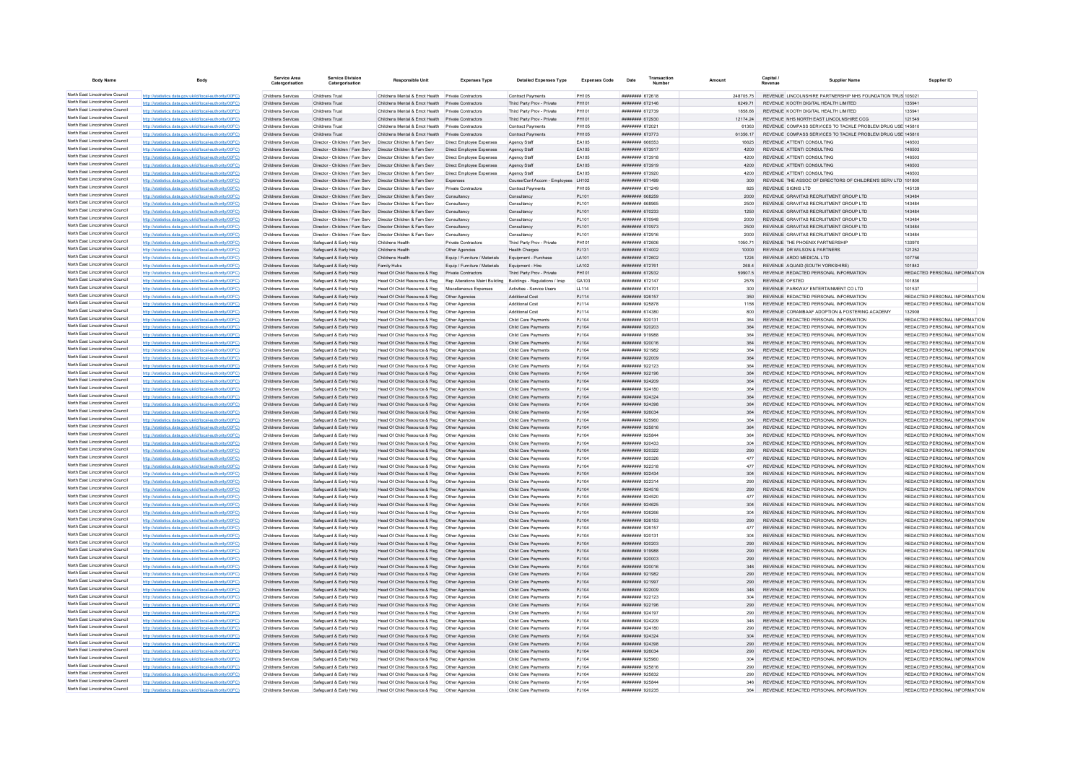| <b>Body Name</b>                                                   |                                                                                                                  | <b>Service Area</b><br>Catergorisatio    | <b>Service Division</b><br>Catergorisation                                             | Responsible Unit                                                                                         | <b>Expenses Type</b>               | <b>Detailed Expenses Type</b>                                 | <b>Expenses Code</b>  | Date                                          | Transaction |                   | Capital / | <b>Supplier Name</b>                                                                     | Supplier ID                                                    |
|--------------------------------------------------------------------|------------------------------------------------------------------------------------------------------------------|------------------------------------------|----------------------------------------------------------------------------------------|----------------------------------------------------------------------------------------------------------|------------------------------------|---------------------------------------------------------------|-----------------------|-----------------------------------------------|-------------|-------------------|-----------|------------------------------------------------------------------------------------------|----------------------------------------------------------------|
| North East Lincolnshire Council                                    | http://statistics.data.gov.uk/id/local-authority/00FC)                                                           | Childrens Services                       | Childrens Trust                                                                        | Childrens Mental & Emot Health Private Contractors                                                       |                                    | Contract Payments                                             | <b>PH105</b>          | ####### 672618                                |             | 248705.75         |           | REVENUE LINCOLNSHIRE PARTNERSHIP NHS FOUNDATION TRUS 10502                               |                                                                |
| North East Lincolnshire Council                                    | http://statistics.data.gov.uk/id/local-authority/00FC)                                                           | Childrens Services                       | Childrens Trust                                                                        | Childrens Mental & Emot Health Private Contractors                                                       |                                    | Third Party Prov - Private                                    | PH101                 | <b>########</b> 672146                        |             | 6249.71           |           | REVENUE KOOTH DIGITAL HEALTH LIMITED                                                     | 135941                                                         |
| North East Lincolnshire Council                                    | http://statistics.data.gov.uk/id/local-authority/00FC)                                                           | Childrens Services                       | Childrens Trust                                                                        | Childrens Mental & Emot Health                                                                           | <b>Private Contractors</b>         | Third Party Prov - Private                                    | PH101                 | ######## 672739                               |             | 1858 66           |           | REVENUE KOOTH DIGITAL HEALTH LIMITED                                                     | 135941                                                         |
| North East Lincolnshire Council<br>North East Lincolnshire Council | http://statistics.data.gov.uk/id/local-authority/00FC)                                                           | Childrens Services                       | Childrens Trust                                                                        | Childrens Mental & Emot Health                                                                           | Private Contractors                | Third Party Prov - Private                                    | PH101                 | ######## 672930                               |             | 12174.24          |           | REVENUE NHS NORTH EAST LINCOLNSHIRE CCG                                                  | 121549                                                         |
| North East Lincolnshire Council                                    | http://statistics.data.gov.uk/id/local-authority/00FC)<br>http://statistics.data.gov.uk/id/local-authority/00EC) | Childrens Services<br>Childrens Services | Childrens Trust<br>Childrens Trust                                                     | Childrens Mental & Emot Health Private Contractors<br>Childrens Mental & Emot Health Private Contractors |                                    | <b>Contract Payments</b><br><b>Contract Payments</b>          | <b>PH105</b><br>PH105 | <b>НИНИНИЯ</b> 672021<br>######## 673773      |             | 61363<br>61356 17 |           | REVENUE, COMPASS SERVICES TO TACKLE PROBLEM DRUG USE 145810.                             |                                                                |
| North East Lincolnshire Council                                    | http://statistics.data.gov.uk/id/local-authority/00FC)                                                           | Childrens Services                       |                                                                                        | Director - Children / Fam Serv Director Children & Fam Serv                                              | Direct Employee Expenses           | Agency Staff                                                  | EA105                 | ######## 666553                               |             | 16625             |           | REVENUE COMPASS SERVICES TO TACKLE PROBLEM DRUG USE 145810<br>REVENUE ATTENTI CONSULTING | 146503                                                         |
| North East Lincolnshire Council                                    | http://statistics.data.gov.uk/id/local-authority/00FC)                                                           | Childrens Services                       |                                                                                        | Director - Children / Fam Serv  Director Children & Fam Serv                                             | Direct Employee Expenses           | Agency Staff                                                  | EA105                 | ######## 673917                               |             |                   |           | REVENUE ATTENTI CONSULTING                                                               | 146503                                                         |
| North East Lincolnshire Council                                    | http://statistics.data.gov.uk/id/local-authority/00FC)                                                           | Childrens Services                       |                                                                                        | Director - Children / Fam Serv  Director Children & Fam Serv                                             | Direct Employee Expenses           | Agency Staff                                                  | EA105                 | <b><i>HEBREH 673018</i></b>                   |             | 4200              |           | REVENUE ATTENTI CONSULTING                                                               | 146503                                                         |
| North East Lincolnshire Council                                    | http://statistics.data.gov.uk/id/local-authority/00FC)                                                           | Childrens Services                       |                                                                                        | Director - Children / Fam Serv  Director Children & Fam Serv                                             | Direct Employee Expenses           | Agency Staff                                                  | EA105                 | ######## 673919                               |             | 4200              |           | REVENUE ATTENTI CONSULTING                                                               | 146503                                                         |
| North East Lincolnshire Council                                    | http://statistics.data.gov.uk/id/local-authority/00FC)                                                           | Childrens Services                       |                                                                                        | Director - Children / Fam Serv  Director Children & Fam Serv                                             | Direct Employee Expenses           | Agency Staff                                                  | EA105                 | ######## 673920                               |             | 4200              |           | REVENUE ATTENTI CONSULTING                                                               | 146503                                                         |
| North East Lincolnshire Council                                    | distics.data.gov.uk/id/local-authority/00FC                                                                      | Childrens Services                       |                                                                                        | Director - Children / Fam Serv   Director Children & Fam Serv                                            | Expenses                           | Course/Conf Accom - Employees                                 | LH102                 | ######## 671499                               |             | 300               |           | REVENUE THE ASSOC OF DIRECTORS OF CHILDREN'S SERV LTD 101800                             |                                                                |
| North East Lincolnshire Council                                    | http://statistics.data.gov.uk/id/local-authority/00FC)                                                           | Childrens Services                       |                                                                                        | Director - Children / Fam Serv Director Children & Fam Serv                                              | Private Contractors                | Contract Payments                                             | <b>PH105</b>          | ######## 671249                               |             | 825               |           | REVENUE SIGNIS I TD                                                                      | 145139                                                         |
| North East Lincolnshire Council                                    | http://statistics.data.gov.uk/id/local-authority/00FC)                                                           | Childrens Services                       |                                                                                        | Director - Children / Fam Serv  Director Children & Fam Serv                                             | Consultancy                        | Consultancy                                                   | PL101                 | ######## 668259                               |             | 2000              |           | REVENUE GRAVITAS RECRUITMENT GROUP LTD                                                   | 143484                                                         |
| North East Lincolnshire Council                                    | http://statistics.data.gov.uk/id/local-authority/00FC)                                                           | Childrens Services                       |                                                                                        | Director - Children / Fam Serv  Director Children & Fam Serv                                             | Consultancy                        | Consultancy                                                   | PL101                 | ####### 668965                                |             |                   |           | REVENUE GRAVITAS RECRUITMENT GROUP LTD                                                   | 143484                                                         |
| North East Lincolnshire Council                                    | http://statistics.data.gov.uk/id/local-authority/00FC                                                            | Childrens Services                       |                                                                                        | Director - Children / Fam Serv  Director Children & Fam Serv                                             | Consultancy                        | Consultancy                                                   | PL101                 | ######## 670233                               |             | 1250              |           | REVENUE GRAVITAS RECRUITMENT GROUP LTD                                                   | 143484                                                         |
| North East Lincolnshire Council<br>North East Lincolnshire Council | http://statistics.data.gov.uk/id/local-authority/00FC)                                                           | Childrens Services                       |                                                                                        | Director - Children / Fam Serv Director Children & Fam Serv                                              | Consultancy                        | Consultancy                                                   | PI 101                | ######## 670948                               |             | 2000              |           | REVENUE, GRAVITAS RECRUITMENT GROUP LTD.                                                 | 143484                                                         |
| North East Lincolnshire Council                                    | http://statistics.data.gov.uk/id/local-authority/00FC)                                                           | Childrens Services                       |                                                                                        | Director - Children / Fam Serv  Director Children & Fam Serv                                             | Consultancy                        | Consultancy                                                   | PL101                 | ######## 670973                               |             | 2500              |           | REVENUE GRAVITAS RECRUITMENT GROUP LTD                                                   | 143484                                                         |
| North East Lincolnshire Council                                    | http://statistics.data.gov.uk/id/local-authority/00FC)<br>http://statistics.data.gov.uk/id/local-authority/00FC  | Childrens Services<br>Childrens Services | Director - Children / Fam Serv  Director Children & Fam Serv<br>Safeguard & Early Help | Childrane Hoalth                                                                                         | Consultancy<br>Private Contractors | Consultancy<br>Third Party Prov - Private                     | PL101<br><b>PH101</b> | ####### 672916<br><b><i>HEBREH 672606</i></b> |             | 2000<br>1050 71   |           | REVENUE GRAVITAS RECRUITMENT GROUP LTD<br>REVENUE THE PHOENIX PARTNERSHIP                | 143484<br>133970                                               |
| North East Lincolnshire Council                                    | http://statistics.data.gov.uk/id/local-authority/00FC)                                                           | Childrens Services                       | Safeguard & Early Help                                                                 | Childrens Health                                                                                         | Other Agencies                     | <b>Health Charges</b>                                         | PJ131                 | ######## 674002                               |             | 10000             |           | REVENUE DR WILSON & PARTNERS                                                             | 121252                                                         |
| North East Lincolnshire Council                                    | http://statistics.data.gov.uk/id/local-authority/00FC)                                                           | Childrens Services                       | Safeguard & Early Help                                                                 | Childrens Health                                                                                         | Equip / Furniture / Materials      | Equipment - Purchase                                          | LA101                 | ######## 672602                               |             | 1224              |           | REVENUE ARDO MEDICAL LTD                                                                 | 107756                                                         |
| North East Lincolnshire Council                                    | http://statistics.data.gov.uk/id/local-authority/00FC)                                                           | Childrens Services                       | Safeguard & Early Help                                                                 | Family Hubs                                                                                              | Equip / Furniture / Materials      | Equipment - Hire                                              | LA102                 | ######## 672761                               |             | 268.4             |           | REVENUE AQUAID (SOUTH YORKSHIRE)                                                         | 101842                                                         |
| North East Lincolnshire Council                                    | http://statistics.data.gov.uk/id/local-authority/00FC)                                                           | Childrens Services                       | Safeguard & Early Help                                                                 | Head Of Child Resource & Reg                                                                             | Private Contractors                | Third Party Prov - Private                                    | PH101                 | ######## 672932                               |             | 59907.5           |           | REVENUE REDACTED PERSONAL INFORMATION                                                    | REDACTED PERSONAL INFORMATION                                  |
| North East Lincolnshire Council                                    | http://statistics.data.gov.uk/id/local-authority/00FC)                                                           | Childrens Services                       | Safeguard & Early Help                                                                 | Head Of Child Resource & Reg                                                                             |                                    | Rep Alterations Maint Building Buildings - Regulations / Insp | GA103                 | ######## 672147                               |             | 2578              |           | REVENUE OFSTED                                                                           | 101836                                                         |
| North East Lincolnshire Council                                    | http://statistics.data.gov.uk/id/local-authority/00FC)                                                           | Childrens Services                       | Safeguard & Early Help                                                                 | Head Of Child Resource & Reg                                                                             | Miscellaneous Expenses             | Activities - Service Users                                    | LL114                 | ####### 67470*                                |             | 300               |           | REVENUE PARKWAY ENTERTAINMENT CO LTD                                                     | 101537                                                         |
| North East Lincolnshire Council                                    | http://statistics.data.gov.uk/id/local-authority/00FC)                                                           | Childrens Services                       | Safeguard & Early Help                                                                 | Head Of Child Resource & Reg                                                                             | Other Agencies                     | Additional Cost                                               | PJ114                 | ######## 926157                               |             | 350               |           | REVENUE REDACTED PERSONAL INFORMATION                                                    | REDACTED PERSONAL INFORMATION                                  |
| North East Lincolnshire Council                                    | http://statistics.data.gov.uk/id/local-authority/00FC)                                                           | Childrens Services                       | Safeguard & Early Help                                                                 | Head Of Child Resource & Reg                                                                             | Other Anencies                     | Additional Cost                                               | P.1114                | ######## 925878                               |             | 1158              |           | REVENUE, REDACTED PERSONAL INFORMATION.                                                  | REDACTED PERSONAL INFORMATION                                  |
| North East Lincolnshire Council                                    | http://statistics.data.gov.uk/id/local-authority/00FC)                                                           | Childrens Services                       | Safeguard & Early Help                                                                 | Head Of Child Resource & Reg                                                                             | Other Agencies                     | Additional Cost                                               | PJ114                 | ####### 674380                                |             | 800               |           | REVENUE CORAMBAAF ADOPTION & FOSTERING ACADEMY                                           | 132908                                                         |
| North East Lincolnshire Council                                    | http://statistics.data.gov.uk/id/local-authority/00FC)                                                           | Childrens Services                       | Safeguard & Early Help                                                                 | Head Of Child Resource & Reg                                                                             | Other Agencies                     | Child Care Payments                                           | PJ104                 | ######## 920131                               |             |                   |           | REVENUE REDACTED PERSONAL INFORMATION                                                    | REDACTED PERSONAL INFORMATION                                  |
| North East Lincolnshire Council                                    | http://statistics.data.gov.uk/id/local-authority/00FC                                                            | Childrens Services                       | Safeguard & Early Help                                                                 | Head Of Child Resource & Reg   Other Agencies                                                            |                                    | Child Care Payment                                            | PJ104                 | ######## 920203                               |             | 364               |           | REVENUE REDACTED PERSONAL INFORMATION                                                    | REDACTED PERSONAL INFORMATION                                  |
| North East Lincolnshire Council                                    | http://statistics.data.gov.uk/id/local-authority/00FC)                                                           | Childrens Services                       | Safeguard & Early Help                                                                 | Head Of Child Resource & Reg                                                                             | Other Anencies                     | Child Care Payments                                           | P.1104                | ######## 919988                               |             | 364               |           | REVENUE, REDACTED PERSONAL INFORMATION                                                   | REDACTED PERSONAL INFORMATION                                  |
| North East Lincolnshire Council                                    | http://statistics.data.gov.uk/id/local-authority/00FC)                                                           | Childrens Services                       | Safeguard & Early Help                                                                 | Head Of Child Resource & Reg                                                                             | Other Agencies                     | Child Care Payments                                           | PJ104                 | <b>HEBREHA 1920016</b>                        |             | 364               |           | REVENUE REDACTED PERSONAL INFORMATION                                                    | REDACTED PERSONAL INFORMATION                                  |
| North East Lincolnshire Council                                    | http://statistics.data.gov.uk/id/local-authority/00FC)                                                           | Childrens Services                       | Safeguard & Early Help                                                                 | Head Of Child Resource & Reg                                                                             | Other Agencies                     | Child Care Payment                                            | PJ104                 | ######## 921982                               |             | 364               |           | REVENUE REDACTED PERSONAL INFORMATION                                                    | REDACTED PERSONAL INFORMATION                                  |
| North East Lincolnshire Council                                    | http://statistics.data.gov.uk/id/local-authority/00FC)                                                           | Childrens Services                       | Safeguard & Early Help                                                                 | Head Of Child Resource & Reg                                                                             | Other Agencies                     | Child Care Payments                                           | PJ104                 | ######## 922009                               |             | 364               |           | REVENUE REDACTED PERSONAL INFORMATION                                                    | REDACTED PERSONAL INFORMATION                                  |
| North East Lincolnshire Council<br>North East Lincolnshire Council | http://statistics.data.gov.uk/id/local-authority/00FC)                                                           | Childrens Services                       | Safeguard & Early Help                                                                 | Head Of Child Resource & Reg                                                                             | Other Agencies                     | Child Care Payments                                           | PJ104                 | ######## 922123                               |             | 364               |           | REVENUE REDACTED PERSONAL INFORMATION                                                    | REDACTED PERSONAL INFORMATION                                  |
| North East Lincolnshire Council                                    | http://statistics.data.gov.uk/id/local-authority/00FC)                                                           | Childrens Services                       | Safeguard & Early Help                                                                 | Head Of Child Resource & Reg   Other Agencies                                                            |                                    | Child Care Payments                                           | PJ104                 | ######## 922196<br>######## 924209            |             | 364<br>364        |           | REVENUE REDACTED PERSONAL INFORMATION<br>REVENUE REDACTED PERSONAL INFORMATION           | REDACTED PERSONAL INFORMATION<br>REDACTED PERSONAL INFORMATION |
| North East Lincolnshire Council                                    | http://statistics.data.gov.uk/id/local-authority/00FC)<br>http://statistics.data.gov.uk/id/local-authority/00FC) | Childrens Services<br>Childrens Services | Safeguard & Early Help<br>Safeguard & Early Help                                       | Head Of Child Resource & Reg  Other Agencies<br>Head Of Child Resource & Reg                             | Other Agencies                     | Child Care Payments<br>Child Care Payments                    | PJ104<br>P.1104       | ######## 924180                               |             | 364               |           | REVENUE REDACTED PERSONAL INFORMATION                                                    | REDACTED PERSONAL INFORMATION                                  |
| North East Lincolnshire Council                                    | http://statistics.data.gov.uk/id/local-authority/00FC)                                                           | Childrens Services                       | Safeguard & Early Help                                                                 | Head Of Child Resource & Reg                                                                             | Other Agencies                     | Child Care Payments                                           | PJ104                 | ######## 924324                               |             | 364               |           | REVENUE REDACTED PERSONAL INFORMATION                                                    | REDACTED PERSONAL INFORMATION                                  |
| North East Lincolnshire Council                                    | http://statistics.data.gov.uk/id/local-authority/00FC)                                                           | Childrens Services                       | Safeguard & Early Help                                                                 | Head Of Child Resource & Reg                                                                             | Other Agencies                     | Child Care Payments                                           | PJ104                 | ######## 924398                               |             |                   |           | REVENUE REDACTED PERSONAL INFORMATION                                                    | REDACTED PERSONAL INFORMATION                                  |
| North East Lincolnshire Council                                    | http://statistics.data.gov.uk/id/local-authority/00FC                                                            | Childrens Services                       | Safeguard & Early Help                                                                 | Head Of Child Resource & Reg                                                                             | Other Agencies                     | Child Care Payments                                           | PJ104                 | ######## 926034                               |             | 364               |           | REVENUE REDACTED PERSONAL INFORMATION                                                    | REDACTED PERSONAL INFORMATION                                  |
| North East Lincolnshire Council                                    | http://etgtigtige.data.gov.uk/id/logal.guthority/00EC)                                                           | Childrens Services                       | Safeguard & Early Help                                                                 | Head Of Child Resource & Reg                                                                             | Other Agencies                     | Child Care Payments                                           | PJ104                 | ######## 925960                               |             | 364               |           | REVENUE REDACTED PERSONAL INFORMATION                                                    | REDACTED PERSONAL INFORMATION                                  |
| North East Lincolnshire Council                                    | http://statistics.data.gov.uk/id/local-authority/00EC)                                                           | Childrens Services                       | Safeguard & Early Help                                                                 | Head Of Child Resource & Reg                                                                             | Other Agencies                     | Child Care Payments                                           | P.1104                | ######## 925816                               |             | 364               |           | REVENUE REDACTED PERSONAL INFORMATION                                                    | REDACTED PERSONAL INFORMATION                                  |
| North East Lincolnshire Council                                    | http://statistics.data.gov.uk/id/local-authority/00FC)                                                           | Childrens Services                       | Safeguard & Early Help                                                                 | Head Of Child Resource & Reg                                                                             | Other Agencies                     | Child Care Payments                                           | PJ104                 | ######## 925844                               |             | 364               |           | REVENUE REDACTED PERSONAL INFORMATION                                                    | REDACTED PERSONAL INFORMATION                                  |
| North East Lincolnshire Council                                    | http://statistics.data.gov.uk/id/local-authority/00FC)                                                           | Childrens Services                       | Safeguard & Early Help                                                                 | Head Of Child Resource & Reg                                                                             | Other Agencies                     | Child Care Payments                                           | PJ104                 | ######## 920433                               |             |                   |           | REVENUE REDACTED PERSONAL INFORMATION                                                    | REDACTED PERSONAL INFORMATION                                  |
| North East Lincolnshire Council                                    | http://statistics.data.gov.uk/id/local-authority/00FC)                                                           | Childrens Services                       | Safeguard & Early Help                                                                 | Head Of Child Resource & Reg                                                                             | Other Agencies                     | Child Care Payments                                           | PJ104                 | ######## 920322                               |             | 290               |           | REVENUE REDACTED PERSONAL INFORMATION                                                    | REDACTED PERSONAL INFORMATION                                  |
| North East Lincolnshire Council                                    | http://statistics.data.gov.uk/id/local-authority/00FC)                                                           | Childrens Services                       | Safeguard & Early Help                                                                 | Head Of Child Resource & Reg                                                                             | Other Agencies                     | Child Care Payments                                           | PJ104                 | ######## 920326                               |             | 477               |           | REVENUE REDACTED PERSONAL INFORMATION                                                    | REDACTED PERSONAL INFORMATION                                  |
| North East Lincolnshire Council                                    | s.data.gov.uk/id/local-authority/00FC)                                                                           | Childrens Services                       | Safeguard & Early Help                                                                 | Head Of Child Resource & Reg                                                                             | Other Agencies                     | Child Care Payments                                           | PJ104                 | ######## 922318                               |             |                   |           | REVENUE REDACTED PERSONAL INFORMATION                                                    | REDACTED PERSONAL INFORMATION                                  |
| North East Lincolnshire Council                                    | http://statistics.data.gov.uk/id/local-authority/00FC)                                                           | Childrens Services                       | Safeguard & Early Help                                                                 | Head Of Child Resource & Reg                                                                             | Other Agencies                     | Child Care Payments                                           | PJ104                 | ######## 922434                               |             | 304               |           | REVENUE REDACTED PERSONAL INFORMATION                                                    | REDACTED PERSONAL INFORMATION                                  |
| North East Lincolnshire Council<br>North East Lincolnshire Council | http://statistics.data.gov.uk/id/local-authority/00EC)                                                           | Childrens Services                       | Safeguard & Early Help                                                                 | Head Of Child Resource & Reg                                                                             | Other Anencies                     | Child Care Payments                                           | PJ104                 | ######## 922314                               |             | 290               |           | REVENUE REDACTED PERSONAL INFORMATION                                                    | REDACTED PERSONAL INFORMATION                                  |
| North East Lincolnshire Council                                    | http://statistics.data.gov.uk/id/local-authority/00FC)                                                           | Childrens Services                       | Safeguard & Early Help                                                                 | Head Of Child Resource & Reg  Other Agencies                                                             |                                    | Child Care Payments                                           | PJ104                 | ######## 924516                               |             | 290               |           | REVENUE REDACTED PERSONAL INFORMATION                                                    | REDACTED PERSONAL INFORMATION                                  |
| North East Lincolnshire Council                                    | http://statistics.data.gov.uk/id/local-authority/00FC)                                                           | Childrens Services                       | Safeguard & Early Help                                                                 | Head Of Child Resource & Reg   Other Agencies                                                            |                                    | Child Care Payments                                           | PJ104                 | ######## 924520                               |             |                   |           | REVENUE REDACTED PERSONAL INFORMATION                                                    | REDACTED PERSONAL INFORMATION                                  |
| North East Lincolnshire Council                                    | http://statistics.data.gov.uk/id/local-authority/00FC)<br>http://statistics.data.gov.uk/id/local-authority/00EC) | Childrens Services<br>Childrens Services | Safeguard & Early Help<br>Safeguard & Early Help                                       | Head Of Child Resource & Reg   Other Agencies                                                            | Other Anencies                     | Child Care Payments<br>Child Care Payments                    | PJ104<br>P.1104       | ######## 924625                               |             | 304<br>304        |           | REVENUE REDACTED PERSONAL INFORMATION<br>REVENUE REDACTED PERSONAL INFORMATION           | REDACTED PERSONAL INFORMATION<br>REDACTED PERSONAL INFORMATION |
| North East Lincolnshire Council                                    | stics.data.gov.uk/id/local-authority/00FC)                                                                       | Childrens Services                       | Safeguard & Farly Help                                                                 | Head Of Child Resource & Reg<br>Head Of Child Resource & Reg                                             | Other Agencies                     | Child Care Payments                                           | PJ104                 | ######## 926153                               |             | 290               |           | REVENUE REDACTED PERSONAL INFORMATION                                                    | REDACTED PERSONAL INFORMATION                                  |
| North East Lincolnshire Council                                    | tatistics.data.gov.uk/id/local-authority/00FC                                                                    | Childrens Services                       | Safeguard & Early Help                                                                 | Head Of Child Resource & Reg                                                                             | Other Agencies                     | Child Care Payments                                           | PJ104                 | ####### 926157                                |             |                   |           | REVENUE REDACTED PERSONAL INFORMATION                                                    | REDACTED PERSONAL INFORMATION                                  |
| North East Lincolnshire Council                                    | http://statistics.data.gov.uk/id/local-authority/00EC)                                                           | Childrens Services                       | Safeguard & Early Help                                                                 | Head Of Child Resource & Reg                                                                             | Other Agencies                     | Child Care Payments                                           | PJ104                 | ######## 920131                               |             | 304               |           | REVENUE REDACTED PERSONAL INFORMATION                                                    | REDACTED PERSONAL INFORMATION                                  |
| North East Lincolnshire Council                                    | http://statistics.data.gov.uk/id/local-authority/00FC)                                                           | Childrens Services                       | Safeguard & Early Help                                                                 | Head Of Child Resource & Reg                                                                             | Other Agencies                     | Child Care Payments                                           | PJ104                 | ######## 920203                               |             | 290               |           | REVENUE REDACTED PERSONAL INFORMATION                                                    | REDACTED PERSONAL INFORMATION                                  |
| North East Lincolnshire Council                                    | http://statistics.data.gov.uk/id/local-authority/00FC)                                                           | Childrens Services                       | Safeguard & Early Help                                                                 | Head Of Child Resource & Reg                                                                             | Other Agencies                     | Child Care Payments                                           | PJ104                 | ######## 919988                               |             | 290               |           | REVENUE REDACTED PERSONAL INFORMATION                                                    | REDACTED PERSONAL INFORMATION                                  |
| North East Lincolnshire Council                                    | http://statistics.data.gov.uk/id/local-authority/00FC)                                                           | Childrens Services                       | Safeguard & Early Help                                                                 | Head Of Child Resource & Reg                                                                             | Other Agencies                     | Child Care Payments                                           | PJ104                 | ######## 920003                               |             | 290               |           | REVENUE REDACTED PERSONAL INFORMATION                                                    | REDACTED PERSONAL INFORMATION                                  |
| North East Lincolnshire Council                                    | http://statistics.data.gov.uk/id/local-authority/00FC)                                                           | Childrens Services                       | Safeguard & Early Help                                                                 | Head Of Child Resource & Reg                                                                             | Other Agencies                     | Child Care Payments                                           | PJ104                 |                                               |             | 346               |           | REVENUE REDACTED PERSONAL INFORMATION                                                    | REDACTED PERSONAL INFORMATION                                  |
| North East Lincolnshire Council                                    | http://statistics.data.gov.uk/id/local-authority/00FC)                                                           | Childrens Services                       | Safeguard & Early Help                                                                 | Head Of Child Resource & Reg                                                                             | Other Agencies                     | <b>Child Care Payments</b>                                    | PJ104                 | ######## 921982                               |             | 290               |           | REVENUE REDACTED PERSONAL INFORMATION                                                    | REDACTED PERSONAL INFORMATION                                  |
| North East Lincolnshire Council                                    | cs.data.gov.uk/id/local-authority/00FC)                                                                          | Childrens Services                       | Safeguard & Early Help                                                                 | Head Of Child Resource & Reg                                                                             | Other Agencies                     | Child Care Payments                                           | PJ104                 | ######## 921997                               |             | 290               |           | REVENUE REDACTED PERSONAL INFORMATION                                                    | REDACTED PERSONAL INFORMATION                                  |
| North East Lincolnshire Council                                    | http://statistics.data.gov.uk/id/local-authority/00EC)                                                           | Childrens Services                       | Safeguard & Early Help                                                                 | Head Of Child Resource & Reg                                                                             | Other Agencies                     | Child Care Payments                                           | PJ104                 | ######## 922009                               |             | 346               |           | REVENUE REDACTED PERSONAL INFORMATION                                                    | REDACTED PERSONAL INFORMATION                                  |
| North East Lincolnshire Council                                    | http://statistics.data.gov.uk/id/local-authority/00EC)                                                           | Childrens Services                       | Safeguard & Farly Help                                                                 | Head Of Child Resource & Reg                                                                             | Other Agencies                     | Child Care Payments                                           | P.1104                | ######## 922123                               |             | 304               |           | REVENUE REDACTED PERSONAL INFORMATION                                                    | REDACTED PERSONAL INFORMATION                                  |
| North East Lincolnshire Council                                    | http://statistics.data.gov.uk/id/local-authority/00FC)                                                           | Childrens Services                       | Safeguard & Early Help                                                                 | Head Of Child Resource & Reg  Other Agencies                                                             |                                    | Child Care Payments                                           | PJ104                 | ######## 922196                               |             | 290               |           | REVENUE REDACTED PERSONAL INFORMATION                                                    | REDACTED PERSONAL INFORMATION                                  |
| North East Lincolnshire Council                                    | http://statistics.data.gov.uk/id/local-authority/00FC)                                                           | Childrens Services                       | Safeguard & Early Help                                                                 | Head Of Child Resource & Reg   Other Agencies                                                            |                                    | Child Care Payments                                           | PJ104                 | ######## 924197                               |             |                   |           | REVENUE REDACTED PERSONAL INFORMATION                                                    | REDACTED PERSONAL INFORMATION                                  |
| North East Lincolnshire Council                                    | http://statistics.data.gov.uk/id/local-authority/00FC)                                                           | Childrens Services                       | Safeguard & Early Help                                                                 |                                                                                                          |                                    | Child Care Payments                                           | PJ104                 | <b>COCCO BREERER</b>                          |             | 346               |           | REVENUE REDACTED PERSONAL INFORMATION                                                    | REDACTED PERSONAL INFORMATION                                  |
| North East Lincolnshire Council<br>North East Lincolnshire Council | http://statistics.data.gov.uk/id/local-authority/00FC)                                                           | Childrens Services                       | Safeguard & Early Help                                                                 | Head Of Child Resource & Reg                                                                             | Other Agencies                     | Child Care Payments                                           | PJ104                 | ######## 924180                               |             | 290               |           | REVENUE REDACTED PERSONAL INFORMATION                                                    | REDACTED PERSONAL INFORMATION                                  |
| North East Lincolnshire Council                                    | ics.data.gov.uk/id/local-authority/00FC)                                                                         | Childrens Services                       | Safeguard & Early Help                                                                 | Head Of Child Resource & Reg                                                                             | Other Agencies                     | Child Care Payments                                           | PJ104                 | ######## 924324                               |             | 304               |           | REVENUE REDACTED PERSONAL INFORMATION                                                    | REDACTED PERSONAL INFORMATION                                  |
| North East Lincolnshire Council                                    | http://statistics.data.gov.uk/id/local-authority/00FC)<br>http://statistics.data.gov.uk/id/local-authority/00EC) | Childrens Services<br>Childrens Services | Safeguard & Early Help<br>Safeguard & Early Help                                       | Head Of Child Resource & Reg<br>Head Of Child Resource & Reg                                             | Other Agencies<br>Other Agencies   | Child Care Payments<br>Child Care Payments                    | PJ104<br>PJ104        | ######## 924398<br>######## 926034            |             | 290<br>290        |           | REVENUE REDACTED PERSONAL INFORMATION<br>REVENUE REDACTED PERSONAL INFORMATION           | REDACTED PERSONAL INFORMATION<br>REDACTED PERSONAL INFORMATION |
| North East Lincolnshire Council                                    | http://statistics.data.gov.uk/id/local-authority/00FC)                                                           | Childrens Services                       | Safeguard & Early Help                                                                 | Head Of Child Resource & Reg                                                                             | Other Agencies                     | Child Care Payments                                           | PJ104                 | ######## 925960                               |             | 304               |           | REVENUE REDACTED PERSONAL INFORMATION                                                    | REDACTED PERSONAL INFORMATION                                  |
| North East Lincolnshire Council                                    | http://statistics.data.gov.uk/id/local-authority/00FC                                                            | Childrens Services                       | Safeguard & Early Help                                                                 | Head Of Child Resource & Reg   Other Agencies                                                            |                                    | Child Care Payments                                           | PJ104                 | ######## 925816                               |             | 290               |           | REVENUE REDACTED PERSONAL INFORMATION                                                    | REDACTED PERSONAL INFORMATION                                  |
| North East Lincolnshire Council                                    | http://statistics.data.gov.uk/id/local-authority/00FC)                                                           | Childrens Services                       | Safeguard & Early Help                                                                 | Head Of Child Resource & Reg   Other Agencies                                                            |                                    | Child Care Payments                                           | PJ104                 | ######## 925832                               |             | 290               |           | REVENUE REDACTED PERSONAL INFORMATION                                                    | REDACTED PERSONAL INFORMATION                                  |
| North East Lincolnshire Council                                    | http://statistics.data.gov.uk/id/local-authority/00EC)                                                           | Childrens Services                       | Safeguard & Early Help                                                                 | Head Of Child Resource & Reg   Other Agencies                                                            |                                    | Child Care Payments                                           | P.1104                | ######## 925844                               |             | 346               |           | REVENUE REDACTED PERSONAL INFORMATION                                                    | REDACTED PERSONAL INFORMATION                                  |
| North East Lincolnshire Council                                    | http://statistics.data.gov.uk/id/local-authority/00FC)                                                           | Childrens Services                       | Safeguard & Early Help                                                                 | Head Of Child Resource & Reg                                                                             | Other Agencies                     | Child Care Payments                                           | PJ104                 | ######## 920235                               |             | 364               |           | REVENUE REDACTED PERSONAL INFORMATION                                                    | REDACTED PERSONAL INFORMATION                                  |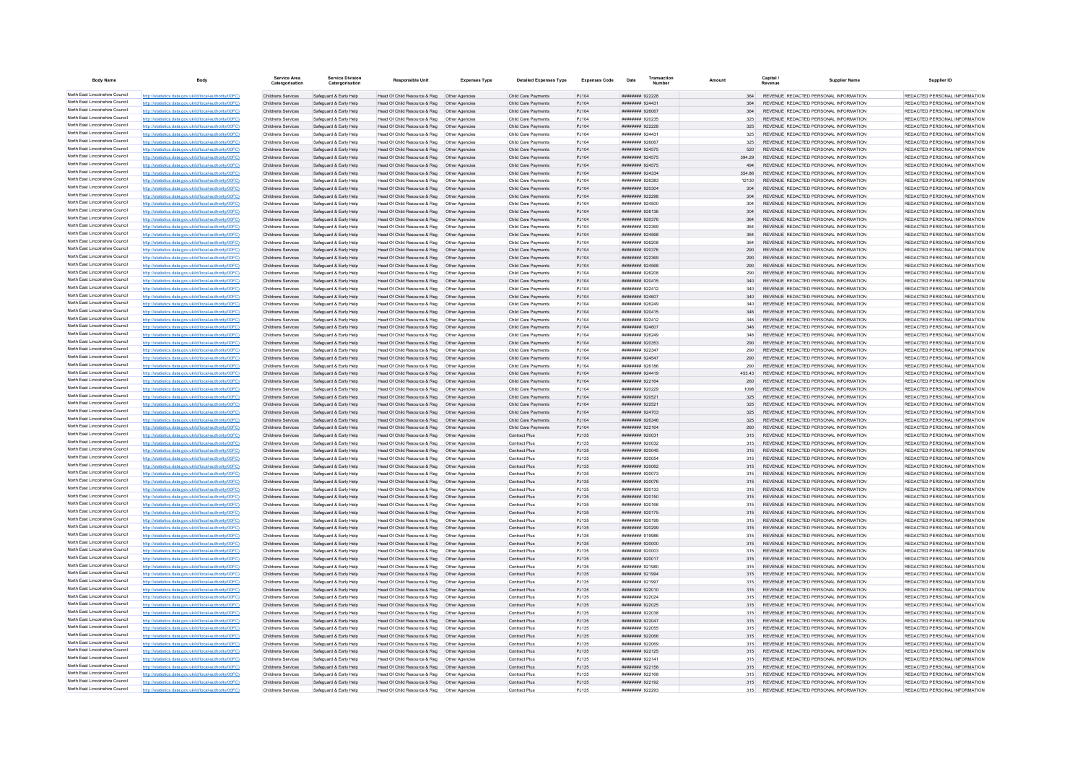| <b>Body Name</b>                                                   |                                                                                                                  | <b>Service Area</b><br>Catergorisation   | <b>Service Division</b><br>Catergorisation       | <b>Responsible Unit</b>                                                                        | <b>Expenses Type</b>             | <b>Detailed Expenses Type</b>                | <b>Expenses Code</b> | Date                                 | Transactio |            | Capital / | <b>Supplier Name</b>                                                            | Supplier ID                                                    |
|--------------------------------------------------------------------|------------------------------------------------------------------------------------------------------------------|------------------------------------------|--------------------------------------------------|------------------------------------------------------------------------------------------------|----------------------------------|----------------------------------------------|----------------------|--------------------------------------|------------|------------|-----------|---------------------------------------------------------------------------------|----------------------------------------------------------------|
| North East Lincolnshire Council                                    | http://statistics.data.gov.uk/id/local-authority/00FC)                                                           | Childrens Services                       | Safeguard & Early Help                           | Head Of Child Resource & Reg   Other Agencies                                                  |                                  | Child Care Payments                          | PJ104                | ######## 922228                      |            | 364        |           | REVENUE REDACTED PERSONAL INFORMATION                                           | REDACTED PERSONAL INFORMATION                                  |
| North East Lincolnshire Council                                    | http://statistics.data.gov.uk/id/local-authority/00FC)                                                           | Childrens Services                       | Safeguard & Early Help                           | Head Of Child Resource & Reg                                                                   | Other Agencies                   | Child Care Payments                          | PJ104                | ######## 924431                      |            |            |           | REVENUE REDACTED PERSONAL INFORMATION                                           | REDACTED PERSONAL INFORMATION                                  |
| North East Lincolnshire Council                                    | http://statistics.data.gov.uk/id/local-authority/00FC)                                                           | Childrens Services                       | Safeguard & Early Help                           | Head Of Child Resource & Reg                                                                   | Other Agencies                   | Child Care Payments                          | PJ104                | ######## 926067                      |            | 364        |           | REVENUE REDACTED PERSONAL INFORMATION                                           | REDACTED PERSONAL INFORMATION                                  |
| North East Lincolnshire Council<br>North East Lincolnshire Council | http://statistics.data.gov.uk/id/local-authority/00FC)                                                           | Childrens Services                       | Safeguard & Early Help                           | Head Of Child Resource & Reg   Other Agencies                                                  |                                  | Child Care Payments                          | P.1104               | ######## 920235                      |            | 325        |           | REVENUE REDACTED PERSONAL INFORMATION                                           | REDACTED PERSONAL INFORMATION                                  |
| North East Lincolnshire Council                                    | http://statistics.data.gov.uk/id/local-authority/00FC)<br>http://statistics.data.gov.uk/id/local-authority/00FC) | Childrens Services<br>Childrens Services | Safeguard & Early Help<br>Safeguard & Early Help | Head Of Child Resource & Reg   Other Agencies<br>Head Of Child Resource & Reg   Other Agencies |                                  | Child Care Payments<br>Child Care Payments   | PJ104<br>PJ104       | ######## 922228<br>######## 924431   |            | 325<br>325 |           | REVENUE REDACTED PERSONAL INFORMATION<br>REVENUE REDACTED PERSONAL INFORMATION  | REDACTED PERSONAL INFORMATION<br>REDACTED PERSONAL INFORMATION |
| North East Lincolnshire Council                                    | http://statistics.data.gov.uk/id/local-authority/00FC)                                                           | Childrens Services                       | Safeguard & Early Help                           | Head Of Child Resource & Reg   Other Agencies                                                  |                                  | Child Care Payments                          | PJ104                | ######## 926067                      |            | 325        |           | REVENUE REDACTED PERSONAL INFORMATION                                           | REDACTED PERSONAL INFORMATION                                  |
| North East Lincolnshire Council                                    | http://statistics.data.gov.uk/id/local-authority/00FC)                                                           | Childrens Services                       | Safeguard & Early Help                           | Head Of Child Resource & Reg                                                                   | Other Agencies                   | Child Care Payments                          | P.1104               | <b>иннинни</b> 924575                |            | 520        |           | REVENUE REDACTED PERSONAL INFORMATION                                           | REDACTED PERSONAL INFORMATION                                  |
| North East Lincolnshire Council                                    | http://statistics.data.gov.uk/id/local-authority/00FC)                                                           | Childrens Services                       | Safeguard & Early Help                           | Head Of Child Resource & Reg                                                                   | Other Agencies                   | Child Care Payments                          | PJ104                | ######## 924575                      |            | 394 29     |           | REVENUE REDACTED PERSONAL INFORMATION                                           | REDACTED PERSONAL INFORMATION                                  |
| North East Lincolnshire Council                                    | http://statistics.data.gov.uk/id/local-authority/00FC)                                                           | Childrens Services                       | Safeguard & Early Help                           | Head Of Child Resource & Reg                                                                   | Other Agencies                   | Child Care Payments                          | PJ104                | ######## 924575                      |            |            |           | REVENUE REDACTED PERSONAL INFORMATION                                           | REDACTED PERSONAL INFORMATION                                  |
| North East Lincolnshire Council                                    | http://statistics.data.gov.uk/id/local-authority/00FC)                                                           | Childrens Services                       | Safeguard & Early Help                           | Head Of Child Resource & Reg                                                                   | Other Agencies                   | Child Care Payments                          | PJ104                | ######## 924334                      |            | 354 86     |           | REVENUE REDACTED PERSONAL INFORMATION                                           | REDACTED PERSONAL INFORMATION                                  |
| North East Lincolnshire Council<br>North East Lincolnshire Council | http://statistics.data.gov.uk/id/local-authority/00FC)                                                           | Childrens Services                       | Safeguard & Early Help                           | Head Of Child Resource & Reg.                                                                  | Other Anencies                   | Child Care Payments                          | P.1104               | EREACO BRREER                        |            | 12130      |           | REVENUE REDACTED PERSONAL INFORMATION                                           | REDACTED PERSONAL INFORMATION                                  |
| North East Lincolnshire Council                                    | http://statistics.data.gov.uk/id/local-authority/00FC)                                                           | Childrens Services                       | Safeguard & Early Help                           | Head Of Child Resource & Reg                                                                   | Other Agencies                   | Child Care Payments                          | PJ104                | ######## 920304                      |            | 304        |           | REVENUE REDACTED PERSONAL INFORMATION                                           | REDACTED PERSONAL INFORMATION                                  |
| North East Lincolnshire Council                                    | http://statistics.data.gov.uk/id/local-authority/00FC)<br>http://statistics.data.gov.uk/id/local-authority/00FC) | Childrens Services<br>Childrens Services | Safeguard & Early Help<br>Safeguard & Early Help | Head Of Child Resource & Reg<br>Head Of Child Resource & Reg                                   | Other Agencies<br>Other Agencies | Child Care Payments<br>Child Care Payments   | PJ104<br>P.1104      | ######## 922298<br>######## 924500   |            | 304<br>304 |           | REVENUE REDACTED PERSONAL INFORMATION<br>REVENUE REDACTED PERSONAL INFORMATION  | REDACTED PERSONAL INFORMATION<br>REDACTED PERSONAL INFORMATION |
| North East Lincolnshire Council                                    | http://statistics.data.gov.uk/id/local-authority/00FC)                                                           | Childrens Services                       | Safeguard & Early Help                           | Head Of Child Resource & Reg                                                                   | Other Agencies                   | Child Care Payments                          | P.1104               | ######## 926136                      |            | 304        |           | REVENUE, REDACTED PERSONAL INFORMATION                                          | REDACTED PERSONAL INFORMATION                                  |
| North East Lincolnshire Council                                    | http://statistics.data.gov.uk/id/local-authority/00FC)                                                           | Childrens Services                       | Safeguard & Early Help                           | Head Of Child Resource & Reg                                                                   | Other Agencies                   | Child Care Payments                          | PJ104                | <b>########</b> 920376               |            | 364        |           | REVENUE REDACTED PERSONAL INFORMATION                                           | REDACTED PERSONAL INFORMATION                                  |
| North East Lincolnshire Council                                    | http://statistics.data.gov.uk/id/local-authority/00FC)                                                           | Childrens Services                       | Safeguard & Early Help                           | Head Of Child Resource & Reg                                                                   | Other Agencie                    | Child Care Payments                          | PJ104                | ######## 922369                      |            | 364        |           | REVENUE REDACTED PERSONAL INFORMATION                                           | REDACTED PERSONAL INFORMATION                                  |
| North East Lincolnshire Council                                    | http://statistics.data.gov.uk/id/local-authority/00EC)                                                           | Childrens Services                       | Safeguard & Early Help                           | Head Of Child Resource & Reg                                                                   | Other Agencies                   | Child Care Payments                          | PJ104                | <b><i>HHHHHHH GOASSS</i></b>         |            | 364        |           | REVENUE REDACTED PERSONAL INFORMATION                                           | REDACTED PERSONAL INFORMATION                                  |
| North East Lincolnshire Council                                    | http://statistics.data.gov.uk/id/local-authority/00FC)                                                           | Childrens Services                       | Safeguard & Early Help                           | Head Of Child Resource & Reg   Other Agencies                                                  |                                  | Child Care Payments                          | PJ104                | ######## 926208                      |            | 364        |           | REVENUE REDACTED PERSONAL INFORMATION                                           | REDACTED PERSONAL INFORMATION                                  |
| North East Lincolnshire Council<br>North East Lincolnshire Council | http://statistics.data.gov.uk/id/local-authority/00FC)                                                           | Childrens Services                       | Safeguard & Early Help                           | Head Of Child Resource & Reg   Other Agencies                                                  |                                  | Child Care Payments                          | PJ104                | ######## 920376                      |            | 290        |           | REVENUE REDACTED PERSONAL INFORMATION                                           | REDACTED PERSONAL INFORMATION                                  |
| North East Lincolnshire Council                                    | http://statistics.data.gov.uk/id/local-authority/00FC)<br>http://statistics.data.gov.uk/id/local-authority/00FC) | Childrens Services<br>Childrens Services | Safeguard & Early Help<br>Safeguard & Early Help | Head Of Child Resource & Reg   Other Agencies                                                  |                                  | Child Care Payments<br>Child Care Payments   | PJ104<br>PJ104       | ######## 922369<br>######## 924568   |            | 290<br>290 |           | REVENUE REDACTED PERSONAL INFORMATION<br>REVENUE REDACTED PERSONAL INFORMATION  | REDACTED PERSONAL INFORMATION<br>REDACTED PERSONAL INFORMATION |
| North East Lincolnshire Council                                    | http://statistics.data.gov.uk/id/local-authority/00FC)                                                           | Childrens Services                       | Safeguard & Early Help                           | Head Of Child Resource & Reg   Other Agencies<br>Head Of Child Resource & Reg                  | Other Agencies                   | Child Care Payments                          | PJ104                | ######## 926208                      |            | 290        |           | REVENUE REDACTED PERSONAL INFORMATION                                           | REDACTED PERSONAL INFORMATION                                  |
| North East Lincolnshire Council                                    | http://statistics.data.gov.uk/id/local-authority/00FC)                                                           | Childrens Services                       | Safeguard & Early Help                           | Head Of Child Resource & Reg                                                                   | Other Agencies                   | Child Care Payments                          | PJ104                | ######## 920415                      |            | 340        |           | REVENUE REDACTED PERSONAL INFORMATION                                           | REDACTED PERSONAL INFORMATION                                  |
| North East Lincolnshire Council                                    | http://statistics.data.gov.uk/id/local-authority/00FC)                                                           | Childrens Services                       | Safeguard & Early Help                           | Head Of Child Resource & Reg                                                                   | Other Agencie                    | Child Care Payments                          | PJ104                | ######## 922412                      |            | 340        |           | REVENUE REDACTED PERSONAL INFORMATION                                           | REDACTED PERSONAL INFORMATION                                  |
| North East Lincolnshire Council                                    | http://statistics.data.gov.uk/id/local-authority/00FC)                                                           | Childrens Services                       | Safeguard & Early Help                           | Head Of Child Resource & Reg   Other Agencies                                                  |                                  | Child Care Payments                          | PJ104                | <b>НИНИНИН</b> 924607                |            | 340        |           | REVENUE REDACTED PERSONAL INFORMATION                                           | REDACTED PERSONAL INFORMATION                                  |
| North East Lincolnshire Council                                    | http://statistics.data.gov.uk/id/local-authority/00FC)                                                           | Childrens Services                       | Safeguard & Early Help                           | Head Of Child Resource & Reg   Other Agencies                                                  |                                  | Child Care Payments                          | PJ104                | ####### 926249                       |            | 340        |           | REVENUE REDACTED PERSONAL INFORMATION                                           | REDACTED PERSONAL INFORMATION                                  |
| North East Lincolnshire Council                                    | http://statistics.data.gov.uk/id/local-authority/00FC)                                                           | Childrens Services                       | Safeguard & Early Help                           | Head Of Child Resource & Reg   Other Agencies                                                  |                                  | Child Care Payments                          | PJ104                | ######## 920415                      |            |            |           | REVENUE REDACTED PERSONAL INFORMATION                                           | REDACTED PERSONAL INFORMATION                                  |
| North East Lincolnshire Council<br>North East Lincolnshire Council | http://statistics.data.gov.uk/id/local-authority/00FC)                                                           | Childrens Services                       | Safeguard & Early Help                           | Head Of Child Resource & Reg                                                                   | Other Agencies                   | Child Care Payments                          | PJ104                | ####### 922412                       |            | 346        |           | REVENUE REDACTED PERSONAL INFORMATION                                           | REDACTED PERSONAL INFORMATION                                  |
| North East Lincolnshire Council                                    | http://statistics.data.gov.uk/id/local-authority/00FC)                                                           | Childrens Services                       | Safeguard & Early Help                           | Head Of Child Resource & Reg<br>Head Of Child Resource & Reg                                   | Other Agencies                   | Child Care Payments                          | P.1104<br>PJ104      | ######## 924607                      |            | 346<br>346 |           | REVENUE REDACTED PERSONAL INFORMATION<br>REVENUE REDACTED PERSONAL INFORMATION  | REDACTED PERSONAL INFORMATION<br>REDACTED PERSONAL INFORMATION |
| North East Lincolnshire Council                                    | http://statistics.data.gov.uk/id/local-authority/00FC)<br>http://statistics.data.gov.uk/id/local-authority/00FC) | Childrens Services<br>Childrens Services | Safeguard & Early Help<br>Safeguard & Early Help | Head Of Child Resource & Reg                                                                   | Other Agencies<br>Other Agencies | Child Care Payments<br>Child Care Payments   | PJ104                | ######## 926249<br>######## 920353   |            | 290        |           | REVENUE REDACTED PERSONAL INFORMATION                                           | REDACTED PERSONAL INFORMATION                                  |
| North East Lincolnshire Council                                    | http://statistics.data.gov.uk/id/local-authority/00FC)                                                           | Childrens Services                       | Safeguard & Early Help                           | Head Of Child Resource & Reg                                                                   | Other Agencie                    | Child Care Payments                          | PJ104                | <b><i><u>********</u> 922347</i></b> |            | 290        |           | REVENUE REDACTED PERSONAL INFORMATION                                           | REDACTED PERSONAL INFORMATION                                  |
| North East Lincolnshire Council                                    | http://statistics.data.gov.uk/id/local-authority/00FC)                                                           | Childrens Services                       | Safeguard & Early Help                           | Head Of Child Resource & Reg  Other Agencies                                                   |                                  | Child Care Payments                          | P.1104               | <b>НИВВИНИ 924547</b>                |            | 290        |           | REVENUE REDACTED PERSONAL INFORMATION                                           | REDACTED PERSONAL INFORMATION                                  |
| North East Lincolnshire Council                                    | http://statistics.data.gov.uk/id/local-authority/00FC)                                                           | Childrens Services                       | Safeguard & Early Help                           | Head Of Child Resource & Reg   Other Agencies                                                  |                                  | Child Care Payments                          | PJ104                | 881829 BREEFER                       |            | 290        |           | REVENUE REDACTED PERSONAL INFORMATION                                           | REDACTED PERSONAL INFORMATION                                  |
| North East Lincolnshire Council                                    | http://statistics.data.gov.uk/id/local-authority/00FC)                                                           | Childrens Services                       | Safeguard & Early Help                           | Head Of Child Resource & Reg  Other Agencies                                                   |                                  | Child Care Payments                          | PJ104                | ######## 924419                      |            | 453 43     |           | REVENUE REDACTED PERSONAL INFORMATION                                           | REDACTED PERSONAL INFORMATION                                  |
| North East Lincolnshire Council                                    | http://statistics.data.gov.uk/id/local-authority/00FC)                                                           | Childrens Services                       | Safeguard & Early Help                           | Head Of Child Resource & Reg                                                                   | Other Agencies                   | Child Care Payments                          | P.1104               | <b>НИНИНИН</b> 922164                |            | 260        |           | REVENUE REDACTED PERSONAL INFORMATION                                           | REDACTED PERSONAL INFORMATION                                  |
| North East Lincolnshire Council<br>North East Lincolnshire Council | http://statistics.data.gov.uk/id/local-authority/00FC)                                                           | Childrens Services                       | Safeguard & Early Help                           | Head Of Child Resource & Reg                                                                   | Other Anencies                   | Child Care Payments                          | P.1104               | ######## 920229                      |            | 1098       |           | REVENUE REDACTED PERSONAL INFORMATION                                           | REDACTED PERSONAL INFORMATION                                  |
| North East Lincolnshire Council                                    | http://statistics.data.gov.uk/id/local-authority/00FC)<br>http://statistics.data.gov.uk/id/local-authority/00FC) | Childrens Services<br>Childrens Services | Safeguard & Early Help<br>Safeguard & Early Help | Head Of Child Resource & Reg<br>Head Of Child Resource & Reg                                   | Other Agencies<br>Other Agencies | Child Care Payments<br>Child Care Payments   | PJ104<br>PJ104       | ######## 920521<br>####### 922521    |            | 325<br>325 |           | REVENUE REDACTED PERSONAL INFORMATION<br>REVENUE REDACTED PERSONAL INFORMATION  | REDACTED PERSONAL INFORMATION<br>REDACTED PERSONAL INFORMATION |
| North East Lincolnshire Council                                    | http://statistics.data.gov.uk/id/local-authority/00FC)                                                           | Childrens Services                       | Safeguard & Early Help                           | Head Of Child Resource & Reg                                                                   | Other Agencies                   | Child Care Payments                          | PJ104                | ######## 924703                      |            | 325        |           | REVENUE REDACTED PERSONAL INFORMATION                                           | REDACTED PERSONAL INFORMATION                                  |
| North East Lincolnshire Council                                    | http://statistics.data.gov.uk/id/local-authority/00EC)                                                           | Childrens Services                       | Safeguard & Early Help                           | Head Of Child Resource & Reg                                                                   | Other Agencies                   | Child Care Payments                          | PJ104                | ######## 926346                      |            | 325        |           | REVENUE REDACTED PERSONAL INFORMATION                                           | REDACTED PERSONAL INFORMATION                                  |
| North East Lincolnshire Council                                    | http://statistics.data.gov.uk/id/local-authority/00FC)                                                           | Childrens Services                       | Safeguard & Early Help                           | Head Of Child Resource & Reg                                                                   | Other Agencies                   | Child Care Payments                          | PJ104                | ######## 922164                      |            | 260        |           | REVENUE REDACTED PERSONAL INFORMATION                                           | REDACTED PERSONAL INFORMATION                                  |
| North East Lincolnshire Council                                    | http://statistics.data.gov.uk/id/local-authority/00FC)                                                           | Childrens Services                       | Safeguard & Early Help                           | Head Of Child Resource & Reg                                                                   | Other Agencies                   | <b>Contract Plus</b>                         | PJ135                | ######## 920031                      |            | 315        |           | REVENUE REDACTED PERSONAL INFORMATION                                           | REDACTED PERSONAL INFORMATION                                  |
| North East Lincolnshire Council                                    | http://statistics.data.gov.uk/id/local-authority/00FC)                                                           | Childrens Services                       | Safeguard & Early Help                           | Head Of Child Resource & Reg                                                                   | Other Agencies                   | Contract Plus                                | PJ135                | ####### 920032                       |            | 315        |           | REVENUE REDACTED PERSONAL INFORMATION                                           | REDACTED PERSONAL INFORMATION                                  |
| North East Lincolnshire Council<br>North East Lincolnshire Council | http://statistics.data.gov.uk/id/local-authority/00EC)                                                           | Childrens Services                       | Safeguard & Early Help                           | Head Of Child Resource & Reg                                                                   | Other Agencies                   | <b>Contract Plus</b>                         | PJ135                | ######## 920045                      |            | 315        |           | REVENUE REDACTED PERSONAL INFORMATION                                           | REDACTED PERSONAL INFORMATION                                  |
| North East Lincolnshire Council                                    | http://statistics.data.gov.uk/id/local-authority/00FC)<br>cs.data.gov.uk/id/local-authority/00FC)                | Childrens Services<br>Childrens Services | Safeguard & Early Help<br>Safeguard & Early Help | Head Of Child Resource & Reg<br>Head Of Child Resource & Reg                                   | Other Agencies                   | <b>Contract Plus</b>                         | PJ135                | ######## 920054<br>######## 920062   |            | 315        |           | REVENUE REDACTED PERSONAL INFORMATION                                           | REDACTED PERSONAL INFORMATION<br>REDACTED PERSONAL INFORMATION |
| North East Lincolnshire Council                                    | http://statistics.data.gov.uk/id/local-authority/00EC)                                                           | Childrens Services                       | Safeguard & Early Help                           | Head Of Child Resource & Reg                                                                   | Other Agencies<br>Other Agencie  | <b>Contract Plus</b><br>Contract Plus        | PJ135<br>PJ135       | ######## 920073                      |            | 315<br>315 |           | REVENUE REDACTED PERSONAL INFORMATION<br>REVENUE REDACTED PERSONAL INFORMATION  | REDACTED PERSONAL INFORMATION                                  |
| North East Lincolnshire Council                                    | http://statistics.data.gov.uk/id/local-authority/00EC)                                                           | Childrens Services                       | Safeguard & Early Help                           | Head Of Child Resource & Reg                                                                   | Other Agencies                   | <b>Contract Plus</b>                         | PJ135                | ######## 920076                      |            | 315        |           | REVENUE REDACTED PERSONAL INFORMATION                                           | REDACTED PERSONAL INFORMATION                                  |
| North East Lincolnshire Council                                    | http://statistics.data.gov.uk/id/local-authority/00FC)                                                           | Childrens Services                       | Safeguard & Early Help                           | Head Of Child Resource & Reg                                                                   | Other Agencies                   | <b>Contract Plus</b>                         | PJ135                | ######## 920133                      |            | 315        |           | REVENUE REDACTED PERSONAL INFORMATION                                           | REDACTED PERSONAL INFORMATION                                  |
| North East Lincolnshire Council                                    | http://statistics.data.gov.uk/id/local-authority/00FC)                                                           | Childrens Services                       | Safeguard & Early Help                           | Head Of Child Resource & Reg  Other Agencies                                                   |                                  | <b>Contract Plus</b>                         | PJ135                | ######## 920150                      |            |            |           | REVENUE REDACTED PERSONAL INFORMATION                                           | REDACTED PERSONAL INFORMATION                                  |
| North East Lincolnshire Council                                    | http://statistics.data.gov.uk/id/local-authority/00FC)                                                           | Childrens Services                       | Safeguard & Early Help                           | Head Of Child Resource & Reg   Other Agencies                                                  |                                  | <b>Contract Plus</b>                         | PJ135                | ######## 920166                      |            | 315        |           | REVENUE REDACTED PERSONAL INFORMATION                                           | REDACTED PERSONAL INFORMATION                                  |
| North East Lincolnshire Council<br>North East Lincolnshire Council | http://statistics.data.gov.uk/id/local-authority/00EC)                                                           | Childrens Services                       | Safeguard & Farly Help                           | Head Of Child Resource & Reg                                                                   | Other Anencies                   | <b>Contract Plus</b>                         | PJ135                | ######## 920175                      |            | 315        |           | REVENUE, REDACTED PERSONAL INFORMATION                                          | REDACTED PERSONAL INFORMATION                                  |
| North East Lincolnshire Council                                    | distins data nov uk/id/local-authority/00FC)<br>distins data nov uk/id/local-authority/00FC)                     | Childrens Services                       | Safeguard & Early Help                           | Head Of Child Resource & Reg                                                                   | Other Agencies                   | <b>Contract Plus</b>                         | PJ135                | ######## 920199                      |            | 315        |           | REVENUE REDACTED PERSONAL INFORMATION                                           | REDACTED PERSONAL INFORMATION                                  |
| North East Lincolnshire Council                                    | http://statistics.data.gov.uk/id/local-authority/00EC)                                                           | Childrens Services<br>Childrens Services | Safeguard & Early Help<br>Safeguard & Early Help | Head Of Child Resource & Reg<br>Head Of Child Resource & Reg                                   | Other Agencies<br>Other Agencies | <b>Contract Plus</b><br><b>Contract Plus</b> | PJ135<br>PJ135       | ######## 920299<br>######## 919986   |            | 315        |           | REVENUE REDACTED PERSONAL INFORMATION<br>REVENUE, REDACTED PERSONAL INFORMATION | REDACTED PERSONAL INFORMATION<br>REDACTED PERSONAL INFORMATION |
| North East Lincolnshire Council                                    | http://statistics.data.gov.uk/id/local-authority/00EC)                                                           | Childrens Services                       | Safeguard & Farly Help                           | Head Of Child Resource & Reg                                                                   | Other Anencies                   | Contract Plus                                | PJ135                | ######## 920000                      |            | 315        |           | REVENUE REDACTED PERSONAL INFORMATION                                           | REDACTED PERSONAL INFORMATION                                  |
| North East Lincolnshire Council                                    | http://statistics.data.gov.uk/id/local-authority/00FC)                                                           | Childrens Services                       | Safeguard & Early Help                           | Head Of Child Resource & Reg                                                                   | Other Anencies                   | Contract Plus                                | PJ135                | <b>HUMMHUH 920003</b>                |            | 315        |           | REVENUE REDACTED PERSONAL INFORMATION                                           | REDACTED PERSONAL INFORMATION                                  |
| North East Lincolnshire Council                                    | http://statistics.data.gov.uk/id/local-authority/00FC)                                                           | Childrens Services                       | Safeguard & Early Help                           | Head Of Child Resource & Reg   Other Agencies                                                  |                                  | Contract Plus                                | PJ135                | ####### 920017                       |            |            |           | REVENUE REDACTED PERSONAL INFORMATION                                           | REDACTED PERSONAL INFORMATION                                  |
| North East Lincolnshire Council                                    | http://statistics.data.gov.uk/id/local-authority/00FC)                                                           | Childrens Services                       | Safeguard & Early Help                           | Head Of Child Resource & Reg                                                                   | Other Agencies                   | Contract Plus                                | PJ135                | ######## 921980                      |            | 315        |           | REVENUE REDACTED PERSONAL INFORMATION                                           | REDACTED PERSONAL INFORMATION                                  |
| North East Lincolnshire Council                                    | http://statistics.data.gov.uk/id/local-authority/00FC)                                                           | Childrens Services                       | Safeguard & Early Help                           | Head Of Child Resource & Reg                                                                   | Other Agencies                   | <b>Contract Plus</b>                         | PJ135                | ######## 921994                      |            | 315        |           | REVENUE REDACTED PERSONAL INFORMATION                                           | REDACTED PERSONAL INFORMATION                                  |
| North East Lincolnshire Council<br>North East Lincolnshire Council | http://statistics.data.gov.uk/id/local-authority/00FC)                                                           | Childrens Services                       | Safeguard & Early Help                           | Head Of Child Resource & Reg                                                                   | Other Agencies                   | Contract Plus                                | PJ135                | ####### 921997                       |            | 315        |           | REVENUE REDACTED PERSONAL INFORMATION                                           | REDACTED PERSONAL INFORMATION                                  |
| North East Lincolnshire Council                                    | http://statistics.data.gov.uk/id/local-authority/00FC)<br>http://statistics.data.gov.uk/id/local-authority/00EC) | Childrens Services                       | Safeguard & Early Help                           | Head Of Child Resource & Reg                                                                   | Other Agencies                   | Contract Plus                                | PJ135                | ####### 922010                       |            | 315        |           | REVENUE REDACTED PERSONAL INFORMATION                                           | REDACTED PERSONAL INFORMATION<br>REDACTED PERSONAL INFORMATION |
| North East Lincolnshire Council                                    | http://statistics.data.gov.uk/id/local-authority/00FC)                                                           | Childrens Services<br>Childrens Services | Safeguard & Early Help<br>Safeguard & Early Help | Head Of Child Resource & Reg<br>Head Of Child Resource & Reg  Other Agencies                   | Other Agencies                   | <b>Contract Plus</b><br><b>Contract Plus</b> | PJ135<br>PJ135       | ######## 922024<br>######## 922025   |            | 315<br>315 |           | REVENUE REDACTED PERSONAL INFORMATION<br>REVENUE REDACTED PERSONAL INFORMATION  | REDACTED PERSONAL INFORMATION                                  |
| North East Lincolnshire Council                                    | http://statistics.data.gov.uk/id/local-authority/00FC)                                                           | Childrens Services                       | Safeguard & Early Help                           | Head Of Child Resource & Reg   Other Agencies                                                  |                                  | Contract Plus                                | PJ135                | ######## 922038                      |            | 315        |           | REVENUE REDACTED PERSONAL INFORMATION                                           | REDACTED PERSONAL INFORMATION                                  |
| North East Lincolnshire Council                                    | http://statistics.data.gov.uk/id/local-authority/00FC)                                                           | Childrens Services                       | Safeguard & Early Help                           | Head Of Child Resource & Reg   Other Agencies                                                  |                                  | Contract Plus                                | PJ135                | ####### 922047                       |            | 315        |           | REVENUE REDACTED PERSONAL INFORMATION                                           | REDACTED PERSONAL INFORMATION                                  |
| North East Lincolnshire Council                                    | http://statistics.data.gov.uk/id/local-authority/00FC)                                                           | Childrens Services                       | Safeguard & Early Help                           | Head Of Child Resource & Reg                                                                   | Other Agencies                   | Contract Plus                                | PJ135                | ######## 922055                      |            | 315        |           | REVENUE REDACTED PERSONAL INFORMATION                                           | REDACTED PERSONAL INFORMATION                                  |
| North East Lincolnshire Council                                    | http://statistics.data.gov.uk/id/local-authority/00FC)                                                           | Childrens Services                       | Safeguard & Early Help                           | Head Of Child Resource & Reg                                                                   | Other Agencies                   | <b>Contract Plus</b>                         | PJ135                | ######## 922066                      |            | 315        |           | REVENUE REDACTED PERSONAL INFORMATION                                           | REDACTED PERSONAL INFORMATION                                  |
| North East Lincolnshire Council<br>North East Lincolnshire Council | ics.data.gov.uk/id/local-authority/00FC)                                                                         | Childrens Services                       | Safeguard & Early Help                           | Head Of Child Resource & Reg                                                                   | Other Agencies                   | Contract Plus                                | PJ135                | ######## 922069                      |            | 315        |           | REVENUE REDACTED PERSONAL INFORMATION                                           | REDACTED PERSONAL INFORMATION                                  |
| North East Lincolnshire Council                                    | http://statistics.data.gov.uk/id/local-authority/00FC)                                                           | Childrens Services                       | Safeguard & Early Help                           | Head Of Child Resource & Reg                                                                   | Other Agencies                   | <b>Contract Plus</b>                         | PJ135                | ######## 922125                      |            | 315        |           | REVENUE REDACTED PERSONAL INFORMATION                                           | REDACTED PERSONAL INFORMATION                                  |
| North East Lincolnshire Council                                    | http://statistics.data.gov.uk/id/local-authority/00EC)<br>http://statistics.data.gov.uk/id/local-authority/00FC) | Childrens Services<br>Childrens Services | Safenuard & Farly Help<br>Safeguard & Early Help | Head Of Child Resource & Reg.<br>Head Of Child Resource & Reg   Other Agencies                 | Other Anencies                   | Contract Plus<br><b>Contract Plus</b>        | P.1135<br>PJ135      | ######## 922141<br>######## 922158   |            | 315<br>315 |           | REVENUE REDACTED PERSONAL INFORMATION<br>REVENUE REDACTED PERSONAL INFORMATION  | REDACTED PERSONAL INFORMATION<br>REDACTED PERSONAL INFORMATION |
| North East Lincolnshire Council                                    | http://statistics.data.gov.uk/id/local-authority/00FC)                                                           | Childrens Services                       | Safeguard & Early Help                           | Head Of Child Resource & Reg   Other Agencies                                                  |                                  | <b>Contract Plus</b>                         | PJ135                | ####### 922168                       |            |            |           | REVENUE REDACTED PERSONAL INFORMATION                                           | REDACTED PERSONAL INFORMATION                                  |
| North East Lincolnshire Council                                    | http://statistics.data.gov.uk/id/local-authority/00FC)                                                           | Childrens Services                       | Safeguard & Early Help                           | Head Of Child Resource & Reg   Other Agencies                                                  |                                  | <b>Contract Plus</b>                         | PJ135                | ######## 922192                      |            | 315        |           | REVENUE REDACTED PERSONAL INFORMATION                                           | REDACTED PERSONAL INFORMATION                                  |
| North East Lincolnshire Council                                    | http://statistics.data.gov.uk/id/local-authority/00FC)                                                           | Childrens Services                       | Safeguard & Early Help                           | Head Of Child Resource & Reg                                                                   | Other Anencies                   | Contract Plus                                | P.1135               | ######## 922293                      |            | 315        |           | REVENUE REDACTED PERSONAL INFORMATION                                           | REDACTED PERSONAL INFORMATION                                  |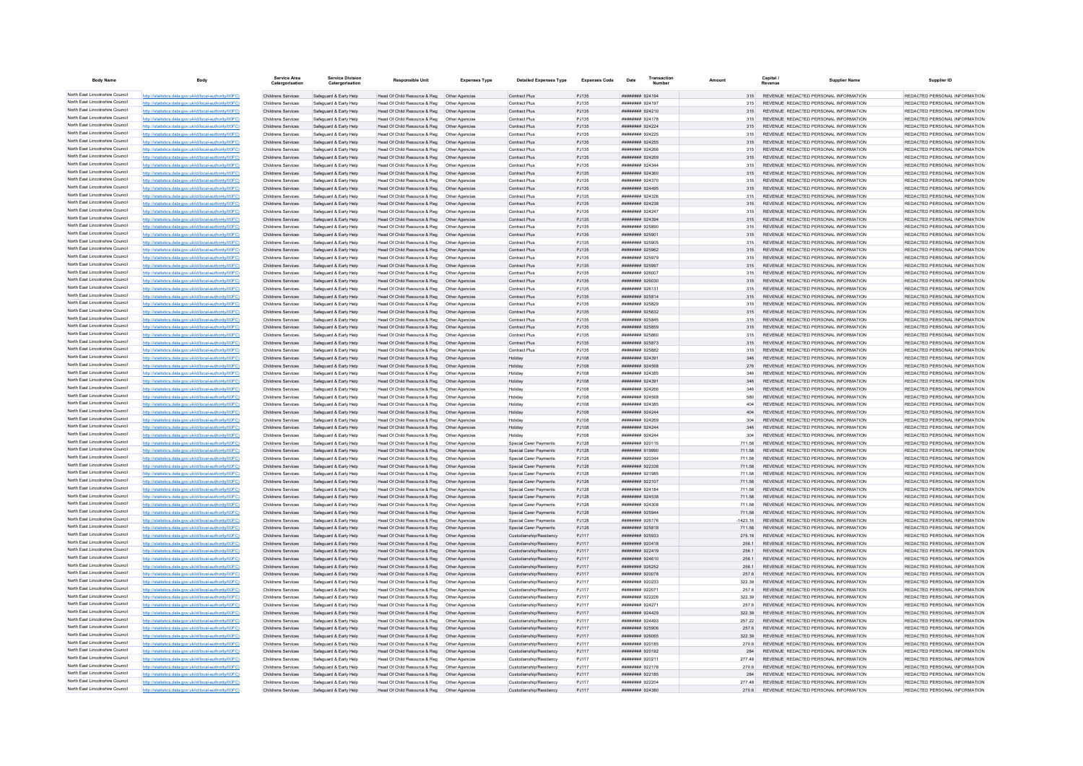| <b>Body Name</b>                                                   |                                                                                                                  | <b>Service Area</b><br>Catergorisation   | <b>Service Division</b><br>Catergorisation       | <b>Responsible Unit</b>                                                      | <b>Expenses Type</b>             | <b>Detailed Expenses Type</b>                      | <b>Expenses Code</b> | Date                                | Transactio |                  | Capital / | <b>Supplier Name</b>                                                            | Supplier ID                                                    |
|--------------------------------------------------------------------|------------------------------------------------------------------------------------------------------------------|------------------------------------------|--------------------------------------------------|------------------------------------------------------------------------------|----------------------------------|----------------------------------------------------|----------------------|-------------------------------------|------------|------------------|-----------|---------------------------------------------------------------------------------|----------------------------------------------------------------|
| North East Lincolnshire Council                                    | http://statistics.data.gov.uk/id/local-authority/00FC)                                                           | Childrens Services                       | Safeguard & Early Help                           | Head Of Child Resource & Reg   Other Agencies                                |                                  | <b>Contract Plus</b>                               | PJ135                | ######## 924194                     |            | 315              |           | REVENUE REDACTED PERSONAL INFORMATION                                           | REDACTED PERSONAL INFORMATION                                  |
| North East Lincolnshire Council                                    | http://statistics.data.gov.uk/id/local-authority/00FC)                                                           | Childrens Services                       | Safeguard & Early Help                           | Head Of Child Resource & Reg                                                 | Other Agencies                   | <b>Contract Plus</b>                               | PJ135                | ######## 924197                     |            | 315              |           | REVENUE REDACTED PERSONAL INFORMATION                                           | REDACTED PERSONAL INFORMATION                                  |
| North East Lincolnshire Council                                    | http://statistics.data.gov.uk/id/local-authority/00FC)                                                           | Childrens Services                       | Safeguard & Early Help                           | Head Of Child Resource & Reg                                                 | Other Agencies                   | Contract Plus                                      | PJ135                | ######## 924210                     |            | 315              |           | REVENUE REDACTED PERSONAL INFORMATION                                           | REDACTED PERSONAL INFORMATION                                  |
| North East Lincolnshire Council                                    | http://statistics.data.gov.uk/id/local-authority/00FC)                                                           | Childrens Services                       | Safeguard & Early Help                           | Head Of Child Resource & Reg   Other Agencies                                |                                  | Contract Plus                                      | P.1135               | ######## 924178                     |            | 315              |           | REVENUE REDACTED PERSONAL INFORMATION                                           | REDACTED PERSONAL INFORMATION                                  |
| North East Lincolnshire Council                                    | http://statistics.data.gov.uk/id/local-authority/00FC)                                                           | Childrens Services                       | Safeguard & Early Help                           | Head Of Child Resource & Reg   Other Agencies                                |                                  | <b>Contract Plus</b>                               | PJ135                | ######## 924224                     |            | 315              |           | REVENUE REDACTED PERSONAL INFORMATION                                           | REDACTED PERSONAL INFORMATION                                  |
| North East Lincolnshire Council<br>North East Lincolnshire Council | http://statistics.data.gov.uk/id/local-authority/00FC)                                                           | Childrens Services                       | Safeguard & Early Help                           | Head Of Child Resource & Reg   Other Agencies                                |                                  | Contract Plus                                      | PJ135                | ####### 924225                      |            | 315              |           | REVENUE REDACTED PERSONAL INFORMATION                                           | REDACTED PERSONAL INFORMATION                                  |
| North East Lincolnshire Council                                    | http://statistics.data.gov.uk/id/local-authority/00FC)                                                           | Childrens Services                       | Safeguard & Early Help                           | Head Of Child Resource & Reg   Other Agencies                                |                                  | Contract Plus                                      | PJ135                | ####### 924255                      |            | 315              |           | REVENUE REDACTED PERSONAL INFORMATION                                           | REDACTED PERSONAL INFORMATION                                  |
| North East Lincolnshire Council                                    | http://statistics.data.gov.uk/id/local-authority/00FC)<br>http://statistics.data.gov.uk/id/local-authority/00FC) | Childrens Services<br>Childrens Services | Safeguard & Early Help<br>Safeguard & Early Help | Head Of Child Resource & Reg<br>Head Of Child Resource & Reg                 | Other Agencies<br>Other Agencies | <b>Contract Plus</b><br><b>Contract Plus</b>       | P.1135<br>PJ135      | 889444 824266<br>######## 924269    |            | 315<br>315       |           | REVENUE, REDACTED PERSONAL INFORMATION<br>REVENUE REDACTED PERSONAL INFORMATION | REDACTED PERSONAL INFORMATION<br>REDACTED PERSONAL INFORMATION |
| North East Lincolnshire Council                                    | http://statistics.data.gov.uk/id/local-authority/00FC)                                                           | Childrens Services                       | Safeguard & Early Help                           | Head Of Child Resource & Reg                                                 | Other Agencies                   | Contract Plus                                      | PJ135                | ####### 924344                      |            |                  |           | REVENUE REDACTED PERSONAL INFORMATION                                           | REDACTED PERSONAL INFORMATION                                  |
| North East Lincolnshire Council                                    | http://statistics.data.gov.uk/id/local-authority/00FC)                                                           | <b>Childrens Services</b>                | Safeguard & Early Help                           | Head Of Child Resource & Reg                                                 | Other Agencies                   | <b>Contract Plus</b>                               | PJ135                | 022599 HBBBBBBB                     |            | 315              |           | REVENUE, REDACTED PERSONAL INFORMATION                                          | REDACTED PERSONAL INFORMATION                                  |
| North East Lincolnshire Council                                    | http://statistics.data.gov.uk/id/local-authority/00FC)                                                           | Childrens Services                       | Safenuard & Farly Help                           | Head Of Child Resource & Reg.                                                | Other Agencies                   | <b>Contract Plus</b>                               | P.1135               | ######## 924370                     |            | 315              |           | REVENUE REDACTED PERSONAL INFORMATION                                           | REDACTED PERSONAL INFORMATION                                  |
| North East Lincolnshire Council                                    | http://statistics.data.gov.uk/id/local-authority/00FC)                                                           | Childrens Services                       | Safeguard & Early Help                           | Head Of Child Resource & Reg                                                 | Other Agencies                   | Contract Plus                                      | PJ135                | ######## 924495                     |            | 315              |           | REVENUE REDACTED PERSONAL INFORMATION                                           | REDACTED PERSONAL INFORMATION                                  |
| North East Lincolnshire Council                                    | http://statistics.data.gov.uk/id/local-authority/00FC)                                                           | Childrens Services                       | Safeguard & Early Help                           | Head Of Child Resource & Reg                                                 | Other Agencies                   | Contract Plus                                      | PJ135                | ####### 924326                      |            |                  |           | REVENUE REDACTED PERSONAL INFORMATION                                           | REDACTED PERSONAL INFORMATION                                  |
| North East Lincolnshire Council                                    | http://statistics.data.gov.uk/id/local-authority/00FC)                                                           | Childrens Services                       | Safeguard & Early Help                           | Head Of Child Resource & Reg                                                 | Other Agencies                   | Contract Plus                                      | PJ135                | ######## 924238                     |            | 315              |           | REVENUE REDACTED PERSONAL INFORMATION                                           | REDACTED PERSONAL INFORMATION                                  |
| North East Lincolnshire Council<br>North East Lincolnshire Council | http://statistics.data.gov.uk/id/local-authority/00FC)                                                           | Childrens Services                       | Safeguard & Early Help                           | Head Of Child Resource & Reg                                                 | Other Agencies                   | <b>Contract Plus</b>                               | PJ135                | ######## 924247                     |            | 315              |           | REVENUE REDACTED PERSONAL INFORMATION                                           | REDACTED PERSONAL INFORMATION                                  |
| North East Lincolnshire Council                                    | http://statistics.data.gov.uk/id/local-authority/00FC)                                                           | Childrens Services                       | Safeguard & Early Help                           | Head Of Child Resource & Reg                                                 | Other Agencies                   | Contract Plus                                      | PJ135                | ######## 924394<br>######## 925890  |            | 315<br>315       |           | REVENUE REDACTED PERSONAL INFORMATION                                           | REDACTED PERSONAL INFORMATION<br>REDACTED PERSONAL INFORMATION |
| North East Lincolnshire Council                                    | http://statistics.data.gov.uk/id/local-authority/00FC)<br>http://statistics.data.gov.uk/id/local-authority/00FC) | Childrens Services<br>Childrens Services | Safeguard & Early Help<br>Safeguard & Early Help | Head Of Child Resource & Reg<br>Head Of Child Resource & Reg                 | Other Agencie<br>Other Agencies  | Contract Plu<br><b>Contract Plus</b>               | PJ135<br>PJ135       | ######## 925901                     |            | 315              |           | REVENUE REDACTED PERSONAL INFORMATION<br>REVENUE REDACTED PERSONAL INFORMATION  | REDACTED PERSONAL INFORMATION                                  |
| North East Lincolnshire Council                                    | http://statistics.data.gov.uk/id/local-authority/00FC)                                                           | Childrens Services                       | Safeguard & Early Help                           | Head Of Child Resource & Reg   Other Agencies                                |                                  | <b>Contract Plus</b>                               | PJ135                | ######## 925905                     |            | 315              |           | REVENUE REDACTED PERSONAL INFORMATION                                           | REDACTED PERSONAL INFORMATION                                  |
| North East Lincolnshire Council                                    | http://statistics.data.gov.uk/id/local-authority/00FC)                                                           | Childrens Services                       | Safeguard & Early Help                           | Head Of Child Resource & Reg   Other Agencies                                |                                  | <b>Contract Plus</b>                               | PJ135                | ######## 925962                     |            | 315              |           | REVENUE REDACTED PERSONAL INFORMATION                                           | REDACTED PERSONAL INFORMATION                                  |
| North East Lincolnshire Council                                    | http://statistics.data.gov.uk/id/local-authority/00FC)                                                           | Childrens Services                       | Safeguard & Early Help                           |                                                                              |                                  | <b>Contract Plus</b>                               | PJ135                | ######## 925979                     |            | 315              |           | REVENUE REDACTED PERSONAL INFORMATION                                           | REDACTED PERSONAL INFORMATION                                  |
| North East Lincolnshire Council                                    | http://statistics.data.gov.uk/id/local-authority/00FC)                                                           | Childrens Services                       | Safeguard & Early Help                           | Head Of Child Resource & Reg                                                 | Other Agencies                   | Contract Plus                                      | PJ135                | ######## 925997                     |            | 315              |           | REVENUE REDACTED PERSONAL INFORMATION                                           | REDACTED PERSONAL INFORMATION                                  |
| North East Lincolnshire Council                                    | http://statistics.data.gov.uk/id/local-authority/00FC)                                                           | Childrens Services                       | Safeguard & Early Help                           | Head Of Child Resource & Reg                                                 | Other Agencies                   | Contract Plus                                      | PJ135                | ######## 926007                     |            | 315              |           | REVENUE REDACTED PERSONAL INFORMATION                                           | REDACTED PERSONAL INFORMATION                                  |
| North East Lincolnshire Council                                    | http://statistics.data.gov.uk/id/local-authority/00FC)                                                           | Childrens Services                       | Safeguard & Early Help                           | Head Of Child Resource & Reg                                                 | Other Agencies                   | Contract Plus                                      | PJ135                | ######## 926030                     |            | 315              |           | REVENUE REDACTED PERSONAL INFORMATION                                           | REDACTED PERSONAL INFORMATION                                  |
| North East Lincolnshire Council                                    | http://statistics.data.gov.uk/id/local-authority/00FC)                                                           | Childrens Services                       | Safeguard & Early Help                           | Head Of Child Resource & Reg                                                 | Other Agencie                    | <b>Contract Plus</b>                               | PJ135                | ######## 926131                     |            | 315              |           | REVENUE, REDACTED PERSONAL INFORMATION                                          | REDACTED PERSONAL INFORMATION                                  |
| North East Lincolnshire Council                                    | http://statistics.data.gov.uk/id/local-authority/00EC)                                                           | Childrens Services                       | Safeguard & Early Help                           | Head Of Child Resource & Reg                                                 | Other Agencies                   | Contract Plus                                      | PJ135                | ######## 925814                     |            | 315              |           | REVENUE, REDACTED PERSONAL INFORMATION                                          | REDACTED PERSONAL INFORMATION                                  |
| North East Lincolnshire Council<br>North East Lincolnshire Council | http://statistics.data.gov.uk/id/local-authority/00FC)                                                           | Childrens Services                       | Safeguard & Early Help                           | Head Of Child Resource & Reg                                                 | Other Agencies                   | Contract Plus                                      | PJ135                | ######## 925829                     |            | 315              |           | REVENUE REDACTED PERSONAL INFORMATION                                           | REDACTED PERSONAL INFORMATION                                  |
| North East Lincolnshire Council                                    | http://statistics.data.gov.uk/id/local-authority/00FC)<br>http://statistics.data.gov.uk/id/local-authority/00FC) | Childrens Services<br>Childrens Services | Safeguard & Early Help<br>Safeguard & Early Help | Head Of Child Resource & Reg  Other Agencies<br>Head Of Child Resource & Reg | Other Agencies                   | <b>Contract Plus</b><br>Contract Plus              | PJ135<br>PJ135       | ######## 925832<br>$HHHHHHH$ Q25845 |            | 315              |           | REVENUE REDACTED PERSONAL INFORMATION<br>REVENUE REDACTED PERSONAL INFORMATION  | REDACTED PERSONAL INFORMATION<br>REDACTED PERSONAL INFORMATION |
| North East Lincolnshire Council                                    | http://statistics.data.gov.uk/id/local-authority/00EC)                                                           | Childrens Services                       | Safeguard & Early Help                           | Head Of Child Resource & Reg                                                 | Other Agencies                   | <b>Contract Plus</b>                               | P.I135               | ######## 925859                     |            | 315              |           | REVENUE REDACTED PERSONAL INFORMATION                                           | REDACTED PERSONAL INFORMATION                                  |
| North East Lincolnshire Council                                    | http://statistics.data.gov.uk/id/local-authority/00FC)                                                           | Childrens Services                       | Safeguard & Early Help                           | Head Of Child Resource & Reg                                                 | Other Agencies                   | Contract Plus                                      | PJ135                | ######## 925860                     |            | 315              |           | REVENUE REDACTED PERSONAL INFORMATION                                           | REDACTED PERSONAL INFORMATION                                  |
| North East Lincolnshire Council                                    | http://statistics.data.gov.uk/id/local-authority/00FC)                                                           | Childrens Services                       | Safeguard & Early Help                           | Head Of Child Resource & Reg                                                 | Other Agencies                   | Contract Plus                                      | PJ135                | ######## 925873                     |            | 315              |           | REVENUE REDACTED PERSONAL INFORMATION                                           | REDACTED PERSONAL INFORMATION                                  |
| North East Lincolnshire Council                                    | http://statistics.data.gov.uk/id/local-authority/00FC)                                                           | Childrens Services                       | Safeguard & Early Help                           | Head Of Child Resource & Reg                                                 | Other Agencies                   | <b>Contract Plus</b>                               | PJ135                | ######## 925882                     |            | 315              |           | REVENUE REDACTED PERSONAL INFORMATION                                           | REDACTED PERSONAL INFORMATION                                  |
| North East Lincolnshire Council                                    | http://statistics.data.gov.uk/id/local-authority/00FC)                                                           | Childrens Services                       | Safeguard & Early Help                           | Head Of Child Resource & Reg   Other Agencies                                |                                  | Holiday                                            | PJ108                | ######## 924391                     |            | 346              |           | REVENUE REDACTED PERSONAL INFORMATION                                           | REDACTED PERSONAL INFORMATION                                  |
| North East Lincolnshire Council                                    | http://statistics.data.gov.uk/id/local-authority/00FC)                                                           | Childrens Services                       | Safeguard & Early Help                           | Head Of Child Resource & Reg   Other Agencies                                |                                  | Holiday                                            | PJ108                | ######## 924568                     |            | 276              |           | REVENUE REDACTED PERSONAL INFORMATION                                           | REDACTED PERSONAL INFORMATION                                  |
| North East Lincolnshire Council                                    | http://statistics.data.gov.uk/id/local-authority/00FC)                                                           | Childrens Services                       | Safeguard & Early Help                           |                                                                              |                                  | Holiday                                            | PJ108                | ######## 924385                     |            | 346              |           | REVENUE REDACTED PERSONAL INFORMATION                                           | REDACTED PERSONAL INFORMATION                                  |
| North East Lincolnshire Council<br>North East Lincolnshire Council | http://statistics.data.gov.uk/id/local-authority/00FC)                                                           | Childrens Services                       | Safeguard & Early Help                           | Head Of Child Resource & Reg   Other Agencies                                |                                  | Holiday                                            | P.1108               | ######## 924391                     |            | 346              |           | REVENUE REDACTED PERSONAL INFORMATION                                           | REDACTED PERSONAL INFORMATION                                  |
| North East Lincolnshire Council                                    | http://statistics.data.gov.uk/id/local-authority/00FC)                                                           | Childrens Services<br>Childrens Services | Safeguard & Early Help<br>Safeguard & Early Help | Head Of Child Resource & Reg<br>Head Of Child Resource & Reg                 | Other Agencies                   | Holiday<br>Holiday                                 | PJ108<br>PJ108       | ######## 924266<br>######## 924568  |            | 346              |           | REVENUE REDACTED PERSONAL INFORMATION<br>REVENUE REDACTED PERSONAL INFORMATION  | REDACTED PERSONAL INFORMATION<br>REDACTED PERSONAL INFORMATION |
| North East Lincolnshire Council                                    | http://statistics.data.gov.uk/id/local-authority/00FC)<br>http://statistics.data.gov.uk/id/local-authority/00FC) | Childrens Services                       | Safeguard & Early Help                           | Head Of Child Resource & Reg                                                 | Other Agencies<br>Other Agencie  | Holiday                                            | PJ108                | ######## 924385                     |            | 404              |           | REVENUE REDACTED PERSONAL INFORMATION                                           | REDACTED PERSONAL INFORMATION                                  |
| North East Lincolnshire Council                                    | http://statistics.data.gov.uk/id/local-authority/00FC)                                                           | Childrens Services                       | Safeguard & Early Help                           | Head Of Child Resource & Reg                                                 | Other Agencies                   | Holiday                                            | P.1108               | <b>НИВВИНИ 924244</b>               |            | 404              |           | REVENUE, REDACTED PERSONAL INFORMATION                                          | REDACTED PERSONAL INFORMATION                                  |
| North East Lincolnshire Council                                    | http://statistics.data.gov.uk/id/local-authority/00EC)                                                           | Childrens Services                       | Safeguard & Farly Help                           | Head Of Child Resource & Reg.                                                | Other Anencies                   | Holiday                                            | P.1108               | ######## 924269                     |            | 304              |           | REVENUE, REDACTED PERSONAL INFORMATION                                          | REDACTED PERSONAL INFORMATION                                  |
| North East Lincolnshire Council                                    | http://statistics.data.gov.uk/id/local-authority/00FC)                                                           | Childrens Services                       | Safeguard & Early Help                           | Head Of Child Resource & Reg   Other Agencies                                |                                  | Holiday                                            | PJ108                | ######## 924244                     |            | 346              |           | REVENUE REDACTED PERSONAL INFORMATION                                           | REDACTED PERSONAL INFORMATION                                  |
| North East Lincolnshire Council                                    | http://statistics.data.gov.uk/id/local-authority/00FC)                                                           | Childrens Services                       | Safeguard & Early Help                           | Head Of Child Resource & Reg                                                 | Other Agencies                   | Holidav                                            | PJ108                | ######## 924244                     |            |                  |           | REVENUE REDACTED PERSONAL INFORMATION                                           | REDACTED PERSONAL INFORMATION                                  |
| North East Lincolnshire Council                                    | http://statistics.data.gov.uk/id/local-authority/00FC)                                                           | Childrens Services                       | Safeguard & Early Help                           | Head Of Child Resource & Reg                                                 | Other Agencies                   | Special Carer Payments                             | <b>PJ128</b>         | ######## 920115                     |            | 711.58           |           | REVENUE REDACTED PERSONAL INFORMATION                                           | REDACTED PERSONAL INFORMATION                                  |
| North East Lincolnshire Council                                    | http://statistics.data.gov.uk/id/local-authority/00EC)                                                           | Childrens Services                       | Safeguard & Farly Help                           | Head Of Child Resource & Reg.                                                | Other Anencies                   | Snecial Carer Payments                             | P.1128               | ######## 919990                     |            | 711.58           |           | REVENUE REDACTED PERSONAL INFORMATION                                           | REDACTED PERSONAL INFORMATION                                  |
| North East Lincolnshire Council<br>North East Lincolnshire Council | http://statistics.data.gov.uk/id/local-authority/00FC)                                                           | Childrens Services                       | Safeguard & Early Help                           | Head Of Child Resource & Reg                                                 | Other Agencies                   | <b>Special Carer Payments</b>                      | PJ128                | ######## 920344                     |            | 711.58           |           | REVENUE REDACTED PERSONAL INFORMATION                                           | REDACTED PERSONAL INFORMATION                                  |
| North East Lincolnshire Council                                    | http://statistics.data.gov.uk/id/local-authority/00FC)<br>http://statistics.data.gov.uk/id/local-authority/00EC) | Childrens Services                       | Safeguard & Early Help                           | Head Of Child Resource & Reg                                                 | Other Agencies                   | Special Carer Payments                             | PJ128                | ####### 922338                      |            | 711.58           |           | REVENUE REDACTED PERSONAL INFORMATION                                           | REDACTED PERSONAL INFORMATION                                  |
| North East Lincolnshire Council                                    | http://statistics.data.gov.uk/id/local-authority/00FC)                                                           | Childrens Services<br>Childrens Services | Safeguard & Early Help<br>Safeguard & Early Help | Head Of Child Resource & Reg<br>Head Of Child Resource & Reg  Other Agencies | Other Agencies                   | Special Carer Payments<br>Special Carer Payments   | PJ128<br>PJ128       | ######## 921985<br>######## 922107  |            | 711.58<br>711.58 |           | REVENUE REDACTED PERSONAL INFORMATION<br>REVENUE REDACTED PERSONAL INFORMATION  | REDACTED PERSONAL INFORMATION<br>REDACTED PERSONAL INFORMATION |
| North East Lincolnshire Council                                    | http://statistics.data.gov.uk/id/local-authority/00FC)                                                           | Childrens Services                       | Safeguard & Early Help                           | Head Of Child Resource & Reg   Other Agencies                                |                                  | Special Carer Payments                             | PJ128                | ######## 924184                     |            | 711.58           |           | REVENUE REDACTED PERSONAL INFORMATION                                           | REDACTED PERSONAL INFORMATION                                  |
| North East Lincolnshire Council                                    | http://statistics.data.gov.uk/id/local-authority/00FC)                                                           | Childrens Services                       | Safeguard & Early Help                           | Head Of Child Resource & Reg   Other Agencies                                |                                  | Special Carer Payments                             | PJ128                | ####### 924538                      |            | 711.58           |           | REVENUE REDACTED PERSONAL INFORMATION                                           | REDACTED PERSONAL INFORMATION                                  |
| North East Lincolnshire Council                                    | http://statistics.data.gov.uk/id/local-authority/00FC)                                                           | Childrens Services                       | Safeguard & Early Help                           | Head Of Child Resource & Reg                                                 | Other Agencies                   | Special Carer Payments                             | PJ128                | <b>COCOO BREEFERE</b>               |            | 711.58           |           | REVENUE REDACTED PERSONAL INFORMATION                                           | REDACTED PERSONAL INFORMATION                                  |
| North East Lincolnshire Council                                    | http://statistics.data.gov.uk/id/local-authority/00FC)                                                           | Childrens Services                       | Safeguard & Early Help                           | Head Of Child Resource & Reg                                                 | Other Agencies                   | Special Carer Payments                             | PJ128                | ######## 925944                     |            | 711.58           |           | REVENUE REDACTED PERSONAL INFORMATION                                           | REDACTED PERSONAL INFORMATION                                  |
| North East Lincolnshire Council                                    | cs.data.gov.uk/id/local-authority/00FC)                                                                          | Childrens Services                       | Safeguard & Early Help                           | Head Of Child Resource & Reg                                                 | Other Agencies                   | Special Carer Payments                             | PJ128                | ######## 926176                     |            | $-1423.16$       |           | REVENUE REDACTED PERSONAL INFORMATION                                           | REDACTED PERSONAL INFORMATION                                  |
| North East Lincolnshire Council                                    | http://statistics.data.gov.uk/id/local-authority/00FC)                                                           | Childrens Services                       | Safeguard & Early Help                           | Head Of Child Resource & Reg                                                 | Other Agencies                   | Special Carer Payments                             | PJ128                | ######## 925818                     |            | 711.58           |           | REVENUE REDACTED PERSONAL INFORMATION                                           | REDACTED PERSONAL INFORMATION                                  |
| North East Lincolnshire Council<br>North East Lincolnshire Council | http://statistics.data.gov.uk/id/local-authority/00EC)                                                           | Childrens Services                       | Safeguard & Farly Help                           | Head Of Child Resource & Reg.                                                | Other Agencies                   | Custodianship/Residency                            | P.I117               | EERSCR #######                      |            | 275 18           |           | REVENUE REDACTED PERSONAL INFORMATION                                           | REDACTED PERSONAL INFORMATION                                  |
| North East Lincolnshire Council                                    | http://statistics.data.gov.uk/id/local-authority/00FC)                                                           | Childrens Services                       | Safeguard & Early Help                           | Head Of Child Resource & Reg                                                 | Other Agencies                   | Custodianship/Residency                            | PJ117                | ######## 920418                     |            | 256.1            |           | REVENUE REDACTED PERSONAL INFORMATION                                           | REDACTED PERSONAL INFORMATION                                  |
| North East Lincolnshire Council                                    | http://statistics.data.gov.uk/id/local-authority/00FC)<br>http://statistics.data.gov.uk/id/local-authority/00FC) | Childrens Services                       | Safeguard & Early Help<br>Safeguard & Early Help | Head Of Child Resource & Reg                                                 | Other Agencies<br>Other Agencies | Custodianship/Residency                            | PJ117                | ######## 922419<br>######## 924610  |            | 256.<br>256.1    |           | REVENUE REDACTED PERSONAL INFORMATION<br>REVENUE REDACTED PERSONAL INFORMATION  | REDACTED PERSONAL INFORMATION<br>REDACTED PERSONAL INFORMATION |
| North East Lincolnshire Council                                    | http://statistics.data.gov.uk/id/local-authority/00EC)                                                           | Childrens Services<br>Childrens Services | Safeguard & Early Help                           | Head Of Child Resource & Reg<br>Head Of Child Resource & Reg                 | Other Agencies                   | Custodianship/Residency<br>Custodianship/Residency | PJ117<br>P.I117      | <b>НИВВИНИ 926252</b>               |            | 256.1            |           | REVENUE REDACTED PERSONAL INFORMATION                                           | REDACTED PERSONAL INFORMATION                                  |
| North East Lincolnshire Council                                    | http://statistics.data.gov.uk/id/local-authority/00FC)                                                           | Childrens Services                       | Safeguard & Early Help                           | Head Of Child Resource & Reg                                                 | Other Agencies                   | Custodianship/Residency                            | PJ117                | ######## 920078                     |            | 257.6            |           | REVENUE REDACTED PERSONAL INFORMATION                                           | REDACTED PERSONAL INFORMATION                                  |
| North East Lincolnshire Council                                    | http://statistics.data.gov.uk/id/local-authority/00EC)                                                           | Childrens Services                       | Safeguard & Early Help                           | Head Of Child Resource & Reg                                                 | Other Agencies                   | Custodianship/Residency                            | PJ117                | ######## 920233                     |            | 322.39           |           | REVENUE REDACTED PERSONAL INFORMATION                                           | REDACTED PERSONAL INFORMATION                                  |
| North East Lincolnshire Council                                    | http://etgtietics.data.gov.uk/id/local.guthority/00EC)                                                           | Childrens Services                       | Safeguard & Early Help                           | Head Of Child Resource & Reg                                                 | Other Agencies                   | Custodianship/Residency                            | PJ117                | ####### 922071                      |            | 257.6            |           | REVENUE REDACTED PERSONAL INFORMATION                                           | REDACTED PERSONAL INFORMATION                                  |
| North East Lincolnshire Council                                    | http://statistics.data.gov.uk/id/local-authority/00FC)                                                           | Childrens Services                       | Safeguard & Early Help                           | Head Of Child Resource & Reg                                                 | Other Agencies                   | Custodianship/Residency                            | PJ117                | ######## 922226                     |            | 322.39           |           | REVENUE REDACTED PERSONAL INFORMATION                                           | REDACTED PERSONAL INFORMATION                                  |
| North East Lincolnshire Council                                    | http://statistics.data.gov.uk/id/local-authority/00FC)                                                           | Childrens Services                       | Safeguard & Early Help                           | Head Of Child Resource & Reg                                                 | Other Agencies                   | Custodianship/Residency                            | PJ117                | ######## 924271                     |            | 257.6            |           | REVENUE REDACTED PERSONAL INFORMATION                                           | REDACTED PERSONAL INFORMATION                                  |
| North East Lincolnshire Council                                    | http://statistics.data.gov.uk/id/local-authority/00FC)                                                           | Childrens Services                       | Safeguard & Early Help                           | Head Of Child Resource & Reg   Other Agencies                                |                                  | Custodianship/Residency                            | PJ117                | ######## 924429                     |            |                  |           | REVENUE REDACTED PERSONAL INFORMATION                                           | REDACTED PERSONAL INFORMATION                                  |
| North East Lincolnshire Council                                    | http://statistics.data.gov.uk/id/local-authority/00FC)                                                           | Childrens Services                       | Safequard & Early Help                           | Head Of Child Resource & Reg                                                 | Other Agencies                   | Custodianship/Residency                            | PJ117                | ######## 924493                     |            | 257.22           |           | REVENUE REDACTED PERSONAL INFORMATION                                           | REDACTED PERSONAL INFORMATION                                  |
| North East Lincolnshire Council<br>North East Lincolnshire Council | http://statistics.data.gov.uk/id/local-authority/00FC)                                                           | Childrens Services                       | Safeguard & Early Help                           | Head Of Child Resource & Reg                                                 | Other Agencies                   | Custodianship/Residency                            | PJ117                | ######## 925906                     |            | 257.6            |           | REVENUE REDACTED PERSONAL INFORMATION                                           | REDACTED PERSONAL INFORMATION                                  |
| North East Lincolnshire Council                                    | http://statistics.data.gov.uk/id/local-authority/00FC)                                                           | Childrens Services                       | Safeguard & Early Help                           | Head Of Child Resource & Reg                                                 | Other Agencies                   | Custodianship/Residency                            | PJ117                | ######## 926065<br>####### 920185   |            | 322.39           |           | REVENUE REDACTED PERSONAL INFORMATION                                           | REDACTED PERSONAL INFORMATION<br>REDACTED PERSONAL INFORMATION |
| North East Lincolnshire Council                                    | http://statistics.data.gov.uk/id/local-authority/00EC)                                                           | Childrens Services<br>Childrens Services | Safeguard & Early Help<br>Safeguard & Early Help | Head Of Child Resource & Reg<br>Head Of Child Resource & Reg                 | Other Agencies<br>Other Agencies | Custodianship/Residency<br>Custodianship/Residency | PJ117<br>PJ117       | ######## 920192                     |            | 270.6<br>284     |           | REVENUE REDACTED PERSONAL INFORMATION<br>REVENUE REDACTED PERSONAL INFORMATION  | REDACTED PERSONAL INFORMATION                                  |
| North East Lincolnshire Council                                    | http://statistics.data.gov.uk/id/local-authority/00FC)                                                           | <b>Childrens Services</b>                | Safeguard & Early Help                           | Head Of Child Resource & Reg                                                 | Other Agencies                   | Custodianship/Residency                            | PJ117                | ######## 920211                     |            | 277.48           |           | REVENUE REDACTED PERSONAL INFORMATION                                           | REDACTED PERSONAL INFORMATION                                  |
| North East Lincolnshire Council                                    | http://statistics.data.gov.uk/id/local-authority/00FC)                                                           | Childrens Services                       | Safeguard & Early Help                           | Head Of Child Resource & Reg                                                 | Other Agencies                   | Custodianship/Residency                            | PJ117                | ######## 922178                     |            | 270.6            |           | REVENUE REDACTED PERSONAL INFORMATION                                           | REDACTED PERSONAL INFORMATION                                  |
| North East Lincolnshire Council                                    | http://statistics.data.gov.uk/id/local-authority/00FC)                                                           | Childrens Services                       | Safeguard & Early Help                           | Head Of Child Resource & Reg  Other Agencies                                 |                                  | Custodianship/Residency                            | PJ117                | ######## 922185                     |            | 284              |           | REVENUE REDACTED PERSONAL INFORMATION                                           | REDACTED PERSONAL INFORMATION                                  |
| North East Lincolnshire Council                                    | http://statistics.data.gov.uk/id/local-authority/00EC)                                                           | Childrens Services                       | Safeguard & Early Help                           | Head Of Child Resource & Reg   Other Agencies                                |                                  | Custodianship/Residency                            | P.I117               | ######## 922204                     |            | 277 48           |           | REVENUE REDACTED PERSONAL INFORMATION                                           | REDACTED PERSONAL INFORMATION                                  |
| North East Lincolnshire Council                                    | http://statistics.data.gov.uk/id/local-authority/00FC)                                                           | Childrens Services                       | Safeguard & Early Help                           | Head Of Child Resource & Reg  Other Agencies                                 |                                  | Custodianship/Residency                            | PJ117                | ######## 924380                     |            | 270.6            |           | REVENUE REDACTED PERSONAL INFORMATION                                           | REDACTED PERSONAL INFORMATION                                  |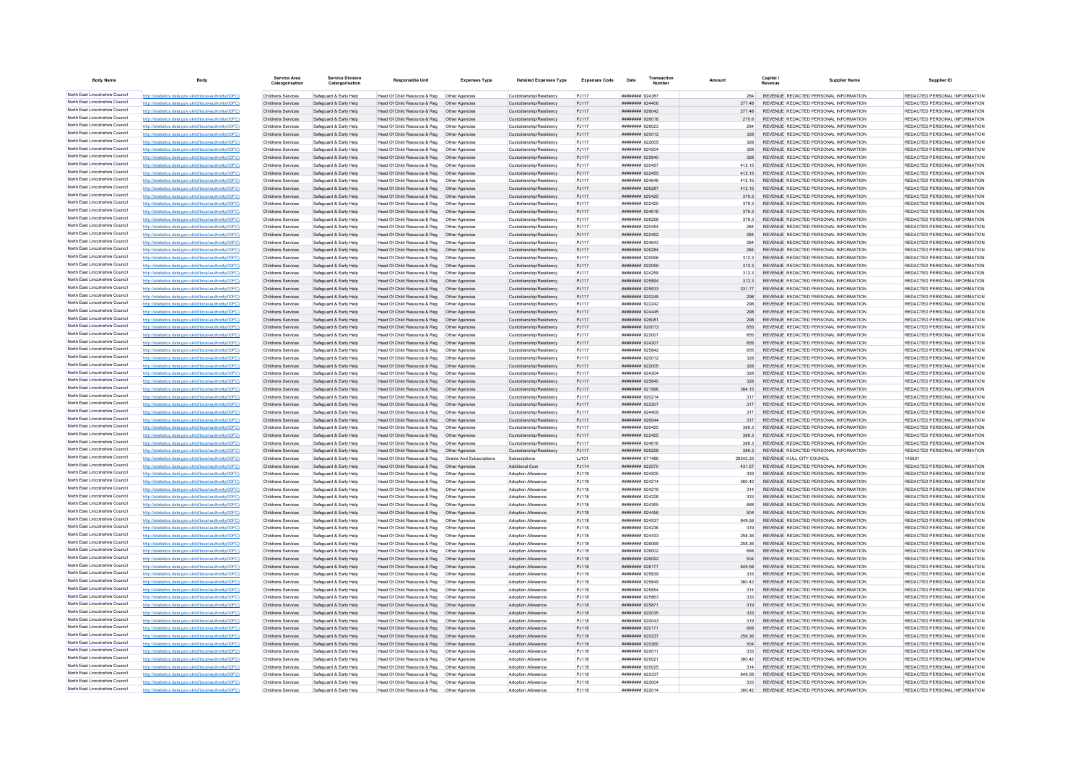| <b>Body Name</b>                                                   |                                                                                                                  | <b>Service Area</b><br>Catergorisation          | <b>Service Division</b><br>Catergorisation       | <b>Responsible Unit</b>                                                                        | <b>Expenses Type</b>             | <b>Detailed Expenses Type</b>                      | <b>Expenses Code</b> | Date                               | Transactio<br>Amount | Capital /<br>Revenue | <b>Supplier Name</b>                                                            | Supplier ID                                                    |
|--------------------------------------------------------------------|------------------------------------------------------------------------------------------------------------------|-------------------------------------------------|--------------------------------------------------|------------------------------------------------------------------------------------------------|----------------------------------|----------------------------------------------------|----------------------|------------------------------------|----------------------|----------------------|---------------------------------------------------------------------------------|----------------------------------------------------------------|
| North East Lincolnshire Council                                    | http://statistics.data.gov.uk/id/local-authority/00FC)                                                           | Childrens Services                              | Safeguard & Early Help                           | Head Of Child Resource & Reg   Other Agencies                                                  |                                  | Custodianship/Residency                            | PJ117                | ######## 924387                    | 284                  |                      | REVENUE REDACTED PERSONAL INFORMATION                                           | REDACTED PERSONAL INFORMATION                                  |
| North East Lincolnshire Council                                    | http://statistics.data.gov.uk/id/local-authority/00FC)                                                           | Childrens Services                              | Safeguard & Early Help                           | Head Of Child Resource & Reg                                                                   | Other Agencies                   | Custodianship/Residency                            | PJ117                | ######## 924406                    | 277.48               |                      | REVENUE REDACTED PERSONAL INFORMATION                                           | REDACTED PERSONAL INFORMATION                                  |
| North East Lincolnshire Council                                    | http://statistics.data.gov.uk/id/local-authority/00FC)                                                           | Childrens Services                              | Safeguard & Early Help                           | Head Of Child Resource & Reg                                                                   | Other Agencie                    | Custodianship/Residency                            | PJ117                | ######## 926042                    | 277.48               |                      | REVENUE REDACTED PERSONAL INFORMATION                                           | REDACTED PERSONAL INFORMATION                                  |
| North East Lincolnshire Council                                    | http://statistics.data.gov.uk/id/local-authority/00FC)                                                           | Childrens Services                              | Safeguard & Early Help                           | Head Of Child Resource & Reg   Other Agencies                                                  |                                  | Custodianship/Residency                            | PJ117                |                                    | 270.6                |                      | REVENUE REDACTED PERSONAL INFORMATION                                           | REDACTED PERSONAL INFORMATION                                  |
| North East Lincolnshire Council                                    | http://statistics.data.gov.uk/id/local-authority/00FC)                                                           | Childrens Services                              | Safeguard & Early Help                           | Head Of Child Resource & Reg   Other Agencies                                                  |                                  | Custodianship/Residency                            | PJ117                | ######## 926023                    | 284                  |                      | REVENUE REDACTED PERSONAL INFORMATION                                           | REDACTED PERSONAL INFORMATION                                  |
| North East Lincolnshire Council<br>North East Lincolnshire Council | http://statistics.data.gov.uk/id/local-authority/00FC)                                                           | Childrens Services                              | Safeguard & Early Help                           | Head Of Child Resource & Reg   Other Agencies                                                  |                                  | Custodianship/Residency                            | PJ117                | ######## 920012                    | 328                  |                      | REVENUE REDACTED PERSONAL INFORMATION                                           | REDACTED PERSONAL INFORMATION                                  |
| North East Lincolnshire Council                                    | http://statistics.data.gov.uk/id/local-authority/00FC)                                                           | Childrens Services                              | Safeguard & Early Help                           | Head Of Child Resource & Reg   Other Agencies                                                  |                                  | Custodianship/Residency                            | PJ117                | ######## 922005                    | 328                  |                      | REVENUE REDACTED PERSONAL INFORMATION                                           | REDACTED PERSONAL INFORMATION                                  |
| North East Lincolnshire Council                                    | http://statistics.data.gov.uk/id/local-authority/00FC)                                                           | Childrens Services                              | Safeguard & Early Help                           | Head Of Child Resource & Reg                                                                   | Other Agencies                   | Custodianship/Residency                            | P.1117               | ######## 924204                    | 328                  |                      | REVENUE REDACTED PERSONAL INFORMATION                                           | REDACTED PERSONAL INFORMATION                                  |
| North East Lincolnshire Council                                    | http://statistics.data.gov.uk/id/local-authority/00FC)<br>http://statistics.data.gov.uk/id/local-authority/00FC) | Childrens Services<br>Childrens Services        | Safeguard & Early Help<br>Safeguard & Early Help | Head Of Child Resource & Reg<br>Head Of Child Resource & Reg                                   | Other Agencies<br>Other Agencies | Custodianship/Residency<br>Custodianship/Residency | PJ117<br>PJ117       | ######## 925840<br>####### 920457  | 328<br>412.15        |                      | REVENUE REDACTED PERSONAL INFORMATION<br>REVENUE REDACTED PERSONAL INFORMATION  | REDACTED PERSONAL INFORMATION<br>REDACTED PERSONAL INFORMATION |
| North East Lincolnshire Council                                    | http://statistics.data.gov.uk/id/local-authority/00FC)                                                           | <b>Childrens Services</b>                       | Safeguard & Early Help                           | Head Of Child Resource & Reg                                                                   | Other Agencies                   | Custodianship/Residency                            | PJ117                | ######## 922455                    | 412 15               |                      | REVENUE REDACTED PERSONAL INFORMATION                                           | REDACTED PERSONAL INFORMATION                                  |
| North East Lincolnshire Council                                    | http://statistics.data.gov.uk/id/local-authority/00FC)                                                           | Childrens Services                              | Safenuard & Farly Help                           | Head Of Child Resource & Reg                                                                   | Other Anencies                   | Custodianship/Residency                            | P.1117               | ######## 924646                    | 412 15               |                      | REVENUE REDACTED PERSONAL INFORMATION                                           | REDACTED PERSONAL INFORMATION                                  |
| North East Lincolnshire Council                                    | http://statistics.data.gov.uk/id/local-authority/00FC)                                                           | Childrens Services                              | Safeguard & Early Help                           | Head Of Child Resource & Reg                                                                   | Other Agencies                   | Custodianship/Residency                            | PJ117                | <b>НИНИНИН 926287</b>              | 412 15               |                      | REVENUE REDACTED PERSONAL INFORMATION                                           | REDACTED PERSONAL INFORMATION                                  |
| North East Lincolnshire Council                                    | http://statistics.data.gov.uk/id/local-authority/00FC)                                                           | Childrens Services                              | Safeguard & Early Help                           | Head Of Child Resource & Reg   Other Agencies                                                  |                                  | Custodianship/Residency                            | PJ117                | ####### 920425                     | 379.3                |                      | REVENUE REDACTED PERSONAL INFORMATION                                           | REDACTED PERSONAL INFORMATION                                  |
| North East Lincolnshire Council                                    | http://statistics.data.gov.uk/id/local-authority/00FC)                                                           | Childrens Services                              | Safeguard & Early Help                           | Head Of Child Resource & Reg                                                                   | Other Agencies                   | Custodianship/Residency                            | P.I117               | <b>ининнин</b> 922425              | 3793                 |                      | REVENUE REDACTED PERSONAL INFORMATION                                           | REDACTED PERSONAL INFORMATION                                  |
| North East Lincolnshire Council                                    | http://statistics.data.gov.uk/id/local-authority/00FC)                                                           | <b>Childrens Services</b>                       | Safeguard & Early Help                           | Head Of Child Resource & Reg                                                                   | Other Agencies                   | Custodianship/Residency                            | PJ117                | ######## 924616                    | 379.3                |                      | REVENUE REDACTED PERSONAL INFORMATION                                           | REDACTED PERSONAL INFORMATION                                  |
| North East Lincolnshire Council                                    | http://statistics.data.gov.uk/id/local-authority/00FC)                                                           | Childrens Services                              | Safeguard & Early Help                           | Head Of Child Resource & Reg                                                                   | Other Agencies                   | Custodianship/Residency                            | PJ117                | ######## 926258                    | 379.3                |                      | REVENUE REDACTED PERSONAL INFORMATION                                           | REDACTED PERSONAL INFORMATION                                  |
| North East Lincolnshire Council                                    | http://statistics.data.gov.uk/id/local-authority/00FC)                                                           | Childrens Services                              | Safeguard & Early Help                           | Head Of Child Resource & Reg                                                                   | Other Agencie                    | Custodianship/Residency                            | PJ117                | ####### 920454                     | 284                  |                      | REVENUE REDACTED PERSONAL INFORMATION                                           | REDACTED PERSONAL INFORMATION                                  |
| North East Lincolnshire Council                                    | http://statistics.data.gov.uk/id/local-authority/00FC)                                                           | Childrens Services                              | Safeguard & Early Help                           | Head Of Child Resource & Reg                                                                   | Other Agencies                   | Custodianship/Residency                            | PJ117                | ######## 922452                    | 284                  |                      | REVENUE REDACTED PERSONAL INFORMATION                                           | REDACTED PERSONAL INFORMATION                                  |
| North East Lincolnshire Council                                    | http://statistics.data.gov.uk/id/local-authority/00FC)                                                           | Childrens Services                              | Safeguard & Early Help                           | Head Of Child Resource & Reg   Other Agencies                                                  |                                  | Custodianship/Residency                            | PJ117                | ######## 924643                    | 284                  |                      | REVENUE REDACTED PERSONAL INFORMATION                                           | REDACTED PERSONAL INFORMATION                                  |
| North East Lincolnshire Council                                    | http://statistics.data.gov.uk/id/local-authority/00FC)                                                           | Childrens Services                              | Safeguard & Early Help                           | Head Of Child Resource & Reg   Other Agencies                                                  |                                  | Custodianship/Residency                            | PJ117                | ####### 926284                     | 284                  |                      | REVENUE REDACTED PERSONAL INFORMATION                                           | REDACTED PERSONAL INFORMATION                                  |
| North East Lincolnshire Council                                    | http://statistics.data.gov.uk/id/local-authority/00FC)                                                           | Childrens Services                              | Safeguard & Early Help                           |                                                                                                |                                  | Custodianship/Residency                            | PJ117                | ######## 920066                    | 312.3                |                      | REVENUE REDACTED PERSONAL INFORMATION                                           | REDACTED PERSONAL INFORMATION                                  |
| North East Lincolnshire Council                                    | http://statistics.data.gov.uk/id/local-authority/00FC)                                                           | Childrens Services                              | Safeguard & Early Help                           | Head Of Child Resource & Reg                                                                   | Other Agencies                   | Custodianship/Residency                            | PJ117                | ######## 922059                    | 3123                 |                      | REVENUE REDACTED PERSONAL INFORMATION                                           | REDACTED PERSONAL INFORMATION                                  |
| North East Lincolnshire Council<br>North East Lincolnshire Council | http://statistics.data.gov.uk/id/local-authority/00FC)                                                           | Childrens Services                              | Safeguard & Early Help                           | Head Of Child Resource & Reg                                                                   | Other Agencies                   | Custodianship/Residency                            | PJ117                | ######## 924259                    | 3123                 |                      | REVENUE REDACTED PERSONAL INFORMATION                                           | REDACTED PERSONAL INFORMATION                                  |
| North East Lincolnshire Council                                    | http://statistics.data.gov.uk/id/local-authority/00FC)                                                           | Childrens Services                              | Safeguard & Early Help                           | Head Of Child Resource & Reg                                                                   | Other Agencies                   | Custodianship/Residency                            | PJ117                | ######## 925894                    | 312.3                |                      | REVENUE REDACTED PERSONAL INFORMATION                                           | REDACTED PERSONAL INFORMATION<br>REDACTED PERSONAL INFORMATION |
| North East Lincolnshire Council                                    | http://statistics.data.gov.uk/id/local-authority/00FC)<br>http://statistics.data.gov.uk/id/local-authority/00EC) | <b>Childrens Services</b><br>Childrens Services | Safeguard & Early Help<br>Safeguard & Early Help | Head Of Child Resource & Reg<br>Head Of Child Resource & Reg                                   | Other Agencies<br>Other Anencies | Custodianship/Residency<br>Custodianship/Residency | PJ117<br>PJ117       | EERSCR #######<br>######## 920249  | 331 77<br>298        |                      | REVENUE REDACTED PERSONAL INFORMATION<br>REVENUE, REDACTED PERSONAL INFORMATION | REDACTED PERSONAL INFORMATION                                  |
| North East Lincolnshire Council                                    | http://statistics.data.gov.uk/id/local-authority/00FC)                                                           | Childrens Services                              | Safeguard & Early Help                           | Head Of Child Resource & Reg   Other Agencies                                                  |                                  | Custodianship/Residency                            | PJ117                | <b>НИНИНИН 922242</b>              | 298                  |                      | REVENUE REDACTED PERSONAL INFORMATION                                           | REDACTED PERSONAL INFORMATION                                  |
| North East Lincolnshire Council                                    | http://statistics.data.gov.uk/id/local-authority/00FC)                                                           | Childrens Services                              | Safeguard & Early Help                           | Head Of Child Resource & Reg  Other Agencies                                                   |                                  | Custodianship/Residency                            | PJ117                | ####### 924445                     | 298                  |                      | REVENUE REDACTED PERSONAL INFORMATION                                           | REDACTED PERSONAL INFORMATION                                  |
| North East Lincolnshire Council                                    | http://statistics.data.gov.uk/id/local-authority/00FC)                                                           | Childrens Services                              | Safeguard & Early Help                           | Head Of Child Resource & Reg                                                                   | Other Agencies                   | Custodianship/Residency                            | PJ117                | ######## 926081                    | 208                  |                      | REVENUE REDACTED PERSONAL INFORMATION                                           | REDACTED PERSONAL INFORMATION                                  |
| North East Lincolnshire Council                                    | http://statistics.data.gov.uk/id/local-authority/00EC)                                                           | Childrens Services                              | Safeguard & Early Help                           | Head Of Child Resource & Reg                                                                   | Other Agencies                   | Custodianship/Residency                            | P.I117               | ######## 920013                    | 655                  |                      | REVENUE, REDACTED PERSONAL INFORMATION                                          | REDACTED PERSONAL INFORMATION                                  |
| North East Lincolnshire Council                                    | http://statistics.data.gov.uk/id/local-authority/00FC)                                                           | Childrens Services                              | Safeguard & Early Help                           | Head Of Child Resource & Reg                                                                   | Other Agencies                   | Custodianship/Residency                            | P.I117               | ######## 922007                    | 655                  |                      | REVENUE REDACTED PERSONAL INFORMATION                                           | REDACTED PERSONAL INFORMATION                                  |
| North East Lincolnshire Council                                    | http://statistics.data.gov.uk/id/local-authority/00FC)                                                           | Childrens Services                              | Safeguard & Early Help                           | Head Of Child Resource & Reg                                                                   | Other Agencies                   | Custodianship/Residency                            | PJ117                | ####### 924207                     | 655                  |                      | REVENUE REDACTED PERSONAL INFORMATION                                           | REDACTED PERSONAL INFORMATION                                  |
| North East Lincolnshire Council                                    | http://statistics.data.gov.uk/id/local-authority/00FC)                                                           | Childrens Services                              | Safeguard & Early Help                           |                                                                                                |                                  | Custodianship/Residency                            | PJ117                | ######## 925842                    | 655                  |                      | REVENUE REDACTED PERSONAL INFORMATION                                           | REDACTED PERSONAL INFORMATION                                  |
| North East Lincolnshire Council                                    | http://statistics.data.gov.uk/id/local-authority/00FC)                                                           | Childrens Services                              | Safeguard & Early Help                           | Head Of Child Resource & Reg   Other Agencies                                                  |                                  | Custodianship/Residency                            | PJ117                | ######## 920012                    | 328                  |                      | REVENUE REDACTED PERSONAL INFORMATION                                           | REDACTED PERSONAL INFORMATION                                  |
| North East Lincolnshire Council                                    | http://statistics.data.gov.uk/id/local-authority/00FC)                                                           | Childrens Services                              | Safeguard & Early Help                           | Head Of Child Resource & Reg   Other Agencies                                                  |                                  | Custodianship/Residency                            | PJ117                | ######## 922005                    | 328                  |                      | REVENUE REDACTED PERSONAL INFORMATION                                           | REDACTED PERSONAL INFORMATION                                  |
| North East Lincolnshire Council                                    | http://statistics.data.gov.uk/id/local-authority/00FC)                                                           | Childrens Services                              | Safeguard & Early Help                           |                                                                                                |                                  | Custodianship/Residency                            | PJ117                | ######## 924204                    | 328                  |                      | REVENUE REDACTED PERSONAL INFORMATION                                           | REDACTED PERSONAL INFORMATION                                  |
| North East Lincolnshire Council                                    | http://statistics.data.gov.uk/id/local-authority/00FC)                                                           | Childrens Services                              | Safeguard & Early Help                           | Head Of Child Resource & Reg  Other Agencies                                                   |                                  | Custodianship/Residency                            | PJ117                | ######## 925840                    | 328                  |                      | REVENUE REDACTED PERSONAL INFORMATION                                           | REDACTED PERSONAL INFORMATION                                  |
| North East Lincolnshire Council                                    | http://statistics.data.gov.uk/id/local-authority/00FC)                                                           | Childrens Services                              | Safeguard & Early Help                           | Head Of Child Resource & Reg                                                                   | Other Agencies                   | Custodianship/Residency                            | PJ117                | ######## 921996                    | 384 15               |                      | REVENUE REDACTED PERSONAL INFORMATION                                           | REDACTED PERSONAL INFORMATION                                  |
| North East Lincolnshire Council                                    | http://statistics.data.gov.uk/id/local-authority/00FC)                                                           | Childrens Services                              | Safeguard & Early Help                           | Head Of Child Resource & Reg                                                                   | Other Agencies                   | Custodianship/Residency                            | PJ117                | ######## 920214                    |                      |                      | REVENUE REDACTED PERSONAL INFORMATION                                           | REDACTED PERSONAL INFORMATION                                  |
| North East Lincolnshire Council<br>North East Lincolnshire Council | http://statistics.data.gov.uk/id/local-authority/00FC)                                                           | Childrens Services                              | Safeguard & Early Help                           | Head Of Child Resource & Reg                                                                   | Other Agencies                   | Custodianship/Residency                            | PJ117                | ######## 922207                    | 317                  |                      | REVENUE REDACTED PERSONAL INFORMATION                                           | REDACTED PERSONAL INFORMATION                                  |
| North East Lincolnshire Council                                    | http://statistics.data.gov.uk/id/local-authority/00FC)                                                           | Childrens Services                              | Safeguard & Early Help                           | Head Of Child Resource & Reg                                                                   | Other Anencies                   | Custodianship/Residency                            | P.1117               | ######## 924409                    | 317                  |                      | REVENUE REDACTED PERSONAL INFORMATION                                           | REDACTED PERSONAL INFORMATION                                  |
| North East Lincolnshire Council                                    | http://statistics.data.gov.uk/id/local-authority/00EC)<br>http://statistics.data.gov.uk/id/local-authority/00FC) | Childrens Services<br>Childrens Services        | Safeguard & Farly Help<br>Safeguard & Early Help | Head Of Child Resource & Reg<br>Head Of Child Resource & Reg                                   | Other Agencies<br>Other Anencies | Custodianship/Residency<br>Custodianship/Residency | PJ117<br>PJ117       | ######## 926044<br>####### 920425  | 317<br>386.3         |                      | REVENUE, REDACTED PERSONAL INFORMATION<br>REVENUE REDACTED PERSONAL INFORMATION | REDACTED PERSONAL INFORMATION<br>REDACTED PERSONAL INFORMATION |
| North East Lincolnshire Council                                    | http://statistics.data.gov.uk/id/local-authority/00FC)                                                           | Childrens Services                              | Safeguard & Early Help                           | Head Of Child Resource & Reg  Other Agencies                                                   |                                  | Custodianship/Residency                            | PJ117                | ######## 922425                    | 386.3                |                      | REVENUE REDACTED PERSONAL INFORMATION                                           | REDACTED PERSONAL INFORMATION                                  |
| North East Lincolnshire Council                                    | http://statistics.data.gov.uk/id/local-authority/00FC)                                                           | Childrens Services                              | Safeguard & Early Help                           | Head Of Child Resource & Reg                                                                   | Other Agencies                   | Custodianship/Residency                            | PJ117                | ####### 924616                     | 386.3                |                      | REVENUE REDACTED PERSONAL INFORMATION                                           | REDACTED PERSONAL INFORMATION                                  |
| North East Lincolnshire Council                                    | http://statistics.data.gov.uk/id/local-authority/00EC)                                                           | Childrens Services                              | Safeguard & Farly Help                           | Head Of Child Resource & Reg                                                                   | Other Agencies                   | Custodianship/Residency                            | PJ117                | ######## 926258                    | 386.3                |                      | REVENUE REDACTED PERSONAL INFORMATION                                           | REDACTED PERSONAL INFORMATION                                  |
| North East Lincolnshire Council                                    | http://statistics.data.gov.uk/id/local-authority/00FC)                                                           | Childrens Services                              | Safeguard & Early Help                           | Head Of Child Resource & Reg                                                                   | <b>Grants And Subscriptions</b>  | Subscriptions                                      | LJ101                | ####### 671486                     | 28242.33             |                      | REVENUE HULL CITY COUNCIL                                                       | 145621                                                         |
| North East Lincolnshire Council                                    | http://statistics.data.gov.uk/id/local-authority/00FC)                                                           | Childrens Services                              | Safeguard & Early Help                           | Head Of Child Resource & Reg                                                                   | Other Agencies                   | <b>Additional Cost</b>                             | PJ114                | ####### 922570                     | 431.57               |                      | REVENUE REDACTED PERSONAL INFORMATION                                           | REDACTED PERSONAL INFORMATION                                  |
| North East Lincolnshire Council                                    | http://statistics.data.gov.uk/id/local-authority/00EC)                                                           | Childrens Services                              | Safequard & Early Help                           | Head Of Child Resource & Reg                                                                   | Other Agencies                   | Adoption Allowance                                 | PJ118                | ######## 924205                    | 333                  |                      | REVENUE REDACTED PERSONAL INFORMATION                                           | REDACTED PERSONAL INFORMATION                                  |
| North East Lincolnshire Council                                    | http://statistics.data.gov.uk/id/local-authority/00FC)                                                           | Childrens Services                              | Safeguard & Early Help                           | Head Of Child Resource & Reg   Other Agencies                                                  |                                  | Adoption Allowance                                 | PJ118                | ######## 924214                    | 360.42               |                      | REVENUE REDACTED PERSONAL INFORMATION                                           | REDACTED PERSONAL INFORMATION                                  |
| North East Lincolnshire Council                                    | http://statistics.data.gov.uk/id/local-authority/00FC)                                                           | Childrens Services                              | Safeguard & Early Help                           | Head Of Child Resource & Reg   Other Agencies                                                  |                                  | Adoption Allowance                                 | PJ118                | ####### 924219                     | 314                  |                      | REVENUE REDACTED PERSONAL INFORMATION                                           | REDACTED PERSONAL INFORMATION                                  |
| North East Lincolnshire Council                                    | http://statistics.data.gov.uk/id/local-authority/00FC)                                                           | Childrens Services                              | Safeguard & Early Help                           | Head Of Child Resource & Reg   Other Agencies                                                  |                                  | Adoption Allowance                                 | PJ118                | ####### 924228                     | 333                  |                      | REVENUE REDACTED PERSONAL INFORMATION                                           | REDACTED PERSONAL INFORMATION                                  |
| North East Lincolnshire Council                                    | http://statistics.data.gov.uk/id/local-authority/00FC)                                                           | Childrens Services                              | Safeguard & Early Help                           | Head Of Child Resource & Reg                                                                   | Other Agencies                   | Adoption Allowance                                 | PJ118                | ######## 924365                    | 668                  |                      | REVENUE REDACTED PERSONAL INFORMATION                                           | REDACTED PERSONAL INFORMATION                                  |
| North East Lincolnshire Council                                    | http://statistics.data.gov.uk/id/local-authority/00FC)                                                           | Childrens Services                              | Safeguard & Early Help                           | Head Of Child Resource & Reg                                                                   | Other Agencies                   | Adoption Allowance                                 | PJ118                | ######## 924456                    | 504                  |                      | REVENUE REDACTED PERSONAL INFORMATION                                           | REDACTED PERSONAL INFORMATION                                  |
| North East Lincolnshire Council<br>North East Lincolnshire Council | cs.data.gov.uk/id/local-authority/00FC)                                                                          | Childrens Services                              | Safeguard & Early Help                           | Head Of Child Resource & Reg                                                                   | Other Agencies                   | Adoption Allowance                                 | PJ118                | ######## 924537                    | 849.58               |                      | REVENUE REDACTED PERSONAL INFORMATION                                           | REDACTED PERSONAL INFORMATION                                  |
| North East Lincolnshire Council                                    | http://statistics.data.gov.uk/id/local-authority/00FC)                                                           | Childrens Services                              | Safeguard & Early Help                           | Head Of Child Resource & Reg                                                                   | Other Agencies                   | Adoption Allowance                                 | PJ118                | ######## 924236                    |                      |                      | REVENUE REDACTED PERSONAL INFORMATION                                           | REDACTED PERSONAL INFORMATION                                  |
| North East Lincolnshire Council                                    | http://statistics.data.gov.uk/id/local-authority/00EC)<br>http://statistics.data.gov.uk/id/local-authority/00FC) | Childrens Services                              | Safenuard & Farly Help                           | Head Of Child Resource & Reg                                                                   | Other Anencies                   | Adoption Allowance                                 | PJ118                | ######## 924433                    | 258.36               |                      | REVENUE REDACTED PERSONAL INFORMATION                                           | REDACTED PERSONAL INFORMATION<br>REDACTED PERSONAL INFORMATION |
| North East Lincolnshire Council                                    | http://statistics.data.gov.uk/id/local-authority/00FC)                                                           | Childrens Services<br>Childrens Services        | Safeguard & Early Help<br>Safeguard & Early Help | Head Of Child Resource & Reg<br>Head Of Child Resource & Reg                                   | Other Agencies<br>Other Agencies | Adoption Allowance<br>Adoption Allowance           | PJ118<br>PJ118       | ######## 926069<br>######## 926002 | 258.36<br>668        |                      | REVENUE REDACTED PERSONAL INFORMATION<br>REVENUE REDACTED PERSONAL INFORMATION  | REDACTED PERSONAL INFORMATION                                  |
| North East Lincolnshire Council                                    | http://statistics.data.gov.uk/id/local-authority/00FC)                                                           | Childrens Services                              | Safeguard & Early Help                           | Head Of Child Resource & Reg                                                                   | Other Agencies                   | Adoption Allowance                                 | PJ118                | ######## 926092                    | 504                  |                      | REVENUE REDACTED PERSONAL INFORMATION                                           | REDACTED PERSONAL INFORMATION                                  |
| North East Lincolnshire Council                                    | http://statistics.data.gov.uk/id/local-authority/00EC)                                                           | Childrens Services                              | Safeguard & Farly Help                           | Head Of Child Resource & Reg                                                                   | Other Agencies                   | Adoption Allowance                                 | PJ118                | <b>НИВВИНИ 926177</b>              | 849.58               |                      | REVENUE REDACTED PERSONAL INFORMATION                                           | REDACTED PERSONAL INFORMATION                                  |
| North East Lincolnshire Council                                    | http://statistics.data.gov.uk/id/local-authority/00FC)                                                           | Childrens Services                              | Safeguard & Early Help                           | Head Of Child Resource & Reg                                                                   | Other Agencies                   | Adoption Allowance                                 | PJ118                | ######## 925839                    | 333                  |                      | REVENUE REDACTED PERSONAL INFORMATION                                           | REDACTED PERSONAL INFORMATION                                  |
| North East Lincolnshire Council                                    | http://statistics.data.gov.uk/id/local-authority/00EC)                                                           | Childrens Services                              | Safeguard & Early Help                           | Head Of Child Resource & Reg                                                                   | Other Agencies                   | Adoption Allowance                                 | PJ118                | ######## 925849                    | 360.42               |                      | REVENUE REDACTED PERSONAL INFORMATION                                           | REDACTED PERSONAL INFORMATION                                  |
| North East Lincolnshire Council                                    | http://etgtietics.data.gov.uk/id/local.guthority/00EC)                                                           | Childrens Services                              | Safeguard & Early Help                           | Head Of Child Resource & Reg                                                                   | Other Agencies                   | Adoption Allowance                                 | PJ118                | ######## 925854                    | 314                  |                      | REVENUE REDACTED PERSONAL INFORMATION                                           | REDACTED PERSONAL INFORMATION                                  |
| North East Lincolnshire Council                                    | http://statistics.data.gov.uk/id/local-authority/00FC)                                                           | Childrens Services                              | Safeguard & Early Help                           | Head Of Child Resource & Reg                                                                   | Other Agencies                   | Adoption Allowance                                 | PJ118                | ######## 925863                    | 333                  |                      | REVENUE REDACTED PERSONAL INFORMATION                                           | REDACTED PERSONAL INFORMATION                                  |
| North East Lincolnshire Council                                    | http://statistics.data.gov.uk/id/local-authority/00FC)                                                           | Childrens Services                              | Safeguard & Early Help                           | Head Of Child Resource & Reg  Other Agencies                                                   |                                  | Adoption Allowance                                 | PJ118                | ######## 925871                    | 319                  |                      | REVENUE REDACTED PERSONAL INFORMATION                                           | REDACTED PERSONAL INFORMATION                                  |
| North East Lincolnshire Council                                    | http://statistics.data.gov.uk/id/local-authority/00FC)                                                           | Childrens Services                              | Safeguard & Early Help                           | Head Of Child Resource & Reg  Other Agencies                                                   |                                  | Adoption Allowance                                 | PJ118                | ######## 920035                    |                      |                      | REVENUE REDACTED PERSONAL INFORMATION                                           | REDACTED PERSONAL INFORMATION                                  |
| North East Lincolnshire Council                                    | http://statistics.data.gov.uk/id/local-authority/00FC)                                                           | Childrens Services                              | Safequard & Early Help                           | Head Of Child Resource & Reg                                                                   | Other Agencies                   | Adoption Allowance                                 | PJ118                | ######## 920043                    | 319                  |                      | REVENUE REDACTED PERSONAL INFORMATION                                           | REDACTED PERSONAL INFORMATION                                  |
| North East Lincolnshire Council                                    | http://statistics.data.gov.uk/id/local-authority/00FC)                                                           | Childrens Services                              | Safeguard & Early Help                           | Head Of Child Resource & Reg                                                                   | Other Agencies                   | Adoption Allowance                                 | PJ118                | ######## 920171                    | 668                  |                      | REVENUE REDACTED PERSONAL INFORMATION                                           | REDACTED PERSONAL INFORMATION                                  |
| North East Lincolnshire Council                                    |                                                                                                                  | Childrens Services                              | Safeguard & Early Help                           | Head Of Child Resource & Reg                                                                   | Other Agencies                   | Adoption Allowance                                 | PJ118                | ######## 920237                    | 258.36               |                      | REVENUE REDACTED PERSONAL INFORMATION                                           | REDACTED PERSONAL INFORMATION                                  |
| North East Lincolnshire Council                                    | http://statistics.data.gov.uk/id/local-authority/00FC)                                                           | Childrens Services                              | Safeguard & Early Help                           | Head Of Child Resource & Reg                                                                   | Other Agencies                   | Adoption Allowance                                 | PJ118                | ######## 920260                    | 504                  |                      | REVENUE REDACTED PERSONAL INFORMATION                                           | REDACTED PERSONAL INFORMATION                                  |
| North East Lincolnshire Council<br>North East Lincolnshire Council | http://statistics.data.gov.uk/id/local-authority/00EC)                                                           | Childrens Services                              | Safeguard & Early Help                           | Head Of Child Resource & Reg                                                                   | Other Agencies                   | Adoption Allowance                                 | PJ118                | ######## 920011                    | 333                  |                      | REVENUE REDACTED PERSONAL INFORMATION                                           | REDACTED PERSONAL INFORMATION                                  |
| North East Lincolnshire Council                                    | http://statistics.data.gov.uk/id/local-authority/00FC)                                                           | <b>Childrens Services</b>                       | Safeguard & Early Help                           | Head Of Child Resource & Reg                                                                   | Other Agencies                   | Adoption Allowance                                 | PJ118                | ######## 920021                    | 360.42               |                      | REVENUE REDACTED PERSONAL INFORMATION                                           | REDACTED PERSONAL INFORMATION                                  |
| North East Lincolnshire Council                                    | http://statistics.data.gov.uk/id/local-authority/00FC)<br>http://statistics.data.gov.uk/id/local-authority/00FC) | Childrens Services                              | Safeguard & Early Help                           | Head Of Child Resource & Reg                                                                   | Other Agencies                   | Adoption Allowance<br>Adoption Allowance           | PJ118                | ######## 920025<br>######## 922337 | 314<br>849.58        |                      | REVENUE REDACTED PERSONAL INFORMATION<br>REVENUE REDACTED PERSONAL INFORMATION  | REDACTED PERSONAL INFORMATION<br>REDACTED PERSONAL INFORMATION |
| North East Lincolnshire Council                                    | http://statistics.data.gov.uk/id/local-authority/00FC)                                                           | Childrens Services<br>Childrens Services        | Safeguard & Early Help<br>Safeguard & Early Help | Head Of Child Resource & Reg   Other Agencies<br>Head Of Child Resource & Reg   Other Agencies |                                  | Adoption Allowance                                 | PJ118<br>PJ118       | ######## 922004                    | 333                  |                      | REVENUE REDACTED PERSONAL INFORMATION                                           | REDACTED PERSONAL INFORMATION                                  |
| North East Lincolnshire Council                                    | http://statistics.data.gov.uk/id/local-authority/00FC)                                                           | Childrens Services                              | Safeguard & Early Help                           | Head Of Child Resource & Reg   Other Agencies                                                  |                                  | Adoption Allowance                                 | PJ118                | ######## 922014                    | 360.42               |                      | REVENUE REDACTED PERSONAL INFORMATION                                           | REDACTED PERSONAL INFORMATION                                  |
|                                                                    |                                                                                                                  |                                                 |                                                  |                                                                                                |                                  |                                                    |                      |                                    |                      |                      |                                                                                 |                                                                |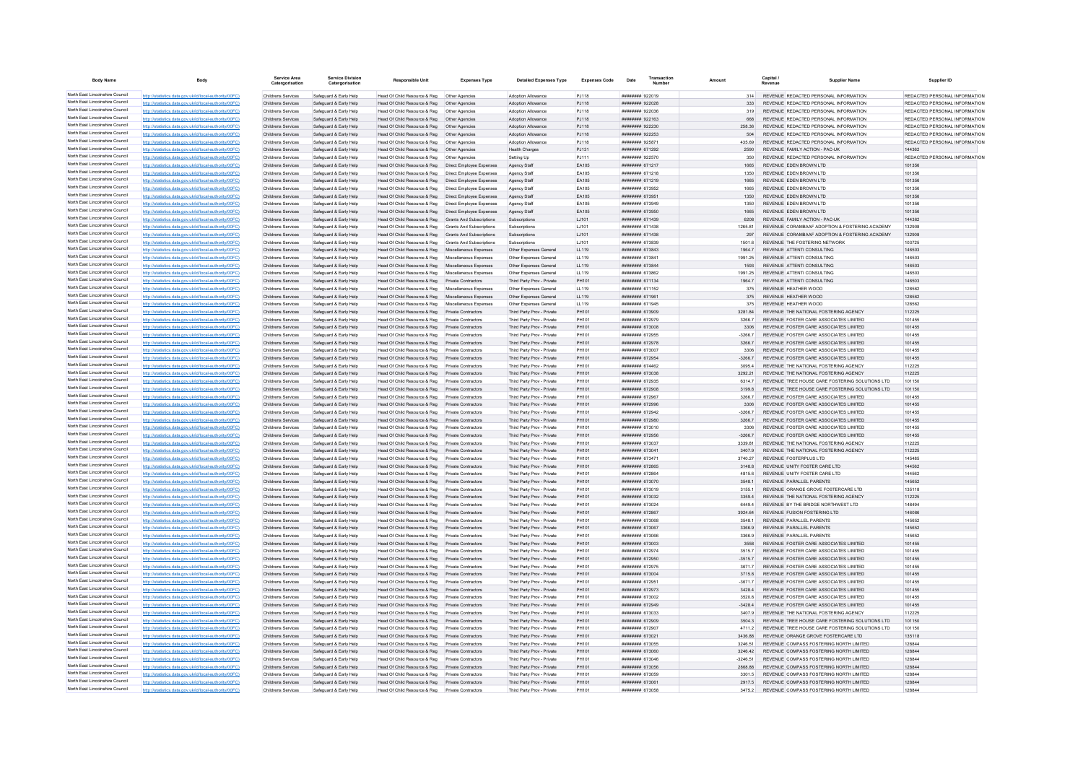| <b>Body Name</b>                                                   | Body                                                                                                             | <b>Service Area</b><br>Catergorisation   | <b>Service Division</b><br>Catergorisation       | <b>Responsible Unit</b>                                                             | <b>Expenses Type</b>                                        | <b>Detailed Expenses Type</b>                            | <b>Expenses Code</b> | Date                                     | Transaction |                   | Capital /<br>Revenue | <b>Supplier Name</b>                                                                     | Supplier ID                                                    |
|--------------------------------------------------------------------|------------------------------------------------------------------------------------------------------------------|------------------------------------------|--------------------------------------------------|-------------------------------------------------------------------------------------|-------------------------------------------------------------|----------------------------------------------------------|----------------------|------------------------------------------|-------------|-------------------|----------------------|------------------------------------------------------------------------------------------|----------------------------------------------------------------|
| North East Lincolnshire Council                                    | http://statistics.data.gov.uk/id/local-authority/00FC)                                                           | Childrens Services                       | Safeguard & Early Help                           | Head Of Child Resource & Reg   Other Agencies                                       |                                                             | Adoption Allowance                                       | PJ118                | ######## 922019                          |             | 314               |                      | REVENUE REDACTED PERSONAL INFORMATION                                                    | REDACTED PERSONAL INFORMATION                                  |
| North East Lincolnshire Council                                    | http://statistics.data.gov.uk/id/local-authority/00FC)                                                           | Childrens Services                       | Safeguard & Early Help                           | Head Of Child Resource & Reg                                                        | Other Agencies                                              | Adoption Allowance                                       | PJ118                | ######## 922028                          |             | 333               |                      | REVENUE REDACTED PERSONAL INFORMATION                                                    | REDACTED PERSONAL INFORMATION                                  |
| North East Lincolnshire Council                                    | http://statistics.data.gov.uk/id/local-authority/00FC                                                            | Childrens Services                       | Safeguard & Early Help                           | Head Of Child Resource & Reg                                                        | Other Agencies                                              | Adoption Allowance                                       | PJ118                | 820000 manutura                          |             | 319               |                      | REVENUE REDACTED PERSONAL INFORMATION                                                    | REDACTED PERSONAL INFORMATION                                  |
| North East Lincolnshire Council<br>North East Lincolnshire Council | http://statistics.data.gov.uk/id/local-authority/00FC                                                            | Childrens Services                       | Safeguard & Early Help                           | Head Of Child Resource & Reg                                                        | Other Agencies                                              | <b>Adoption Allowance</b>                                | PJ118                | <b>иннинни</b> 922163                    |             | 668               |                      | REVENUE REDACTED PERSONAL INFORMATION                                                    | REDACTED PERSONAL INFORMATION                                  |
| North East Lincolnshire Council                                    | http://statistics.data.gov.uk/id/local-authority/00FC)                                                           | Childrens Services<br>Childrens Services | Safeguard & Early Help                           | Head Of Child Resource & Reg                                                        | Other Agencies                                              | Adoption Allowance<br>Adoption Allowance                 | PJ118                | ######## 922230<br>######## 922253       |             | 258.36            |                      | REVENUE REDACTED PERSONAL INFORMATION<br>REVENUE REDACTED PERSONAL INFORMATION           | REDACTED PERSONAL INFORMATION<br>REDACTED PERSONAL INFORMATION |
| North East Lincolnshire Council                                    | http://statistics.data.gov.uk/id/local-authority/00FC)<br>http://statistics.data.gov.uk/id/local-authority/00FC  | Childrens Services                       | Safeguard & Early Help<br>Safeguard & Early Help | Head Of Child Resource & Reg   Other Agencies<br>Head Of Child Resource & Reg       | Other Agencies                                              | <b>Adoption Allowance</b>                                | PJ118<br>PJ118       | ######## 925871                          |             | 435.69            |                      | REVENUE REDACTED PERSONAL INFORMATION                                                    | REDACTED PERSONAL INFORMATION                                  |
| North East Lincolnshire Council                                    | http://statistics.data.gov.uk/id/local-authority/00FC)                                                           | Childrens Services                       | Safeguard & Early Help                           | Head Of Child Resource & Reg                                                        | Other Agencies                                              | Health Charges                                           | PJ131                | <b>НИВВИНИ 671292</b>                    |             | 2590              |                      | REVENUE FAMILY ACTION - PAC-UK                                                           | 144362                                                         |
| North East Lincolnshire Council                                    | http://statistics.data.gov.uk/id/local-authority/00FC                                                            | Childrens Services                       | Safeguard & Early Help                           | Head Of Child Resource & Reg                                                        | Other Agencies                                              | Setting Up                                               | PJ111                | ######## 922570                          |             | 350               |                      | REVENUE REDACTED PERSONAL INFORMATION                                                    | REDACTED PERSONAL INFORMATION                                  |
| North East Lincolnshire Council                                    | http://statistics.data.gov.uk/id/local-authority/00FC)                                                           | Childrens Services                       | Safeguard & Early Help                           | Head Of Child Resource & Reg                                                        | Direct Employee Expenses                                    | Agency Staff                                             | EA105                | ######## 671217                          |             | 1665              |                      | REVENUE EDEN BROWN LTD                                                                   | 101356                                                         |
| North East Lincolnshire Council                                    | /statistics.data.gov.uk/id/local-authority/00FC                                                                  | Childrens Services                       | Safeguard & Early Help                           | Head Of Child Resource & Reg                                                        | Direct Employee Expense                                     | Agency Staf                                              | EA105                | <b>####### 671218</b>                    |             | 1350              |                      | REVENUE EDEN BROWN LTD                                                                   | 101356                                                         |
| North East Lincolnshire Council                                    | http://statistics.data.gov.uk/id/local-authority/00EC                                                            | Childrens Services                       | Safeguard & Early Help                           | Head Of Child Resource & Reg                                                        | Direct Employee Expenses                                    | Agency Staff                                             | FA105                | ######## 671219                          |             | 1665              |                      | REVENUE EDEN BROWN LTD                                                                   | 101356                                                         |
| North East Lincolnshire Council                                    | http://statistics.data.gov.uk/id/local-authority/00FC)                                                           | Childrens Services                       | Safeguard & Early Help                           | Head Of Child Resource & Reg                                                        | Direct Employee Expenses                                    | Agency Staf                                              | EA105                | ####### 673952                           |             | 1665              |                      | REVENUE FDEN BROWN LTD                                                                   | 101356                                                         |
| North East Lincolnshire Council<br>North East Lincolnshire Council | http://statistics.data.gov.uk/id/local-authority/00FC                                                            | Childrens Services                       | Safeguard & Early Help                           | Head Of Child Resource & Reg                                                        | Direct Employee Expenses                                    | Agency Staf                                              | EA105                | ######## 673951                          |             | 1350              |                      | REVENUE EDEN BROWN LTD                                                                   | 101356                                                         |
| North East Lincolnshire Council                                    | http://statistics.data.gov.uk/id/local-authority/00FC                                                            | Childrens Services                       | Safeguard & Early Help                           | Head Of Child Resource & Reg<br>Head Of Child Resource & Reg                        | Direct Employee Expenses                                    | Agency Staff                                             | EA105                | $HHHHHHHH$ 673040                        |             | 1350              |                      | REVENUE EDEN BROWN LTD                                                                   | 101356<br>101356                                               |
| North East Lincolnshire Council                                    | http://statistics.data.gov.uk/id/local-authority/00FC)<br>http://statistics.data.gov.uk/id/local-authority/00FC) | Childrens Services<br>Childrens Services | Safeguard & Early Help<br>Safeguard & Early Help | Head Of Child Resource & Reg                                                        | Direct Employee Expenses<br><b>Grants And Subscriptions</b> | Agency Staff<br>Subscriptions                            | EA105<br>LJ101       | ######## 673950<br>######## 671439       |             | 1665<br>6208      |                      | REVENUE EDEN BROWN LTD<br>REVENUE FAMILY ACTION - PAC-UK                                 | 144362                                                         |
| North East Lincolnshire Council                                    | stics.data.gov.uk/id/local-authority/00FC                                                                        | Childrens Services                       | Safeguard & Early Help                           | Head Of Child Resource & Reg                                                        | Grants And Subscriptions                                    | Subscription:                                            | LJ101                | ######## 671438                          |             | 1265.81           |                      | REVENUE CORAMBAAF ADOPTION & FOSTERING ACADEMY                                           | 132908                                                         |
| North East Lincolnshire Council                                    | http://statistics.data.gov.uk/id/local-authority/00FC)                                                           | Childrens Services                       | Safeguard & Early Help                           | Head Of Child Resource & Reg                                                        | Grants And Subscriptions                                    | Subscriptions                                            | LJ101                | ####### 671438                           |             | 297               |                      | REVENUE CORAMBAAF ADOPTION & FOSTERING ACADEMY                                           | 132908                                                         |
| North East Lincolnshire Council                                    | http://statistics.data.gov.uk/id/local-authority/00FC)                                                           | Childrens Services                       | Safeguard & Early Help                           | Head Of Child Resource & Reg Grants And Subscriptions                               |                                                             | Subscriptions                                            | LJ101                | ######## 673839                          |             | 1501.6            |                      | REVENUE THE FOSTERING NETWORK                                                            | 103725                                                         |
| North East Lincolnshire Council                                    | http://statistics.data.gov.uk/id/local-authority/00FC)                                                           | Childrens Services                       | Safeguard & Early Help                           | Head Of Child Resource & Reg Miscellaneous Expenses                                 |                                                             | Other Expenses General                                   | LL119                | ######## 673843                          |             | 1964.7            |                      | REVENUE ATTENTI CONSULTING                                                               | 146503                                                         |
| North East Lincolnshire Council                                    | http://statistics.data.gov.uk/id/local-authority/00FC                                                            | Childrens Services                       | Safeguard & Early Help                           | Head Of Child Resource & Reg Miscellaneous Expenses                                 |                                                             | Other Expenses General                                   | LL119                | ######## 673841                          |             | 1991 25           |                      | REVENUE ATTENTI CONSULTING                                                               | 146503                                                         |
| North East Lincolnshire Council                                    | http://statistics.data.gov.uk/id/local-authority/00FC)                                                           | Childrens Services                       | Safeguard & Early Help                           | Head Of Child Resource & Reg Miscellaneous Expenses                                 |                                                             | Other Expenses General                                   | 11119                | ######## 673844                          |             | 1593              |                      | REVENUE ATTENTI CONSULTING                                                               | 146503                                                         |
| North East Lincolnshire Council<br>North East Lincolnshire Council | http://statistics.data.gov.uk/id/local-authority/00FC)                                                           | Childrens Services                       | Safeguard & Early Help                           | Head Of Child Resource & Reg                                                        | Miscellaneous Expenses                                      | Other Expenses General                                   | LL119                | <b>иннинин</b> 673862                    |             | 1991 25           |                      | REVENUE ATTENTI CONSULTING                                                               | 146503                                                         |
| North East Lincolnshire Council                                    | http://statistics.data.gov.uk/id/local-authority/00FC)                                                           | Childrens Services                       | Safeguard & Early Help                           | Head Of Child Resource & Reg                                                        | Private Contractors                                         | Third Party Prov - Private                               | PH101                | ######## 671134                          |             | 1964.             |                      | REVENUE ATTENTI CONSULTING                                                               | 146503                                                         |
| North East Lincolnshire Council                                    | http://statistics.data.gov.uk/id/local-authority/00FC<br>http://statistics.data.gov.uk/id/local-authority/00FC   | Childrens Services<br>Childrens Services | Safeguard & Early Help                           | Head Of Child Resource & Reg<br>Head Of Child Resource & Reg Miscellaneous Expenses | Miscellaneous Expenses                                      | Other Expenses General<br>Other Expenses General         | LL119<br>11119       | ####### 671152<br>######## 671961        |             | 375<br>375        |                      | REVENUE HEATHER WOOD<br>REVENUE HEATHER WOOD                                             | 128562<br>128562                                               |
| North East Lincolnshire Council                                    | http://statistics.data.gov.uk/id/local-authority/00FC)                                                           | Childrens Services                       | Safeguard & Early Help<br>Safeguard & Early Help | Head Of Child Resource & Reg Miscellaneous Expenses                                 |                                                             | Other Expenses General                                   | LL119                | ####### 671945                           |             | 375               |                      | REVENUE HEATHER WOOD                                                                     | 128562                                                         |
| North East Lincolnshire Council                                    | http://statistics.data.gov.uk/id/local-authority/00FC)                                                           | Childrens Services                       | Safeguard & Early Help                           | Head Of Child Resource & Reg Private Contractors                                    |                                                             | Third Party Prov - Private                               | PH101                | ######## 673909                          |             | 3281.84           |                      | REVENUE THE NATIONAL FOSTERING AGENCY                                                    | 112225                                                         |
| North East Lincolnshire Council                                    | http://statistics.data.gov.uk/id/local-authority/00FC                                                            | Childrens Services                       | Safeguard & Early Help                           | Head Of Child Resource & Reg                                                        | Private Contractors                                         | Third Party Prov - Private                               | <b>PH101</b>         | <b><i>HHHHHHH 672070</i></b>             |             | 3266.7            |                      | REVENUE FOSTER CARE ASSOCIATES LIMITED                                                   | 101455                                                         |
| North East Lincolnshire Council                                    | http://statistics.data.gov.uk/id/local-authority/00FC                                                            | Childrens Services                       | Safeguard & Early Help                           | Head Of Child Resource & Reg                                                        | Private Contractors                                         | Third Party Prov - Private                               | PH101                | ######## 673008                          |             | 3306              |                      | REVENUE FOSTER CARE ASSOCIATES LIMITED                                                   | 101455                                                         |
| North East Lincolnshire Council                                    | http://statistics.data.gov.uk/id/local-authority/00FC                                                            | Childrens Services                       | Safeguard & Early Help                           | Head Of Child Resource & Reg                                                        | Private Contractors                                         | Third Party Prov - Private                               | PH101                | <b>####### 672955</b>                    |             | $-3266$           |                      | REVENUE FOSTER CARE ASSOCIATES LIMITED                                                   | 101455                                                         |
| North East Lincolnshire Council                                    | http://statistics.data.gov.uk/id/local-authority/00FC                                                            | Childrens Services                       | Safeguard & Early Help                           | Head Of Child Resource & Reg                                                        | Private Contractors                                         | Third Party Prov - Private                               | PH101                | ####### 672978                           |             | 3266.             |                      | REVENUE FOSTER CARE ASSOCIATES LIMITED                                                   | 101455                                                         |
| North East Lincolnshire Council                                    | http://statistics.data.gov.uk/id/local-authority/00FC                                                            | Childrens Services                       | Safeguard & Early Help                           | Head Of Child Resource & Reg                                                        | Private Contractors                                         | Third Party Prov - Private                               | PH101                | ######## 673007                          |             | 3306              |                      | REVENUE FOSTER CARE ASSOCIATES LIMITED                                                   | 101455                                                         |
| North East Lincolnshire Council                                    | http://statistics.data.gov.uk/id/local-authority/00FC)                                                           | Childrens Services                       | Safeguard & Early Help                           | Head Of Child Resource & Reg                                                        | <b>Private Contractors</b>                                  | Third Party Prov - Private                               | PH101                | ######## 672954                          |             | $-3266.7$         |                      | REVENUE FOSTER CARE ASSOCIATES LIMITED                                                   | 101455                                                         |
| North East Lincolnshire Council<br>North East Lincolnshire Council | http://statistics.data.gov.uk/id/local-authority/00FC)                                                           | Childrens Services                       | Safeguard & Early Help                           | Head Of Child Resource & Reg                                                        | Private Contractors                                         | Third Party Prov - Private                               | PH101                | ######## 674462                          |             | 3095.4            |                      | REVENUE THE NATIONAL FOSTERING AGENCY                                                    | 112225                                                         |
| North East Lincolnshire Council                                    | http://statistics.data.gov.uk/id/local-authority/00FC<br>http://statistics.data.gov.uk/id/local-authority/00FC   | Childrens Services<br>Childrens Services | Safeguard & Early Help<br>Safeguard & Early Help | Head Of Child Resource & Reg                                                        | Private Contractors<br>Private Contractors                  | Third Party Prov - Private<br>Third Party Prov - Private | PH101<br>PH101       | ######## 673038<br>######## 672935       |             | 3292.21<br>63147  |                      | REVENUE THE NATIONAL FOSTERING AGENCY<br>REVENUE TREE HOUSE CARE FOSTERING SOLUTIONS LTD | 112225<br>101150                                               |
| North East Lincolnshire Council                                    | http://statistics.data.gov.uk/id/local-authority/00FC)                                                           | Childrens Services                       | Safeguard & Early Help                           | Head Of Child Resource & Reg<br>Head Of Child Resource & Reg                        | <b>Private Contractors</b>                                  | Third Party Prov - Private                               | PH101                | ######## 672908                          |             | 31998             |                      | REVENUE TREE HOUSE CARE FOSTERING SOLUTIONS LTD                                          | 101150                                                         |
| North East Lincolnshire Council                                    | http://statistics.data.gov.uk/id/local-authority/00FC)                                                           | Childrens Services                       | Safeguard & Early Help                           | Head Of Child Resource & Reg                                                        | Private Contractors                                         | Third Party Prov - Private                               | PH101                | ####### 67296                            |             | 3266.             |                      | REVENUE FOSTER CARE ASSOCIATES LIMITED                                                   | 101455                                                         |
| North East Lincolnshire Council                                    | stics.data.gov.uk/id/local-authority/00FC                                                                        | Childrens Services                       | Safeguard & Early Help                           | Head Of Child Resource & Reg                                                        | Private Contractors                                         | Third Party Prov - Private                               | PH101                | ######## 672996                          |             | 3306              |                      | REVENUE FOSTER CARE ASSOCIATES LIMITED                                                   | 101455                                                         |
| North East Lincolnshire Council                                    | http://statistics.data.gov.uk/id/local-authority/00EC)                                                           | Childrens Services                       | Safeguard & Early Help                           | Head Of Child Resource & Reg                                                        | Private Contractors                                         | Third Party Prov - Private                               | PH101                | <b>НИВВИНИ 672942</b>                    |             | $-3266.7$         |                      | REVENUE FOSTER CARE ASSOCIATES LIMITED                                                   | 101455                                                         |
| North East Lincolnshire Council                                    | http://statistics.data.gov.uk/id/local-authority/00EC)                                                           | Childrens Services                       | Safeguard & Early Help                           | Head Of Child Resource & Reg                                                        | Private Contractors                                         | Third Party Prov - Private                               | PH101                | ######## 672980                          |             | 3266.7            |                      | REVENUE FOSTER CARE ASSOCIATES LIMITED                                                   | 101455                                                         |
| North East Lincolnshire Council                                    | http://statistics.data.gov.uk/id/local-authority/00FC)                                                           | Childrens Services                       | Safequard & Early Help                           | Head Of Child Resource & Reg                                                        | Private Contractors                                         | Third Party Prov - Private                               | PH101                | ######## 673010                          |             | 3306              |                      | REVENUE FOSTER CARE ASSOCIATES LIMITED                                                   | 101455                                                         |
| North East Lincolnshire Council                                    | //statistics.data.gov.uk/id/local-authority/00FC                                                                 | Childrens Services                       | Safeguard & Early Help                           | Head Of Child Resource & Reg                                                        | Private Contractors                                         | Third Party Prov - Private                               | PH101                | ######## 672956                          |             | $-3266.7$         |                      | REVENUE FOSTER CARE ASSOCIATES LIMITED                                                   | 101455                                                         |
| North East Lincolnshire Council<br>North East Lincolnshire Council | http://statistics.data.gov.uk/id/local-authority/00FC                                                            | Childrens Services                       | Safeguard & Early Help                           | Head Of Child Resource & Reg                                                        | Private Contractors                                         | Third Party Prov - Private                               | PH101                | ######## 673037                          |             | 3339.81           |                      | REVENUE THE NATIONAL FOSTERING AGENCY                                                    | 112225                                                         |
| North East Lincolnshire Council                                    | http://statistics.data.gov.uk/id/local-authority/00EC)<br>the data now uk/id/local-authority/00EC                | Childrens Services                       | Safeguard & Early Help                           | Head Of Child Resource & Reg                                                        | Private Contractors                                         | Third Party Prov - Private                               | PH101                | ######## 673041<br><b>######## 67347</b> |             | 3407.9<br>3740.27 |                      | REVENUE THE NATIONAL FOSTERING AGENCY                                                    | 112225<br>145485                                               |
| North East Lincolnshire Council                                    | /statistics.data.gov.uk/id/local-authority/00FC                                                                  | Childrens Services<br>Childrens Services | Safeguard & Early Help<br>Safeguard & Early Help | Head Of Child Resource & Reg<br>Head Of Child Resource & Reg                        | Private Contractors<br>Private Contractors                  | Third Party Prov - Private<br>Third Party Prov - Private | PH101<br>PH101       | ####### 672865                           |             | 3148.8            |                      | REVENUE FOSTERPLUS LTD<br>REVENUE UNITY FOSTER CARE LTD                                  | 144562                                                         |
| North East Lincolnshire Council                                    | http://statistics.data.gov.uk/id/local-authority/00EC)                                                           | Childrens Services                       | Safeguard & Early Help                           | Head Of Child Resource & Reg                                                        | Private Contractors                                         | Third Party Prov - Private                               | PH101                | ######## 672864                          |             | 4815.6            |                      | REVENUE UNITY FOSTER CARE LTD                                                            | 144562                                                         |
| North East Lincolnshire Council                                    | http://statistics.data.gov.uk/id/local-authority/00FC)                                                           | Childrens Services                       | Safeguard & Early Help                           | Head Of Child Resource & Reg                                                        | Private Contractors                                         | Third Party Prov - Private                               | PH101                | ######## 673070                          |             | 3548.1            |                      | REVENUE PARALLEL PARENTS                                                                 | 145652                                                         |
| North East Lincolnshire Council                                    | http://statistics.data.gov.uk/id/local-authority/00FC)                                                           | Childrens Services                       | Safeguard & Early Help                           | Head Of Child Resource & Reg                                                        | <b>Private Contractors</b>                                  | Third Party Prov - Private                               | PH101                | ######## 673019                          |             | 3155.1            |                      | REVENUE ORANGE GROVE FOSTERCARE LTD                                                      | 135118                                                         |
| North East Lincolnshire Council                                    | http://statistics.data.gov.uk/id/local-authority/00FC)                                                           | Childrens Services                       | Safeguard & Early Help                           | Head Of Child Resource & Reg                                                        | Private Contractors                                         | Third Party Prov - Private                               | PH101                | ######## 673032                          |             | 3359.4            |                      | REVENUE THE NATIONAL FOSTERING AGENCY                                                    | 112225                                                         |
| North East Lincolnshire Council                                    | http://statistics.data.gov.uk/id/local-authority/00FC)                                                           | Childrens Services                       | Safeguard & Early Help                           | Head Of Child Resource & Reg                                                        | Private Contractors                                         | Third Party Prov - Private                               | PH101                | ######## 673024                          |             | 6449.4            |                      | REVENUE BY THE BRIDGE NORTHWEST LTD                                                      | 148494                                                         |
| North East Lincolnshire Council                                    | http://statistics.data.gov.uk/id/local-authority/00FC)                                                           | Childrens Services                       | Safeguard & Early Help                           | Head Of Child Resource & Reg                                                        | <b>Private Contractors</b>                                  | Third Party Prov - Private                               | PH101                | ######## 672867                          |             | 3924.64           |                      | REVENUE FUSION FOSTERING LTD                                                             | 146086                                                         |
| North East Lincolnshire Council<br>North East Lincolnshire Council | .data.gov.uk/id/local-authority/00FC                                                                             | Childrens Services                       | Safeguard & Early Help                           | Head Of Child Resource & Reg.                                                       | Private Contractors                                         | Third Party Prov - Private                               | PH101                | ####### 673068                           |             | 3548.             |                      | REVENUE PARALLEL PARENTS                                                                 | 145652                                                         |
| North East Lincolnshire Council                                    | http://statistics.data.gov.uk/id/local-authority/00EC                                                            | Childrens Services                       | Safeguard & Early Help                           | Head Of Child Resource & Reg<br>Head Of Child Resource & Reg                        | Private Contractors                                         | Third Party Prov - Private                               | PH101                | ######## 673067                          |             | 3366.9            |                      | REVENUE PARALLEL PARENTS                                                                 | 145652                                                         |
| North East Lincolnshire Council                                    | http://statistics.data.gov.uk/id/local-authority/00EC)<br>http://statistics.data.gov.uk/id/local-authority/00FC) | Childrens Services<br>Childrens Services | Safeguard & Early Help<br>Safeguard & Early Help | Head Of Child Resource & Reg                                                        | Private Contractors<br><b>Private Contractors</b>           | Third Party Prov - Private<br>Third Party Prov - Private | PH101<br>PH101       | ######## 673066<br>######## 673003       |             | 3366.9<br>3558    |                      | REVENUE PARALLEL PARENTS<br>REVENUE FOSTER CARE ASSOCIATES LIMITED                       | 145652<br>101455                                               |
| North East Lincolnshire Council                                    | http://statistics.data.gov.uk/id/local-authority/00FC                                                            | Childrens Services                       | Safeguard & Early Help                           | Head Of Child Resource & Reg                                                        | Private Contractors                                         | Third Party Prov - Private                               | PH101                | ######## 672974                          |             | 3515.7            |                      | REVENUE FOSTER CARE ASSOCIATES LIMITED                                                   | 101455                                                         |
| North East Lincolnshire Council                                    | http://statistics.data.gov.uk/id/local-authority/00FC                                                            | Childrens Services                       | Safeguard & Early Help                           | Head Of Child Resource & Reg                                                        | Private Contractors                                         | Third Party Prov - Private                               | PH101                | ######## 672950                          |             | $-3515.7$         |                      | REVENUE FOSTER CARE ASSOCIATES LIMITED                                                   | 101455                                                         |
| North East Lincolnshire Council                                    | http://statistics.data.gov.uk/id/local-authority/00EC                                                            | Childrens Services                       | Safeguard & Early Help                           | Head Of Child Resource & Reg                                                        | Private Contractors                                         | Third Party Prov - Private                               | PH101                | <b>######## 672975</b>                   |             | 36717             |                      | REVENUE FOSTER CARE ASSOCIATES LIMITED                                                   | 101455                                                         |
| North East Lincolnshire Council                                    | http://statistics.data.gov.uk/id/local-authority/00FC                                                            | Childrens Services                       | Safeguard & Early Help                           | Head Of Child Resource & Reg                                                        | <b>Private Contractors</b>                                  | Third Party Prov - Private                               | PH101                | ######## 673004                          |             | 37158             |                      | REVENUE FOSTER CARE ASSOCIATES LIMITED                                                   | 101455                                                         |
| North East Lincolnshire Council                                    | stistics data nov uk/id/local-authority/00FC                                                                     | Childrens Services                       | Safeguard & Early Help                           | Head Of Child Resource & Reg                                                        | Private Contractors                                         | Third Party Prov - Privat                                | PH101                | ####### 67295                            |             | $-3671.$          |                      | REVENUE FOSTER CARE ASSOCIATES LIMITED                                                   | 101455                                                         |
| North East Lincolnshire Council                                    | http://etgtietics.data.gov.uk/id/local.guthority/00EC)                                                           | Childrens Services                       | Safeguard & Early Help                           | Head Of Child Resource & Reg                                                        | Private Contractors                                         | Third Party Prov - Private                               | PH101                | ######## 672973                          |             | 3428.4            |                      | REVENUE FOSTER CARE ASSOCIATES LIMITED                                                   | 101455                                                         |
| North East Lincolnshire Council                                    | http://statistics.data.gov.uk/id/local-authority/00FC)                                                           | Childrens Services                       | Safeguard & Early Help                           | Head Of Child Resource & Reg                                                        | Private Contractors                                         | Third Party Prov - Private                               | PH101                | ######## 673002                          |             | 3520.8            |                      | REVENUE FOSTER CARE ASSOCIATES LIMITED                                                   | 101455                                                         |
| North East Lincolnshire Council                                    | http://statistics.data.gov.uk/id/local-authority/00FC)                                                           | Childrens Services                       | Safeguard & Early Help                           | Head Of Child Resource & Reg                                                        | <b>Private Contractors</b>                                  | Third Party Prov - Private                               | PH101                | ######## 672949                          |             | $-3428.4$         |                      | REVENUE FOSTER CARE ASSOCIATES LIMITED                                                   | 101455                                                         |
| North East Lincolnshire Council<br>North East Lincolnshire Council | http://statistics.data.gov.uk/id/local-authority/00FC                                                            | Childrens Services                       | Safeguard & Early Help                           | Head Of Child Resource & Reg                                                        | Private Contractors                                         | Third Party Prov - Private                               | PH101                | ####### 673033                           |             | 3407.9            |                      | REVENUE THE NATIONAL FOSTERING AGENCY                                                    | 112225                                                         |
| North East Lincolnshire Council                                    | http://statistics.data.gov.uk/id/local-authority/00FC)                                                           | Childrens Services                       | Safequard & Early Help                           | Head Of Child Resource & Reg                                                        | Private Contractors                                         | Third Party Prov - Private                               | PH101                | ######## 672909                          |             | 3504.3            |                      | REVENUE TREE HOUSE CARE FOSTERING SOLUTIONS LTD                                          | 101150<br>101150                                               |
| North East Lincolnshire Council                                    | http://statistics.data.gov.uk/id/local-authority/00FC)                                                           | Childrens Services<br>Childrens Services | Safeguard & Early Help<br>Safeguard & Early Help | Head Of Child Resource & Reg<br>Head Of Child Resource & Reg                        | Private Contractors<br><b>Private Contractors</b>           | Third Party Prov - Private<br>Third Party Prov - Private | PH101<br>PH101       | ######## 672907<br>######## 673021       |             | 4711.2<br>3436.88 |                      | REVENUE TREE HOUSE CARE FOSTERING SOLUTIONS LTD<br>REVENUE ORANGE GROVE FOSTERCARE LTD   | 135118                                                         |
| North East Lincolnshire Council                                    | http://statistics.data.gov.uk/id/local-authority/00EC                                                            | Childrens Services                       | Safeguard & Early Help                           | Head Of Child Resource & Reg                                                        | Private Contractors                                         | Third Party Prov - Privat                                | PH101                | ######## 673055                          |             | 3246.5            |                      | REVENUE COMPASS FOSTERING NORTH LIMITED                                                  | 128844                                                         |
| North East Lincolnshire Council                                    | http://statistics.data.gov.uk/id/local-authority/00EC)                                                           | Childrens Services                       | Safeguard & Early Help                           | Head Of Child Resource & Reg                                                        | Private Contractors                                         | Third Party Prov - Private                               | PH101                | ######## 673060                          |             | 3246.42           |                      | REVENUE COMPASS FOSTERING NORTH LIMITED                                                  | 128844                                                         |
| North East Lincolnshire Council                                    | http://statistics.data.gov.uk/id/local-authority/00FC)                                                           | <b>Childrens Services</b>                | Safeguard & Early Help                           | Head Of Child Resource & Reg                                                        | <b>Private Contractors</b>                                  | Third Party Prov - Private                               | PH101                | ######## 673046                          |             | $-3246.51$        |                      | REVENUE COMPASS FOSTERING NORTH LIMITED                                                  | 128844                                                         |
| North East Lincolnshire Council                                    | //statistics.data.gov.uk/id/local-authority/00FC                                                                 | Childrens Services                       | Safeguard & Early Help                           | Head Of Child Resource & Reg                                                        | <b>Private Contractors</b>                                  | Third Party Prov - Private                               | PH101                | ######## 673056                          |             | 2868.88           |                      | REVENUE COMPASS FOSTERING NORTH LIMITED                                                  | 128844                                                         |
| North East Lincolnshire Council                                    | http://statistics.data.gov.uk/id/local-authority/00FC)                                                           | Childrens Services                       | Safeguard & Early Help                           | Head Of Child Resource & Reg                                                        | Private Contractors                                         | Third Party Prov - Private                               | PH101                | ######## 673059                          |             | 3301.5            |                      | REVENUE COMPASS FOSTERING NORTH LIMITED                                                  | 128844                                                         |
| North East Lincolnshire Council                                    | http://statistics.data.gov.uk/id/local-authority/00EC)                                                           | Childrens Services                       | Safeguard & Early Help                           | Head Of Child Resource & Reg Private Contractors                                    |                                                             | Third Party Prov - Private                               | PH101                | ######## 673061                          |             | 2917.5            |                      | REVENUE COMPASS FOSTERING NORTH LIMITED                                                  | 128844                                                         |
| North East Lincolnshire Council                                    | http://statistics.data.gov.uk/id/local-authority/00FC)                                                           | Childrens Services                       | Safeguard & Early Help                           | Head Of Child Resource & Reg                                                        | <b>Private Contractors</b>                                  | Third Party Prov - Private                               | PH101                | ######## 673058                          |             | 3475.2            |                      | REVENUE COMPASS FOSTERING NORTH LIMITED                                                  | 128844                                                         |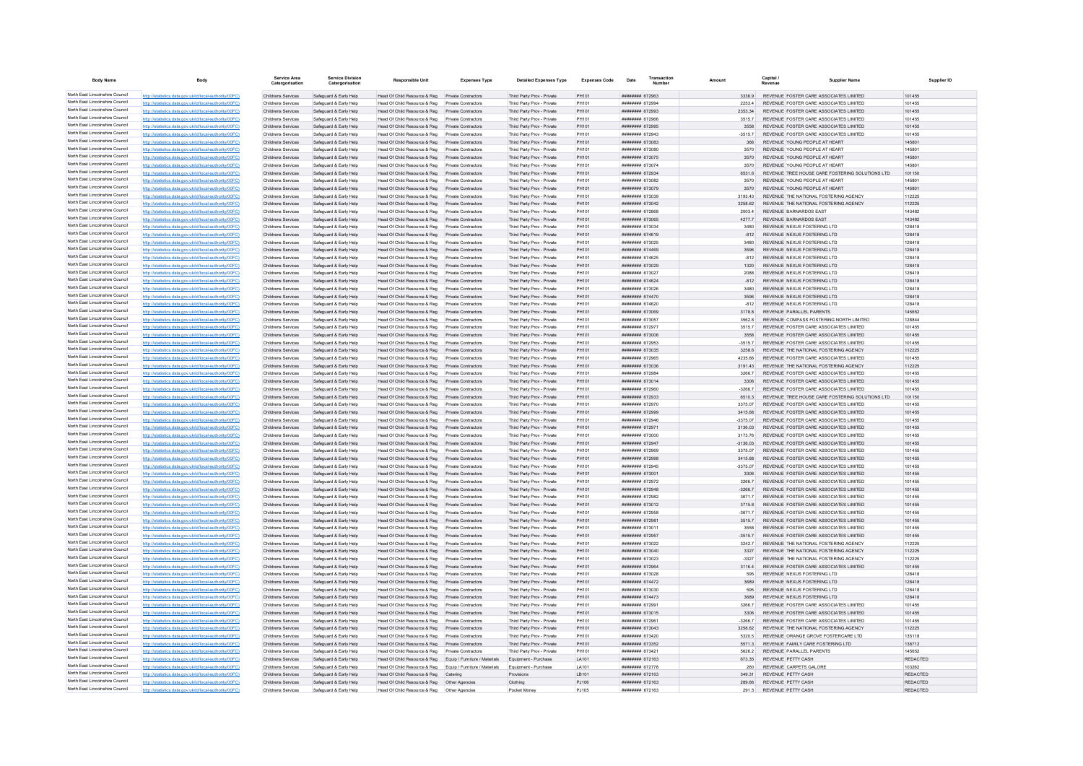| <b>Body Name</b>                                                   | Body                                                                                                             | <b>Service Area</b><br>Catergorisatio    | <b>Service Division</b><br>Catergorisatio        | <b>Responsible Unit</b>                                                          | <b>Expenses Type</b>                       | <b>Detailed Expenses Type</b>                            | <b>Expenses Code</b> | Transaction<br>Date                     | Amount              | Capital /<br><b>Supplier Name</b>                                                         | Supplier ID               |
|--------------------------------------------------------------------|------------------------------------------------------------------------------------------------------------------|------------------------------------------|--------------------------------------------------|----------------------------------------------------------------------------------|--------------------------------------------|----------------------------------------------------------|----------------------|-----------------------------------------|---------------------|-------------------------------------------------------------------------------------------|---------------------------|
| North East Lincolnshire Council                                    | http://statistics.data.gov.uk/id/local-authority/00FC                                                            | Childrens Services                       | Safeguard & Early Help                           | Head Of Child Resource & Reg Private Contractors                                 |                                            | Third Party Prov - Private                               | PH101                | ######## 672963                         | 3336.9              | REVENUE FOSTER CARE ASSOCIATES LIMITED                                                    | 101455                    |
| North East Lincolnshire Council<br>North East Lincolnshire Council | http://statistics.data.gov.uk/id/local-authority/00FC)                                                           | Childrens Services                       | Safeguard & Early Help                           | Head Of Child Resource & Reg                                                     | Private Contractors                        | Third Party Prov - Private                               | PH101                | ######## 672994                         | 2253.4              | REVENUE FOSTER CARE ASSOCIATES LIMITED                                                    | 101455                    |
| North East Lincolnshire Council                                    | http://statistics.data.gov.uk/id/local-authority/00FC<br>http://statistics.data.gov.uk/id/local-authority/00FC   | Childrens Services<br>Childrens Services | Safeguard & Early Help<br>Safeguard & Early Help | Head Of Child Resource & Reg<br>Head Of Child Resource & Reg                     | Private Contractors<br>Private Contractors | Third Party Prov - Private<br>Third Party Prov - Private | PH101<br>PH101       | ######## 672993<br>####### 672966       | 2353.34<br>3515.7   | REVENUE FOSTER CARE ASSOCIATES LIMITED<br>REVENUE FOSTER CARE ASSOCIATES LIMITED          | 101455<br>101455          |
| North East Lincolnshire Council                                    | http://statistics.data.gov.uk/id/local-authority/00FC                                                            | Childrens Services                       | Safeguard & Early Help                           | Head Of Child Resource & Reg                                                     | <b>Private Contractors</b>                 | Third Party Prov - Private                               | PH101                | ######## 672995                         | 3558                | REVENUE FOSTER CARE ASSOCIATES LIMITED                                                    | 101455                    |
| North East Lincolnshire Council                                    | http://statistics.data.gov.uk/id/local-authority/00FC                                                            | Childrens Services                       | Safeguard & Farly Help                           | Head Of Child Resource & Reg                                                     | Private Contractors                        | Third Party Prov - Private                               | PH101                | ######## 672943                         | $-35157$            | REVENUE FOSTER CARE ASSOCIATES LIMITED                                                    | 101455                    |
| North East Lincolnshire Council                                    | http://statistics.data.gov.uk/id/local-authority/00FC                                                            | Childrens Services                       | Safeguard & Early Help                           | Head Of Child Resource & Reg Private Contractors                                 |                                            | Third Party Prov - Private                               | PH101                | ######## 673083                         | 366                 | REVENUE YOUNG PEOPLE AT HEART                                                             | 145801                    |
| North East Lincolnshire Council                                    | http://statistics.data.gov.uk/id/local-authority/00FC                                                            | Childrens Services                       | Safeguard & Early Help                           | Head Of Child Resource & Reg                                                     | Private Contractors                        | Third Party Prov - Private                               | PH101                | ####### 673080                          | 3570                | REVENUE YOUNG PEOPLE AT HEART                                                             | 145801                    |
| North East Lincolnshire Council<br>North East Lincolnshire Council | http://statistics.data.gov.uk/id/local-authority/00FC                                                            | Childrens Services                       | Safeguard & Early Help                           | Head Of Child Resource & Reg                                                     | Private Contractors                        | Third Party Prov - Private                               | PH101                | ######## 673075                         | 3570                | REVENUE YOUNG PEOPLE AT HEART                                                             | 145801                    |
| North East Lincolnshire Council                                    | http://statistics.data.gov.uk/id/local-authority/00FC                                                            | Childrens Services                       | Safeguard & Early Help                           | Head Of Child Resource & Reg                                                     | <b>Private Contractors</b>                 | Third Party Prov - Private                               | PH101                | ######## 673074                         | 3570                | REVENUE YOUNG PEOPLE AT HEART                                                             | 145801                    |
| North East Lincolnshire Council                                    | http://statistics.data.gov.uk/id/local-authority/00FC<br>http://statistics.data.gov.uk/id/local-authority/00FC   | Childrens Services<br>Childrens Services | Safeguard & Early Help<br>Safeguard & Early Help | Head Of Child Resource & Reg<br>Head Of Child Resource & Reg                     | Private Contractors<br>Private Contractors | Third Party Prov - Private<br>Third Party Prov - Private | PH101<br>PH101       | ######## 672934<br>######## 673082      | 6531.6<br>3570      | REVENUE TREE HOUSE CARE FOSTERING SOLUTIONS LTD<br>REVENUE YOUNG PEOPLE AT HEART          | 101150<br>145801          |
| North East Lincolnshire Council                                    | http://statistics.data.gov.uk/id/local-authority/00FC                                                            | Childrens Services                       | Safeguard & Early Help                           | Head Of Child Resource & Reg                                                     | Private Contractors                        | Third Party Prov - Private                               | PH101                | ######## 673079                         | 3570                | REVENUE YOUNG PEOPLE AT HEART                                                             | 145801                    |
| North East Lincolnshire Council                                    | http://statistics.data.gov.uk/id/local-authority/00FC                                                            | Childrens Services                       | Safeguard & Early Help                           | Head Of Child Resource & Reg                                                     | Private Contractors                        | Third Party Prov - Private                               | PH101                | ######## 673039                         | 3193.43             | REVENUE THE NATIONAL FOSTERING AGENCY                                                     | 112225                    |
| North East Lincolnshire Council                                    | http://statistics.data.gov.uk/id/local-authority/00FC)                                                           | Childrens Services                       | Safeguard & Early Help                           | Head Of Child Resource & Reg                                                     | Private Contractors                        | Third Party Prov - Private                               | PH101                | ######## 673042                         | 3258.62             | REVENUE THE NATIONAL FOSTERING AGENCY                                                     | 112225                    |
| North East Lincolnshire Council                                    | http://statistics.data.gov.uk/id/local-authority/00FC                                                            | Childrens Services                       | Safeguard & Early Help                           | Head Of Child Resource & Reg                                                     | <b>Private Contractors</b>                 | Third Party Prov - Private                               | PH101                | ######## 672868                         | 2003 4              | REVENUE BARNARDOS FAST                                                                    | 143482                    |
| North East Lincolnshire Council<br>North East Lincolnshire Council | http://statistics.data.gov.uk/id/local-authority/00FC)                                                           | Childrens Services                       | Safeguard & Early Help                           | Head Of Child Resource & Reg                                                     | Private Contractors<br>Private Contractors | Third Party Prov - Private                               | PH101                | ######## 673065                         | 42777<br>3480       | REVENUE BARNARDOS FAST                                                                    | 143482<br>128418          |
| North East Lincolnshire Council                                    | http://statistics.data.gov.uk/id/local-authority/00FC<br>http://statistics.data.gov.uk/id/local-authority/00FC   | Childrens Services<br>Childrens Services | Safeguard & Early Help<br>Safeguard & Early Help | Head Of Child Resource & Reg<br>Head Of Child Resource & Reg                     | Private Contractors                        | Third Party Prov - Private<br>Third Party Prov - Private | PH101<br>PH101       | ######## 673034<br>######## 674619      | $-812$              | REVENUE NEXUS FOSTERING LTD<br>REVENUE NEXUS FOSTERING LTD                                | 128418                    |
| North East Lincolnshire Council                                    | http://statistics.data.gov.uk/id/local-authority/00FC                                                            | Childrens Services                       | Safeguard & Early Help                           | Head Of Child Resource & Reg                                                     | Private Contractors                        | Third Party Prov - Private                               | <b>PH101</b>         | <b>####### 673025</b>                   | 3480                | REVENUE NEXUS FOSTERING LTD                                                               | 128418                    |
| North East Lincolnshire Council                                    | http://statistics.data.gov.uk/id/local-authority/00FC                                                            | Childrens Services                       | Safeguard & Early Help                           | Head Of Child Resource & Reg                                                     | <b>Private Contractors</b>                 | Third Party Prov - Private                               | PH101                | ######## 674469                         | 3596                | REVENUE NEXUS FOSTERING LTD                                                               | 128418                    |
| North East Lincolnshire Council                                    | http://statistics.data.gov.uk/id/local-authority/00FC                                                            | Childrens Services                       | Safeguard & Early Help                           | Head Of Child Resource & Reg                                                     | Private Contractors                        | Third Party Prov - Private                               | PH101                | ######## 674625                         | $-812$              | REVENUE NEXUS FOSTERING LTD                                                               | 128418                    |
| North East Lincolnshire Council                                    | http://statistics.data.gov.uk/id/local-authority/00FC                                                            | Childrens Services                       | Safeguard & Early Help                           | Head Of Child Resource & Reg Private Contractors                                 |                                            | Third Party Prov - Private                               | PH101                | ######## 673029                         | 1320                | REVENUE NEXUS FOSTERING LTD                                                               | 128418                    |
| North East Lincolnshire Council                                    | http://statistics.data.gov.uk/id/local-authority/00FC                                                            | Childrens Services                       | Safeguard & Early Help                           | Head Of Child Resource & Reg                                                     | Private Contractors                        | Third Party Prov - Private                               | PH101                | ######## 673027                         | 2088                | REVENUE NEXUS FOSTERING LTD                                                               | 128418                    |
| North East Lincolnshire Council<br>North East Lincolnshire Council | http://statistics.data.gov.uk/id/local-authority/00FC<br>http://statistics.data.gov.uk/id/local-authority/00FC   | Childrens Services<br>Childrens Services | Safeguard & Early Help<br>Safeguard & Early Help | Head Of Child Resource & Reg<br>Head Of Child Resource & Reg                     | Private Contractors<br>Private Contractors | Third Party Prov - Private<br>Third Party Prov - Private | PH101<br>PH101       | ######## 674624<br>######## 673026      | $-812$<br>3480      | REVENUE NEXUS FOSTERING LTD<br>REVENUE NEXUS FOSTERING LTD                                | 128418<br>128418          |
| North East Lincolnshire Council                                    | http://statistics.data.gov.uk/id/local-authority/00FC                                                            | Childrens Services                       | Safeguard & Early Help                           | Head Of Child Resource & Reg                                                     | Private Contractors                        | Third Party Prov - Private                               | PH101                | ######## 674470                         | 3596                | REVENUE NEXUS FOSTERING LTD                                                               | 128418                    |
| North East Lincolnshire Council                                    | http://statistics.data.gov.uk/id/local-authority/00FC                                                            | Childrens Services                       | Safeguard & Farly Help                           | Head Of Child Resource & Reg.                                                    | Private Contractors                        | Third Party Prov - Private                               | PH101                | ######## 674620                         | $-812$              | REVENUE NEXUS FOSTERING LTD                                                               | 128418                    |
| North East Lincolnshire Council                                    | http://statistics.data.gov.uk/id/local-authority/00FC                                                            | Childrens Services                       | Safeguard & Early Help                           | Head Of Child Resource & Reg                                                     | Private Contractors                        | Third Party Prov - Private                               | PH101                | ######## 673069                         | 3178.8              | REVENUE PARALLEL PARENTS                                                                  | 145652                    |
| North East Lincolnshire Council                                    | http://statistics.data.gov.uk/id/local-authority/00FC)                                                           | Childrens Services                       | Safeguard & Early Help                           | Head Of Child Resource & Reg                                                     | Private Contractors                        | Third Party Prov - Private                               | PH101                | ######## 673057                         | 3562.8              | REVENUE COMPASS FOSTERING NORTH LIMITED                                                   | 128844                    |
| North East Lincolnshire Council                                    | http://statistics.data.gov.uk/id/local-authority/00FC)                                                           | Childrens Services                       | Safeguard & Early Help                           | Head Of Child Resource & Reg                                                     | Private Contractors                        | Third Party Prov - Private                               | <b>PH101</b>         | ######## 672977                         | 35157               | REVENUE FOSTER CARE ASSOCIATES LIMITED                                                    | 101455                    |
| North East Lincolnshire Council<br>North East Lincolnshire Council | http://statistics.data.gov.uk/id/local-authority/00EC)                                                           | Childrens Services                       | Safeguard & Early Help                           | Head Of Child Resource & Reg                                                     | Private Contractors                        | Third Party Prov - Private                               | PH101                | ######## 673006                         | 3558<br>$-35157$    | REVENUE FOSTER CARE ASSOCIATES LIMITED<br>REVENUE FOSTER CARE ASSOCIATES LIMITED          | 101455<br>101455          |
| North East Lincolnshire Council                                    | http://statistics.data.gov.uk/id/local-authority/00FC<br>http://statistics.data.gov.uk/id/local-authority/00FC   | Childrens Services<br>Childrens Services | Safeguard & Early Help<br>Safeguard & Early Help | Head Of Child Resource & Reg<br>Head Of Child Resource & Reg                     | Private Contractors<br>Private Contractors | Third Party Prov - Private<br>Third Party Prov - Private | PH101<br>PH101       | <b>####### 672953</b><br>####### 673035 | 3258.6              | REVENUE THE NATIONAL FOSTERING AGENCY                                                     | 112225                    |
| North East Lincolnshire Council                                    | http://statistics.data.gov.uk/id/local-authority/00FC                                                            | Childrens Services                       | Safeguard & Early Help                           | Head Of Child Resource & Reg                                                     | Private Contractors                        | Third Party Prov - Private                               | PH101                | ######## 672965                         | 4235.66             | REVENUE FOSTER CARE ASSOCIATES LIMITED                                                    | 101455                    |
| North East Lincolnshire Council                                    | http://statistics.data.gov.uk/id/local-authority/00FC                                                            | Childrens Services                       | Safeguard & Early Help                           | Head Of Child Resource & Reg Private Contractors                                 |                                            | Third Party Prov - Private                               | PH101                | ######## 673036                         | 3191.43             | REVENUE THE NATIONAL FOSTERING AGENCY                                                     | 112225                    |
| North East Lincolnshire Council                                    | http://statistics.data.gov.uk/id/local-authority/00FC                                                            | Childrens Services                       | Safeguard & Early Help                           | Head Of Child Resource & Reg Private Contractors                                 |                                            | Third Party Prov - Private                               | PH101                | ####### 672984                          | 3266.7              | REVENUE FOSTER CARE ASSOCIATES LIMITED                                                    | 101455                    |
| North East Lincolnshire Council                                    | http://statistics.data.gov.uk/id/local-authority/00FC                                                            | Childrens Services                       | Safeguard & Early Help                           | Head Of Child Resource & Reg Private Contractors                                 |                                            | Third Party Prov - Private                               | PH101                | ######## 673014                         | 3306                | REVENUE FOSTER CARE ASSOCIATES LIMITED                                                    | 101455                    |
| North East Lincolnshire Council<br>North East Lincolnshire Council | http://statistics.data.gov.uk/id/local-authority/00FC)                                                           | Childrens Services                       | Safeguard & Early Help                           | Head Of Child Resource & Reg                                                     | Private Contractors                        | Third Party Prov - Private                               | PH101                | 672960                                  | $-3266.7$<br>6510.3 | REVENUE FOSTER CARE ASSOCIATES LIMITED.                                                   | 101455                    |
| North East Lincolnshire Council                                    | http://statistics.data.gov.uk/id/local-authority/00FC<br>http://statistics.data.gov.uk/id/local-authority/00FC   | Childrens Services<br>Childrens Services | Safeguard & Early Help<br>Safeguard & Early Help | Head Of Child Resource & Reg<br>Head Of Child Resource & Reg                     | Private Contractors<br>Private Contractors | Third Party Prov - Private<br>Third Party Prov - Private | PH101<br>PH101       | ######## 672933<br>######## 672970      | 3375.07             | REVENUE TREE HOUSE CARE FOSTERING SOLUTIONS LTD<br>REVENUE FOSTER CARE ASSOCIATES LIMITED | 101150<br>101455          |
| North East Lincolnshire Council                                    | http://statistics.data.gov.uk/id/local-authority/00FC                                                            | Childrens Services                       | Safeguard & Early Help                           | Head Of Child Resource & Reg                                                     | <b>Private Contractors</b>                 | Third Party Prov - Private                               | PH101                | ######## 672999                         | 3415.68             | REVENUE FOSTER CARE ASSOCIATES LIMITED                                                    | 101455                    |
| North East Lincolnshire Council                                    | http://statistics.data.gov.uk/id/local-authority/00EC                                                            | Childrens Services                       | Safeguard & Early Help                           | Head Of Child Resource & Reg                                                     | Private Contractors                        | Third Party Prov - Private                               | PH101                | ####### 672946                          | 3375.07             | REVENUE FOSTER CARE ASSOCIATES LIMITED                                                    | 101455                    |
| North East Lincolnshire Council                                    | http://statistics.data.gov.uk/id/local-authority/00EC)                                                           | Childrens Services                       | Safeguard & Farly Help                           | Head Of Child Resource & Reg                                                     | Private Contractors                        | Third Party Prov - Private                               | PH101                | ######## 672971                         | 3136.03             | REVENUE FOSTER CARE ASSOCIATES LIMITED.                                                   | 101455                    |
| North East Lincolnshire Council                                    | http://statistics.data.gov.uk/id/local-authority/00FC)                                                           | Childrens Services                       | Safeguard & Early Help                           | Head Of Child Resource & Reg                                                     | Private Contractors                        | Third Party Prov - Private                               | PH101                | ######## 673000                         | 3173.76             | REVENUE FOSTER CARE ASSOCIATES LIMITED                                                    | 101455                    |
| North East Lincolnshire Council<br>North East Lincolnshire Council | http://statistics.data.gov.uk/id/local-authority/00FC)                                                           | Childrens Services                       | Safeguard & Early Help                           | Head Of Child Resource & Reg                                                     | Private Contractors                        | Third Party Prov - Private                               | PH101                | ######## 672947                         | $-3136.03$          | REVENUE FOSTER CARE ASSOCIATES LIMITED                                                    | 101455                    |
| North East Lincolnshire Council                                    | http://statistics.data.gov.uk/id/local-authority/00FC<br>http://statistics.data.gov.uk/id/local-authority/00FC   | Childrens Services<br>Childrens Services | Safeguard & Early Help<br>Safeguard & Early Help | Head Of Child Resource & Reg<br>Head Of Child Resource & Reg                     | Private Contractors<br>Private Contractors | Third Party Prov - Private<br>Third Party Prov - Private | PH101<br>PH101       | ######## 672969<br>######## 672998      | 3375.07<br>3415.68  | REVENUE FOSTER CARE ASSOCIATES LIMITED<br>REVENUE FOSTER CARE ASSOCIATES LIMITED          | 101455<br>101455          |
| North East Lincolnshire Council                                    | data.gov.uk/id/local-authority/00FC                                                                              | Childrens Services                       | Safeguard & Early Help                           | Head Of Child Resource & Reg                                                     | Private Contractors                        | Third Party Prov - Private                               | PH101                | ####### 672945                          | $-3375.07$          | REVENUE FOSTER CARE ASSOCIATES LIMITED                                                    | 101455                    |
| North East Lincolnshire Council                                    | http://statistics.data.gov.uk/id/local-authority/00FC                                                            | Childrens Services                       | Safeguard & Early Help                           | Head Of Child Resource & Reg                                                     | Private Contractors                        | Third Party Prov - Private                               | PH101                | ####### 673001                          | 3306                | REVENUE FOSTER CARE ASSOCIATES LIMITED                                                    | 101455                    |
| North East Lincolnshire Council                                    | http://statistics.data.gov.uk/id/local-authority/00EC                                                            | Childrens Services                       | Safeguard & Early Help                           | Head Of Child Resource & Reg                                                     | Private Contractors                        | Third Party Prov - Private                               | PH101                | ######## 672972                         | 3266.7              | REVENUE FOSTER CARE ASSOCIATES LIMITED                                                    | 101455                    |
| North East Lincolnshire Council                                    | http://statistics.data.gov.uk/id/local-authority/00FC)                                                           | Childrens Services                       | Safeguard & Early Help                           | Head Of Child Resource & Reg Private Contractors                                 |                                            | Third Party Prov - Private                               | PH101                | ######## 672948                         | $-3266.7$           | REVENUE FOSTER CARE ASSOCIATES LIMITED                                                    | 101455                    |
| North East Lincolnshire Council<br>North East Lincolnshire Council | http://statistics.data.gov.uk/id/local-authority/00FC                                                            | Childrens Services                       | Safeguard & Early Help                           | Head Of Child Resource & Reg                                                     | Private Contractors                        | Third Party Prov - Private                               | PH101                | ######## 672982                         | 3671.7              | REVENUE FOSTER CARE ASSOCIATES LIMITED                                                    | 101455                    |
| North East Lincolnshire Council                                    | http://statistics.data.gov.uk/id/local-authority/00FC)<br>http://statistics.data.gov.uk/id/local-authority/00EC  | Childrens Services<br>Childrens Services | Safeguard & Early Help<br>Safeguard & Farly Help | Head Of Child Resource & Reg<br>Head Of Child Resource & Reg                     | Private Contractors<br>Private Contractors | Third Party Prov - Private<br>Third Party Prov - Private | PH101<br>PH101       | ######## 673012<br>######## 672958      | 3715.8<br>$-36717$  | REVENUE FOSTER CARE ASSOCIATES LIMITED<br>REVENUE FOSTER CARE ASSOCIATES LIMITED          | 101455<br>101455          |
| North East Lincolnshire Council                                    | cs data gov uk/id/local-authority/00EC                                                                           | Childrens Services                       | Safeguard & Early Help                           | Head Of Child Resource & Reg                                                     | Private Contractors                        | Third Party Prov - Private                               | PH101                | ######## 672981                         | 35157               | REVENUE FOSTER CARE ASSOCIATES LIMITED                                                    | 101455                    |
| North East Lincolnshire Council                                    | tatistics.data.gov.uk/id/local-authority/00FC                                                                    | Childrens Services                       | Safeguard & Early Help                           | Head Of Child Resource & Reg                                                     | Private Contractors                        | Third Party Prov - Private                               | PH101                | ######## 67301                          |                     | REVENUE FOSTER CARE ASSOCIATES LIMITED                                                    | 101455                    |
| North East Lincolnshire Council                                    | httn://statistics.data.gov.uk/id/local-authority/00FC)                                                           | Childrens Services                       | Safeguard & Early Help                           | Head Of Child Resource & Reg                                                     | <b>Private Contractors</b>                 | Third Party Prov - Private                               | PH101                | ######## 672957                         | $-3515.7$           | REVENUE FOSTER CARE ASSOCIATES LIMITED                                                    | 101455                    |
| North East Lincolnshire Council                                    | http://statistics.data.gov.uk/id/local-authority/00FC)                                                           | Childrens Services                       | Safeguard & Early Help                           | Head Of Child Resource & Reg                                                     | <b>Private Contractors</b>                 | Third Party Prov - Private                               | PH101                | ######## 673022                         | 3242.7              | REVENUE THE NATIONAL FOSTERING AGENCY                                                     | 112225                    |
| North East Lincolnshire Council<br>North East Lincolnshire Council | http://statistics.data.gov.uk/id/local-authority/00FC)                                                           | Childrens Services                       | Safeguard & Early Help                           | Head Of Child Resource & Reg                                                     | Private Contractors                        | Third Party Prov - Private                               | PH101<br>PH101       | ######## 673040                         | 3327<br>$-3327$     | REVENUE THE NATIONAL FOSTERING AGENCY                                                     | 112225                    |
| North East Lincolnshire Council                                    | http://statistics.data.gov.uk/id/local-authority/00FC)<br>http://statistics.data.gov.uk/id/local-authority/00FC  | Childrens Services<br>Childrens Services | Safeguard & Early Help<br>Safeguard & Early Help | Head Of Child Resource & Reg<br>Head Of Child Resource & Reg                     | Private Contractors<br>Private Contractors | Third Party Prov - Private<br>Third Party Prov - Private | PH101                | ####### 673023<br>######## 672964       | 3116.4              | REVENUE THE NATIONAL FOSTERING AGENCY<br>REVENUE FOSTER CARE ASSOCIATES LIMITED           | 112225<br>101455          |
| North East Lincolnshire Council                                    | tics.data.gov.uk/id/local-authority/00FC                                                                         | <b>Childrens Services</b>                | Safeguard & Early Help                           | Head Of Child Resource & Reg                                                     | <b>Private Contractors</b>                 | Third Party Prov - Private                               | PH101                | ######## 673028                         | 595                 | REVENUE NEXUS FOSTERING LTD                                                               | 128418                    |
| North East Lincolnshire Council                                    | data.gov.uk/id/local-authority/00FC                                                                              | Childrens Services                       | Safeguard & Early Help                           | Head Of Child Resource & Reg                                                     | Private Contractors                        | Third Party Prov - Private                               | PH101                | ######## 674472                         | 3689                | REVENUE NEXUS FOSTERING LTD                                                               | 128418                    |
| North East Lincolnshire Council                                    | http://statistics.data.gov.uk/id/local-authority/00EC                                                            | Childrens Services                       | Safeguard & Early Help                           | Head Of Child Resource & Reg                                                     | Private Contractors                        | Third Party Prov - Private                               | PH101                | ######## 673030                         | 595                 | REVENUE NEXUS FOSTERING LTD                                                               | 128418                    |
| North East Lincolnshire Council                                    | http://statistics.data.gov.uk/id/local-authority/00EC                                                            | Childrens Services                       | Safeguard & Early Help                           | Head Of Child Resource & Reg                                                     | Private Contractors                        | Third Party Prov - Private                               | PH101                | <b>########</b> 674473                  | 3689                | REVENUE NEXUS FOSTERING LTD                                                               | 128418                    |
| North East Lincolnshire Council<br>North East Lincolnshire Council | http://statistics.data.gov.uk/id/local-authority/00FC)                                                           | Childrens Services                       | Safeguard & Early Help                           | Head Of Child Resource & Reg                                                     | Private Contractors                        | Third Party Prov - Private                               | PH101                | ######## 672991                         | 3266.7              | REVENUE FOSTER CARE ASSOCIATES LIMITED                                                    | 101455                    |
| North East Lincolnshire Council                                    | http://statistics.data.gov.uk/id/local-authority/00FC)<br>http://statistics.data.gov.uk/id/local-authority/00FC) | Childrens Services<br>Childrens Services | Safeguard & Early Help<br>Safeguard & Early Help | Head Of Child Resource & Reg Private Contractors<br>Head Of Child Resource & Reg | Private Contractors                        | Third Party Prov - Private<br>Third Party Prov - Private | PH101<br>PH101       | ######## 673015<br>####### 672961       | 3306<br>$-3266.7$   | REVENUE FOSTER CARE ASSOCIATES LIMITED<br>REVENUE FOSTER CARE ASSOCIATES LIMITED          | 101455<br>101455          |
| North East Lincolnshire Council                                    | http://statistics.data.gov.uk/id/local-authority/00FC)                                                           | Childrens Services                       | Safeguard & Early Help                           | Head Of Child Resource & Reg                                                     | Private Contractors                        | Third Party Prov - Private                               | PH101                | ######## 673043                         | 3258.62             | REVENUE THE NATIONAL FOSTERING AGENCY                                                     | 112225                    |
| North East Lincolnshire Council                                    | data.gov.uk/id/local-authority/00FC                                                                              | Childrens Services                       | Safeguard & Early Help                           | Head Of Child Resource & Reg                                                     | Private Contractors                        | Third Party Prov - Private                               | PH101                | ######## 673420                         | 5320.5              | REVENUE ORANGE GROVE FOSTERCARE LTD                                                       | 135118                    |
| North East Lincolnshire Council                                    | http://statistics.data.gov.uk/id/local-authority/00FC                                                            | Childrens Services                       | Safeguard & Early Help                           | Head Of Child Resource & Reg                                                     | Private Contractors                        | Third Party Prov - Private                               | PH101                | ####### 673352                          | 5571.3              | REVENUE FAMILY CARE FOSTERING LTD                                                         | 138712                    |
| North East Lincolnshire Council                                    | http://statistics.data.gov.uk/id/local-authority/00EC                                                            | Childrens Services                       | Safeguard & Early Help                           | Head Of Child Resource & Reg                                                     | Private Contractors                        | Third Party Prov - Private                               | PH101                | ######## 673421                         | 5626.2              | REVENUE PARALLEL PARENTS                                                                  | 145652                    |
| North East Lincolnshire Council<br>North East Lincolnshire Council | http://statistics.data.gov.uk/id/local-authority/00FC                                                            | Childrens Services                       | Safeguard & Early Help                           | Head Of Child Resource & Reg                                                     | Equip / Furniture / Materials              | Equipment - Purchase                                     | LA101                | ######## 672163                         | 673.35              | REVENUE PETTY CASH                                                                        | REDACTED                  |
| North East Lincolnshire Council                                    | http://statistics.data.gov.uk/id/local-authority/00FC<br>http://statistics.data.gov.uk/id/local-authority/00FC)  | Childrens Services<br>Childrens Services | Safeguard & Early Help<br>Safeguard & Early Help | Head Of Child Resource & Reg<br>Head Of Child Resource & Reg Catering            | Equip / Furniture / Materials              | Equipment - Purchase<br>Provisions                       | LA101<br>LB101       | ######## 672778<br>######## 672163      | 260<br>349.31       | REVENUE CARPETS GALORE<br>REVENUE PETTY CASH                                              | 103262<br><b>REDACTED</b> |
| North East Lincolnshire Council                                    | http://statistics.data.gov.uk/id/local-authority/00EC)                                                           | Childrens Services                       | Safeguard & Early Help                           | Head Of Child Resource & Reg   Other Agencies                                    |                                            | Clothing                                                 | PJ106                | ######## 672163                         | 289.66              | REVENUE PETTY CASH                                                                        | <b>REDACTED</b>           |
| North East Lincolnshire Council                                    | tics.data.gov.uk/id/local-authority/00FC)                                                                        | <b>Childrens Services</b>                | Safeguard & Early Help                           | Head Of Child Resource & Reg                                                     | Other Agencies                             | Pocket Money                                             | PJ105                | ######## 672163                         | 291.5               | REVENUE PETTY CASH                                                                        | <b>REDACTED</b>           |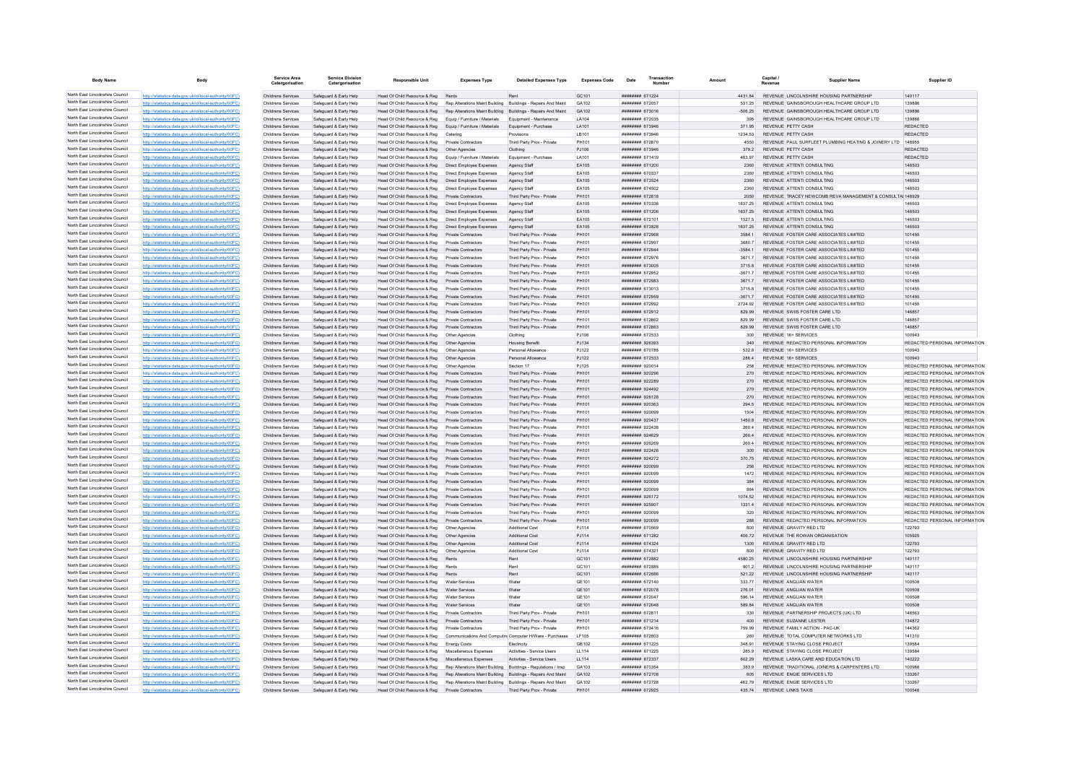| <b>Body Name</b>                                                   | Body                                                                                                             | Service Area<br>Catergorisation          | <b>Service Division</b><br>Catergorisation       | <b>Responsible Unit</b>                                                                                                  | <b>Expenses Type</b>                                          | <b>Detailed Expenses Type</b>                                          | <b>Expenses Code</b>   | Transaction<br>Date                      |                   | Capital<br><b>Supplier Name</b>                                                | Supplier ID                                                    |
|--------------------------------------------------------------------|------------------------------------------------------------------------------------------------------------------|------------------------------------------|--------------------------------------------------|--------------------------------------------------------------------------------------------------------------------------|---------------------------------------------------------------|------------------------------------------------------------------------|------------------------|------------------------------------------|-------------------|--------------------------------------------------------------------------------|----------------------------------------------------------------|
| North East Lincolnshire Council                                    | http://statistics.data.gov.uk/id/local-authority/00FC)                                                           | Childrens Services                       | Safeguard & Early Help                           | Head Of Child Resource & Reg                                                                                             | Rents                                                         | Rent                                                                   | GC <sub>101</sub>      | <b>НИНИНИН</b> 671224                    | 443184            | REVENUE LINCOLNSHIRE HOUSING PARTNERSHIP                                       | 140117                                                         |
| North East Lincolnshire Council                                    | http://statistics.data.gov.uk/id/local-authority/00FC)                                                           | Childrens Services                       | Safeguard & Early Help                           | Head Of Child Resource & Reg                                                                                             | Rep Alterations Maint Building Buildings - Repairs And Maint  |                                                                        | GA102                  | <b>########</b> 672057                   | 531 25            | REVENUE GAINSBOROUGH HEALTHCARE GROUP LTD                                      | 139886                                                         |
| North East Lincolnshire Council<br>North East Lincolnshire Council | http://statistics.data.gov.uk/id/local-authority/00FC)                                                           | Childrens Services                       | Safeguard & Early Help                           | Head Of Child Resource & Reg                                                                                             | Rep Alterations Maint Building Buildings - Repairs And Maint  |                                                                        | GA102                  | ######## 673016                          |                   | REVENUE GAINSBOROUGH HEALTHCARE GROUP LTD                                      | 139886                                                         |
| North East Lincolnshire Council                                    | http://statistics.data.gov.uk/id/local-authority/00FC)                                                           | Childrens Services                       | Safeguard & Early Help                           | Head Of Child Resource & Reg                                                                                             | Equip / Furniture / Materials                                 | Equipment - Maintenance                                                | LA104                  | <b>#######</b> 672035                    | 395               | REVENUE GAINSBOROUGH HEALTHCARE GROUP LTD                                      | 139886                                                         |
| North East Lincolnshire Council                                    | http://statistics.data.gov.uk/id/local-authority/00EC)<br>http://statistics.data.gov.uk/id/local-authority/00FC) | Childrens Services<br>Childrens Services | Safeguard & Early Help<br>Safeguard & Early Help | Head Of Child Resource & Reg Equip / Furniture / Materials Equipment - Purchase<br>Head Of Child Resource & Reg Catering |                                                               | Provisions                                                             | <b>I</b> A101<br>LB101 | ######## 673946<br><b>иннинни</b> 673946 | 37195<br>1234 53  | REVENUE PETTY CASH<br>REVENUE PETTY CASH                                       | <b>REDACTED</b><br><b>REDACTED</b>                             |
| North East Lincolnshire Council                                    | http://statistics.data.gov.uk/id/local-authority/00FC)                                                           | Childrens Services                       | Safeguard & Early Help                           | Head Of Child Resource & Reg                                                                                             | Private Contractors                                           | Third Party Prov - Private                                             | PH101                  | ######## 672870                          | 4550              | REVENUE PAUL SURFLEET PLUMBING HEATING & JOINERY LTD 148955                    |                                                                |
| North East Lincolnshire Council                                    | http://statistics.data.gov.uk/id/local-authority/00FC)                                                           | Childrens Services                       | Safeguard & Early Help                           | Head Of Child Resource & Reg                                                                                             | Other Agencies                                                | Clothing                                                               | PJ106                  | <b>####### 673946</b>                    | 379.2             | REVENUE PETTY CASH                                                             | <b>REDACTED</b>                                                |
| North East Lincolnshire Council                                    | http://statistics.data.gov.uk/id/local-authority/00EC)                                                           | Childrens Services                       | Safeguard & Farly Help                           | Head Of Child Resource & Reg                                                                                             | Fouin / Furniture / Materials                                 | Foujoment - Purchase                                                   | I A101                 | ######## 671419                          | 483.97            | REVENUE PETTY CASH                                                             | <b>REDACTED</b>                                                |
| North East Lincolnshire Council                                    | http://statistics.data.gov.uk/id/local-authority/00FC)                                                           | Childrens Services                       | Safeguard & Early Help                           | Head Of Child Resource & Reg                                                                                             | Direct Employee Expenses                                      | Agency Staff                                                           | EA105                  | ######## 671200                          | 2360              | REVENUE ATTENTI CONSULTING                                                     | 146503                                                         |
| North East Lincolnshire Council                                    | tistics.data.gov.uk/id/local-authority/00FC)                                                                     | Childrens Services                       | Safeguard & Early Help                           | Head Of Child Resource & Reg                                                                                             | Direct Employee Expenses                                      | Agency Staf                                                            | EA105                  | ####### 670337                           | 2360              | REVENUE ATTENTI CONSULTING                                                     | 146503                                                         |
| North East Lincolnshire Council                                    | http://statistics.data.gov.uk/id/local-authority/00FC)                                                           | Childrens Services                       | Safeguard & Early Help                           | Head Of Child Resource & Reg                                                                                             | Direct Employee Expenses                                      | Agency Staff                                                           | FA105                  | ####### 673524                           | 2360              | REVENUE ATTENTI CONSULTING                                                     | 146503                                                         |
| North East Lincolnshire Council                                    | http://statistics.data.gov.uk/id/local-authority/00FC)                                                           | Childrens Services                       | Safeguard & Early Help                           | Head Of Child Resource & Reg                                                                                             | Direct Employee Expenses                                      | Agency Staff                                                           | EA105                  | ######## 674502                          | 2360              | REVENUE ATTENTI CONSULTING                                                     | 146503                                                         |
| North East Lincolnshire Council<br>North East Lincolnshire Council | http://statistics.data.gov.uk/id/local-authority/00FC)                                                           | Childrens Services                       | Safeguard & Early Help                           | Head Of Child Resource & Reg                                                                                             | Private Contractors                                           | Third Party Prov - Private                                             | PH101                  | ######## 672818                          | 2050              | REVENUE TRACEY NEWCOMB REVA MANAGEMENT & CONSULTAI 148929                      |                                                                |
| North East Lincolnshire Council                                    | http://statistics.data.gov.uk/id/local-authority/00FC                                                            | Childrens Services                       | Safeguard & Early Help                           | Head Of Child Resource & Reg                                                                                             | Direct Employee Expenses                                      | Agency Staff                                                           | EA105                  | ####### 670336                           | 1637 25           | REVENUE ATTENTI CONSULTING                                                     | 146503                                                         |
| North East Lincolnshire Council                                    | http://statistics.data.gov.uk/id/local-authority/00FC)                                                           | Childrens Services<br>Childrens Services | Safeguard & Early Help<br>Safeguard & Early Help | Head Of Child Resource & Reg<br>Head Of Child Resource & Reg                                                             | Direct Employee Expenses<br>Direct Employee Expenses          | Agency Staff                                                           | FA105<br>EA105         | ####### 671206<br>####### 672101         | 1637 25<br>1327.5 | REVENUE ATTENTI CONSULTING<br>REVENUE ATTENTI CONSULTING                       | 146503<br>146503                                               |
| North East Lincolnshire Council                                    | http://statistics.data.gov.uk/id/local-authority/00FC)<br>http://statistics.data.gov.uk/id/local-authority/00FC) | Childrens Services                       | Safeguard & Early Help                           | Head Of Child Resource & Reg                                                                                             | Direct Employee Expenses                                      | Agency Staff<br>Agency Staff                                           | EA105                  | ####### 673828                           | 1637.25           | REVENUE ATTENTI CONSULTING                                                     | 146503                                                         |
| North East Lincolnshire Council                                    | http://statistics.data.gov.uk/id/local-authority/00FC                                                            | Childrens Services                       | Safeguard & Early Help                           | Head Of Child Resource & Reg                                                                                             | <b>Private Contractors</b>                                    | Third Party Prov - Private                                             | PH101                  | ######## 672968                          | 3584              | REVENUE FOSTER CARE ASSOCIATES LIMITED                                         | 101455                                                         |
| North East Lincolnshire Council                                    | http://statistics.data.gov.uk/id/local-authority/00FC)                                                           | Childrens Services                       | Safeguard & Farly Help                           | Head Of Child Resource & Reg. Private Contractors                                                                        |                                                               | Third Party Prov - Private                                             | PH101                  | ######## 672997                          | 3680.7            | REVENUE FOSTER CARE ASSOCIATES LIMITED.                                        | 101455                                                         |
| North East Lincolnshire Council                                    | http://statistics.data.gov.uk/id/local-authority/00FC)                                                           | Childrens Services                       | Safeguard & Early Help                           | Head Of Child Resource & Reg Private Contractors                                                                         |                                                               | Third Party Prov - Private                                             | PH101                  | ######## 672944                          | $-3584$           | REVENUE FOSTER CARE ASSOCIATES LIMITED                                         | 101455                                                         |
| North East Lincolnshire Council                                    | http://statistics.data.gov.uk/id/local-authority/00FC)                                                           | Childrens Services                       | Safeguard & Early Help                           | Head Of Child Resource & Reg Private Contractors                                                                         |                                                               | Third Party Prov - Private                                             | PH101                  | ####### 672976                           | 3671.7            | REVENUE FOSTER CARE ASSOCIATES LIMITED                                         | 101455                                                         |
| North East Lincolnshire Council                                    | http://statistics.data.gov.uk/id/local-authority/00FC)                                                           | Childrens Services                       | Safeguard & Early Help                           | Head Of Child Resource & Reg                                                                                             | Private Contractors                                           | Third Party Prov - Private                                             | PH101                  | ######## 673005                          | 3715.8            | REVENUE FOSTER CARE ASSOCIATES LIMITED                                         | 101455                                                         |
| North East Lincolnshire Council                                    | http://statistics.data.gov.uk/id/local-authority/00FC)                                                           | Childrens Services                       | Safeguard & Early Help                           | Head Of Child Resource & Reg                                                                                             | <b>Private Contractors</b>                                    | Third Party Prov - Private                                             | PH101                  | ######## 672952                          | $-36717$          | REVENUE FOSTER CARE ASSOCIATES LIMITED                                         | 101455                                                         |
| North East Lincolnshire Council                                    | http://statistics.data.gov.uk/id/local-authority/00FC)                                                           | Childrens Services                       | Safeguard & Early Help                           | Head Of Child Resource & Reg                                                                                             | Private Contractors                                           | Third Party Prov - Private                                             | PH101                  | ######## 672983                          | 3671.             | REVENUE FOSTER CARE ASSOCIATES LIMITED                                         | 101455                                                         |
| North East Lincolnshire Council                                    | http://statistics.data.gov.uk/id/local-authority/00FC)                                                           | Childrens Services                       | Safeguard & Early Help                           | Head Of Child Resource & Reg                                                                                             | Private Contractors                                           | Third Party Prov - Private                                             | PH101                  | ######## 673013                          | 3715.8            | REVENUE FOSTER CARE ASSOCIATES LIMITED                                         | 101455                                                         |
| North East Lincolnshire Council                                    | http://statistics.data.gov.uk/id/local-authority/00FC)                                                           | Childrens Services                       | Safeguard & Early Help                           | Head Of Child Resource & Reg                                                                                             | Private Contractors                                           | Third Party Prov - Private                                             | PH101                  | ####### 672959                           | $-36717$          | REVENUE FOSTER CARE ASSOCIATES LIMITED                                         | 101455                                                         |
| North East Lincolnshire Council                                    | http://statistics.data.gov.uk/id/local-authority/00FC)                                                           | Childrens Services                       | Safeguard & Early Help                           | Head Of Child Resource & Reg                                                                                             | Private Contractors                                           | Third Party Prov - Private                                             | PH101                  | ######## 672992                          | 2724.92           | REVENUE FOSTER CARE ASSOCIATES LIMITED                                         | 101455                                                         |
| North East Lincolnshire Council                                    | http://statistics.data.gov.uk/id/local-authority/00FC)                                                           | Childrens Services                       | Safeguard & Early Help                           | Head Of Child Resource & Reg                                                                                             | <b>Private Contractors</b>                                    | Third Party Prov - Private                                             | PH101                  | ######## 672912                          | 829.99            | REVENUE SWIIS FOSTER CARE LTD                                                  | 146857                                                         |
| North East Lincolnshire Council                                    | http://statistics.data.gov.uk/id/local-authority/00FC                                                            | Childrens Services                       | Safeguard & Early Help                           | Head Of Child Resource & Reg                                                                                             | Private Contractors                                           | Third Party Prov - Private                                             | PH101                  | <b>####### 672862</b>                    | 829.99            | REVENUE SWIIS FOSTER CARE LTD                                                  | 146857                                                         |
| North East Lincolnshire Council                                    | http://statistics.data.gov.uk/id/local-authority/00FC)                                                           | Childrens Services                       | Safeguard & Early Help                           | Head Of Child Resource & Reg                                                                                             | Private Contractors                                           | Third Party Prov - Private                                             | PH101                  | ######## 672863                          | 829.99            | REVENUE SWIIS FOSTER CARE ITD                                                  | 146857                                                         |
| North East Lincolnshire Council<br>North East Lincolnshire Council | http://statistics.data.gov.uk/id/local-authority/00FC)                                                           | Childrens Services                       | Safeguard & Early Help                           | Head Of Child Resource & Reg                                                                                             | Other Agencies                                                | Clothing                                                               | PJ106                  | <b>########</b> 672533                   | 300               | REVENUE 16+ SERVICES                                                           | 100943                                                         |
| North East Lincolnshire Council                                    | http://statistics.data.gov.uk/id/local-authority/00FC)                                                           | Childrens Services                       | Safeguard & Early Help                           | Head Of Child Resource & Reg                                                                                             | Other Agencies                                                | <b>Housing Benefit</b>                                                 | PJ134                  | ######## 926393<br><b>####### 670785</b> | 34                | REVENUE REDACTED PERSONAL INFORMATION                                          | REDACTED PERSONAL INFORMATION<br>100943                        |
| North East Lincolnshire Council                                    | http://statistics.data.gov.uk/id/local-authority/00FC                                                            | Childrens Services                       | Safeguard & Early Help                           | Head Of Child Resource & Reg                                                                                             | Other Agencies                                                | Personal Allowance                                                     | PJ122                  |                                          | 532.8             | REVENUE 16+ SERVICES                                                           |                                                                |
| North East Lincolnshire Council                                    | http://statistics.data.gov.uk/id/local-authority/00FC)                                                           | Childrens Services<br>Childrens Services | Safeguard & Early Help<br>Safeguard & Early Help | Head Of Child Resource & Reg<br>Head Of Child Resource & Reg                                                             | Other Agencies<br>Other Agencies                              | Personal Allowance<br>Section 17                                       | PJ122<br>PJ125         | ######## 672533<br>######## 920014       | 286.4<br>258      | REVENUE 16+ SERVICES<br>REVENUE REDACTED PERSONAL INFORMATION                  | 100943<br>REDACTED PERSONAL INFORMATION                        |
| North East Lincolnshire Council                                    | http://statistics.data.gov.uk/id/local-authority/00FC)<br>http://statistics.data.gov.uk/id/local-authority/00FC) | Childrens Services                       | Safeguard & Early Help                           | Head Of Child Resource & Reg                                                                                             | Private Contractors                                           | Third Party Prov - Private                                             | PH101                  | ######## 920296                          | 270               | REVENUE REDACTED PERSONAL INFORMATION                                          | REDACTED PERSONAL INFORMATION                                  |
| North East Lincolnshire Council                                    | http://statistics.data.gov.uk/id/local-authority/00FC)                                                           | Childrens Services                       | Safeguard & Early Help                           | Head Of Child Resource & Reg                                                                                             | Private Contractors                                           | Third Party Prov - Private                                             | PH101                  | <b>НИНИНИН</b> 922289                    | 270               | REVENUE REDACTED PERSONAL INFORMATION                                          | REDACTED PERSONAL INFORMATION                                  |
| North East Lincolnshire Council                                    | http://statistics.data.gov.uk/id/local-authority/00FC)                                                           | Childrens Services                       | Safeguard & Early Help                           | Head Of Child Resource & Reg                                                                                             | <b>Private Contractors</b>                                    | Third Party Prov - Private                                             | PH101                  | ######## 924492                          | 270               | REVENUE REDACTED PERSONAL INFORMATION                                          | REDACTED PERSONAL INFORMATION                                  |
| North East Lincolnshire Council                                    | http://statistics.data.gov.uk/id/local-authority/00FC)                                                           | Childrens Services                       | Safeguard & Early Help                           | Head Of Child Resource & Reg.                                                                                            | Private Contractors                                           | Third Party Prov - Private                                             | PH101                  | ######## 926128                          | 270               | REVENUE REDACTED PERSONAL INFORMATION                                          | REDACTED PERSONAL INFORMATION                                  |
| North East Lincolnshire Council                                    | http://statistics.data.gov.uk/id/local-authority/00FC                                                            | Childrens Services                       | Safeguard & Early Help                           | Head Of Child Resource & Reg                                                                                             | Private Contractors                                           | Third Party Prov - Private                                             | PH101                  | FAF0CP BBBBBBB                           | 294.5             | REVENUE REDACTED PERSONAL INFORMATION                                          | REDACTED PERSONAL INFORMATION                                  |
| North East Lincolnshire Council                                    | http://statistics.data.gov.uk/id/local-authority/00EC)                                                           | Childrens Services                       | Safeguard & Farly Help                           | Head Of Child Resource & Reg                                                                                             | Private Contractors                                           | Third Party Prov - Private                                             | PH101                  | <b>COUCO BBBBBBBBB</b>                   | 1504              | REVENUE REDACTED PERSONAL INFORMATION                                          | REDACTED PERSONAL INFORMATION                                  |
| North East Lincolnshire Council                                    | http://statistics.data.gov.uk/id/local-authority/00EC)                                                           | Childrens Services                       | Safeguard & Farly Help                           | Head Of Child Resource & Reg                                                                                             | Private Contractors                                           | Third Party Prov - Private                                             | PH101                  | ######## 920437                          | 1450 8            | REVENUE REDACTED PERSONAL INFORMATION                                          | REDACTED PERSONAL INFORMATION                                  |
| North East Lincolnshire Council                                    | http://statistics.data.gov.uk/id/local-authority/00FC)                                                           | Childrens Services                       | Safeguard & Early Help                           | Head Of Child Resource & Reg                                                                                             | Private Contractors                                           | Third Party Prov - Private                                             | PH101                  | ######## 922438                          | 260.4             | REVENUE REDACTED PERSONAL INFORMATION                                          | REDACTED PERSONAL INFORMATION                                  |
| North East Lincolnshire Council                                    | http://statistics.data.gov.uk/id/local-authority/00FC)                                                           | Childrens Services                       | Safeguard & Early Help                           | Head Of Child Resource & Reg                                                                                             | Private Contractors                                           | Third Party Prov - Private                                             | PH101                  | ######## 924629                          | 260.4             | REVENUE REDACTED PERSONAL INFORMATION                                          | REDACTED PERSONAL INFORMATION                                  |
| North East Lincolnshire Council                                    | http://statistics.data.gov.uk/id/local-authority/00FC)                                                           | Childrens Services                       | Safeguard & Early Help                           | Head Of Child Resource & Reg                                                                                             | Private Contractors                                           | Third Party Prov - Private                                             | PH101                  | ######## 926269                          | 260.4             | REVENUE REDACTED PERSONAL INFORMATION                                          | REDACTED PERSONAL INFORMATION                                  |
| North East Lincolnshire Council                                    | http://statistics.data.gov.uk/id/local-authority/00FC)                                                           | <b>Childrens Services</b>                | Safeguard & Early Help                           | Head Of Child Resource & Reg                                                                                             | <b>Private Contractors</b>                                    | Third Party Prov - Private                                             | PH101                  | ######## 922426                          | 300               | REVENUE REDACTED PERSONAL INFORMATION                                          | REDACTED PERSONAL INFORMATION                                  |
| North East Lincolnshire Council                                    | s.data.gov.uk/id/local-authority/00FC)                                                                           | Childrens Services                       | Safeguard & Early Help                           | Head Of Child Resource & Reg                                                                                             | <b>Private Contractors</b>                                    | Third Party Prov - Private                                             | PH101                  | ######## 924272                          | 370.75            | REVENUE REDACTED PERSONAL INFORMATION                                          | REDACTED PERSONAL INFORMATION                                  |
| North East Lincolnshire Council                                    | http://statistics.data.gov.uk/id/local-authority/00FC)                                                           | Childrens Services                       | Safeguard & Early Help                           | Head Of Child Resource & Reg                                                                                             | Private Contractors                                           | Third Party Prov - Private                                             | PH101                  | ####### 920099                           | 256               | REVENUE REDACTED PERSONAL INFORMATION                                          | REDACTED PERSONAL INFORMATION                                  |
| North East Lincolnshire Council<br>North East Lincolnshire Council | http://statistics.data.gov.uk/id/local-authority/00EC)                                                           | Childrens Services                       | Safeguard & Early Help                           | Head Of Child Resource & Reg                                                                                             | Private Contractors                                           | Third Party Prov - Private                                             | PH101                  | RROOCR BEBREER                           | 1472              | REVENUE REDACTED PERSONAL INFORMATION                                          | REDACTED PERSONAL INFORMATION                                  |
| North East Lincolnshire Council                                    | http://statistics.data.gov.uk/id/local-authority/00FC)                                                           | Childrens Services                       | Safeguard & Early Help                           | Head Of Child Resource & Reg                                                                                             | Private Contractors                                           | Third Party Prov - Private                                             | PH101                  | ######## 920099                          | 384               | REVENUE REDACTED PERSONAL INFORMATION                                          | REDACTED PERSONAL INFORMATION                                  |
| North East Lincolnshire Council                                    | http://statistics.data.gov.uk/id/local-authority/00FC)                                                           | Childrens Services                       | Safeguard & Early Help                           | Head Of Child Resource & Reg                                                                                             | Private Contractors                                           | Third Party Prov - Private                                             | PH101                  | ######## 920099                          |                   | REVENUE REDACTED PERSONAL INFORMATION                                          | REDACTED PERSONAL INFORMATION                                  |
| North East Lincolnshire Council                                    | http://statistics.data.gov.uk/id/local-authority/00FC)<br>http://statistics.data.gov.uk/id/local-authority/00EC) | Childrens Services<br>Childrens Services | Safeguard & Early Help<br>Safeguard & Early Help | Head Of Child Resource & Reg<br>Head Of Child Resource & Reg                                                             | Private Contractors<br>Private Contractors                    | Third Party Prov - Private<br>Third Party Prov - Private               | PH101<br>PH101         | ######## 926172<br>######## 925907       | 1074.52<br>13314  | REVENUE REDACTED PERSONAL INFORMATION<br>REVENUE REDACTED PERSONAL INFORMATION | REDACTED PERSONAL INFORMATION<br>REDACTED PERSONAL INFORMATION |
| North East Lincolnshire Council                                    | tics data nov uk/id/local-authority/00EC)                                                                        | Childrens Services                       | Safeguard & Early Help                           | Head Of Child Resource & Reg                                                                                             | <b>Private Contractors</b>                                    | Third Party Prov - Private                                             | PH101                  | ######## 920099                          | 320               | REVENUE REDACTED PERSONAL INFORMATION                                          | REDACTED PERSONAL INFORMATION                                  |
| North East Lincolnshire Council                                    | istics data nov uk/id/local-authority/00EC)                                                                      | Childrens Services                       | Safeguard & Early Help                           | Head Of Child Resource & Reg                                                                                             | Private Contractors                                           | Third Party Prov - Private                                             | PH101                  | ######## 920099                          | 288               | REVENUE REDACTED PERSONAL INFORMATION                                          | REDACTED PERSONAL INFORMATION                                  |
| North East Lincolnshire Council                                    | http://etgtietics.data.gov.uk/id/local.guthority/00EC)                                                           | Childrens Services                       | Safeguard & Early Help                           | Head Of Child Resource & Reg                                                                                             | Other Agencie                                                 | Additional Cos                                                         | P.I114                 | ####### 670569                           | 800               | REVENUE GRAVITY RED LTD                                                        | 122793                                                         |
| North East Lincolnshire Council                                    | http://statistics.data.gov.uk/id/local-authority/00FC)                                                           | Childrens Services                       | Safeguard & Early Help                           | Head Of Child Resource & Reg                                                                                             | Other Agencies                                                | <b>Additional Cost</b>                                                 | PJ114                  | ######## 671282                          | 406.72            | REVENUE THE ROWAN ORGANISATION                                                 | 105925                                                         |
| North East Lincolnshire Council                                    | http://statistics.data.gov.uk/id/local-authority/00FC)                                                           | Childrens Services                       | Safeguard & Early Help                           | Head Of Child Resource & Reg                                                                                             | Other Agencies                                                | Additional Cost                                                        | PJ114                  | ######## 674324                          | 1300              | REVENUE GRAVITY RED LTD                                                        | 122793                                                         |
| North East Lincolnshire Council                                    | http://statistics.data.gov.uk/id/local-authority/00FC)                                                           | Childrens Services                       | Safeguard & Early Help                           | Head Of Child Resource & Reg                                                                                             | Other Agencies                                                | <b>Additional Cos</b>                                                  | PJ114                  | ####### 674321                           |                   | REVENUE GRAVITY RED LTD                                                        | 122793                                                         |
| North East Lincolnshire Council                                    | http://statistics.data.gov.uk/id/local-authority/00FC)                                                           | Childrens Services                       | Safeguard & Early Help                           | Head Of Child Resource & Reg                                                                                             | Rents                                                         | Rent                                                                   | GC101                  | ######## 672882                          | 4580.25           | REVENUE LINCOLNSHIRE HOUSING PARTNERSHIP                                       | 140117                                                         |
| North East Lincolnshire Council                                    | http://statistics.data.gov.uk/id/local-authority/00FC)                                                           | Childrens Services                       | Safeguard & Early Help                           | Head Of Child Resource & Reg                                                                                             | Rents                                                         | Rent                                                                   | GC101                  | ######## 672885                          | 901.2             | REVENUE LINCOLNSHIRE HOUSING PARTNERSHIP                                       | 140117                                                         |
| North East Lincolnshire Council                                    | s.data.gov.uk/id/local-authority/00FC)                                                                           | Childrens Services                       | Safeguard & Early Help                           | Head Of Child Resource & Reg                                                                                             | Rents                                                         | Rent                                                                   | GC101                  | ####### 672686                           | 521.22            | REVENUE LINCOLNSHIRE HOUSING PARTNERSHIP                                       | 140117                                                         |
| North East Lincolnshire Council                                    | http://statistics.data.gov.uk/id/local-authority/00EC)                                                           | Childrens Services                       | Safeguard & Early Help                           | Head Of Child Resource & Reg                                                                                             | Water Services                                                | Water                                                                  | GE101                  | ######## 672140                          | 333.77            | REVENUE ANGLIAN WATER                                                          | 100508                                                         |
| North East Lincolnshire Council                                    | http://statistics.data.gov.uk/id/local-authority/00EC)                                                           | Childrens Services                       | Safeguard & Early Help                           | Head Of Child Resource & Reg.                                                                                            | <b>Water Services</b>                                         | Water                                                                  | GE101                  | <b>########</b> 672078                   | 276.01            | REVENUE ANGLIAN WATER                                                          | 100508                                                         |
| North East Lincolnshire Council                                    | http://statistics.data.gov.uk/id/local-authority/00FC)                                                           | Childrens Services                       | Safeguard & Early Help                           | Head Of Child Resource & Reg                                                                                             | <b>Water Services</b>                                         | Water                                                                  | GE101                  | ######## 672047                          | 596.14            | REVENUE ANGLIAN WATER                                                          | 100508                                                         |
| North East Lincolnshire Council                                    | http://statistics.data.gov.uk/id/local-authority/00FC)                                                           | Childrens Services                       | Safeguard & Early Help                           | Head Of Child Resource & Reg Water Services                                                                              |                                                               | Water                                                                  | GE101                  | ######## 672048                          | 589.84            | REVENUE ANGLIAN WATER                                                          | 100508                                                         |
| North East Lincolnshire Council<br>North East Lincolnshire Council | http://statistics.data.gov.uk/id/local-authority/00FC)                                                           | Childrens Services                       | Safeguard & Early Help                           | Head Of Child Resource & Reg                                                                                             | Private Contractors                                           | Third Party Prov - Private                                             | PH101                  | ####### 672811                           | 330               | REVENUE PARTNERSHIP PROJECTS (UK) LTD                                          | 146563                                                         |
| North East Lincolnshire Council                                    | http://statistics.data.gov.uk/id/local-authority/00EC)                                                           | Childrens Services                       | Safeguard & Early Help                           | Head Of Child Resource & Reg                                                                                             | Private Contractors                                           | Third Party Prov - Private                                             | PH101                  | <b>НИВВИНИ 671214</b>                    | $A \cap \cap$     | REVENUE SUZANNE LESTER                                                         | 134872                                                         |
| North East Lincolnshire Council                                    | ics.data.gov.uk/id/local-authority/00FC)                                                                         | Childrens Services                       | Safeguard & Early Help                           | Head Of Child Resource & Reg                                                                                             | Private Contractors                                           | Third Party Prov - Private                                             | PH101                  | ######## 673416                          | 759.99            | REVENUE FAMILY ACTION - PAC-UK                                                 | 144362                                                         |
| North East Lincolnshire Council                                    | http://statistics.data.gov.uk/id/local-authority/00FC)<br>http://statistics.data.gov.uk/id/local-authority/00EC) | Childrens Services<br>Childrens Services | Safeguard & Early Help<br>Safeguard & Early Help | Head Of Child Resource & Reg<br>Head Of Child Resource & Reg                                                             |                                                               | Communications And Computin Computer H/Ware - Purchases<br>Flectricity | LF105<br>GB102         | ####### 672603<br>####### 671225         | 348.91            | REVENUE TOTAL COMPUTER NETWORKS LTD<br>REVENUE STAYING CLOSE PROJECT           | 141310<br>139584                                               |
| North East Lincolnshire Council                                    | http://statistics.data.gov.uk/id/local-authority/00FC)                                                           | Childrens Services                       | Safeguard & Early Help                           | Head Of Child Resource & Reg                                                                                             | <b>Energy Costs</b><br>Miscellaneous Expenses                 | Activities - Service Users                                             | LL114                  | ####### 671225                           | 285.9             | REVENUE STAYING CLOSE PROJECT                                                  | 139584                                                         |
| North East Lincolnshire Council                                    | http://statistics.data.gov.uk/id/local-authority/00FC                                                            | Childrens Services                       | Safeguard & Early Help                           | Head Of Child Resource & Reg Miscellaneous Expenses                                                                      |                                                               | Activities - Service Users                                             | LL114                  | ######## 672337                          | 602.29            | REVENUE LASKA CARE AND EDUCATION LTD                                           | 140222                                                         |
| North East Lincolnshire Council                                    | http://statistics.data.gov.uk/id/local-authority/00FC)                                                           | Childrens Services                       | Safeguard & Early Help                           | Head Of Child Resource & Reg                                                                                             | Rep Alterations Maint Building Buildings - Regulations / Insp |                                                                        | GA103                  | ######## 670354                          | 383.9             | REVENUE TRADITIONAL JOINERS & CARPENTERS LTD                                   | 100986                                                         |
| North East Lincolnshire Council                                    | http://statistics.data.gov.uk/id/local-authority/00FC)                                                           | Childrens Services                       | Safeguard & Early Help                           | Head Of Child Resource & Reg                                                                                             | Rep Alterations Maint Building Buildings - Repairs And Maint  |                                                                        | GA102                  | ######## 672708                          | 605               | REVENUE ENGIE SERVICES LTD                                                     | 133267                                                         |
| North East Lincolnshire Council                                    | http://statistics.data.gov.uk/id/local-authority/00FC)                                                           | Childrens Services                       | Safeguard & Early Help                           | Head Of Child Resource & Reg Rep Alterations Maint Building Buildings - Repairs And Maint                                |                                                               |                                                                        | GA102                  | ######## 672728                          | 462.79            | REVENUE ENGIE SERVICES LTD                                                     | 133267                                                         |
| North East Lincolnshire Council                                    | http://statistics.data.gov.uk/id/local-authority/00FC)                                                           | Childrens Services                       | Safeguard & Early Help                           | Head Of Child Resource & Reg                                                                                             | Private Contractors                                           | Third Party Prov - Private                                             | PH101                  | ####### 672925                           | 435.74            | REVENUE LINKS TAXIS                                                            | 100546                                                         |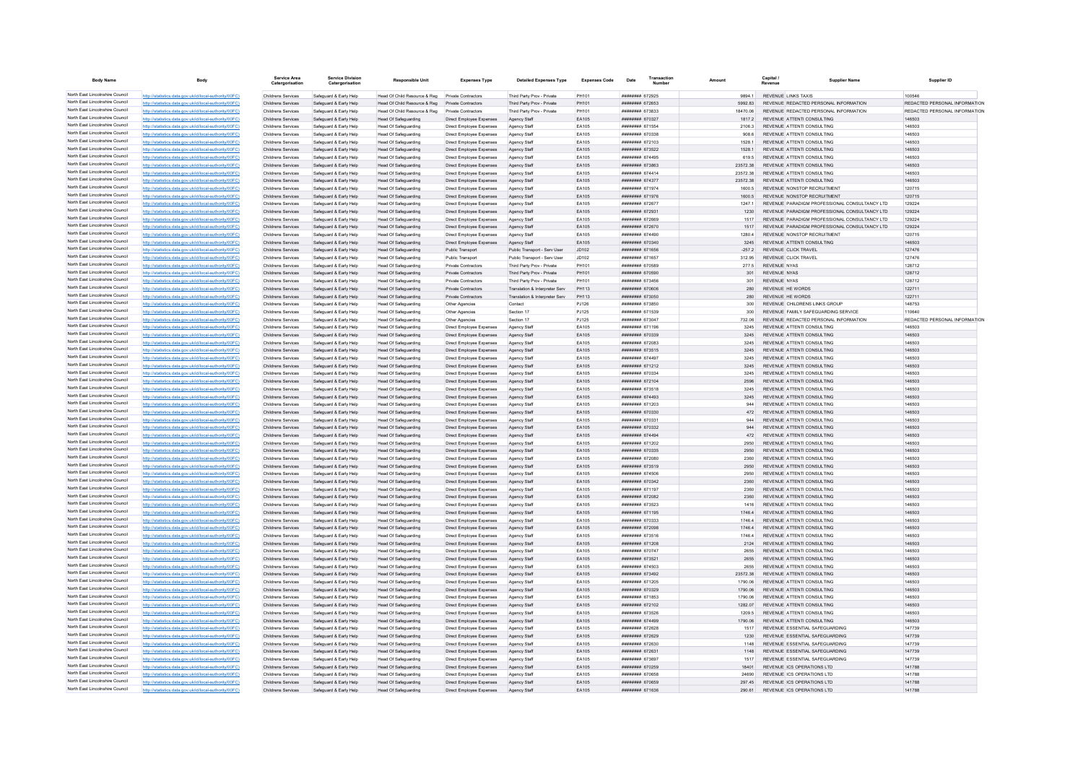| <b>Body Name</b>                                                   | Body                                                                                                             | Service Area<br>Catergorisation          | <b>Service Division</b><br>Catergorisation       | <b>Responsible Unit</b>                                    | <b>Expenses Type</b>                                 | <b>Detailed Expenses Type</b>                            | <b>Expenses Code</b> | Transaction<br>Date                       |                        | Capital                             | Supplier Name                                                                | Supplier ID                   |
|--------------------------------------------------------------------|------------------------------------------------------------------------------------------------------------------|------------------------------------------|--------------------------------------------------|------------------------------------------------------------|------------------------------------------------------|----------------------------------------------------------|----------------------|-------------------------------------------|------------------------|-------------------------------------|------------------------------------------------------------------------------|-------------------------------|
| North East Lincolnshire Council                                    | http://statistics.data.gov.uk/id/local-authority/00FC)                                                           | Childrens Services                       | Safeguard & Early Help                           | Head Of Child Resource & Reg                               | Private Contractors                                  | Third Party Prov - Private                               | PH101                | ####### 672925                            | 9894 1                 |                                     | REVENUE LINKS TAXIS                                                          | 100546                        |
| North East Lincolnshire Council                                    | http://statistics.data.gov.uk/id/local-authority/00FC)                                                           | Childrens Services                       | Safeguard & Early Help                           | Head Of Child Resource & Reg                               | Private Contractors                                  | Third Party Prov - Private                               | PH101                | ######## 672653                           | 5992.83                |                                     | REVENUE REDACTED PERSONAL INFORMATION                                        | REDACTED PERSONAL INFORMATION |
| North East Lincolnshire Council<br>North East Lincolnshire Council | http://statistics.data.gov.uk/id/local-authority/00FC)                                                           | Childrens Services                       | Safeguard & Early Help                           | Head Of Child Resource & Reg.                              | Private Contractors                                  | Third Party Prov - Private                               | PH101                | ######## 673833                           | 18470.06               |                                     | REVENUE REDACTED PERSONAL INFORMATION                                        | REDACTED PERSONAL INFORMATION |
| North East Lincolnshire Council                                    | http://statistics.data.gov.uk/id/local-authority/00FC)                                                           | Childrens Services                       | Safeguard & Early Help                           | <b>Head Of Safeguarding</b>                                | Direct Employee Expenses                             | Agency Staff                                             | EA105                | ######## 670327                           | 18172                  |                                     | REVENUE ATTENTI CONSULTING                                                   | 146503                        |
| North East Lincolnshire Council                                    | http://statistics.data.gov.uk/id/local-authority/00EC)<br>http://statistics.data.gov.uk/id/local-authority/00FC) | Childrens Services<br>Childrens Services | Safeguard & Early Help<br>Safeguard & Early Help | Head Of Safeguarding<br>Head Of Safeguarding               | Direct Employee Expenses<br>Direct Employee Expenses | Agency Staff<br>Agency Staff                             | FA105<br>EA105       | <b>########</b> 671554<br>######## 670338 | 21063<br>908.6         |                                     | REVENUE ATTENTI CONSULTING<br>REVENUE ATTENTI CONSULTING                     | 146503<br>146503              |
| North East Lincolnshire Council                                    | http://statistics.data.gov.uk/id/local-authority/00FC)                                                           | Childrens Services                       | Safeguard & Early Help                           | Head Of Safeguarding                                       | Direct Employee Expenses                             | Agency Staf                                              | EA105                | ######## 672103                           | 1528.1                 |                                     | REVENUE ATTENTI CONSULTING                                                   | 146503                        |
| North East Lincolnshire Council                                    | http://statistics.data.gov.uk/id/local-authority/00FC)                                                           | Childrens Services                       | Safeguard & Early Help                           | <b>Head Of Safeguarding</b>                                | Direct Employee Expenses                             | Agency Staff                                             | EA105                | <b>иннинни</b> 673522                     | 1528.1                 |                                     | REVENUE ATTENTI CONSULTING                                                   | 146503                        |
| North East Lincolnshire Council                                    | http://statistics.data.gov.uk/id/local-authority/00FC)                                                           | Childrens Services                       | Safeguard & Early Help                           | <b>Head Of Safeguarding</b>                                | Direct Employee Expenses                             | Agency Staff                                             | <b>FA105</b>         | ######## 674495                           | 619.5                  |                                     | REVENUE ATTENTI CONSULTING                                                   | 146503                        |
| North East Lincolnshire Council                                    | http://statistics.data.gov.uk/id/local-authority/00FC)                                                           | Childrens Services                       | Safeguard & Early Help                           | <b>Head Of Safeguarding</b>                                | Direct Employee Expenses                             | Agency Staff                                             | EA105                | ######## 673863                           | 23572.38               |                                     | REVENUE ATTENTI CONSULTING                                                   | 146503                        |
| North East Lincolnshire Council                                    | tics.data.gov.uk/id/local-authority/00FC)                                                                        | Childrens Services                       | Safeguard & Early Help                           | <b>Head Of Safeguarding</b>                                | Direct Employee Expenses                             | Agency Staf                                              | EA105                | ####### 674414                            | 23572.38               |                                     | REVENUE ATTENTI CONSULTING                                                   | 146503                        |
| North East Lincolnshire Council<br>North East Lincolnshire Council | http://statistics.data.gov.uk/id/local-authority/00FC)                                                           | Childrens Services                       | Safeguard & Early Help                           | Head Of Safeguarding                                       | Direct Employee Expenses                             | Agency Staff                                             | EA105                | <b>НИНИНИН</b> 674377                     | 2357238                |                                     | REVENUE ATTENTI CONSULTING                                                   | 146503                        |
| North East Lincolnshire Council                                    | http://statistics.data.gov.uk/id/local-authority/00FC)                                                           | Childrens Services                       | Safeguard & Early Help                           | Head Of Safeguarding                                       | Direct Employee Expenses                             | Agency Staff                                             | EA105                | ######## 671974                           | 1600 5                 |                                     | REVENUE NONSTOP RECRUITMENT                                                  | 120715                        |
| North East Lincolnshire Council                                    | http://statistics.data.gov.uk/id/local-authority/00FC)<br>http://statistics.data.gov.uk/id/local-authority/00FC  | Childrens Services<br>Childrens Services | Safeguard & Early Help<br>Safeguard & Early Help | <b>Head Of Safeguarding</b><br>Head Of Safeguarding        | Direct Employee Expenses<br>Direct Employee Expenses | Agency Staf<br>Agency Staf                               | EA105<br>EA105       | ######## 671976<br>######## 672677        | 1600.5<br>1247.1       |                                     | REVENUE NONSTOP RECRUITMENT<br>REVENUE PARADIGM PROFESSIONAL CONSULTANCY LTD | 120715<br>129224              |
| North East Lincolnshire Council                                    | http://statistics.data.gov.uk/id/local-authority/00FC)                                                           | Childrens Services                       | Safeguard & Early Help                           | Head Of Safeguarding                                       | Direct Employee Expenses                             | Agency Staff                                             | EA105                | ####### 672931                            | 1230                   |                                     | REVENUE PARADIGM PROFESSIONAL CONSULTANCY LTD.                               | 129224                        |
| North East Lincolnshire Council                                    | http://statistics.data.gov.uk/id/local-authority/00FC)                                                           | Childrens Services                       | Safeguard & Early Help                           | Head Of Safeguarding                                       | Direct Employee Expenses                             | Agency Staf                                              | EA105                | ######## 672669                           | 1517                   |                                     | REVENUE PARADIGM PROFESSIONAL CONSULTANCY LTD                                | 129224                        |
| North East Lincolnshire Council                                    | http://statistics.data.gov.uk/id/local-authority/00FC)                                                           | Childrens Services                       | Safeguard & Early Help                           | <b>Head Of Safeguarding</b>                                | Direct Employee Expenses                             | Agency Staf                                              | EA105                | ######## 672670                           | 151                    |                                     | REVENUE PARADIGM PROFESSIONAL CONSULTANCY LTD                                | 129224                        |
| North East Lincolnshire Council                                    | http://statistics.data.gov.uk/id/local-authority/00FC                                                            | Childrens Services                       | Safeguard & Early Help                           | <b>Head Of Safeguarding</b>                                | Direct Employee Expenses                             | Agency Staff                                             | FA105                | <b><i>BRESHER 674490</i></b>              | 1280.4                 |                                     | REVENUE NONSTOP RECRUITMENT                                                  | 120715                        |
| North East Lincolnshire Council                                    | http://statistics.data.gov.uk/id/local-authority/00FC)                                                           | Childrens Services                       | Safeguard & Early Help                           | Head Of Safeguarding                                       | Direct Employee Expenses                             | Agency Staff                                             | FA105                | ######## 670340                           | 3245                   |                                     | REVENUE ATTENTI CONSULTING                                                   | 146503                        |
| North East Lincolnshire Council                                    | http://statistics.data.gov.uk/id/local-authority/00FC)                                                           | Childrens Services                       | Safeguard & Early Help                           | Head Of Safeguarding                                       | Public Transport                                     | Public Transport - Serv User                             | JD102                | ####### 671656                            | $-2572$                |                                     | REVENUE CLICK TRAVEL                                                         | 127476                        |
| North East Lincolnshire Council                                    | http://statistics.data.gov.uk/id/local-authority/00FC)                                                           | Childrens Services                       | Safeguard & Early Help                           | <b>Head Of Safeguarding</b>                                | Public Transport                                     | Public Transport - Serv User                             | JD102                | ####### 671657                            | 312.95                 |                                     | REVENUE CLICK TRAVEL                                                         | 127476                        |
| North East Lincolnshire Council<br>North East Lincolnshire Council | http://statistics.data.gov.uk/id/local-authority/00FC                                                            | Childrens Services                       | Safeguard & Early Help                           | <b>Head Of Safeguarding</b>                                | Private Contractors                                  | Third Party Prov - Private                               | PH101                | <b>CA2018 SHEEFER</b>                     | 277.5                  | <b>REVENUE NYAS</b>                 |                                                                              | 128712                        |
| North East Lincolnshire Council                                    | http://statistics.data.gov.uk/id/local-authority/00FC)<br>http://statistics.data.gov.uk/id/local-authority/00FC) | Childrens Services<br>Childrens Services | Safeguard & Early Help<br>Safeguard & Early Help | <b>Head Of Safeguarding</b><br><b>Head Of Safeguarding</b> | <b>Private Contractors</b><br>Private Contractors    | Third Party Prov - Private<br>Third Party Prov - Private | PH101<br>PH101       | ######## 670590<br>######## 673456        | 301<br>30 <sup>°</sup> | <b>REVENUE NYAS</b><br>REVENUE NYAS |                                                                              | 128712<br>128712              |
| North East Lincolnshire Council                                    | http://statistics.data.gov.uk/id/local-authority/00FC)                                                           | Childrens Services                       | Safeguard & Early Help                           | <b>Head Of Safeguarding</b>                                | Private Contractors                                  | Translation & Interpreter Serv                           | PH113                | ######## 670606                           | 280                    |                                     | <b>REVENUE HE WORDS</b>                                                      | 122711                        |
| North East Lincolnshire Council                                    | http://statistics.data.gov.uk/id/local-authority/00FC                                                            | Childrens Services                       | Safeguard & Early Help                           | <b>Head Of Safeguarding</b>                                | Private Contractors                                  | Translation & Interpreter Serv                           | PH113                | ######## 673050                           | 280                    |                                     | REVENUE HE WORDS                                                             | 122711                        |
| North East Lincolnshire Council                                    | http://statistics.data.gov.uk/id/local-authority/00FC)                                                           | Childrens Services                       | Safeguard & Early Help                           | Head Of Safeguarding                                       | Other Agencies                                       | Contact                                                  | PJ126                | ######## 673850                           | 300                    |                                     | REVENUE CHILDRENS LINKS GROUP                                                | 148753                        |
| North East Lincolnshire Council                                    | http://statistics.data.gov.uk/id/local-authority/00FC)                                                           | Childrens Services                       | Safeguard & Early Help                           | <b>Head Of Safeguarding</b>                                | Other Agencies                                       | Section 17                                               | PJ125                | ####### 671539                            | 300                    |                                     | REVENUE FAMILY SAFEGUARDING SERVICE                                          | 110640                        |
| North East Lincolnshire Council                                    | http://statistics.data.gov.uk/id/local-authority/00FC                                                            | Childrens Services                       | Safeguard & Early Help                           | <b>Head Of Safeguarding</b>                                | Other Agencies                                       | Section 17                                               | PJ125                | ####### 673047                            | 732.06                 |                                     | REVENUE REDACTED PERSONAL INFORMATION                                        | REDACTED PERSONAL INFORMATION |
| North East Lincolnshire Council                                    | http://statistics.data.gov.uk/id/local-authority/00FC)                                                           | Childrens Services                       | Safeguard & Early Help                           | <b>Head Of Safeguarding</b>                                | Direct Employee Expenses                             | Agency Staff                                             | <b>FA105</b>         | ######## 671196                           | 3245                   |                                     | REVENUE ATTENTI CONSULTING                                                   | 146503                        |
| North East Lincolnshire Council                                    | http://statistics.data.gov.uk/id/local-authority/00FC)                                                           | Childrens Services                       | Safeguard & Early Help                           | Head Of Safeguarding                                       | Direct Employee Expenses                             | Agency Staff                                             | EA105                | ######## 670339                           | 3245                   |                                     | REVENUE ATTENTI CONSULTING                                                   | 146503                        |
| North East Lincolnshire Council                                    | http://statistics.data.gov.uk/id/local-authority/00FC)                                                           | Childrens Services                       | Safeguard & Early Help                           | <b>Head Of Safeguarding</b>                                | Direct Employee Expenses                             | Agency Staf                                              | EA105                | ######## 672083                           | 3245                   |                                     | REVENUE ATTENTI CONSULTING                                                   | 146503                        |
| North East Lincolnshire Council<br>North East Lincolnshire Council | http://statistics.data.gov.uk/id/local-authority/00FC                                                            | Childrens Services                       | Safeguard & Early Help                           | <b>Head Of Safeguarding</b>                                | Direct Employee Expenses                             | Agency Staff                                             | EA105                | ######## 673515                           | 3245                   |                                     | REVENUE ATTENTI CONSULTING                                                   | 146503                        |
| North East Lincolnshire Council                                    | http://statistics.data.gov.uk/id/local-authority/00FC)<br>http://statistics.data.gov.uk/id/local-authority/00FC) | Childrens Services<br>Childrens Services | Safeguard & Early Help<br>Safeguard & Early Help | <b>Head Of Safeguarding</b><br><b>Head Of Safeguarding</b> | Direct Employee Expenses<br>Direct Employee Expenses | Agency Staff<br>Agency Staff                             | EA105<br>EA105       | ######## 674497<br>######## 671212        | 3245<br>3245           |                                     | REVENUE ATTENTI CONSULTING<br>REVENUE ATTENTI CONSULTING                     | 146503<br>146503              |
| North East Lincolnshire Council                                    | http://statistics.data.gov.uk/id/local-authority/00FC)                                                           | Childrens Services                       | Safeguard & Early Help                           | <b>Head Of Safeguarding</b>                                | Direct Employee Expenses                             | Agency Staff                                             | EA105                | ######## 670334                           | 3245                   |                                     | REVENUE ATTENTI CONSULTING                                                   | 146503                        |
| North East Lincolnshire Council                                    | http://statistics.data.gov.uk/id/local-authority/00FC)                                                           | Childrens Services                       | Safeguard & Early Help                           | <b>Head Of Safeguarding</b>                                | Direct Employee Expenses                             | Agency Staff                                             | EA105                | ######## 672104                           | 2596                   |                                     | REVENUE ATTENTI CONSULTING                                                   | 146503                        |
| North East Lincolnshire Council                                    | http://statistics.data.gov.uk/id/local-authority/00FC)                                                           | Childrens Services                       | Safeguard & Early Help                           | <b>Head Of Safeguarding</b>                                | Direct Employee Expenses                             | Agency Staff                                             | EA105                | ######## 673518                           | 3245                   |                                     | REVENUE ATTENTI CONSULTING                                                   | 146503                        |
| North East Lincolnshire Council                                    | http://statistics.data.gov.uk/id/local-authority/00FC)                                                           | Childrens Services                       | Safeguard & Early Help                           | <b>Head Of Safeguarding</b>                                | Direct Employee Expenses                             | Agency Staf                                              | EA105                | ######## 674493                           | 3245                   |                                     | REVENUE ATTENTI CONSULTING                                                   | 146503                        |
| North East Lincolnshire Council                                    | stics.data.gov.uk/id/local-authority/00FC                                                                        | <b>Childrens Services</b>                | Safeguard & Early Help                           | <b>Head Of Safeguarding</b>                                | Direct Employee Expenses                             | Agency Staf                                              | EA105                | ######## 671203                           | 944                    |                                     | REVENUE ATTENTI CONSULTING                                                   | 146503                        |
| North East Lincolnshire Council                                    | http://statistics.data.gov.uk/id/local-authority/00EC)                                                           | Childrens Services                       | Safeguard & Early Help                           | Head Of Safeguarding                                       | Direct Employee Expenses                             | Agency Staff                                             | EA105                | ######## 670330                           | 472                    |                                     | REVENUE ATTENTI CONSULTING                                                   | 146503                        |
| North East Lincolnshire Council<br>North East Lincolnshire Council | http://statistics.data.gov.uk/id/local-authority/00EC)                                                           | Childrens Services                       | Safeguard & Farly Help                           | Head Of Safeguarding                                       | Direct Employee Expenses                             | Agency Staff                                             | <b>FA105</b>         | ######## 670331                           | 944                    |                                     | REVENUE ATTENTI CONSULTING                                                   | 146503                        |
| North East Lincolnshire Council                                    | http://statistics.data.gov.uk/id/local-authority/00FC)                                                           | Childrens Services                       | Safeguard & Early Help                           | Head Of Safeguarding                                       | Direct Employee Expenses                             | Agency Staff                                             | EA105                | ######## 670332                           | 944                    |                                     | REVENUE ATTENTI CONSULTING                                                   | 146503                        |
| North East Lincolnshire Council                                    | http://statistics.data.gov.uk/id/local-authority/00FC)<br>http://statistics.data.gov.uk/id/local-authority/00FC) | Childrens Services<br>Childrens Services | Safeguard & Early Help<br>Safeguard & Early Help | <b>Head Of Safeguarding</b>                                | Direct Employee Expenses                             | Agency Staf<br>Agency Staff                              | EA105<br>EA105       | ######## 674494<br>######## 671202        | 472<br>2950            |                                     | REVENUE ATTENTI CONSULTING<br>REVENUE ATTENTI CONSULTING                     | 146503<br>146503              |
| North East Lincolnshire Council                                    | http://statistics.data.gov.uk/id/local-authority/00FC)                                                           | Childrens Services                       | Safeguard & Early Help                           | <b>Head Of Safeguarding</b><br>Head Of Safeguarding        | Direct Employee Expenses<br>Direct Employee Expenses | Agency Staff                                             | EA105                | ######## 670335                           | 2950                   |                                     | REVENUE ATTENTI CONSULTING                                                   | 146503                        |
| North East Lincolnshire Council                                    | s.data.gov.uk/id/local-auth                                                                                      | Childrens Services                       | Safeguard & Early Help                           | <b>Head Of Safeguarding</b>                                | Direct Employee Expenses                             | Agency Staf                                              | EA105                | ######## 672080                           | 2360                   |                                     | REVENUE ATTENTI CONSULTING                                                   | 146503                        |
| North East Lincolnshire Council                                    | http://statistics.data.gov.uk/id/local-authority/00FC)                                                           | Childrens Services                       | Safeguard & Early Help                           | <b>Head Of Safeguarding</b>                                | Direct Employee Expenses                             | Agency Staff                                             | EA105                | ####### 673519                            | 2950                   |                                     | REVENUE ATTENTI CONSULTING                                                   | 146503                        |
| North East Lincolnshire Council                                    | http://statistics.data.gov.uk/id/local-authority/00EC)                                                           | Childrens Services                       | Safeguard & Early Help                           | <b>Head Of Safeguarding</b>                                | Direct Employee Expenses                             | Agency Staff                                             | EA105                | <b>####### 674506</b>                     | 2950                   |                                     | REVENUE ATTENTI CONSULTING                                                   | 146503                        |
| North East Lincolnshire Council                                    | http://statistics.data.gov.uk/id/local-authority/00FC)                                                           | Childrens Services                       | Safeguard & Early Help                           | Head Of Safeguarding                                       | Direct Employee Expenses                             | Agency Staff                                             | EA105                | ######## 670342                           | 2360                   |                                     | REVENUE ATTENTI CONSULTING                                                   | 146503                        |
| North East Lincolnshire Council                                    | http://statistics.data.gov.uk/id/local-authority/00FC)                                                           | Childrens Services                       | Safeguard & Early Help                           | Head Of Safeguarding                                       | Direct Employee Expenses                             | Agency Staf                                              | EA105                | ######## 671197                           | 2360                   |                                     | REVENUE ATTENTI CONSULTING                                                   | 146503                        |
| North East Lincolnshire Council<br>North East Lincolnshire Council | http://statistics.data.gov.uk/id/local-authority/00FC)                                                           | Childrens Services                       | Safeguard & Early Help                           | <b>Head Of Safeguarding</b>                                | Direct Employee Expenses                             | Agency Staff                                             | EA105                | ######## 672082                           | 2360                   |                                     | REVENUE ATTENTI CONSULTING                                                   | 146503                        |
| North East Lincolnshire Council                                    | http://statistics.data.gov.uk/id/local-authority/00EC)<br>ics data gov uk/id/local-authority/00EC)               | Childrens Services                       | Safeguard & Early Help                           | <b>Head Of Safeguarding</b>                                | Direct Employee Expenses                             | Agency Staff                                             | EA105                | ######## 673523                           | 1416                   |                                     | REVENUE ATTENTI CONSULTING                                                   | 146503                        |
| North East Lincolnshire Council                                    | ics data nov uk/id/local-authority/00EC)                                                                         | Childrens Services<br>Childrens Services | Safeguard & Early Help<br>Safeguard & Early Help | Head Of Safeguarding<br><b>Head Of Safeguarding</b>        | Direct Employee Expenses<br>Direct Employee Expenses | Agency Staff<br>Agency Staf                              | EA105<br>EA105       | ######## 671195<br>######## 670333        | 17464<br>1746.         |                                     | REVENUE ATTENTI CONSULTING<br>REVENUE ATTENTI CONSULTING                     | 146503<br>146503              |
| North East Lincolnshire Council                                    | http://etgtigting.clgtg.cov.uk/id/longLauthority/00EC)                                                           | Childrens Services                       | Safeguard & Early Help                           | <b>Head Of Safeguarding</b>                                | Direct Employee Expenses                             | Agency Staff                                             | EA105                | ######## 672098                           | 17464                  |                                     | REVENUE ATTENTI CONSULTING                                                   | 146503                        |
| North East Lincolnshire Council                                    | http://statistics.data.gov.uk/id/local-authority/00FC)                                                           | Childrens Services                       | Safeguard & Early Help                           | Head Of Safeguarding                                       | Direct Employee Expenses                             | Agency Staff                                             | EA105                | ######## 673516                           | 1746.4                 |                                     | REVENUE ATTENTI CONSULTING                                                   | 146503                        |
| North East Lincolnshire Council                                    | http://statistics.data.gov.uk/id/local-authority/00FC)                                                           | Childrens Services                       | Safeguard & Early Help                           | <b>Head Of Safeguarding</b>                                | Direct Employee Expenses                             | Agency Staff                                             | EA105                | ######## 671208                           | 2124                   |                                     | REVENUE ATTENTI CONSULTING                                                   | 146503                        |
| North East Lincolnshire Council                                    | http://statistics.data.gov.uk/id/local-authority/00FC)                                                           | Childrens Services                       | Safeguard & Early Help                           | <b>Head Of Safeguarding</b>                                | Direct Employee Expenses                             | Agency Staff                                             | EA105                | ********* 670747                          | 2655                   |                                     | REVENUE ATTENTI CONSULTING                                                   | 146503                        |
| North East Lincolnshire Council                                    | http://statistics.data.gov.uk/id/local-authority/00FC)                                                           | Childrens Services                       | Safeguard & Early Help                           | <b>Head Of Safeguarding</b>                                | Direct Employee Expenses                             | Agency Staff                                             | EA105                | ######## 673521                           | 2655                   |                                     | REVENUE ATTENTI CONSULTING                                                   | 146503                        |
| North East Lincolnshire Council                                    | http://statistics.data.gov.uk/id/local-authority/00FC)                                                           | Childrens Services                       | Safeguard & Early Help                           | <b>Head Of Safeguarding</b>                                | Direct Employee Expenses                             | Agency Staff                                             | EA105                | ######## 674503                           | 2655                   |                                     | REVENUE ATTENTI CONSULTING                                                   | 146503                        |
| North East Lincolnshire Council<br>North East Lincolnshire Council | s.data.gov.uk/id/local-auti                                                                                      | Childrens Services                       | Safeguard & Early Help                           | Head Of Safeguarding                                       | Direct Employee Expenses                             | Agency Staff                                             | EA105                | ######## 673492                           | 23572.38               |                                     | REVENUE ATTENTI CONSULTING                                                   | 146503                        |
| North East Lincolnshire Council                                    | http://statistics.data.gov.uk/id/local-authority/00FC1                                                           | Childrens Services                       | Safeguard & Early Help                           | <b>Head Of Safeguarding</b>                                | Direct Employee Expenses                             | Agency Staff                                             | EA105                | ######## 671205                           | 1790.06                |                                     | REVENUE ATTENTI CONSULTING                                                   | 146503                        |
| North East Lincolnshire Council                                    | http://statistics.data.gov.uk/id/local-authority/00EC)                                                           | Childrens Services                       | Safeguard & Early Help                           | Head Of Safeguarding                                       | Direct Employee Expenses                             | Agency Staff                                             | EA105                | ######## 670329                           | 1790.06                |                                     | REVENUE ATTENTI CONSULTING                                                   | 146503                        |
| North East Lincolnshire Council                                    | http://statistics.data.gov.uk/id/local-authority/00FC)<br>http://statistics.data.gov.uk/id/local-authority/00FC) | Childrens Services<br>Childrens Services | Safeguard & Early Help<br>Safeguard & Early Help | Head Of Safeguarding<br>Head Of Safeguarding               | Direct Employee Expenses<br>Direct Employee Expenses | Agency Staff<br>Agency Staf                              | EA105<br>EA105       | ######## 671853<br>######## 672102        | 1790.06<br>1282.07     |                                     | REVENUE ATTENTI CONSULTING<br>REVENUE ATTENTI CONSULTING                     | 146503<br>146503              |
| North East Lincolnshire Council                                    | http://statistics.data.gov.uk/id/local-authority/00FC)                                                           | Childrens Services                       | Safeguard & Early Help                           | <b>Head Of Safeguarding</b>                                | Direct Employee Expenses                             | Agency Staff                                             | EA105                | ######## 673526                           | 1209.5                 |                                     | REVENUE ATTENTI CONSULTING                                                   | 146503                        |
| North East Lincolnshire Council                                    | http://statistics.data.gov.uk/id/local-authority/00EC)                                                           | Childrens Services                       | Safeguard & Early Help                           | Head Of Safeguarding                                       | Direct Employee Expenses                             | Agency Staff                                             | FA105                | ######## 674499                           | 1790.06                |                                     | REVENUE ATTENTI CONSULTING                                                   | 146503                        |
| North East Lincolnshire Council                                    | cs.data.gov.uk/id/local-authority/00FC)                                                                          | Childrens Services                       | Safeguard & Early Help                           | <b>Head Of Safeguarding</b>                                | Direct Employee Expenses                             | Agency Staf                                              | EA105                | ####### 672628                            | 1517                   |                                     | REVENUE ESSENTIAL SAFEGUARDING                                               | 147739                        |
| North East Lincolnshire Council                                    | atistics.data.gov.uk/id/local-authority/00FC                                                                     | Childrens Services                       | Safeguard & Early Help                           | <b>Head Of Safeguarding</b>                                | Direct Employee Expenses                             | Agency Staf                                              | EA105                | ####### 672629                            | 1230                   |                                     | REVENUE ESSENTIAL SAFEGUARDING                                               | 147739                        |
| North East Lincolnshire Council                                    | http://statistics.data.gov.uk/id/local-authority/00EC)                                                           | Childrens Services                       | Safeguard & Early Help                           | <b>Head Of Safeguarding</b>                                | Direct Employee Expenses                             | Agency Staff                                             | EA105                | ####### 672630                            | 1148                   |                                     | REVENUE ESSENTIAL SAFEGUARDING                                               | 147739                        |
| North East Lincolnshire Council                                    | http://statistics.data.gov.uk/id/local-authority/00FC)                                                           | Childrens Services                       | Safeguard & Early Help                           | Head Of Safeguarding                                       | Direct Employee Expenses                             | Agency Staff                                             | EA105                | ######## 672631                           | 1148                   |                                     | REVENUE ESSENTIAL SAFEGUARDING                                               | 147739                        |
| North East Lincolnshire Council<br>North East Lincolnshire Council | http://statistics.data.gov.uk/id/local-authority/00FC)                                                           | Childrens Services                       | Safeguard & Early Help                           | Head Of Safeguarding                                       | Direct Employee Expenses                             | Agency Staf                                              | EA105                | ####### 673697                            | 1517                   |                                     | REVENUE ESSENTIAL SAFEGUARDING                                               | 147739                        |
| North East Lincolnshire Council                                    | http://statistics.data.gov.uk/id/local-authority/00FC)                                                           | Childrens Services                       | Safeguard & Early Help                           | <b>Head Of Safeguarding</b>                                | Direct Employee Expenses                             | Agency Staf                                              | EA105                | ####### 670259                            | 18401                  |                                     | REVENUE ICS OPERATIONS LTD                                                   | 141788                        |
| North East Lincolnshire Council                                    | http://statistics.data.gov.uk/id/local-authority/00FC)                                                           | Childrens Services                       | Safeguard & Early Help                           | <b>Head Of Safeguarding</b>                                | Direct Employee Expenses                             | Agency Staff                                             | EA105<br>EA105       |                                           | 24690                  |                                     | REVENUE ICS OPERATIONS LTD<br>REVENUE ICS OPERATIONS LTD                     | 141788<br>141788              |
| North East Lincolnshire Council                                    | http://statistics.data.gov.uk/id/local-authority/00FC)<br>atistics.data.gov.uk/id/local-authority/00FC)          | Childrens Services<br>Childrens Services | Safeguard & Early Help<br>Safeguard & Early Help | Head Of Safeguarding<br><b>Head Of Safeguarding</b>        | Direct Employee Expenses<br>Direct Employee Expenses | Agency Staff<br>Agency Stat                              | EA105                | ######## 670659<br>######## 671636        | 297 45<br>290.61       |                                     | REVENUE ICS OPERATIONS LTD                                                   | 14178                         |
|                                                                    |                                                                                                                  |                                          |                                                  |                                                            |                                                      |                                                          |                      |                                           |                        |                                     |                                                                              |                               |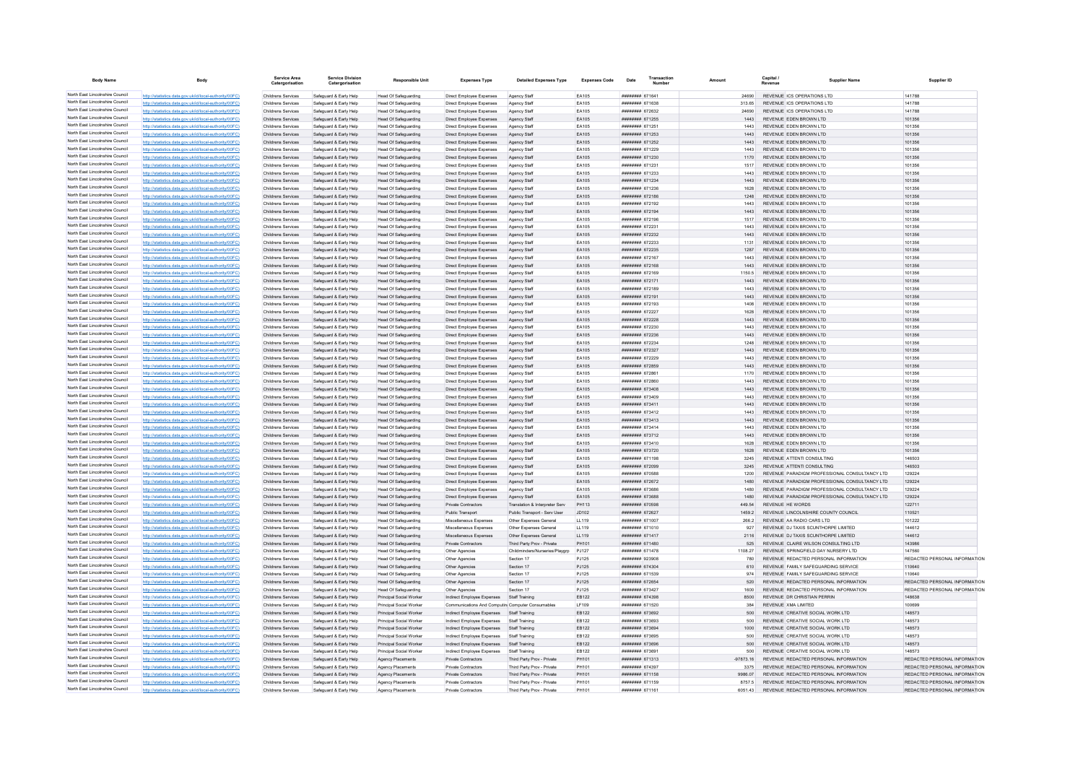| <b>Body Name</b>                                                   |                                                                                                                  | Service Area                                    | <b>Service Division</b><br>Catergorisation       | <b>Responsible Unit</b>                                    | <b>Expenses Type</b>                                     | <b>Detailed Expenses Type</b>                                      | <b>Expenses Code</b>  | Date                               | Transaction |                | Capital / | Supplier Name                                                               | Supplier ID                   |
|--------------------------------------------------------------------|------------------------------------------------------------------------------------------------------------------|-------------------------------------------------|--------------------------------------------------|------------------------------------------------------------|----------------------------------------------------------|--------------------------------------------------------------------|-----------------------|------------------------------------|-------------|----------------|-----------|-----------------------------------------------------------------------------|-------------------------------|
| North East Lincolnshire Council                                    | http://statistics.data.gov.uk/id/local-authority/00FC)                                                           | Childrens Services                              | Safeguard & Early Help                           | <b>Head Of Safeguarding</b>                                | Direct Employee Expenses                                 | Agency Staff                                                       | EA105                 | ####### 671641                     |             | 24690          |           | REVENUE ICS OPERATIONS LTD                                                  | 141788                        |
| North East Lincolnshire Council<br>North East Lincolnshire Council | http://statistics.data.gov.uk/id/local-authority/00FC)                                                           | Childrens Services                              | Safeguard & Early Help                           | <b>Head Of Safeguarding</b>                                | Direct Employee Expenses                                 | Agency Staff                                                       | EA105                 | 823153 BBBBBBB                     |             | 313.65         |           | REVENUE ICS OPERATIONS I TD                                                 | 141788                        |
| North East Lincolnshire Council                                    | http://statistics.data.gov.uk/id/local-authority/00FC)<br>http://statistics.data.gov.uk/id/local-authority/00FC) | Childrens Services<br>Childrens Services        | Safeguard & Early Help<br>Safeguard & Early Help | <b>Head Of Safeguarding</b><br><b>Head Of Safeguarding</b> | Direct Employee Expenses<br>Direct Employee Expenses     | Agency Staff<br>Agency Staf                                        | EA105<br>EA105        | ######## 672632<br>####### 671255  |             | 24690<br>1443  |           | REVENUE ICS OPERATIONS LTD<br>REVENUE EDEN BROWN LTD                        | 141788<br>101356              |
| North East Lincolnshire Council                                    | http://statistics.data.gov.uk/id/local-authority/00FC)                                                           | Childrens Services                              | Safeguard & Early Help                           | <b>Head Of Safeguarding</b>                                | Direct Employee Expenses                                 | Agency Staf                                                        | EA105                 | ######## 671251                    |             | 1443           |           | REVENUE EDEN BROWN I TD                                                     | 101356                        |
| North East Lincolnshire Council                                    | http://statistics.data.gov.uk/id/local-authority/00EC)                                                           | Childrens Services                              | Safeguard & Early Help                           | <b>Head Of Safeguarding</b>                                | Direct Employee Expenses                                 | Agency Staff                                                       | FA105                 | <b>НИВВИНИ 671253</b>              |             | 1443           |           | REVENUE EDEN BROWN LTD                                                      | 101356                        |
| North East Lincolnshire Council                                    | http://statistics.data.gov.uk/id/local-authority/00FC)                                                           | Childrens Services                              | Safeguard & Early Help                           | <b>Head Of Safeguarding</b>                                | Direct Employee Expenses                                 | Agency Staf                                                        | EA105                 | ######## 671252                    |             | 1443           |           | REVENUE EDEN BROWN LTD                                                      | 101356                        |
| North East Lincolnshire Council                                    | http://statistics.data.gov.uk/id/local-authority/00FC)                                                           | Childrens Services                              | Safeguard & Early Help                           | <b>Head Of Safeguarding</b>                                | Direct Employee Expenses                                 | Agency Staf                                                        | EA105                 | ####### 671229                     |             | 1443           |           | REVENUE EDEN BROWN LTD                                                      | 101356                        |
| North East Lincolnshire Council                                    | http://statistics.data.gov.uk/id/local-authority/00FC)                                                           | Childrens Services                              | Safeguard & Early Help                           | <b>Head Of Safeguarding</b>                                | Direct Employee Expenses                                 | Agency Staf                                                        | EA105                 | ######## 671230                    |             | 1170           |           | REVENUE EDEN BROWN LTD                                                      | 101356                        |
| North East Lincolnshire Council<br>North East Lincolnshire Council | http://statistics.data.gov.uk/id/local-authority/00FC)                                                           | Childrens Services                              | Safeguard & Early Help                           | <b>Head Of Safeguarding</b>                                | Direct Employee Expenses                                 | Agency Staff                                                       | EA105                 | ######## 671231                    |             | 1517           |           | REVENUE EDEN BROWN LTD                                                      | 101356                        |
| North East Lincolnshire Council                                    | http://statistics.data.gov.uk/id/local-authority/00FC)<br>istics data nov uk/id/local-authority/00EC             | Childrens Services                              | Safeguard & Early Help                           | <b>Head Of Safeguarding</b>                                | Direct Employee Expenses                                 | Agency Staf                                                        | EA105                 | ######## 671233                    |             | 1443           |           | REVENUE EDEN BROWN LTD                                                      | 101356                        |
| North East Lincolnshire Council                                    | http://statistics.data.gov.uk/id/local-authority/00EC)                                                           | Childrens Services<br>Childrens Services        | Safeguard & Early Help<br>Safeguard & Early Help | <b>Head Of Safeguarding</b><br>Head Of Safeguarding        | Direct Employee Expenses<br>Direct Employee Expenses     | Agency Staff<br>Agency Staff                                       | EA105<br><b>FA105</b> | ######## 671234<br>######## 671236 |             | 1443<br>1628   |           | REVENUE EDEN BROWN LTD<br>REVENUE EDEN BROWN I TD                           | 101356<br>101356              |
| North East Lincolnshire Council                                    | http://statistics.data.gov.uk/id/local-authority/00FC)                                                           | Childrens Services                              | Safeguard & Early Help                           | Head Of Safeguarding                                       | Direct Employee Expenses                                 | Agency Staff                                                       | EA105                 | ######## 672186                    |             | 1248           |           | REVENUE EDEN BROWN LTD                                                      | 101356                        |
| North East Lincolnshire Council                                    | http://statistics.data.gov.uk/id/local-authority/00FC)                                                           | Childrens Services                              | Safeguard & Early Help                           | <b>Head Of Safeguarding</b>                                | Direct Employee Expenses                                 | Agency Staf                                                        | EA105                 | ####### 672192                     |             | 1443           |           | REVENUE EDEN BROWN LTD                                                      | 101356                        |
| North East Lincolnshire Council                                    | http://statistics.data.gov.uk/id/local-authority/00FC)                                                           | Childrens Services                              | Safeguard & Early Help                           | Head Of Safeguarding                                       | Direct Employee Expenses                                 | Agency Staff                                                       | EA105                 | ######## 672194                    |             | 1443           |           | REVENUE EDEN BROWN LTD                                                      | 101356                        |
| North East Lincolnshire Council                                    | http://statistics.data.gov.uk/id/local-authority/00FC)                                                           | Childrens Services                              | Safeguard & Early Help                           | <b>Head Of Safeguarding</b>                                | Direct Employee Expenses                                 | Agency Staf                                                        | EA105                 | ######## 672196                    |             | 1517           |           | REVENUE EDEN BROWN LTD                                                      | 101356                        |
| North East Lincolnshire Council                                    | http://statistics.data.gov.uk/id/local-authority/00FC)                                                           | Childrens Services                              | Safeguard & Early Help                           | <b>Head Of Safeguarding</b>                                | Direct Employee Expenses                                 | Agency Staf                                                        | EA105                 | ######## 672231                    |             | 1443           |           | REVENUE EDEN BROWN LTD                                                      | 101356                        |
| North East Lincolnshire Council<br>North East Lincolnshire Council | istics.data.gov.uk/id/local-authority/00FC)                                                                      | Childrens Services                              | Safeguard & Early Help                           | <b>Head Of Safeguarding</b>                                | Direct Employee Expenses                                 | Agency Staf                                                        | EA105                 | ######## 672232                    |             | 1443           |           | REVENUE EDEN BROWN LTD                                                      | 101356                        |
| North East Lincolnshire Council                                    | http://statistics.data.gov.uk/id/local-authority/00FC)<br>http://statistics.data.gov.uk/id/local-authority/00FC) | Childrens Services<br><b>Childrens Services</b> | Safeguard & Early Help                           | Head Of Safeguarding<br><b>Head Of Safeguarding</b>        | Direct Employee Expenses                                 | Agency Staff<br>Agency Staff                                       | FA105<br>EA105        | ######## 672233<br>######## 672235 |             | 1131<br>1287   |           | REVENUE EDEN BROWN LTD<br>REVENUE EDEN BROWN LTD                            | 101356<br>101356              |
| North East Lincolnshire Council                                    | http://statistics.data.gov.uk/id/local-authority/00FC)                                                           | Childrens Services                              | Safeguard & Early Help<br>Safeguard & Early Help | <b>Head Of Safeguarding</b>                                | Direct Employee Expenses<br>Direct Employee Expenses     | Agency Staf                                                        | EA105                 | ####### 672167                     |             | 1443           |           | REVENUE EDEN BROWN LTD                                                      | 101356                        |
| North East Lincolnshire Council                                    | http://statistics.data.gov.uk/id/local-authority/00FC)                                                           | Childrens Services                              | Safeguard & Early Help                           | <b>Head Of Safeguarding</b>                                | Direct Employee Expenses                                 | Agency Staf                                                        | EA105                 | ######## 672168                    |             | 1443           |           | REVENUE EDEN BROWN LTD                                                      | 101356                        |
| North East Lincolnshire Council                                    | http://statistics.data.gov.uk/id/local-authority/00FC)                                                           | Childrens Services                              | Safeguard & Early Help                           | <b>Head Of Safeguarding</b>                                | Direct Employee Expenses                                 | Agency Staf                                                        | <b>FA105</b>          | ######## 672169                    |             | 1150.5         |           | REVENUE EDEN BROWN LTD                                                      | 101356                        |
| North East Lincolnshire Council                                    | http://statistics.data.gov.uk/id/local-authority/00FC)                                                           | Childrens Services                              | Safeguard & Early Help                           | <b>Head Of Safeguarding</b>                                | Direct Employee Expenses                                 | Agency Staff                                                       | EA105                 | ######## 672171                    |             | 1443           |           | REVENUE EDEN BROWN LTD                                                      | 101356                        |
| North East Lincolnshire Council                                    | http://statistics.data.gov.uk/id/local-authority/00FC)                                                           | Childrens Services                              | Safeguard & Early Help                           | <b>Head Of Safeguarding</b>                                | Direct Employee Expenses                                 | Agency Staf                                                        | EA105                 | ####### 672189                     |             | 1443           |           | REVENUE EDEN BROWN LTD                                                      | 101356                        |
| North East Lincolnshire Council                                    | http://statistics.data.gov.uk/id/local-authority/00FC                                                            | <b>Childrens Services</b>                       | Safeguard & Early Help                           | <b>Head Of Safeguarding</b>                                | Direct Employee Expenses                                 | Agency Staff                                                       | EA105                 | ######## 672191                    |             | 1443           |           | REVENUE EDEN BROWN LTD                                                      | 101356                        |
| North East Lincolnshire Council                                    | http://statistics.data.gov.uk/id/local-authority/00FC)                                                           | Childrens Services                              | Safeguard & Early Help                           | <b>Head Of Safeguarding</b>                                | Direct Employee Expenses                                 | Agency Staff                                                       | EA105                 | ######## 672193                    |             | 1408           |           | REVENUE EDEN BROWN LTD                                                      | 101356                        |
| North East Lincolnshire Council<br>North East Lincolnshire Council | http://statistics.data.gov.uk/id/local-authority/00FC)                                                           | Childrens Services                              | Safeguard & Early Help                           | Head Of Safeguarding                                       | Direct Employee Expenses                                 | Agency Staf                                                        | EA105                 | ######## 672227                    |             | 1628           |           | REVENUE EDEN BROWN LTD                                                      | 101356                        |
| North East Lincolnshire Council                                    | http://statistics.data.gov.uk/id/local-authority/00FC                                                            | Childrens Services<br>Childrens Services        | Safeguard & Early Help<br>Safeguard & Early Help | <b>Head Of Safeguarding</b>                                | Direct Employee Expenses                                 | Agency Staf                                                        | EA105<br><b>FA105</b> | ####### 672228<br>######## 672230  |             | 1443<br>1443   |           | REVENUE EDEN BROWN LTD<br>REVENUE EDEN BROWN I TD                           | 101356<br>101356              |
| North East Lincolnshire Council                                    | http://statistics.data.gov.uk/id/local-authority/00FC<br>http://statistics.data.gov.uk/id/local-authority/00FC)  | <b>Childrens Services</b>                       | Safeguard & Early Help                           | <b>Head Of Safeguarding</b><br><b>Head Of Safeguarding</b> | Direct Employee Expenses<br>Direct Employee Expenses     | Agency Staf<br>Agency Staff                                        | EA105                 | ######## 672236                    |             | 1443           |           | REVENUE EDEN BROWN LTD                                                      | 101356                        |
| North East Lincolnshire Council                                    | http://statistics.data.gov.uk/id/local-authority/00FC)                                                           | Childrens Services                              | Safeguard & Early Help                           | <b>Head Of Safeguarding</b>                                | Direct Employee Expenses                                 | Agency Stat                                                        | EA105                 | ######## 672234                    |             | 1248           |           | REVENUE EDEN BROWN LTD                                                      | 101356                        |
| North East Lincolnshire Council                                    | http://statistics.data.gov.uk/id/local-authority/00FC)                                                           | <b>Childrens Services</b>                       | Safeguard & Early Help                           | Head Of Safeguarding                                       | Direct Employee Expenses                                 | Agency Staf                                                        | EA105                 | ######## 672327                    |             | 1443           |           | REVENUE EDEN BROWN LTD                                                      | 101356                        |
| North East Lincolnshire Council                                    | http://statistics.data.gov.uk/id/local-authority/00FC)                                                           | Childrens Services                              | Safeguard & Early Help                           | <b>Head Of Safeguarding</b>                                | Direct Employee Expenses                                 | Agency Staff                                                       | EA105                 | ######## 672229                    |             | 1443           |           | REVENUE EDEN BROWN LTD                                                      | 101356                        |
| North East Lincolnshire Council                                    | http://statistics.data.gov.uk/id/local-authority/00FC)                                                           | Childrens Services                              | Safeguard & Early Help                           | <b>Head Of Safeguarding</b>                                | Direct Employee Expenses                                 | Agency Staf                                                        | EA105                 | ####### 672859                     |             | 1443           |           | REVENUE EDEN BROWN LTD                                                      | 101356                        |
| North East Lincolnshire Council                                    | http://statistics.data.gov.uk/id/local-authority/00FC)                                                           | Childrens Services                              | Safeguard & Early Help                           | <b>Head Of Safeguarding</b>                                | Direct Employee Expenses                                 | Agency Staf                                                        | EA105                 | ####### 672861                     |             | 1170           |           | REVENUE EDEN BROWN LTD                                                      | 101356                        |
| North East Lincolnshire Council                                    | http://statistics.data.gov.uk/id/local-authority/00FC)                                                           | Childrens Services                              | Safeguard & Early Help                           | <b>Head Of Safeguarding</b>                                | Direct Employee Expenses                                 | Agency Staff                                                       | EA105                 | 02273 HBBBBBBB                     |             | 1443           |           | REVENUE EDEN BROWN LTD                                                      | 101356                        |
| North East Lincolnshire Council<br>North East Lincolnshire Council | http://statistics.data.gov.uk/id/local-authority/00FC)<br>http://statistics.data.gov.uk/id/local-authority/00FC) | <b>Childrens Services</b><br>Childrens Services | Safeguard & Early Help<br>Safeguard & Early Help | <b>Head Of Safeguarding</b>                                | Direct Employee Expenses                                 | Agency Staff<br>Agency Staf                                        | EA105<br>EA105        | ######## 673408<br>######## 673409 |             | 1443<br>1443   |           | REVENUE EDEN BROWN LTD<br>REVENUE EDEN BROWN LTD                            | 101356<br>101356              |
| North East Lincolnshire Council                                    | stics.data.gov.uk/id/local-authority/00FC                                                                        | Childrens Services                              | Safeguard & Early Help                           | <b>Head Of Safeguarding</b><br><b>Head Of Safeguarding</b> | Direct Employee Expenses<br>Direct Employee Expenses     | Agency Staff                                                       | EA105                 | ######## 673411                    |             | 1443           |           | REVENUE EDEN BROWN LTD                                                      | 101356                        |
| North East Lincolnshire Council                                    | http://statistics.data.gov.uk/id/local-authority/00EC)                                                           | Childrens Services                              | Safeguard & Early Help                           | Head Of Safeguarding                                       | Direct Employee Expenses                                 | Agency Staff                                                       | <b>FA105</b>          | <b>НИНИНИН</b> 673412              |             | 1443           |           | REVENUE EDEN BROWN I TD                                                     | 101356                        |
| North East Lincolnshire Council                                    | http://statistics.data.gov.uk/id/local-authority/00EC)                                                           | Childrens Services                              | Safeguard & Early Help                           | Head Of Safeguarding                                       | Direct Employee Expenses                                 | Agency Staff                                                       | FA105                 | <b>НИВВИНИ 673413</b>              |             | 1443           |           | REVENUE EDEN BROWN LTD                                                      | 101356                        |
| North East Lincolnshire Council                                    | http://statistics.data.gov.uk/id/local-authority/00FC)                                                           | Childrens Services                              | Safeguard & Early Help                           | <b>Head Of Safeguarding</b>                                | Direct Employee Expenses                                 | Agency Staf                                                        | EA105                 | ######## 673414                    |             | 1443           |           | REVENUE EDEN BROWN LTD                                                      | 101356                        |
| North East Lincolnshire Council                                    | http://statistics.data.gov.uk/id/local-authority/00FC)                                                           | Childrens Services                              | Safeguard & Early Help                           | <b>Head Of Safeguarding</b>                                | Direct Employee Expenses                                 | Agency Staf                                                        | EA105                 | ######## 673712                    |             | 1443           |           | REVENUE EDEN BROWN LTD                                                      | 101356                        |
| North East Lincolnshire Council                                    | http://statistics.data.gov.uk/id/local-authority/00FC)                                                           | Childrens Services                              | Safeguard & Early Help                           | <b>Head Of Safeguarding</b>                                | Direct Employee Expenses                                 | Agency Staff                                                       | EA105                 | ######## 673410                    |             | 1628           |           | REVENUE EDEN BROWN LTD                                                      | 101356                        |
| North East Lincolnshire Council                                    | http://statistics.data.gov.uk/id/local-authority/00FC)                                                           | <b>Childrens Services</b>                       | Safeguard & Early Help                           | Head Of Safeguarding                                       | Direct Employee Expenses                                 | Agency Staff                                                       | EA105                 | ######## 673720                    |             | 1628           |           | REVENUE EDEN BROWN LTD                                                      | 101356                        |
| North East Lincolnshire Council<br>North East Lincolnshire Council | http://statistics.data.gov.uk/id/local-authority/00EC)                                                           | Childrens Services                              | Safeguard & Early Help                           | <b>Head Of Safeguarding</b>                                | Direct Employee Expenses                                 | Agency Staf                                                        | EA105                 | ####### 671198                     |             | 3245           |           | REVENUE ATTENTI CONSULTING                                                  | 146503                        |
| North East Lincolnshire Council                                    | http://statistics.data.gov.uk/id/local-authority/00EC)                                                           | Childrens Services<br>Childrens Services        | Safeguard & Early Help<br>Safeguard & Early Help | Head Of Safeguarding<br>Head Of Safeguarding               | Direct Employee Expenses<br>Direct Employee Expenses     | Agency Staf<br>Agency Staff                                        | EA105<br>EA105        | ####### 672099<br>######## 670588  |             | 3245<br>1200   |           | REVENUE ATTENTI CONSULTING<br>REVENUE PARADIGM PROFESSIONAL CONSULTANCY LTD | 146503<br>129224              |
| North East Lincolnshire Council                                    | http://statistics.data.gov.uk/id/local-authority/00FC)                                                           | Childrens Services                              | Safeguard & Early Help                           | Head Of Safeguarding                                       | Direct Employee Expenses                                 | Agency Staff                                                       | EA105                 | ######## 672672                    |             | 1480           |           | REVENUE PARADIGM PROFESSIONAL CONSULTANCY LTD                               | 129224                        |
| North East Lincolnshire Council                                    | http://statistics.data.gov.uk/id/local-authority/00FC)                                                           | Childrens Services                              | Safeguard & Early Help                           | Head Of Safeguarding                                       | Direct Employee Expenses                                 | Agency Staf                                                        | EA105                 | ####### 673686                     |             | 1480           |           | REVENUE PARADIGM PROFESSIONAL CONSULTANCY LTD                               | 129224                        |
| North East Lincolnshire Council                                    | http://statistics.data.gov.uk/id/local-authority/00FC)                                                           | Childrens Services                              | Safeguard & Early Help                           | Head Of Safeguarding                                       | Direct Employee Expenses                                 | Agency Staff                                                       | EA105                 | ######## 673688                    |             | 1480           |           | REVENUE PARADIGM PROFESSIONAL CONSULTANCY LTD                               | 129224                        |
| North East Lincolnshire Council                                    | http://statistics.data.gov.uk/id/local-authority/00FC)                                                           | <b>Childrens Services</b>                       | Safeguard & Early Help                           | Head Of Safeguarding                                       | <b>Private Contractors</b>                               | Translation & Interpreter Serv                                     | PH113                 | ######## 670598                    |             | 449.54         |           | REVENUE HE WORDS                                                            | 122711                        |
| North East Lincolnshire Council                                    | data.gov.uk/id/local-auti                                                                                        | Childrens Services                              | Safeguard & Early Help                           | <b>Head Of Safeguarding</b>                                | Public Transport                                         | Public Transport - Serv User                                       | JD102                 | ####### 672627                     |             | 1459.2         |           | REVENUE LINCOLNSHIRE COUNTY COUNCIL                                         | 110521                        |
| North East Lincolnshire Council                                    | atistics.data.gov.uk/id/local-authority/00FC)                                                                    | Childrens Services                              | Safeguard & Early Help                           | <b>Head Of Safeguarding</b>                                | Miscellaneous Expenses                                   | Other Expenses General                                             | LL119                 | ######## 671007                    |             | 266.2          |           | REVENUE AA RADIO CARS LTD                                                   | 101222                        |
| North East Lincolnshire Council<br>North East Lincolnshire Council | http://statistics.data.gov.uk/id/local-authority/00EC)                                                           | Childrens Services                              | Safeguard & Early Help                           | <b>Head Of Safeguarding</b>                                | Miscellaneous Expenses                                   | Other Expenses General                                             | LL119                 | ######## 671010                    |             | 927            |           | REVENUE DJ TAXIS SCUNTHORPE LIMITED                                         | 144612                        |
| North East Lincolnshire Council                                    | http://statistics.data.gov.uk/id/local-authority/00FC)<br>http://statistics.data.gov.uk/id/local-authority/00FC) | <b>Childrens Services</b>                       | Safeguard & Early Help<br>Safeguard & Early Help | Head Of Safeguarding<br>Head Of Safeguarding               | Miscellaneous Expenses                                   | Other Expenses General                                             | LL119                 | ######## 671417<br>######## 671480 |             | 2116           |           | REVENUE DJ TAXIS SCUNTHORPE LIMITED<br>REVENUE CLAIRE WILSON CONSULTING LTD | 144612<br>143986              |
| North East Lincolnshire Council                                    | http://statistics.data.gov.uk/id/local-authority/00FC)                                                           | Childrens Services<br>Childrens Services        | Safeguard & Early Help                           | <b>Head Of Safeguarding</b>                                | <b>Private Contractors</b><br>Other Agencies             | Third Party Prov - Private<br>Childminders/Nurseries/Playgrp PJ127 | PH101                 | ######## 671478                    |             | 525<br>1108.27 |           | REVENUE SPRINGFIELD DAY NURSERY LTD                                         | 147560                        |
| North East Lincolnshire Council                                    | http://statistics.data.gov.uk/id/local-authority/00FC)                                                           | Childrens Services                              | Safeguard & Early Help                           | Head Of Safeguarding                                       | Other Agencies                                           | Section 17                                                         | P.I125                | ######## 923908                    |             | 780            |           | REVENUE, REDACTED PERSONAL INFORMATION                                      | REDACTED PERSONAL INFORMATION |
| North East Lincolnshire Council                                    | http://statistics.data.gov.uk/id/local-authority/00FC)                                                           | <b>Childrens Services</b>                       | Safeguard & Early Help                           | Head Of Safeguarding                                       | Other Agencies                                           | Section 17                                                         | PJ125                 | ######## 674304                    |             | 610            |           | REVENUE FAMILY SAFEGUARDING SERVICE                                         | 110640                        |
| North East Lincolnshire Council                                    | tistics.data.gov.uk/id/local-authority/00FC)                                                                     | Childrens Services                              | Safeguard & Early Help                           | <b>Head Of Safeguarding</b>                                | Other Agencies                                           | Section 17                                                         | PJ125                 | ####### 671539                     |             | 974            |           | REVENUE FAMILY SAFEGUARDING SERVICE                                         | 110640                        |
| North East Lincolnshire Council                                    | http://statistics.data.gov.uk/id/local-authority/00EC)                                                           | <b>Childrens Services</b>                       | Safeguard & Early Help                           | <b>Head Of Safeguarding</b>                                | Other Agencies                                           | Section 17                                                         | PJ125                 | ####### 672654                     |             | 520            |           | REVENUE REDACTED PERSONAL INFORMATION                                       | REDACTED PERSONAL INFORMATION |
| North East Lincolnshire Council                                    | http://statistics.data.gov.uk/id/local-authority/00FC)                                                           | <b>Childrens Services</b>                       | Safeguard & Early Help                           | Head Of Safeguarding                                       | Other Agencies                                           | Section 17                                                         | PJ125                 | ######## 673427                    |             | 1600           |           | REVENUE REDACTED PERSONAL INFORMATION                                       | REDACTED PERSONAL INFORMATION |
| North East Lincolnshire Council                                    | http://statistics.data.gov.uk/id/local-authority/00FC)                                                           | Childrens Services                              | Safeguard & Early Help                           | Principal Social Worker                                    | Indirect Employee Expenses Staff Training                |                                                                    | EB122                 | ######## 674398                    |             | 8500           |           | REVENUE DR CHRISTIAN PERRIN                                                 | 148638                        |
| North East Lincolnshire Council<br>North East Lincolnshire Council | http://statistics.data.gov.uk/id/local-authority/00FC)                                                           | Childrens Services                              | Safeguard & Early Help                           | Principal Social Worker                                    | Communications And Computin Computer Consumables         |                                                                    | LF109                 | ####### 671520                     |             | 384            |           | REVENUE XMA LIMITED                                                         | 100699                        |
| North East Lincolnshire Council                                    | http://statistics.data.gov.uk/id/local-authority/00FC)                                                           | Childrens Services                              | Safeguard & Early Help                           | Principal Social Worker                                    | Indirect Employee Expenses Staff Training                |                                                                    | EB122                 | ######## 673692                    |             | 500            |           | REVENUE CREATIVE SOCIAL WORK LTD                                            | 148573                        |
| North East Lincolnshire Council                                    | http://statistics.data.gov.uk/id/local-authority/00FC)                                                           | <b>Childrens Services</b><br>Childrens Services | Safeguard & Early Help<br>Safeguard & Early Help | Principal Social Worker<br>Principal Social Worker         | Indirect Employee Expenses<br>Indirect Employee Expenses | Staff Training<br>Staff Training                                   | EB122<br>EB122        | ######## 673693<br>######## 673694 |             | 500<br>1000    |           | REVENUE CREATIVE SOCIAL WORK LTD<br>REVENUE CREATIVE SOCIAL WORK LTD        | 148573<br>148573              |
| North East Lincolnshire Council                                    | http://statistics.data.gov.uk/id/local-authority/00EC)                                                           | <b>Childrens Services</b>                       | Safeguard & Early Help                           | Principal Social Worker                                    | ndirect Employee Expenses                                | Staff Training                                                     | EB122                 | ######## 673695                    |             | 500            |           | REVENUE CREATIVE SOCIAL WORK LTD                                            | 148573                        |
| North East Lincolnshire Council                                    | http://statistics.data.gov.uk/id/local-authority/00EC)                                                           | Childrens Services                              | Safeguard & Farly Help                           | Princinal Social Worker                                    | Indirect Employee Expenses Staff Training                |                                                                    | EB122                 | ######## 673696                    |             | 500            |           | REVENUE CREATIVE SOCIAL WORK LTD.                                           | 148573                        |
| North East Lincolnshire Council                                    | http://statistics.data.gov.uk/id/local-authority/00FC)                                                           | Childrens Services                              | Safeguard & Early Help                           | Principal Social Worker                                    | Indirect Employee Expenses Staff Training                |                                                                    | EB122                 | ####### 673691                     |             | 500            |           | REVENUE CREATIVE SOCIAL WORK LTD                                            | 148573                        |
| North East Lincolnshire Council                                    | http://statistics.data.gov.uk/id/local-authority/00FC)                                                           | Childrens Services                              | Safeguard & Early Help                           | Agency Placements                                          | Private Contractors                                      | Third Party Prov - Private                                         | PH101                 | ####### 671313                     |             | $-97873.16$    |           | REVENUE REDACTED PERSONAL INFORMATION                                       | REDACTED PERSONAL INFORMATION |
| North East Lincolnshire Council                                    | http://statistics.data.gov.uk/id/local-authority/00FC)                                                           | <b>Childrens Services</b>                       | Safequard & Early Help                           | Agency Placements                                          | Private Contractors                                      | Third Party Prov - Private                                         | PH101                 | ######## 674397                    |             | 3375           |           | REVENUE REDACTED PERSONAL INFORMATION                                       | REDACTED PERSONAL INFORMATION |
| North East Lincolnshire Council                                    | http://statistics.data.gov.uk/id/local-authority/00FC)                                                           | Childrens Services                              | Safeguard & Early Help                           | Agency Placements                                          | Private Contractors                                      | Third Party Prov - Private                                         | PH101                 | ######## 671158                    |             | 9986.07        |           | REVENUE REDACTED PERSONAL INFORMATION                                       | REDACTED PERSONAL INFORMATION |
| North East Lincolnshire Council<br>North East Lincolnshire Council | cs.data.gov.uk/id/local-authority/00FC)                                                                          | Childrens Services                              | Safeguard & Early Help                           | Agency Placements                                          | Private Contractors                                      | Third Party Prov - Private                                         | PH101                 | ####### 671159                     |             | 8757.5         |           | REVENUE REDACTED PERSONAL INFORMATION                                       | REDACTED PERSONAL INFORMATION |
|                                                                    | http://statistics.data.gov.uk/id/local-authority/00FC)                                                           | <b>Childrens Services</b>                       | Safeguard & Early Help                           | Agency Placement                                           | Private Contractors                                      | Third Party Prov - Privat                                          | PH101                 | ######## 671161                    |             | 6051.43        |           | REVENUE REDACTED PERSONAL INFORMATION                                       | REDACTED PERSONAL INFORMATION |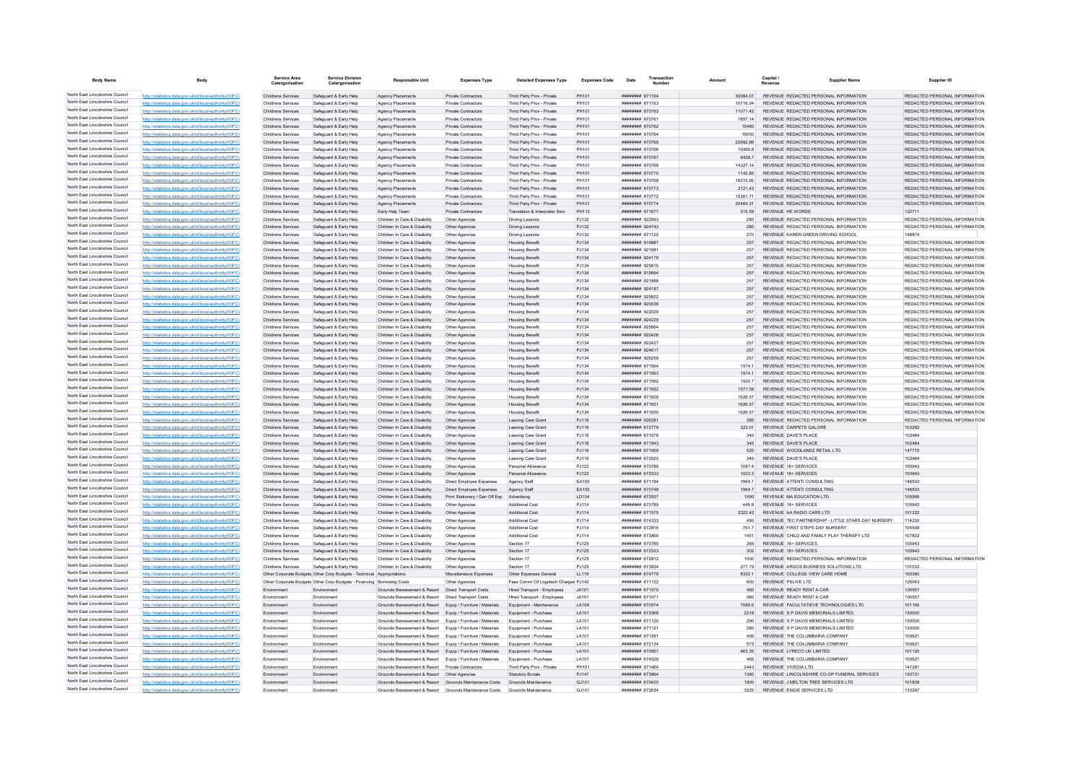| <b>Body Name</b>                                                   |                                                                                                                  | Service Area                                    | <b>Service Division</b><br>Catergorisation                                                                                                      | <b>Responsible Unit</b>                                                                                                  | <b>Expenses Type</b>                                                   | <b>Detailed Expenses Type</b>                                  | <b>Expenses Code</b> | Transaction<br>Date                      |                     | Capital /<br><b>Supplier Name</b>                                              | Supplier ID                                                    |
|--------------------------------------------------------------------|------------------------------------------------------------------------------------------------------------------|-------------------------------------------------|-------------------------------------------------------------------------------------------------------------------------------------------------|--------------------------------------------------------------------------------------------------------------------------|------------------------------------------------------------------------|----------------------------------------------------------------|----------------------|------------------------------------------|---------------------|--------------------------------------------------------------------------------|----------------------------------------------------------------|
| North East Lincolnshire Council                                    | http://statistics.data.gov.uk/id/local-authority/00FC)                                                           | Childrens Services                              | Safeguard & Early Help                                                                                                                          | Agency Placements                                                                                                        | Private Contractors                                                    | Third Party Prov - Private                                     | PH101                | ######## 671164                          | 30064.07            | REVENUE REDACTED PERSONAL INFORMATION                                          | REDACTED PERSONAL INFORMATION                                  |
| North East Lincolnshire Council                                    | http://statistics.data.gov.uk/id/local-authority/00FC)                                                           | Childrens Services                              | Safeguard & Early Help                                                                                                                          | Agency Placements                                                                                                        | Private Contractors                                                    | Third Party Prov - Private                                     | PH101                | ####### 671163                           | 10716.04            | REVENUE REDACTED PERSONAL INFORMATION                                          | REDACTED PERSONAL INFORMATION                                  |
| North East Lincolnshire Council<br>North East Lincolnshire Council | http://statistics.data.gov.uk/id/local-authority/00FC)                                                           | <b>Childrens Services</b>                       | Safeguard & Early Help                                                                                                                          | Agency Placements                                                                                                        | <b>Private Contractors</b>                                             | Third Party Prov - Private                                     | PH101                | ######## 670763                          | 11071 42            | REVENUE REDACTED PERSONAL INFORMATION                                          | REDACTED PERSONAL INFORMATION                                  |
| North East Lincolnshire Council                                    | http://statistics.data.gov.uk/id/local-authority/00FC)<br>http://statistics.data.gov.uk/id/local-authority/00FC) | Childrens Services<br>Childrens Services        | Safeguard & Early Help<br>Safeguard & Early Help                                                                                                | Agency Placements<br>Agency Placements                                                                                   | Private Contractors<br>Private Contractors                             | Third Party Prov - Private<br>Third Party Prov - Private       | PH101<br>PH101       | ######## 67076<br>######## 670762        | 7857.14<br>15480    | REVENUE REDACTED PERSONAL INFORMATION<br>REVENUE REDACTED PERSONAL INFORMATION | REDACTED PERSONAL INFORMATION<br>REDACTED PERSONAL INFORMATION |
| North East Lincolnshire Council                                    | http://statistics.data.gov.uk/id/local-authority/00FC)                                                           | Childrens Services                              | Safeguard & Early Help                                                                                                                          | Agency Placements                                                                                                        | Private Contractors                                                    | Third Party Prov - Private                                     | PH101                | <b>########</b> 670764                   | 15000               | REVENUE REDACTED PERSONAL INFORMATION                                          | REDACTED PERSONAL INFORMATION                                  |
| North East Lincolnshire Council                                    | http://statistics.data.gov.uk/id/local-authority/00FC)                                                           | Childrens Services                              | Safeguard & Early Help                                                                                                                          | Agency Placements                                                                                                        | Private Contractors                                                    | Third Party Prov - Private                                     | PH101                | ######## 670765                          | 2269286             | REVENUE REDACTED PERSONAL INFORMATION                                          | REDACTED PERSONAL INFORMATION                                  |
| North East Lincolnshire Council                                    | http://statistics.data.gov.uk/id/local-authority/00FC)                                                           | Childrens Services                              | Safeguard & Early Help                                                                                                                          | Agency Placements                                                                                                        | Private Contractors                                                    | Third Party Prov - Private                                     | PH101                | ######## 670766                          | 19366.8             | REVENUE REDACTED PERSONAL INFORMATION                                          | REDACTED PERSONAL INFORMATION                                  |
| North East Lincolnshire Council                                    | http://statistics.data.gov.uk/id/local-authority/00FC)                                                           | Childrens Services                              | Safeguard & Early Help                                                                                                                          | Agency Placements                                                                                                        | Private Contractors                                                    | Third Party Prov - Private                                     | PH101                | ######## 670767                          | 6428.7              | REVENUE REDACTED PERSONAL INFORMATION                                          | REDACTED PERSONAL INFORMATION                                  |
| North East Lincolnshire Council                                    | http://statistics.data.gov.uk/id/local-authority/00FC)                                                           | Childrens Services                              | Safeguard & Early Help                                                                                                                          | Agency Placements                                                                                                        | Private Contractors                                                    | Third Party Prov - Private                                     | PH101                | ######## 670768                          | 14327.14            | REVENUE REDACTED PERSONAL INFORMATION                                          | REDACTED PERSONAL INFORMATION                                  |
| North East Lincolnshire Council                                    | http://statistics.data.gov.uk/id/local-authority/00FC)                                                           | Childrens Services                              | Safeguard & Early Help                                                                                                                          | Agency Placements                                                                                                        | Private Contractors                                                    | Third Party Prov - Private                                     | PH101                | ######## 670770                          | 1142.85             | REVENUE REDACTED PERSONAL INFORMATION                                          | REDACTED PERSONAL INFORMATION                                  |
| North East Lincolnshire Council<br>North East Lincolnshire Council | stics.data.gov.uk/id/local-authority/00FC)                                                                       | Childrens Services                              | Safeguard & Early Help                                                                                                                          | Agency Placements                                                                                                        | Private Contractor                                                     | Third Party Prov - Private                                     | PH101                | ######## 670769                          | 16215.92            | REVENUE REDACTED PERSONAL INFORMATION<br>REVENUE REDACTED PERSONAL INFORMATION | REDACTED PERSONAL INFORMATION<br>REDACTED PERSONAL INFORMATION |
| North East Lincolnshire Council                                    | http://statistics.data.gov.uk/id/local-authority/00FC)<br>http://statistics.data.gov.uk/id/local-authority/00FC) | Childrens Services<br>Childrens Services        | Safeguard & Early Help<br>Safeguard & Early Help                                                                                                | Agency Placements<br>Agency Placements                                                                                   | Private Contractors<br>Private Contractors                             | Third Party Prov - Private<br>Third Party Prov - Private       | PH101<br>PH101       | ######## 670773<br>######## 670772       | 2121.43<br>15361.71 | REVENUE REDACTED PERSONAL INFORMATION                                          | REDACTED PERSONAL INFORMATION                                  |
| North East Lincolnshire Council                                    | http://statistics.data.gov.uk/id/local-authority/00FC)                                                           | Childrens Services                              | Safeguard & Early Help                                                                                                                          | Agency Placements                                                                                                        | Private Contractors                                                    | Third Party Prov - Private                                     | PH101                | ######## 670774                          | 20464.31            | REVENUE REDACTED PERSONAL INFORMATION                                          | REDACTED PERSONAL INFORMATION                                  |
| North East Lincolnshire Council                                    | http://statistics.data.gov.uk/id/local-authority/00FC)                                                           | Childrens Services                              | Safeguard & Early Help                                                                                                                          | Early Help Team                                                                                                          | Private Contractors                                                    | Translation & Interpreter Serv                                 | PH113                | ######## 671877                          | 315.59              | REVENUE HE WORDS                                                               | 122711                                                         |
| North East Lincolnshire Council                                    | http://statistics.data.gov.uk/id/local-authority/00FC)                                                           | Childrens Services                              | Safeguard & Early Help                                                                                                                          | Children In Care & Disability                                                                                            | Other Agencies                                                         | <b>Driving Lessons</b>                                         | P.1132               | <b>НИВВИНИ</b> 922563                    | 280                 | REVENUE REDACTED PERSONAL INFORMATION                                          | REDACTED PERSONAL INFORMATION                                  |
| North East Lincolnshire Council                                    | http://statistics.data.gov.uk/id/local-authority/00FC)                                                           | Childrens Services                              | Safeguard & Early Help                                                                                                                          | Children In Care & Disability                                                                                            | Other Agencies                                                         | <b>Driving Lessons</b>                                         | PJ132                | ######## 924743                          | 280                 | REVENUE REDACTED PERSONAL INFORMATION                                          | REDACTED PERSONAL INFORMATION                                  |
| North East Lincolnshire Council                                    | http://statistics.data.gov.uk/id/local-authority/00FC)                                                           | Childrens Services                              | Safeguard & Early Help                                                                                                                          | Children In Care & Disability                                                                                            | Other Agencies                                                         | <b>Driving Lessons</b>                                         | PJ132                | ####### 671125                           | 270                 | REVENUE KAREN GREEN DRIVING SCHOOL                                             | 148874                                                         |
| North East Lincolnshire Council                                    | http://statistics.data.gov.uk/id/local-authority/00FC)                                                           | Childrens Services                              | Safeguard & Early Help                                                                                                                          | Children In Care & Disability                                                                                            | Other Agencies                                                         | <b>Housing Benefit</b>                                         | PJ134                | ######## 919987                          | 257                 | REVENUE REDACTED PERSONAL INFORMATION                                          | REDACTED PERSONAL INFORMATION                                  |
| North East Lincolnshire Council<br>North East Lincolnshire Council | http://statistics.data.gov.uk/id/local-authority/00FC)                                                           | Childrens Services                              | Safeguard & Early Help                                                                                                                          | Children In Care & Disability                                                                                            | Other Agencies                                                         | <b>Housing Benefit</b>                                         | PJ134                | ######## 921981                          | 257                 | REVENUE REDACTED PERSONAL INFORMATION                                          | REDACTED PERSONAL INFORMATION                                  |
| North East Lincolnshire Council                                    | http://statistics.data.gov.uk/id/local-authority/00FC)<br>http://statistics.data.gov.uk/id/local-authority/00FC) | Childrens Services<br>Childrens Services        | Safeguard & Early Help<br>Safeguard & Early Help                                                                                                | Children In Care & Disability<br>Children In Care & Disability                                                           | Other Agencies<br>Other Agencies                                       | <b>Housing Benefit</b><br><b>Housing Benefi</b>                | PJ134<br>PJ134       | ######## 924179<br>######## 925815       | 257<br>257          | REVENUE REDACTED PERSONAL INFORMATION<br>REVENUE REDACTED PERSONAL INFORMATION | REDACTED PERSONAL INFORMATION<br>REDACTED PERSONAL INFORMATION |
| North East Lincolnshire Council                                    | http://statistics.data.gov.uk/id/local-authority/00FC)                                                           | Childrens Services                              | Safeguard & Early Help                                                                                                                          | Children In Care & Disability                                                                                            | Other Agencies                                                         | <b>Housing Benefit</b>                                         | PJ134                | ######## 919994                          | 257                 | REVENUE REDACTED PERSONAL INFORMATION                                          | REDACTED PERSONAL INFORMATION                                  |
| North East Lincolnshire Council                                    | http://statistics.data.gov.uk/id/local-authority/00FC)                                                           | Childrens Services                              | Safeguard & Early Help                                                                                                                          | Children In Care & Disability                                                                                            | Other Agencies                                                         | <b>Housing Benefit</b>                                         | PJ134                | ######## 921988                          | 257                 | REVENUE REDACTED PERSONAL INFORMATION                                          | REDACTED PERSONAL INFORMATION                                  |
| North East Lincolnshire Council                                    | http://statistics.data.gov.uk/id/local-authority/00FC)                                                           | Childrens Services                              | Safeguard & Early Help                                                                                                                          | Children In Care & Disability                                                                                            | Other Agencies                                                         | <b>Housing Benefit</b>                                         | PJ134                | ######## 924187                          | 257                 | REVENUE REDACTED PERSONAL INFORMATION                                          | REDACTED PERSONAL INFORMATION                                  |
| North East Lincolnshire Council                                    | http://statistics.data.gov.uk/id/local-authority/00FC)                                                           | Childrens Services                              | Safeguard & Early Help                                                                                                                          | Children In Care & Disability                                                                                            | Other Agencies                                                         | <b>Housing Benefit</b>                                         | PJ134                | ######## 925822                          | 257                 | REVENUE REDACTED PERSONAL INFORMATION                                          | REDACTED PERSONAL INFORMATION                                  |
| North East Lincolnshire Council                                    | http://statistics.data.gov.uk/id/local-authority/00FC)                                                           | Childrens Services                              | Safeguard & Early Help                                                                                                                          | Children In Care & Disability                                                                                            | Other Agencies                                                         | <b>Housing Benefit</b>                                         | PJ134                | 820009 BRBBBBBB                          | 257                 | REVENUE REDACTED PERSONAL INFORMATION                                          | REDACTED PERSONAL INFORMATION                                  |
| North East Lincolnshire Council                                    | http://statistics.data.gov.uk/id/local-authority/00FC)                                                           | Childrens Services                              | Safeguard & Early Help                                                                                                                          | Children In Care & Disability                                                                                            | Other Agencies                                                         | <b>Housing Benefit</b>                                         | PJ134                | ######## 922029                          | 257                 | REVENUE REDACTED PERSONAL INFORMATION                                          | REDACTED PERSONAL INFORMATION                                  |
| North East Lincolnshire Council                                    | http://statistics.data.gov.uk/id/local-authority/00FC)                                                           | Childrens Services                              | Safeguard & Early Help                                                                                                                          | Children In Care & Disability                                                                                            | Other Agencies                                                         | <b>Housing Benefit</b>                                         | PJ134                | ######## 924229                          | 257                 | REVENUE REDACTED PERSONAL INFORMATION                                          | REDACTED PERSONAL INFORMATION                                  |
| North East Lincolnshire Council                                    | http://statistics.data.gov.uk/id/local-authority/00FC)                                                           | Childrens Services                              | Safeguard & Early Help                                                                                                                          | Children In Care & Disability                                                                                            | Other Agencies                                                         | <b>Housing Benefit</b>                                         | P.1134               | ######## 925864                          | 257                 | REVENUE REDACTED PERSONAL INFORMATION                                          | REDACTED PERSONAL INFORMATION                                  |
| North East Lincolnshire Council<br>North East Lincolnshire Council | http://statistics.data.gov.uk/id/local-authority/00FC)                                                           | Childrens Services                              | Safeguard & Early Help                                                                                                                          | Children In Care & Disability                                                                                            | Other Agencies                                                         | <b>Housing Benefit</b>                                         | P.1134               | <b>НИВВИНИ 920426</b><br>######## 922427 | 257<br>257          | REVENUE REDACTED PERSONAL INFORMATION<br>REVENUE REDACTED PERSONAL INFORMATION | REDACTED PERSONAL INFORMATION<br>REDACTED PERSONAL INFORMATION |
| North East Lincolnshire Council                                    | http://statistics.data.gov.uk/id/local-authority/00FC)<br>http://statistics.data.gov.uk/id/local-authority/00FC) | Childrens Services<br>Childrens Services        | Safeguard & Early Help<br>Safeguard & Early Help                                                                                                | Children In Care & Disability<br>Children In Care & Disability                                                           | Other Agencies<br>Other Agencies                                       | <b>Housing Benefi</b><br><b>Housing Benefit</b>                | PJ134<br>PJ134       | ####### 924617                           | 257                 | REVENUE REDACTED PERSONAL INFORMATION                                          | REDACTED PERSONAL INFORMATION                                  |
| North East Lincolnshire Council                                    | http://statistics.data.gov.uk/id/local-authority/00FC)                                                           | Childrens Services                              | Safeguard & Early Help                                                                                                                          | Children In Care & Disability                                                                                            | Other Agencies                                                         | <b>Housing Benefit</b>                                         | PJ134                | ######## 926259                          | 257                 | REVENUE REDACTED PERSONAL INFORMATION                                          | REDACTED PERSONAL INFORMATION                                  |
| North East Lincolnshire Council                                    | http://statistics.data.gov.uk/id/local-authority/00FC)                                                           | Childrens Services                              | Safeguard & Early Help                                                                                                                          | Children In Care & Disability                                                                                            | Other Agencies                                                         | <b>Housing Benefit</b>                                         | PJ134                | ######## 671564                          | 1574 1              | REVENUE REDACTED PERSONAL INFORMATION                                          | REDACTED PERSONAL INFORMATION                                  |
| North East Lincolnshire Council                                    | http://statistics.data.gov.uk/id/local-authority/00FC)                                                           | Childrens Services                              | Safeguard & Early Help                                                                                                                          | Children In Care & Disability                                                                                            | Other Agencies                                                         | <b>Housing Benefit</b>                                         | PJ134                | ######## 671563                          | 1574.1              | REVENUE REDACTED PERSONAL INFORMATION                                          | REDACTED PERSONAL INFORMATION                                  |
| North East Lincolnshire Council                                    | http://statistics.data.gov.uk/id/local-authority/00FC)                                                           | Childrens Services                              | Safeguard & Early Help                                                                                                                          | Children In Care & Disability                                                                                            | Other Agencies                                                         | <b>Housing Benefi</b>                                          | PJ134                | ######## 671562                          | 1520.7              | REVENUE REDACTED PERSONAL INFORMATION                                          | REDACTED PERSONAL INFORMATION                                  |
| North East Lincolnshire Council                                    | http://statistics.data.gov.uk/id/local-authority/00FC)                                                           | Childrens Services                              | Safeguard & Early Help                                                                                                                          | Children In Care & Disability                                                                                            | Other Agencies                                                         | <b>Housing Benefit</b>                                         | P.1134               | <b>НИНИНИН</b> 671932                    | 157139              | REVENUE REDACTED PERSONAL INFORMATION                                          | REDACTED PERSONAL INFORMATION                                  |
| North East Lincolnshire Council                                    | http://statistics.data.gov.uk/id/local-authority/00FC)                                                           | <b>Childrens Services</b>                       | Safeguard & Early Help                                                                                                                          | Children In Care & Disability                                                                                            | Other Agencies                                                         | <b>Housing Benefit</b>                                         | PJ134                | ######## 671929                          | 1626 57             | REVENUE REDACTED PERSONAL INFORMATION                                          | REDACTED PERSONAL INFORMATION                                  |
| North East Lincolnshire Council                                    | http://statistics.data.gov.uk/id/local-authority/00FC)                                                           | Childrens Services                              | Safeguard & Early Help                                                                                                                          | Children In Care & Disability                                                                                            | Other Agencies                                                         | <b>Housing Benefit</b>                                         | PJ134                | ######## 671931                          | 1626.5              | REVENUE REDACTED PERSONAL INFORMATION                                          | REDACTED PERSONAL INFORMATION                                  |
| North East Lincolnshire Council<br>North East Lincolnshire Council | http://statistics.data.gov.uk/id/local-authority/00FC)                                                           | Childrens Services                              | Safeguard & Early Help                                                                                                                          | Children In Care & Disability                                                                                            | Other Agencies                                                         | <b>Housing Benefit</b>                                         | PJ134                | ######## 671930                          | 1626.57             | REVENUE REDACTED PERSONAL INFORMATION                                          | REDACTED PERSONAL INFORMATION                                  |
| North East Lincolnshire Council                                    | http://statistics.data.gov.uk/id/local-authority/00EC)<br>http://statistics.data.gov.uk/id/local-authority/00EC) | <b>Childrens Services</b><br>Childrens Services | Safeguard & Early Help<br>Safeguard & Farly Help                                                                                                | Children In Care & Disability<br>Children In Care & Disability                                                           | Other Agencies<br>Other Anencies                                       | Leaving Care Grant<br>Leaving Care Grant                       | PJ116<br>P.I116      | ######## 926281<br>######## 672779       | 285<br>323.01       | REVENUE REDACTED PERSONAL INFORMATION<br>REVENUE CARPETS GALORE                | REDACTED PERSONAL INFORMATION<br>103262                        |
| North East Lincolnshire Council                                    | http://statistics.data.gov.uk/id/local-authority/00FC)                                                           | Childrens Services                              | Safeguard & Early Help                                                                                                                          | Children In Care & Disability                                                                                            | Other Agencies                                                         | Leaving Care Grant                                             | PJ116                | ######## 671576                          | 340                 | REVENUE DAVE'S PLACE                                                           | 102484                                                         |
| North East Lincolnshire Council                                    | http://statistics.data.gov.uk/id/local-authority/00FC)                                                           | Childrens Services                              | Safeguard & Early Help                                                                                                                          | Children In Care & Disability                                                                                            | Other Agencies                                                         | Leaving Care Grant                                             | PJ116                | ####### 671943                           | 345                 | REVENUE DAVE'S PLACE                                                           | 102484                                                         |
| North East Lincolnshire Council                                    | http://statistics.data.gov.uk/id/local-authority/00FC)                                                           | Childrens Services                              | Safequard & Early Help                                                                                                                          | Children In Care & Disability                                                                                            | Other Agencies                                                         | Leaving Care Grant                                             | PJ116                | ######## 671959                          | 525                 | REVENUE WOODLANDZ RETAIL LTD                                                   | 147770                                                         |
| North East Lincolnshire Council                                    | http://statistics.data.gov.uk/id/local-authority/00FC)                                                           | <b>Childrens Services</b>                       | Safeguard & Early Help                                                                                                                          | Children In Care & Disability                                                                                            | Other Agencies                                                         | Leaving Care Grant                                             | PJ116                | ######## 672623                          | 345                 | REVENUE DAVE'S PLACE                                                           | 102484                                                         |
| North East Lincolnshire Council                                    | stics.data.gov.uk/id/local-authority/00FC)                                                                       | Childrens Services                              | Safeguard & Early Help                                                                                                                          | Children In Care & Disability                                                                                            | Other Agencies                                                         | Personal Allowance                                             | PJ122                | ####### 670785                           | 1087.4              | REVENUE 16+ SERVICES                                                           | 100943                                                         |
| North East Lincolnshire Council                                    | http://statistics.data.gov.uk/id/local-authority/00FC)                                                           | Childrens Services                              | Safeguard & Early Help                                                                                                                          | Children In Care & Disability                                                                                            | Other Agencies                                                         | Personal Allowano                                              | PJ122                | ####### 672533                           | 1003.3              | REVENUE 16+ SERVICES                                                           | 100943                                                         |
| North East Lincolnshire Council<br>North East Lincolnshire Council | http://statistics.data.gov.uk/id/local-authority/00EC)                                                           | Childrens Services                              | Safeguard & Early Help                                                                                                                          | Children In Care & Disability                                                                                            | Direct Employee Expenses                                               | Agency Staff                                                   | EA105                | ######## 671194                          | 19647               | REVENUE ATTENTI CONSULTING                                                     | 146503                                                         |
| North East Lincolnshire Council                                    | http://statistics.data.gov.uk/id/local-authority/00FC)<br>http://statistics.data.gov.uk/id/local-authority/00FC) | Childrens Services<br>Childrens Services        | Safeguard & Early Help<br>Safeguard & Early Help                                                                                                | Children In Care & Disability<br>Children In Care & Disability                                                           | Direct Employee Expenses<br>Print Stationery / Gen Off Exp Advertising | Agency Staff                                                   | EA105<br>LD104       | ######## 670748<br>######## 672937       | 19647               | REVENUE ATTENTI CONSULTING<br>REVENUE MA EDUCATION LTD                         | 146503<br>105566                                               |
| North East Lincolnshire Council                                    | http://statistics.data.gov.uk/id/local-authority/00FC)                                                           | Childrens Services                              | Safeguard & Early Help                                                                                                                          | Children In Care & Disability                                                                                            | Other Agencies                                                         | <b>Additional Cost</b>                                         | PJ114                | ######## 670785                          | 1590<br>445.9       | REVENUE 16+ SERVICES                                                           | 100943                                                         |
| North East Lincolnshire Council                                    | http://statistics.data.gov.uk/id/local-authority/00EC)                                                           | Childrens Services                              | Safeguard & Farly Help                                                                                                                          | Children In Care & Disability                                                                                            | Other Agencies                                                         | Additional Cost                                                | P.I114               | <b>####### 671575</b>                    | 2322.42             | REVENUE AA RADIO CARS LTD.                                                     | 101222                                                         |
| North East Lincolnshire Council                                    | http://statistics.data.gov.uk/id/local-authority/00EC)                                                           | Childrens Services                              | Safeguard & Early Help                                                                                                                          | Children In Care & Disability                                                                                            | Other Agencies                                                         | <b>Additional Cost</b>                                         | PJ114                | ####### 674333                           | 450                 | REVENUE TEC PARTNERSHIP - LITTLE STARS DAY NURSERY                             | 114230                                                         |
| North East Lincolnshire Council                                    | distics.data.gov.uk/id/local-authority/00FC)                                                                     | Childrens Services                              | Safeguard & Early Help                                                                                                                          | Children In Care & Disability                                                                                            | Other Agencies                                                         | <b>Additional Cos</b>                                          | PJ114                | ####### 672815                           | 761.                | REVENUE FIRST STEPS DAY NURSERY                                                | 105509                                                         |
| North East Lincolnshire Council                                    | http://statistics.data.gov.uk/id/local-authority/00EC)                                                           | Childrens Services                              | Safeguard & Early Help                                                                                                                          | Children In Care & Disability                                                                                            | Other Agencies                                                         | Additional Cos                                                 | PJ114                | ####### 673860                           | 1451                | REVENUE CHILD AND FAMILY PLAY THERAPY LTD                                      | 107832                                                         |
| North East Lincolnshire Council                                    | http://statistics.data.gov.uk/id/local-authority/00FC)                                                           | Childrens Services                              | Safeguard & Early Help                                                                                                                          | Children In Care & Disability                                                                                            | Other Agencies                                                         | Section 17                                                     | PJ125                | ######## 670785                          | 265                 | REVENUE 16+ SERVICES                                                           | 100943                                                         |
| North East Lincolnshire Council                                    | http://statistics.data.gov.uk/id/local-authority/00FC)                                                           | Childrens Services                              | Safeguard & Early Help                                                                                                                          | Children In Care & Disability                                                                                            | Other Agencies                                                         | Section 17                                                     | PJ125                | ####### 672533                           | 302                 | REVENUE 16+ SERVICES                                                           | 100943                                                         |
| North East Lincolnshire Council<br>North East Lincolnshire Council | http://statistics.data.gov.uk/id/local-authority/00FC)                                                           | Childrens Services                              | Safeguard & Early Help                                                                                                                          | Children In Care & Disability                                                                                            | Other Agencies                                                         | Section 17                                                     | PJ125                | ####### 672812                           | 1000                | REVENUE REDACTED PERSONAL INFORMATION                                          | REDACTED PERSONAL INFORMATION                                  |
| North East Lincolnshire Council                                    | http://statistics.data.gov.uk/id/local-authority/00EC)                                                           | Childrens Services                              | Safeguard & Early Help                                                                                                                          | Children In Care & Disability                                                                                            | Other Agencies                                                         | Section 17                                                     | PJ125<br>LL119       | ####### 673834                           | 277 79<br>8332.     | REVENUE ARGOS BUSINESS SOLUTIONS LTD                                           | 101032<br>100360                                               |
| North East Lincolnshire Council                                    | http://statistics.data.gov.uk/id/local-authority/00FC)                                                           |                                                 | Other Corporate Budgets Other Corp Budgets - Technical Appropriations<br>Other Corporate Budgets Other Corp Budgets - Financing Borrowing Costs |                                                                                                                          | Miscellaneous Expenses<br>Other Agencies                               | Other Expenses General<br>Fees Comm Cif Logotech Charges PJ142 |                      | ######## 674779<br>####### 671122        | 650                 | REVENUE COLLEGE VIEW CARE HOME<br>REVENUE PSLIVE LTD                           | 125043                                                         |
| North East Lincolnshire Council                                    | http://statistics.data.gov.uk/id/local-authority/00EC)                                                           | Environment                                     | Environmen                                                                                                                                      | Grounds Bereavement & Resort                                                                                             | <b>Direct Transport Costs</b>                                          | Hired Transport - Employees                                    | JA101                | ####### 671570                           | 480                 | REVENUE READY RENT A CAF                                                       | 100557                                                         |
| North East Lincolnshire Council                                    | http://statistics.data.gov.uk/id/local-authority/00EC)                                                           | Fnvironment                                     | Environment                                                                                                                                     | Grounds Bereavement & Resort                                                                                             | Direct Transport Costs                                                 | Hired Transport - Employees                                    | JAA01                | ######## 671571                          | 480                 | REVENUE READY RENT A CAR                                                       | 100557                                                         |
| North East Lincolnshire Council                                    | http://statistics.data.gov.uk/id/local-authority/00FC)                                                           | Environment                                     | Environment                                                                                                                                     | Grounds Bereavement & Resort Equip / Furniture / Materials                                                               |                                                                        | Foujnment - Maintenance                                        | LA104                | ######## 670574                          | 7589.5              | REVENUE FACULTATIEVE TECHNOLOGIES LTD                                          | 101165                                                         |
| North East Lincolnshire Council                                    | http://statistics.data.gov.uk/id/local-authority/00FC)                                                           | Environment                                     | Environment                                                                                                                                     | Grounds Bereavement & Resort Equip / Furniture / Materials Equipment - Purchase                                          |                                                                        |                                                                | LA101                | ######## 673368                          | 2218                | REVENUE S P DAVIS MEMORIALS LIMITED                                            | 130000                                                         |
| North East Lincolnshire Council                                    | http://statistics.data.gov.uk/id/local-authority/00FC)                                                           | Environment                                     | Environment                                                                                                                                     | Grounds Bereavement & Resort Equip / Furniture / Materials                                                               |                                                                        | Equipment - Purchase                                           | LA101                | ####### 671120                           | 290                 | REVENUE S P DAVIS MEMORIALS LIMITED                                            | 130000                                                         |
| North East Lincolnshire Council                                    | http://statistics.data.gov.uk/id/local-authority/00FC)                                                           | Environment                                     | Environment                                                                                                                                     | Grounds Bereavement & Resort Equip / Furniture / Materials                                                               |                                                                        | Equipment - Purchase                                           | LA101                | ######## 671121                          | 280                 | REVENUE S P DAVIS MEMORIALS LIMITED                                            | 130000                                                         |
| North East Lincolnshire Council                                    | cs.data.gov.uk/id/local-authority/00FC)                                                                          | Environment                                     | Environment                                                                                                                                     | Grounds Bereavement & Resort Equip / Furniture / Materials                                                               |                                                                        | Equipment - Purchase                                           | LA101                | ####### 671291                           | 456                 | REVENUE THE COLUMBARIA COMPANY                                                 | 100621                                                         |
| North East Lincolnshire Council<br>North East Lincolnshire Council | http://statistics.data.gov.uk/id/local-authority/00FC)                                                           | Environmen                                      | Environmen                                                                                                                                      | Grounds Bereavement & Resort                                                                                             | Equip / Furniture / Materials                                          | Equipment - Purchase                                           | LA101                | ####### 672134                           | 573                 | REVENUE THE COLUMBARIA COMPANY                                                 | 100621                                                         |
| North East Lincolnshire Council                                    | http://statistics.data.gov.uk/id/local-authority/00EC)<br>http://statistics.data.gov.uk/id/local-authority/00FC) | Environment<br>Environment                      | Environment<br>Environment                                                                                                                      | Grounds Bereavement & Resort Equip / Furniture / Materials<br>Grounds Bereavement & Resort Equip / Furniture / Materials |                                                                        | Equipment - Purchase<br>Equipment - Purchase                   | LA101<br>LA101       | ######## 670957<br>######## 674529       | 463.35<br>465       | REVENUE LYRECO UK LIMITED<br>REVENUE THE COLUMBARIA COMPANY                    | 101120<br>100621                                               |
| North East Lincolnshire Council                                    | http://statistics.data.gov.uk/id/local-authority/00FC)                                                           | Environmen                                      | Environment                                                                                                                                     | Grounds Bereavement & Resort                                                                                             | <b>Private Contractors</b>                                             | Third Party Prov - Private                                     | PH101                | ####### 671464                           | 2443                | REVENUE VIVEDIA LTD                                                            | 147281                                                         |
| North East Lincolnshire Council                                    | http://statistics.data.gov.uk/id/local-authority/00FC)                                                           | Environmen                                      | Environment                                                                                                                                     | Grounds Bereavement & Resort   Other Agencies                                                                            |                                                                        | <b>Statutory Burials</b>                                       | PJ147                | ######## 673864                          | 1380                | REVENUE LINCOLNSHIRE CO-OP FUNERAL SERVICES                                    | 130721                                                         |
| North East Lincolnshire Council                                    | http://statistics.data.gov.uk/id/local-authority/00EC)                                                           | Environment                                     | Environment                                                                                                                                     | Grounds Bereavement & Resort Grounds Maintenance Costs Grounds Maintenance                                               |                                                                        |                                                                | G.I101               | ######## 670420                          | 1900                | REVENUE J MELTON TREE SERVICES LTD                                             | 101809                                                         |
| North East Lincolnshire Council                                    | http://statistics.data.gov.uk/id/local-authority/00FC)                                                           | Environment                                     | Environment                                                                                                                                     | Grounds Bereavement & Resort Grounds Maintenance Costs                                                                   |                                                                        | Grounds Maintenance                                            | GJ101                | ######## 672634                          | 3225                | REVENUE ENGIE SERVICES LTD                                                     | 133267                                                         |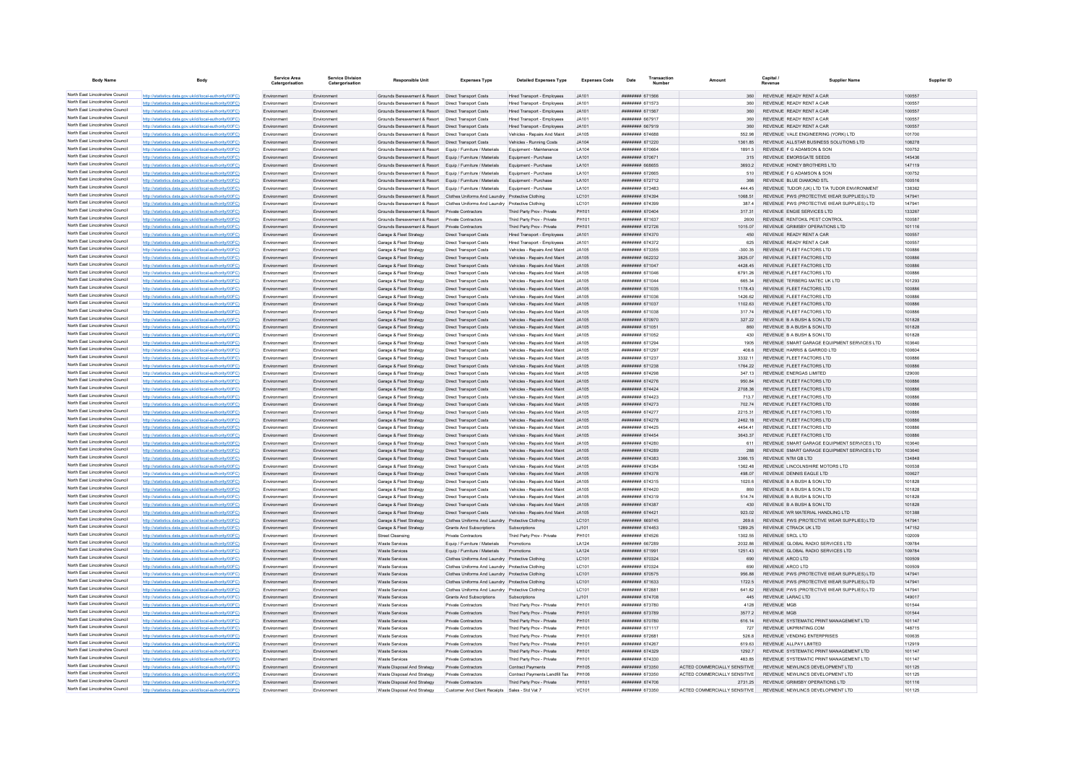| <b>Body Name</b>                                                   | Body                                                                                                            | Service Area               | <b>Service Division</b><br>Catergorisation | <b>Responsible Unit</b>                                                                                                  | <b>Expenses Type</b>                                                                                 | <b>Detailed Expenses Type</b>                                | <b>Expenses Code</b> | Date                               | Transaction | Amount                                  | Capital<br><b>Supplier Name</b>                                                          |                  | Supplier ID |
|--------------------------------------------------------------------|-----------------------------------------------------------------------------------------------------------------|----------------------------|--------------------------------------------|--------------------------------------------------------------------------------------------------------------------------|------------------------------------------------------------------------------------------------------|--------------------------------------------------------------|----------------------|------------------------------------|-------------|-----------------------------------------|------------------------------------------------------------------------------------------|------------------|-------------|
| North East Lincolnshire Council                                    | http://statistics.data.gov.uk/id/local-authority/00FC)                                                          | Environment                | Environment                                | Grounds Bereavement & Resort  Direct Transport Costs                                                                     |                                                                                                      | Hired Transport - Employees                                  | JA101                | ####### 671566                     |             | 360                                     | REVENUE READY RENT A CAR                                                                 | 100557           |             |
| North East Lincolnshire Council                                    | http://statistics.data.gov.uk/id/local-authority/00FC                                                           | Environment                | Environment                                | Grounds Bereavement & Resort   Direct Transport Costs                                                                    |                                                                                                      | Hired Transport - Employees                                  | JAA101               | ######## 671573                    |             | 360 <sub>1</sub>                        | REVENUE READY RENT A CAR                                                                 | 100557           |             |
| North East Lincolnshire Council                                    | http://statistics.data.gov.uk/id/local-authority/00FC)                                                          | Environment                | Environment                                | Grounds Bereavement & Resort   Direct Transport Costs                                                                    |                                                                                                      | Hired Transport - Employees                                  | JA101                | ####### 671567                     |             | 360                                     | REVENUE READY RENT A CAR                                                                 | 100557           |             |
| North East Lincolnshire Council                                    | http://statistics.data.gov.uk/id/local-authority/00FC                                                           | Environment                | Environmen                                 | Grounds Bereavement & Resort                                                                                             | Direct Transport Costs                                                                               | Hired Transport - Employees                                  | JA101                | ######## 667917                    |             | 360                                     | REVENUE READY RENT A CAR                                                                 | 100557           |             |
| North East Lincolnshire Council                                    | http://statistics.data.gov.uk/id/local-authority/00FC)                                                          | Fnvironment                | Environment                                | Grounds Bereavement & Resort  Direct Transport Costs                                                                     |                                                                                                      | Hired Transport - Employees                                  | JA101                | <b>######## 667919</b>             |             | 360                                     | REVENUE READY RENT A CAR                                                                 | 100557           |             |
| North East Lincolnshire Council                                    | http://statistics.data.gov.uk/id/local-authority/00FC)                                                          | Environment                | Environment                                | Grounds Bereavement & Resort   Direct Transport Costs                                                                    |                                                                                                      | Vehicles - Repairs And Maint                                 | JA105                | ######## 674688                    |             | 552.98                                  | REVENUE VALE ENGINEERING (YORK) LTD                                                      | 101700           |             |
| North East Lincolnshire Council<br>North East Lincolnshire Council | http://statistics.data.gov.uk/id/local-authority/00FC)                                                          | Environment                | Environment                                | Grounds Bereavement & Resort   Direct Transport Costs                                                                    |                                                                                                      | Vehicles - Running Costs                                     | JA104                | ####### 671220                     |             | 1361.85                                 | REVENUE ALLSTAR BUSINESS SOLUTIONS LTD                                                   | 108278           |             |
| North East Lincolnshire Council                                    | http://statistics.data.gov.uk/id/local-authority/00FC                                                           | Environment                | Environment                                | Grounds Bereavement & Resort Equip / Furniture / Materials                                                               |                                                                                                      | Equipment - Maintenance                                      | LA104                | ######## 670664                    |             | 1891.5                                  | REVENUE F G ADAMSON & SON                                                                | 100752           |             |
| North East Lincolnshire Council                                    | http://statistics.data.gov.uk/id/local-authority/00FC                                                           | Fnvironment                | Environment                                | Grounds Bereavement & Resort Equip / Furniture / Materials                                                               |                                                                                                      | Equipment - Purchase                                         | I A101               | ######## 670671                    |             | 315                                     | REVENUE EMORSGATE SEEDS                                                                  | 145436           |             |
| North East Lincolnshire Council                                    | http://statistics.data.gov.uk/id/local-authority/00FC<br>http://statistics.data.gov.uk/id/local-authority/00FC  | Fnvironment                | Environment<br>Environmen                  | Grounds Bereavement & Resort Equip / Furniture / Materials<br>Grounds Bereavement & Resort Equip / Furniture / Materials |                                                                                                      | Equipment - Purchase<br>Equipment - Purchase                 | LA101<br>LA101       | ######## 668655<br>######## 672665 |             | 3693.2<br>510                           | REVENUE HONEY BROTHERS LTD<br>REVENUE F G ADAMSON & SON                                  | 147119<br>100752 |             |
| North East Lincolnshire Council                                    | http://statistics.data.gov.uk/id/local-authority/00FC                                                           | Fnvironment                | Environment                                | Grounds Bereavement & Resort Equip / Furniture / Materials                                                               |                                                                                                      | Equipment - Purchase                                         | LA101                | ######## 672712                    |             | 366                                     | REVENUE BLUE DIAMOND STL                                                                 | 100516           |             |
| North East Lincolnshire Council                                    | http://statistics.data.gov.uk/id/local-authority/00FC)                                                          | Fnvironment                | Environment                                | Grounds Bereavement & Resort Fouin / Furniture / Materials                                                               |                                                                                                      | Foujnment - Purchase                                         | <b>LA101</b>         | ######## 673483                    |             | 444 45                                  | REVENUE TUDOR (UK) I TD T/A TUDOR ENVIRONMENT                                            | 138362           |             |
| North East Lincolnshire Council                                    | http://statistics.data.gov.uk/id/local-authority/00FC                                                           | Environment                | Environment                                | Grounds Bereavement & Resort Clothes Uniforms And Laundry Protective Clothing                                            |                                                                                                      |                                                              | LC101                | ######## 674394                    |             | 1068.51                                 | REVENUE PWS (PROTECTIVE WEAR SUPPLIES) LTD                                               | 147941           |             |
| North East Lincolnshire Council                                    | http://statistics.data.gov.uk/id/local-authority/00FC                                                           | Environment                | Environmen                                 |                                                                                                                          | Grounds Bereavement & Resort Clothes Uniforms And Laundry Protective Clothing                        |                                                              | LC101                | ####### 674399                     |             | 387.4                                   | REVENUE PWS (PROTECTIVE WEAR SUPPLIES) LTD                                               | 147941           |             |
| North East Lincolnshire Council                                    | http://statistics.data.gov.uk/id/local-authority/00FC                                                           | Environment                | Environment                                | Grounds Bereavement & Resort Private Contractors                                                                         |                                                                                                      | Third Party Prov - Private                                   | PH101                | ######## 670404                    |             | 317.31                                  | REVENUE ENGIE SERVICES LTD                                                               | 133267           |             |
| North East Lincolnshire Council                                    | http://statistics.data.gov.uk/id/local-authority/00FC                                                           | Environment                | Environment                                | Grounds Bereavement & Resort Private Contractors                                                                         |                                                                                                      | Third Party Prov - Private                                   | PH101                | ######## 671637                    |             | 2600                                    | REVENUE RENTOKIL PEST CONTROL                                                            | 100587           |             |
| North East Lincolnshire Council                                    | http://statistics.data.gov.uk/id/local-authority/00FC                                                           | Environment                | Environment                                | Grounds Bereavement & Resort                                                                                             | Private Contractors                                                                                  | Third Party Prov - Private                                   | PH101                | ######## 672726                    |             | 1015.07                                 | REVENUE GRIMSBY OPERATIONS LTD                                                           | 101116           |             |
| North East Lincolnshire Council                                    | http://statistics.data.gov.uk/id/local-authority/00FC                                                           | Environmen                 | Environmer                                 | Garage & Fleet Strategy                                                                                                  | <b>Direct Transport Costs</b>                                                                        | Hired Transport - Employees                                  | JA101                | ######## 674370                    |             | 450                                     | REVENUE READY RENT A CAR                                                                 | 100557           |             |
| North East Lincolnshire Council                                    | http://statistics.data.gov.uk/id/local-authority/00FC)                                                          | Fnvironment                | Environment                                | Garage & Fleet Strategy                                                                                                  | Direct Transport Costs                                                                               | <b>Hired Transport - Employees</b>                           | JA101                | <b>ининнин</b> 674372              |             | 625                                     | REVENUE READY RENT A CAR                                                                 | 100557           |             |
| North East Lincolnshire Council<br>North East Lincolnshire Council | http://statistics.data.gov.uk/id/local-authority/00FC)                                                          | Environment                | Environment                                | Garage & Fleet Strategy                                                                                                  | <b>Direct Transport Costs</b>                                                                        | Vehicles - Repairs And Maint                                 | JA105                | ######## 673355                    |             | $-300.35$                               | REVENUE FLEET FACTORS LTD                                                                | 100886           |             |
| North East Lincolnshire Council                                    | http://statistics.data.gov.uk/id/local-authority/00FC)                                                          | Environment                | Environment                                | Garage & Fleet Strategy                                                                                                  | Direct Transport Costs                                                                               | Vehicles - Repairs And Maint                                 | JA105                | ####### 662232                     |             | 3825.07                                 | REVENUE FLEET FACTORS LTD                                                                | 100886           |             |
| North East Lincolnshire Council                                    | http://statistics.data.gov.uk/id/local-authority/00FC                                                           | Environment<br>Fnvironment | Environmen<br>Environment                  | Garage & Fleet Strategy                                                                                                  | <b>Direct Transport Costs</b>                                                                        | Vehicles - Repairs And Maint                                 | JA105<br>.14105      | ######## 671047<br>######## 671046 |             | 4428.45<br>6791 26                      | REVENUE FLEET FACTORS LTD<br>REVENUE FLEET FACTORS LTD                                   | 100886<br>100886 |             |
| North East Lincolnshire Council                                    | http://statistics.data.gov.uk/id/local-authority/00FC<br>http://statistics.data.gov.uk/id/local-authority/00FC  | Environment                | Environment                                | Garage & Fleet Strategy<br>Garage & Fleet Strategy                                                                       | <b>Direct Transport Costs</b><br><b>Direct Transport Costs</b>                                       | Vehicles - Repairs And Maint<br>Vehicles - Repairs And Maint | JA105                | ######## 671044                    |             | 665 34                                  | REVENUE TERBERG MATEC UK LTD                                                             | 101293           |             |
| North East Lincolnshire Council                                    | http://statistics.data.gov.uk/id/local-authority/00FC                                                           | Environment                | Environment                                | Garage & Fleet Strategy                                                                                                  | Direct Transport Costs                                                                               | Vehicles - Repairs And Maint                                 | JA105                | ######## 671035                    |             | 1178.43                                 | REVENUE FLEET FACTORS LTD                                                                | 100886           |             |
| North East Lincolnshire Council                                    | http://statistics.data.gov.uk/id/local-authority/00FC                                                           | Fnvironment                | Environmen                                 | Garage & Fleet Strategy                                                                                                  | <b>Direct Transport Costs</b>                                                                        | Vehicles - Repairs And Maint                                 | .14105               | ######## 671036                    |             | 1426.62                                 | REVENUE FLEET FACTORS LTD                                                                | 100886           |             |
| North East Lincolnshire Council                                    | http://statistics.data.gov.uk/id/local-authority/00FC)                                                          | Fnvironment                | Environment                                | Garage & Fleet Strategy                                                                                                  | <b>Direct Transport Costs</b>                                                                        | Vehicles - Renairs And Maint                                 | .14105               | <b>########</b> 671037             |             | 1102.63                                 | REVENUE ELEET FACTORS LTD                                                                | 100886           |             |
| North East Lincolnshire Council                                    | http://statistics.data.gov.uk/id/local-authority/00FC                                                           | Fnvironment                | Environment                                | Garage & Fleet Strategy                                                                                                  | <b>Direct Transport Costs</b>                                                                        | Vehicles - Repairs And Maint                                 | JA105                | ######## 671038                    |             | 31774                                   | REVENUE FLEET FACTORS LTD                                                                | 100886           |             |
| North East Lincolnshire Council                                    | http://statistics.data.gov.uk/id/local-authority/00FC)                                                          | Environment                | Environmen                                 | Garage & Fleet Strategy                                                                                                  | <b>Direct Transport Costs</b>                                                                        | Vehicles - Repairs And Maint                                 | JA105                | ######## 670970                    |             | 327.22                                  | REVENUE B A BUSH & SON LTD                                                               | 101828           |             |
| North East Lincolnshire Council                                    | http://statistics.data.gov.uk/id/local-authority/00FC                                                           | Environment                | Environment                                | Garage & Fleet Strategy                                                                                                  | Direct Transport Costs                                                                               | Vehicles - Repairs And Maint                                 | .14105               | ####### 671051                     |             | 860                                     | REVENUE B A BUSH & SON LTD                                                               | 101828           |             |
| North East Lincolnshire Council                                    | http://statistics.data.gov.uk/id/local-authority/00FC                                                           | Environment                | Environment                                | Garage & Fleet Strategy                                                                                                  | <b>Direct Transport Costs</b>                                                                        | Vehicles - Repairs And Maint                                 | JA105                | ######## 671052                    |             | 430                                     | REVENUE B A BUSH & SON LTD                                                               | 101828           |             |
| North East Lincolnshire Council                                    | http://statistics.data.gov.uk/id/local-authority/00FC                                                           | Environment                | Environment                                | Garage & Fleet Strategy                                                                                                  | <b>Direct Transport Costs</b>                                                                        | Vehicles - Repairs And Maint                                 | JA105                | ######## 671294                    |             | 1905                                    | REVENUE SMART GARAGE EQUIPMENT SERVICES LTD                                              | 103640           |             |
| North East Lincolnshire Council                                    | http://statistics.data.gov.uk/id/local-authority/00FC                                                           | Environmen                 | Environmer                                 | Garage & Fleet Strategy                                                                                                  | <b>Direct Transport Costs</b>                                                                        | Vehicles - Repairs And Maint                                 | JA105                | ######## 671297                    |             | 408.6                                   | REVENUE HARRIS & GARROD LTD                                                              | 100604           |             |
| North East Lincolnshire Council                                    | http://statistics.data.gov.uk/id/local-authority/00FC)                                                          | Fnvironment                | Environment                                | Garage & Fleet Strategy                                                                                                  | <b>Direct Transport Costs</b>                                                                        | Vehicles - Repairs And Maint                                 | JA105                | ######## 671237                    |             | 3332 11                                 | REVENUE FLEET FACTORS LTD                                                                | 100886           |             |
| North East Lincolnshire Council<br>North East Lincolnshire Council | http://statistics.data.gov.uk/id/local-authority/00FC)                                                          | Environment                | Environment                                | Garage & Fleet Strategy                                                                                                  | <b>Direct Transport Costs</b>                                                                        | Vehicles - Repairs And Maint                                 | JA105                | ######## 671238                    |             | 1764.22                                 | REVENUE FLEET FACTORS LTD                                                                | 100886           |             |
| North East Lincolnshire Council                                    | http://statistics.data.gov.uk/id/local-authority/00FC)                                                          | Environment                | Environment                                | Garage & Fleet Strategy                                                                                                  | <b>Direct Transport Costs</b>                                                                        | Vehicles - Repairs And Maint                                 | JA105<br>JA105       | ######## 674298                    |             | 347.13<br>950.84                        | REVENUE ENERGAS LIMITED                                                                  | 129000<br>100886 |             |
| North East Lincolnshire Council                                    | http://statistics.data.gov.uk/id/local-authority/00FC<br>http://statistics.data.gov.uk/id/local-authority/00FC  | Environment<br>Environment | Environmen<br>Environment                  | Garage & Fleet Strategy<br>Garage & Fleet Strategy                                                                       | <b>Direct Transport Costs</b>                                                                        | Vehicles - Repairs And Maint<br>Vehicles - Repairs And Maint | .14105               | ######## 674276<br>######## 674424 |             | 2708.36                                 | REVENUE FLEET FACTORS LTD<br>REVENUE FLEET FACTORS LTD                                   | 100886           |             |
| North East Lincolnshire Council                                    | http://statistics.data.gov.uk/id/local-authority/00FC                                                           | Environment                | Environment                                | Garage & Fleet Strategy                                                                                                  | Direct Transport Costs<br><b>Direct Transport Costs</b>                                              | Vehicles - Repairs And Maint                                 | .14105               | ######## 674423                    |             | 713.7                                   | REVENUE FLEET FACTORS LTD                                                                | 100886           |             |
| North East Lincolnshire Council                                    | http://statistics.data.gov.uk/id/local-authority/00FC)                                                          | Environment                | Environment                                | Garage & Fleet Strategy                                                                                                  | <b>Direct Transport Costs</b>                                                                        | Vehicles - Repairs And Maint                                 | JA105                | ######## 674273                    |             | 702.74                                  | REVENUE FLEET FACTORS LTD                                                                | 100886           |             |
| North East Lincolnshire Council                                    | atistics.data.gov.uk/id/local-authority/00FC                                                                    | Fnvironment                | Environmen                                 | Garage & Fleet Strategy                                                                                                  | <b>Direct Transport Costs</b>                                                                        | Vehicles - Repairs And Maint                                 | .14105               | ######## 674277                    |             | 2215.31                                 | REVENUE FLEET FACTORS LTD                                                                | 100886           |             |
| North East Lincolnshire Council                                    | http://statistics.data.gov.uk/id/local-authority/00FC)                                                          | Fnvironment                | Environment                                | Garage & Fleet Strategy                                                                                                  | <b>Direct Transport Costs</b>                                                                        | Vehicles - Repairs And Maint                                 | JA105                | ######## 674278                    |             | 2462 18                                 | REVENUE FLEET FACTORS LTD                                                                | 100886           |             |
| North East Lincolnshire Council                                    | http://statistics.data.gov.uk/id/local-authority/00EC)                                                          | Fnvironment                | Environment                                | Garage & Fleet Strategy                                                                                                  | Direct Transport Costs                                                                               | Vehicles - Renairs And Maint                                 | .14105               | ######## 674425                    |             | 4454.41                                 | REVENUE ELEET FACTORS LTD                                                                | 100886           |             |
| North East Lincolnshire Council                                    | http://statistics.data.gov.uk/id/local-authority/00FC                                                           | Fnvironment                | Environment                                | Garage & Fleet Strategy                                                                                                  | <b>Direct Transport Costs</b>                                                                        | Vehicles - Repairs And Maint                                 | .14105               | ######## 674454                    |             | 3643.37                                 | REVENUE FLEET FACTORS LTD                                                                | 100886           |             |
| North East Lincolnshire Council                                    | http://statistics.data.gov.uk/id/local-authority/00FC                                                           | Environment                | Environment                                | Garage & Fleet Strategy                                                                                                  | <b>Direct Transport Costs</b>                                                                        | Vehicles - Repairs And Maint                                 | JA105                | ####### 674280                     |             | 611                                     | REVENUE SMART GARAGE EQUIPMENT SERVICES LTD                                              | 103640           |             |
| North East Lincolnshire Council                                    | http://statistics.data.gov.uk/id/local-authority/00FC                                                           | Environment                | Environment                                | Garage & Fleet Strategy                                                                                                  | Direct Transport Costs                                                                               | Vehicles - Repairs And Maint                                 | JA105                | ####### 674289                     |             | 288                                     | REVENUE SMART GARAGE EQUIPMENT SERVICES LTD                                              | 103640           |             |
| North East Lincolnshire Council<br>North East Lincolnshire Council | http://statistics.data.gov.uk/id/local-authority/00FC)                                                          | Environment                | Environment                                | Garage & Fleet Strategy                                                                                                  | <b>Direct Transport Costs</b>                                                                        | Vehicles - Repairs And Maint                                 | JA105                | ######## 674383                    |             | 3366.15                                 | REVENUE NTM GB LTD                                                                       | 134848           |             |
| North East Lincolnshire Council                                    | tics.data.gov.uk/id/local-authority/00FC)                                                                       | Environment                | Environmen                                 | Garage & Fleet Strategy                                                                                                  | <b>Direct Transport Costs</b>                                                                        | Vehicles - Repairs And Maint                                 | JA105                | ######## 674384                    |             | 1362.48                                 | REVENUE LINCOLNSHIRE MOTORS LTD                                                          | 100538           |             |
| North East Lincolnshire Council                                    | http://statistics.data.gov.uk/id/local-authority/00FC<br>http://statistics.data.gov.uk/id/local-authority/00EC) | Environmen                 | Environmen                                 | Garage & Fleet Strategy                                                                                                  | <b>Direct Transport Costs</b>                                                                        | Vehicles - Repairs And Maint                                 | JA105                | ######## 674378                    |             | 498.07<br>1020.6                        | REVENUE DENNIS EAGLE LTD                                                                 | 100627<br>101828 |             |
| North East Lincolnshire Council                                    | http://statistics.data.gov.uk/id/local-authority/00FC)                                                          | Environment<br>Environment | Environmen<br>Environment                  | Garage & Fleet Strategy<br>Garage & Fleet Strategy                                                                       | <b>Direct Transport Costs</b><br><b>Direct Transport Costs</b>                                       | Vehicles - Repairs And Maint<br>Vehicles - Repairs And Maint | JA105<br>JA105       | ####### 674315<br>######## 674420  |             | 860                                     | REVENUE B A BUSH & SON LTD<br>REVENUE B A BUSH & SON LTD                                 | 101828           |             |
| North East Lincolnshire Council                                    | http://statistics.data.gov.uk/id/local-authority/00FC)                                                          | Environment                | Environment                                | Garage & Fleet Strategy                                                                                                  | <b>Direct Transport Costs</b>                                                                        | Vehicles - Repairs And Maint                                 | JA105                | ####### 674319                     |             | 514.74                                  | REVENUE B A BUSH & SON LTD                                                               | 101828           |             |
| North East Lincolnshire Council                                    | http://statistics.data.gov.uk/id/local-authority/00FC)                                                          | Environment                | Environmen                                 | Garage & Fleet Strategy                                                                                                  | <b>Direct Transport Costs</b>                                                                        | Vehicles - Repairs And Maint                                 | JA105                | ######## 674387                    |             | 430                                     | REVENUE B A BUSH & SON LTD                                                               | 101828           |             |
| North East Lincolnshire Council                                    | http://statistics.data.gov.uk/id/local-authority/00FC)                                                          | Environment                | Environment                                | Garage & Fleet Strategy                                                                                                  | <b>Direct Transport Costs</b>                                                                        | Vehicles - Repairs And Maint                                 | .14105               | ######## 674421                    |             | 923.02                                  | REVENUE WR MATERIAL HANDLING LTD                                                         | 101388           |             |
| North East Lincolnshire Council                                    | http://statistics.data.gov.uk/id/local-authority/00FC)                                                          | Environment                | Environment                                | Garage & Fleet Strategy                                                                                                  | Clothes Uniforms And Laundry Protective Clothing                                                     |                                                              | LC101                | ######## 669745                    |             | 269.6                                   | REVENUE PWS (PROTECTIVE WEAR SUPPLIES) LTD                                               | 147941           |             |
| North East Lincolnshire Council                                    |                                                                                                                 | Environment                | Environment                                | Garage & Fleet Strategy                                                                                                  | Grants And Subscriptions                                                                             | Subscriptions                                                | LJ101                | ####### 674453                     |             | 1289.25                                 | REVENUE CTRACK UK LTD                                                                    | 147152           |             |
| North East Lincolnshire Council                                    | http://statistics.data.gov.uk/id/local-authority/00FC)                                                          | Environment                | Environmen                                 | <b>Street Cleansing</b>                                                                                                  | Private Contractors                                                                                  | Third Party Prov - Private                                   | PH101                | ######## 674526                    |             | 1302.55                                 | <b>REVENUE SRCL LTD</b>                                                                  | 102009           |             |
| North East Lincolnshire Council                                    | http://statistics.data.gov.uk/id/local-authority/00EC)                                                          | Fnvironment                | Environment                                | Waste Services                                                                                                           | Equip / Furniture / Materials                                                                        | Promotions                                                   | I A124               | ######## 667289                    |             | 2032 86                                 | REVENUE GLOBAL RADIO SERVICES LTD                                                        | 109784           |             |
| North East Lincolnshire Council                                    | http://statistics.data.gov.uk/id/local-authority/00FC                                                           | Fnvironment                | Environment                                | <b>Waste Services</b>                                                                                                    | Equip / Furniture / Materials                                                                        | Promotions                                                   | LA124                | ######## 671991                    |             | 1251.43                                 | REVENUE GLOBAL RADIO SERVICES LTD                                                        | 109784           |             |
| North East Lincolnshire Council<br>North East Lincolnshire Council | http://statistics.data.gov.uk/id/local-authority/00FC                                                           | Environment                | Environment                                | Waste Services                                                                                                           | Clothes Uniforms And Laundry Protective Clothing                                                     |                                                              | LC101                | ######## 670324                    |             | 690                                     | REVENUE ARCO LTD                                                                         | 100509           |             |
| North East Lincolnshire Council                                    | http://statistics.data.gov.uk/id/local-authority/00FC                                                           | Environment                | Environment                                | <b>Waste Services</b>                                                                                                    | Clothes Uniforms And Laundry Protective Clothing                                                     |                                                              | LC101                | ######## 670324                    |             | 690                                     | REVENUE ARCO LTD                                                                         | 100509           |             |
| North East Lincolnshire Council                                    | http://statistics.data.gov.uk/id/local-authority/00EC)                                                          | Fnvironment<br>Fnvironment | Environment                                | Waste Services                                                                                                           | Clothes Uniforms And Laundry Protective Clothing                                                     |                                                              | I C <sub>101</sub>   | ######## 670575                    |             | 956 88<br>1722.5                        | REVENUE PWS (PROTECTIVE WEAR SUPPLIES) LTD                                               | 147941           |             |
| North East Lincolnshire Council                                    | stics.data.gov.uk/id/local-authority/00FC)<br>http://statistics.data.gov.uk/id/local-authority/00FC             | Environmen                 | Environment<br>Environmer                  | <b>Waste Services</b><br>Waste Service                                                                                   | Clothes Uniforms And Laundry Protective Clothing<br>Clothes Uniforms And Laundry Protective Clothing |                                                              | LC101<br>LC101       | ######## 671633<br>######## 67288  |             | 641.82                                  | REVENUE PWS (PROTECTIVE WEAR SUPPLIES) LTD<br>REVENUE PWS (PROTECTIVE WEAR SUPPLIES) LTD | 147941<br>147941 |             |
| North East Lincolnshire Council                                    | httn://statistics.data.gov.uk/id/local-authority/00FC)                                                          | Environment                | Environmen                                 | <b>Waste Services</b>                                                                                                    | Grants And Subscriptions                                                                             | Subscriptions                                                | LJ101                | ####### 674708                     |             | 445                                     | REVENUE LARAC LTD                                                                        | 149017           |             |
| North East Lincolnshire Council                                    | http://statistics.data.gov.uk/id/local-authority/00FC)                                                          | Environment                | Environment                                | <b>Waste Services</b>                                                                                                    | Private Contractors                                                                                  | Third Party Prov - Private                                   | PH101                | ######## 673780                    |             | 4128                                    | <b>REVENUE MGB</b>                                                                       | 101544           |             |
| North East Lincolnshire Council                                    | http://statistics.data.gov.uk/id/local-authority/00FC)                                                          | Environment                | Environment                                | Waste Services                                                                                                           | Private Contractors                                                                                  | Third Party Prov - Private                                   | PH101                | ######## 673789                    |             | 3577.2                                  | <b>REVENUE MGB</b>                                                                       | 101544           |             |
| North East Lincolnshire Council                                    | http://statistics.data.gov.uk/id/local-authority/00FC)                                                          | Environment                | Environment                                | <b>Waste Services</b>                                                                                                    | Private Contractors                                                                                  | Third Party Prov - Private                                   | PH101                | ######## 670780                    |             | 616.14                                  | REVENUE SYSTEMATIC PRINT MANAGEMENT LTD                                                  | 101147           |             |
| North East Lincolnshire Council                                    | http://statistics.data.gov.uk/id/local-authority/00FC)                                                          | Environment                | Environment                                | Waste Services                                                                                                           | Private Contractors                                                                                  | Third Party Prov - Private                                   | PH101                | ####### 671117                     |             | 727                                     | REVENUE UKPRINTING.COM                                                                   | 148715           |             |
| North East Lincolnshire Council                                    | http://statistics.data.gov.uk/id/local-authority/00FC)                                                          | Environment                | Environment                                | <b>Waste Services</b>                                                                                                    | Private Contractors                                                                                  | Third Party Prov - Private                                   | PH101                | ######## 672681                    |             | 526.8                                   | REVENUE VENDING ENTERPRISES                                                              | 100635           |             |
| North East Lincolnshire Council                                    |                                                                                                                 | Environment                | Environment                                | <b>Waste Services</b>                                                                                                    | Private Contractors                                                                                  | Third Party Prov - Private                                   | PH101                | ######## 674267                    |             | 619.63                                  | REVENUE ALLPAY LIMITED                                                                   | 112919           |             |
| North East Lincolnshire Council                                    | http://statistics.data.gov.uk/id/local-authority/00FC                                                           | Environment                | Environment                                | <b>Waste Services</b>                                                                                                    | Private Contractors                                                                                  | Third Party Prov - Private                                   | PH101                | ####### 674329                     |             | 1292.7                                  | REVENUE SYSTEMATIC PRINT MANAGEMENT LTD                                                  | 101147           |             |
| North East Lincolnshire Council                                    | http://statistics.data.gov.uk/id/local-authority/00EC)                                                          | Fnvironment                | Environment                                | Waste Services                                                                                                           | Private Contractors                                                                                  | Third Party Prov - Private                                   | PH101                | ######## 674330                    |             | 483 85                                  | REVENUE SYSTEMATIC PRINT MANAGEMENT LTD                                                  | 101147           |             |
| North East Lincolnshire Council<br>North East Lincolnshire Council | http://statistics.data.gov.uk/id/local-authority/00FC                                                           | Fnvironment                | Environment                                | Waste Disposal And Strategy                                                                                              | <b>Private Contractors</b>                                                                           | <b>Contract Payments</b>                                     | <b>PH105</b>         | ######## 673350                    |             | ACTED COMMERCIALLY SENSITIVE            | REVENUE NEWLINCS DEVELOPMENT LTD                                                         | 101125           |             |
| North East Lincolnshire Council                                    | http://statistics.data.gov.uk/id/local-authority/00FC<br>http://statistics.data.gov.uk/id/local-authority/00FC) | Environment                | Environment                                | Waste Disposal And Strategy                                                                                              | Private Contractors                                                                                  | Contract Payments Landfill Tax                               | PH106<br>PH101       | ######## 673350<br>######## 674706 |             | ACTED COMMERCIALLY SENSITIVE            | REVENUE NEWLINCS DEVELOPMENT LTD<br>REVENUE GRIMSBY OPERATIONS LTD                       | 101125<br>101116 |             |
| North East Lincolnshire Council                                    | http://statistics.data.gov.uk/id/local-authority/00FC                                                           | Environment<br>Fnvironment | Environment<br>Environment                 | Waste Disposal And Strategy<br>Waste Disposal And Strategy                                                               | Private Contractors<br>Customer And Client Receipts Sales - Std Vat 7                                | Third Party Prov - Private                                   | VC101                | ######## 673350                    |             | 2731.25<br>ACTED COMMERCIALLY SENSITIVE | REVENUE NEWLINGS DEVELOPMENT LTD.                                                        | 101125           |             |
|                                                                    |                                                                                                                 |                            |                                            |                                                                                                                          |                                                                                                      |                                                              |                      |                                    |             |                                         |                                                                                          |                  |             |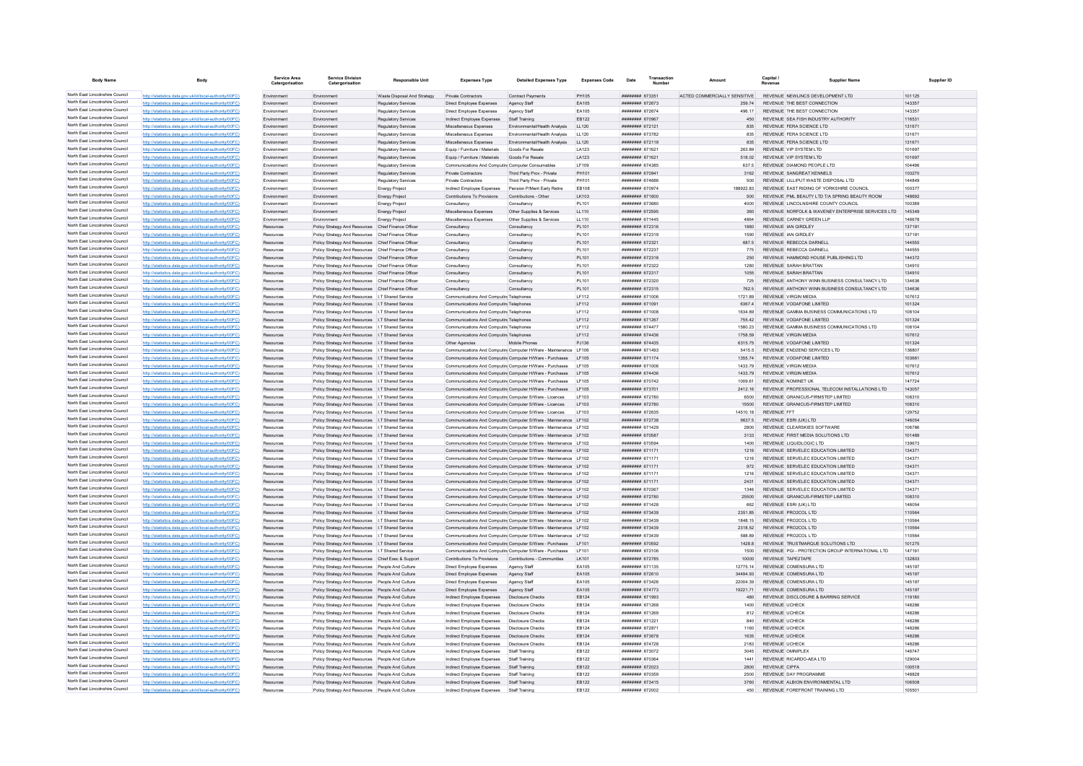| <b>Body Name</b>                                                   | Body                                                                                                             | Service Area<br>Catergorisation | <b>Service Division</b><br>Catergorisation                                                                 | <b>Responsible Unit</b>                           | <b>Expenses Type</b>                                     | <b>Detailed Expenses Type</b>                                                                                                      | <b>Expenses Code</b> | Date                                     | Transaction | Amount                       | Capital /<br><b>Pavenu</b> | <b>Supplier Name</b>                                                                 |                  | Supplier ID |
|--------------------------------------------------------------------|------------------------------------------------------------------------------------------------------------------|---------------------------------|------------------------------------------------------------------------------------------------------------|---------------------------------------------------|----------------------------------------------------------|------------------------------------------------------------------------------------------------------------------------------------|----------------------|------------------------------------------|-------------|------------------------------|----------------------------|--------------------------------------------------------------------------------------|------------------|-------------|
| North East Lincolnshire Council                                    | http://statistics.data.gov.uk/id/local-authority/00FC)                                                           | Environment                     | Environment                                                                                                | Waste Disposal And Strategy                       | Private Contractors                                      | <b>Contract Payments</b>                                                                                                           | PH105                | ######## 673351                          |             | ACTED COMMERCIALLY SENSITIVE |                            | REVENUE NEWLINGS DEVELOPMENT LTD                                                     | 101125           |             |
| North East Lincolnshire Council                                    | http://statistics.data.gov.uk/id/local-authority/00FC)                                                           | Environment                     | Environment                                                                                                | <b>Regulatory Services</b>                        | Direct Employee Expenses                                 | Agency Staff                                                                                                                       | EA105                | ######## 672673                          |             | 259.74                       |                            | REVENUE THE BEST CONNECTION                                                          | 143357           |             |
| North East Lincolnshire Council<br>North East Lincolnshire Council | http://statistics.data.gov.uk/id/local-authority/00FC)                                                           | Environmen                      | Environmen                                                                                                 | <b>Regulatory Services</b>                        | Direct Employee Expenses                                 | Agency Staff                                                                                                                       | EA105                | ######## 672674                          |             | 496.17                       |                            | REVENUE THE BEST CONNECTION                                                          | 143357           |             |
| North East Lincolnshire Council                                    | http://statistics.data.gov.uk/id/local-authority/00FC)                                                           | Environmen                      | Environmen                                                                                                 | Regulatory Service                                | Indirect Employee Expenses                               | Staff Training                                                                                                                     | EB122                | ######## 670967                          |             | 450                          |                            | REVENUE SEA FISH INDUSTRY AUTHORITY                                                  | 116531           |             |
| North East Lincolnshire Council                                    | http://statistics.data.gov.uk/id/local-authority/00FC)<br>http://statistics.data.gov.uk/id/local-authority/00FC) | Fnvironment<br>Environment      | Environment<br>Environment                                                                                 | Regulatory Services<br><b>Regulatory Services</b> | Miscellaneous Expenses<br>Miscellaneous Expenses         | Fnyimnmental/Health Analysis<br>Environmental/Health Analysis                                                                      | 11120<br>LL120       | <b>НИНИНИН 672121</b><br>######## 673782 |             | 835<br>835                   |                            | REVENUE FERA SCIENCE LTD<br>REVENUE FERA SCIENCE LTD                                 | 131671<br>131671 |             |
| North East Lincolnshire Council                                    | http://statistics.data.gov.uk/id/local-authority/00FC)                                                           | Environment                     | Environment                                                                                                | <b>Regulatory Services</b>                        | Miscellaneous Expenses                                   | Environmental/Health Analysis                                                                                                      | LL120                | ####### 672119                           |             | 835                          |                            | REVENUE FERA SCIENCE LTD                                                             | 131671           |             |
| North East Lincolnshire Council                                    | http://statistics.data.gov.uk/id/local-authority/00FC)                                                           | Environment                     | Environment                                                                                                | Regulatory Services                               | Equip / Furniture / Materials                            | Goods For Resale                                                                                                                   | LA123                | ######## 671621                          |             | 263.89                       |                            | REVENUE VIP SYSTEM LTD                                                               | 101697           |             |
| North East Lincolnshire Council                                    | http://statistics.data.gov.uk/id/local-authority/00FC)                                                           | Environment                     | Environment                                                                                                | Regulatory Services                               | Equip / Furniture / Materials                            | Goods For Resale                                                                                                                   | LA123                | ######## 671621                          |             | 518.02                       |                            | REVENUE VIP SYSTEM LTD                                                               | 101697           |             |
| North East Lincolnshire Council                                    | http://statistics.data.gov.uk/id/local-authority/00FC)                                                           | Environment                     | Environment                                                                                                | <b>Regulatory Services</b>                        | Communications And Computin Computer Consumable          |                                                                                                                                    | LF109                | ####### 674385                           |             | 637.5                        |                            | REVENUE DIAMOND PEOPLE LTD                                                           | 104496           |             |
| North East Lincolnshire Council                                    | http://statistics.data.gov.uk/id/local-authority/00FC)                                                           | Environment                     | Environmen                                                                                                 | <b>Regulatory Services</b>                        | Private Contractors                                      | Third Party Prov - Private                                                                                                         | PH101                | ####### 670941                           |             | 3162                         |                            | REVENUE SANGREAT KENNELS                                                             | 103270           |             |
| North East Lincolnshire Council<br>North East Lincolnshire Council | http://statistics.data.gov.uk/id/local-authority/00FC)                                                           | Fnvironment                     | Environment                                                                                                | <b>Regulatory Services</b>                        | Private Contractors                                      | Third Party Prov - Private                                                                                                         | PH101                | ####### 674686                           |             | 500                          |                            | REVENUE I II LIPUT WASTE DISPOSAL LTD                                                | 144849           |             |
| North East Lincolnshire Council                                    | http://statistics.data.gov.uk/id/local-authority/00FC)                                                           | Fnvironment                     | Environment                                                                                                | Energy Project                                    | Indirect Employee Expenses                               | Pension P/Ment Early Retire                                                                                                        | EB108                | ######## 670974                          |             | 188922.83                    |                            | REVENUE EAST RIDING OF YORKSHIRE COUNCIL                                             | 100377           |             |
| North East Lincolnshire Council                                    | http://statistics.data.gov.uk/id/local-authority/00FC)                                                           | Environment<br>Environment      | Environment<br>Environment                                                                                 | <b>Energy Project</b>                             | Contributions To Provisions                              | Contributions - Other                                                                                                              | LK103<br>PI 101      | ####### 671600<br>######## 673680        |             | 500<br>4000                  |                            | REVENUE PML BEAUTY LTD T/A SPRING BEAUTY ROOM<br>REVENUE LINCOLNSHIRE COUNTY COUNCIL | 148692<br>100389 |             |
| North East Lincolnshire Council                                    | http://statistics.data.gov.uk/id/local-authority/00FC<br>http://statistics.data.gov.uk/id/local-authority/00FC)  | Fnvironment                     | Environment                                                                                                | <b>Energy Project</b><br><b>Energy Project</b>    | Consultancy<br>Miscellaneous Expenses                    | Consultancy<br>Other Supplies & Services                                                                                           | 11110                | ######## 672595                          |             | 360                          |                            | REVENUE NORFOLK & WAVENEY ENTERPRISE SERVICES LTD.                                   | 145349           |             |
| North East Lincolnshire Council                                    | http://statistics.data.gov.uk/id/local-authority/00FC)                                                           | Fnvironment                     | Fnvironmen                                                                                                 | <b>Energy Project</b>                             | Miscellaneous Expenses                                   | Other Supplies & Services                                                                                                          | LL110                | ######## 671445                          |             | 4864                         |                            | REVENUE CARNEY GREEN LLF                                                             | 146678           |             |
| North East Lincolnshire Council                                    | http://statistics.data.gov.uk/id/local-authority/00FC)                                                           | Resources                       | Policy Strategy And Resources Chief Finance Officer                                                        |                                                   | Consultancy                                              | Consultancy                                                                                                                        | PL101                | ######## 672316                          |             | 1880                         |                            | REVENUE IAN GIRDLEY                                                                  | 137191           |             |
| North East Lincolnshire Council                                    | http://statistics.data.gov.uk/id/local-authority/00FC                                                            | Resources                       | Policy Strategy And Resources Chief Finance Officer                                                        |                                                   | Consultancy                                              | Consultanc                                                                                                                         | PL101                | ######## 672319                          |             | 1590                         |                            | REVENUE JAN GIRDLEY                                                                  | 137191           |             |
| North East Lincolnshire Council                                    | http://statistics.data.gov.uk/id/local-authority/00FC)                                                           | Resources                       | Policy Strategy And Resources Chief Finance Officer                                                        |                                                   | Consultancy                                              | Consultancy                                                                                                                        | PL101                | ######## 672321                          |             | 687.5                        |                            | REVENUE REBECCA DARNELL                                                              | 144555           |             |
| North East Lincolnshire Council                                    | http://statistics.data.gov.uk/id/local-authority/00FC)                                                           | Resources                       | Policy Strategy And Resources Chief Finance Officer                                                        |                                                   | Consultancy                                              | Consultancy                                                                                                                        | PL101                | ######## 672237                          |             | 775                          |                            | REVENUE REBECCA DARNELL                                                              | 144555           |             |
| North East Lincolnshire Council<br>North East Lincolnshire Council | http://statistics.data.gov.uk/id/local-authority/00FC                                                            | Resources                       | Policy Strategy And Resources Chief Finance Officer                                                        |                                                   | Consultancy                                              | Consultancy                                                                                                                        | PL101                | ######## 672318                          |             | 250                          |                            | REVENUE HAMMOND HOUSE PUBLISHING LTD                                                 | 144372           |             |
| North East Lincolnshire Council                                    | http://statistics.data.gov.uk/id/local-authority/00FC)                                                           | Resources                       | Policy Strategy And Resources Chief Finance Officer<br>Policy Strategy And Resources Chief Finance Officer |                                                   | Consultancy                                              | Consultancy                                                                                                                        | PI 101<br>PL101      | ######## 672322<br>######## 672317       |             | 1280<br>1055                 |                            | REVENUE SARAH BRATTAN<br>REVENUE SARAH BRATTAN                                       | 134910<br>134910 |             |
| North East Lincolnshire Council                                    | http://statistics.data.gov.uk/id/local-authority/00FC)<br>http://statistics.data.gov.uk/id/local-authority/00FC) | Resources<br>Resources          | Policy Strategy And Resources Chief Finance Office                                                         |                                                   | Consultancy<br>Consultancy                               | Consultancy<br>Consultancy                                                                                                         | PL101                | ######## 672320                          |             | 725                          |                            | REVENUE ANTHONY WINN BUSINESS CONSULTANCY LTD                                        | 134636           |             |
| North East Lincolnshire Council                                    | http://statistics.data.gov.uk/id/local-authority/00FC                                                            |                                 | Policy Strategy And Resources Chief Finance Officer                                                        |                                                   | Consultancy                                              | Consultancy                                                                                                                        | PL101                | ######## 672315                          |             | 762.5                        |                            | REVENUE ANTHONY WINN BUSINESS CONSULTANCY LTD                                        | 134636           |             |
| North East Lincolnshire Council                                    | http://statistics.data.gov.uk/id/local-authority/00EC)                                                           | Resources                       | Policy Strategy And Resources   T Shared Service                                                           |                                                   | Communications And Computin Telephones                   |                                                                                                                                    | IF112                | ######## 671006                          |             | 1721.89                      |                            | REVENUE VIRGIN MEDIA                                                                 | 107612           |             |
| North East Lincolnshire Council                                    | http://statistics.data.gov.uk/id/local-authority/00FC)                                                           | Resources                       | Policy Strategy And Resources   I.T Shared Service                                                         |                                                   | Communications And Computin Telephones                   |                                                                                                                                    | LF112                | ######## 671091                          |             | 6367.4                       |                            | REVENUE VODAFONE LIMITED                                                             | 101324           |             |
| North East Lincolnshire Council                                    | http://statistics.data.gov.uk/id/local-authority/00FC                                                            | Resources                       | Policy Strategy And Resources   I.T Shared Service                                                         |                                                   | Communications And Computin Telephones                   |                                                                                                                                    | LF112                | ####### 671008                           |             | 1634.89                      |                            | REVENUE GAMMA BUSINESS COMMUNICATIONS LTD                                            | 108104           |             |
| North East Lincolnshire Council                                    | http://statistics.data.gov.uk/id/local-authority/00FC)                                                           | Resources                       | Policy Strategy And Resources   I.T Shared Service                                                         |                                                   | Communications And Computin Telephones                   |                                                                                                                                    | LF112                | ####### 671267                           |             | 755.42                       |                            | REVENUE VODAFONE LIMITED                                                             | 101324           |             |
| North East Lincolnshire Council                                    | http://statistics.data.gov.uk/id/local-authority/00FC)                                                           | Resources                       | Policy Strategy And Resources   I.T Shared Service                                                         |                                                   | Communications And Computin Telephones                   |                                                                                                                                    | LF112                | ######## 674477                          |             | 1580.23                      |                            | REVENUE GAMMA BUSINESS COMMUNICATIONS LTD                                            | 108104           |             |
| North East Lincolnshire Council                                    | http://statistics.data.gov.uk/id/local-authority/00FC)                                                           | Resources                       | Policy Strategy And Resources I.T Shared Service                                                           |                                                   | Communications And Computin Telephones                   |                                                                                                                                    | LF112                | ####### 674436                           |             | 1758.59                      |                            | <b>REVENUE VIRGIN MEDIA</b>                                                          | 107612           |             |
| North East Lincolnshire Council<br>North East Lincolnshire Council | http://statistics.data.gov.uk/id/local-authority/00FC)                                                           | Resources                       | Policy Strategy And Resources   I.T Shared Service                                                         |                                                   | Other Agencies                                           | Mobile Phone                                                                                                                       | PJ136                | ####### 674435                           |             | 6315.75                      |                            | REVENUE VODAFONE LIMITED                                                             | 101324           |             |
| North East Lincolnshire Council                                    | http://statistics.data.gov.uk/id/local-authority/00FC)<br>http://statistics.data.gov.uk/id/local-authority/00FC) | Resources<br>Resources          | Policy Strategy And Resources   I.T Shared Service<br>Policy Strategy And Resources   I.T Shared Service   |                                                   |                                                          | Communications And Computin Computer H/Ware - Maintenance   F106<br>Communications And Computin Computer H/Ware - Purchases LF105  |                      | ######## 671493<br>######## 671174       |             | 5415.5<br>1355.74            |                            | REVENUE END2END SERVICES LTD<br>REVENUE VODAFONE LIMITED                             | 136807<br>103661 |             |
| North East Lincolnshire Council                                    | http://statistics.data.gov.uk/id/local-authority/00FC)                                                           | Resources                       | Policy Strategy And Resources   I.T Shared Service                                                         |                                                   |                                                          | Communications And Computin Computer H/Ware - Purchases LF105                                                                      |                      | ######## 671006                          |             | 1433.79                      |                            | REVENUE VIRGIN MEDIA                                                                 | 107612           |             |
| North East Lincolnshire Council                                    | http://statistics.data.gov.uk/id/local-authority/00FC                                                            | Resources                       | Policy Strategy And Resources I.T Shared Service                                                           |                                                   |                                                          | Communications And Computin Computer H/Ware - Purchases LF105                                                                      |                      | ######## 674436                          |             | 1433.79                      |                            | <b>REVENUE VIRGIN MEDIA</b>                                                          | 107612           |             |
| North East Lincolnshire Council                                    | http://statistics.data.gov.uk/id/local-authority/00FC)                                                           | Resources                       | Policy Strategy And Resources   I.T Shared Service                                                         |                                                   |                                                          | Communications And Computin Computer H/Ware - Purchases                                                                            | LE105                | ######## 670742                          |             | 1009.61                      |                            | REVENUE NOMINET UK                                                                   | 147724           |             |
| North East Lincolnshire Council                                    | http://statistics.data.gov.uk/id/local-authority/00FC)                                                           | Resources                       | Policy Strategy And Resources   I.T Shared Service                                                         |                                                   |                                                          | Communications And Computin Computer H/Ware - Purchases                                                                            | I F105               | ######## 673701                          |             | 2412 16                      |                            | REVENUE PROFESSIONAL TELECOM INSTALLATIONS LTD                                       | 143057           |             |
| North East Lincolnshire Council                                    | http://statistics.data.gov.uk/id/local-authority/00FC)                                                           |                                 | Policy Strategy And Resources   I.T Shared Service                                                         |                                                   | Communications And Computin Computer S/Ware - Licences   |                                                                                                                                    | LE103                | ######## 672780                          |             | 6500                         |                            | REVENUE GRANICUS-FIRMSTEP LIMITED                                                    | 108310           |             |
| North East Lincolnshire Council                                    | http://statistics.data.gov.uk/id/local-authority/00FC)                                                           |                                 | Policy Strategy And Resources   I.T Shared Service                                                         |                                                   | Communications And Computin Computer S/Ware - Licences   |                                                                                                                                    | LF103                | ######## 672780                          |             | 15500                        |                            | REVENUE GRANICUS-FIRMSTEP LIMITED                                                    | 108310           |             |
| North East Lincolnshire Council<br>North East Lincolnshire Council | http://statistics.data.gov.uk/id/local-authority/00FC)                                                           | Resources                       | Policy Strategy And Resources   I.T Shared Service                                                         |                                                   | Communications And Computin Computer S/Ware - Licences   |                                                                                                                                    | LF103                | ######## 672635                          |             | 14510.18                     | <b>REVENUE FFT</b>         |                                                                                      | 129752           |             |
| North East Lincolnshire Council                                    | http://statistics.data.gov.uk/id/local-authority/00FC)                                                           | Resources                       | Policy Strategy And Resources I.T Shared Service                                                           |                                                   |                                                          | Communications And Computin Computer S/Ware - Maintenance LF102                                                                    |                      | ######## 672738                          |             | 9637.5                       |                            | REVENUE ESRI (UK) LTD                                                                | 146054           |             |
| North East Lincolnshire Council                                    | http://statistics.data.gov.uk/id/local-authority/00FC<br>http://statistics.data.gov.uk/id/local-authority/00FC)  | Resources<br>Resources          | Policy Strategy And Resources   I.T Shared Service<br>Policy Strategy And Resources   I.T Shared Service   |                                                   |                                                          | Communications And Computin Computer S/Ware - Maintenance LF102<br>Communications And Computin Computer S/Ware - Maintenance LF102 |                      | ######## 671429<br>######## 670587       |             | 2800<br>3133                 |                            | REVENUE CLEARSKIES SOFTWARE<br>REVENUE FIRST MEDIA SOLUTIONS LTD                     | 106786<br>101489 |             |
| North East Lincolnshire Council                                    | http://statistics.data.gov.uk/id/local-authority/00FC)                                                           | Resources                       | Policy Strategy And Resources   I.T Shared Service                                                         |                                                   |                                                          | Communications And Computin Computer S/Ware - Maintenance LF102                                                                    |                      | ######## 670594                          |             | 1400                         |                            | REVENUE LIQUIDLOGIC LTD                                                              | 139673           |             |
| North East Lincolnshire Council                                    | http://statistics.data.gov.uk/id/local-authority/00FC)                                                           | Resources                       | Policy Strategy And Resources I.T Shared Service                                                           |                                                   |                                                          | Communications And Computin Computer S/Ware - Maintenance LF102                                                                    |                      | ######## 671171                          |             | 1216                         |                            | REVENUE SERVELEC EDUCATION LIMITED                                                   | 134371           |             |
| North East Lincolnshire Council                                    | tatistics.data.gov.uk/id/local-authority/00FC)                                                                   | Resources                       | Policy Strategy And Resources   I.T Shared Service                                                         |                                                   |                                                          | Communications And Computin Computer S/Ware - Maintenance LF102                                                                    |                      | ######## 671171                          |             | 1216                         |                            | REVENUE SERVELEC EDUCATION LIMITED                                                   | 134371           |             |
| North East Lincolnshire Council                                    | http://statistics.data.gov.uk/id/local-authority/00EC)                                                           | Resources                       | Policy Strategy And Resources   I.T Shared Service                                                         |                                                   |                                                          | Communications And Computin Computer S/Ware - Maintenance LF102                                                                    |                      | ######## 671171                          |             | 972                          |                            | REVENUE SERVELEC EDUCATION LIMITED                                                   | 134371           |             |
| North East Lincolnshire Council                                    | http://statistics.data.gov.uk/id/local-authority/00EC)                                                           | Resources                       | Policy Strategy And Resources   T Shared Service                                                           |                                                   |                                                          | Communications And Computin Computer S/Ware - Maintenance I F102                                                                   |                      | <b>########</b> 671171                   |             | 1216                         |                            | REVENUE SERVELEC EDUCATION LIMITED                                                   | 134371           |             |
| North East Lincolnshire Council<br>North East Lincolnshire Council | http://statistics.data.gov.uk/id/local-authority/00FC)                                                           | Resources                       | Policy Strategy And Resources   I.T Shared Service                                                         |                                                   |                                                          | Communications And Computin Computer S/Ware - Maintenance LF102                                                                    |                      | ######## 671171                          |             | 2431                         |                            | REVENUE SERVELEC EDUCATION LIMITED                                                   | 134371           |             |
| North East Lincolnshire Council                                    | http://statistics.data.gov.uk/id/local-authority/00FC)                                                           | Resources                       | Policy Strategy And Resources   I.T Shared Service                                                         |                                                   |                                                          | Communications And Computin Computer S/Ware - Maintenance LF102                                                                    |                      | ######## 670367                          |             | 1346<br>25500                |                            | REVENUE SERVELEC EDUCATION LIMITED                                                   | 134371           |             |
| North East Lincolnshire Council                                    | http://statistics.data.gov.uk/id/local-authority/00FC)<br>http://statistics.data.gov.uk/id/local-authority/00FC1 | Resources<br>Resources          | Policy Strategy And Resources   I.T Shared Service<br>Policy Strategy And Resources   I.T Shared Service   |                                                   |                                                          | Communications And Computin Computer S/Ware - Maintenance LF102<br>Communications And Computin Computer S/Ware - Maintenance LF102 |                      | ######## 672780<br>######## 671428       |             | 662                          |                            | REVENUE GRANICUS-FIRMSTEP LIMITED<br>REVENUE ESRI (UK) LTD                           | 108310<br>146054 |             |
| North East Lincolnshire Council                                    | data.gov.uk/id/local-authority/00FC)                                                                             | Resources                       | Policy Strategy And Resources   I.T Shared Service                                                         |                                                   |                                                          | Communications And Computin Computer S/Ware - Maintenance LF102                                                                    |                      | ######## 673439                          |             | 2351.85                      |                            | REVENUE PRO2COL LTD                                                                  | 110564           |             |
| North East Lincolnshire Council                                    | http://statistics.data.gov.uk/id/local-authority/00EC)                                                           |                                 | Policy Strategy And Resources   I.T Shared Service                                                         |                                                   |                                                          | Communications And Computin Computer S/Ware - Maintenance LF102                                                                    |                      | ######## 673439                          |             | 1848.15                      |                            | REVENUE PRO2COL LTD                                                                  | 110564           |             |
| North East Lincolnshire Council                                    | http://statistics.data.gov.uk/id/local-authority/00EC)                                                           | Resources                       | Policy Strategy And Resources I.T Shared Service                                                           |                                                   |                                                          | Communications And Computin Computer S/Ware - Maintenance I E102                                                                   |                      | ######## 673439                          |             | 2318.52                      |                            | REVENUE PRO2COL LTD                                                                  | 110564           |             |
| North East Lincolnshire Council                                    | http://statistics.data.gov.uk/id/local-authority/00FC)                                                           | Resources                       | Policy Strategy And Resources   I.T Shared Service                                                         |                                                   |                                                          | Communications And Computin Computer S/Ware - Maintenance LF102                                                                    |                      | ######## 673439                          |             | 588.89                       |                            | REVENUE PRO2COL LTD                                                                  | 110564           |             |
| North East Lincolnshire Council                                    | http://statistics.data.gov.uk/id/local-authority/00FC                                                            | Resources                       | Policy Strategy And Resources   I.T Shared Service                                                         |                                                   |                                                          | Communications And Computin Computer S/Ware - Purchases LF101                                                                      |                      | ######## 670592                          |             | 1428.8                       |                            | REVENUE TRUSTMARQUE SOLUTIONS LTD                                                    | 101275           |             |
| North East Lincolnshire Council<br>North East Lincolnshire Council | http://statistics.data.gov.uk/id/local-authority/00FC                                                            | Resources                       | Policy Strategy And Resources   I.T Shared Service                                                         |                                                   |                                                          | Communications And Computin Computer S/Ware - Purchases                                                                            | LF101                | ######## 672106                          |             | 1500                         |                            | REVENUE PGI - PROTECTION GROUP INTERNATIONAL LTD                                     | 147191           |             |
| North East Lincolnshire Council                                    | http://statistics.data.gov.uk/id/local-authority/00FC)                                                           | Resources                       | Policy Strategy And Resources Chief Exec & Support                                                         |                                                   | Contributions To Provisions Contributions - Communities  |                                                                                                                                    | LK101                | ######## 672785                          |             | 10000                        |                            | REVENUE TAPE2TAPE                                                                    | 132803           |             |
| North East Lincolnshire Council                                    | tics.data.gov.uk/id/local-authority/00FC)<br>http://statistics.data.gov.uk/id/local-authority/00FC               | Resources<br>Resources          | Policy Strategy And Resources People And Culture<br>Policy Strategy And Resources People And Culture       |                                                   | Direct Employee Expenses<br>Direct Employee Expenses     | Agency Staff<br>Agency Staff                                                                                                       | EA105<br>EA105       | ####### 671135<br>####### 672610         |             | 12775.14<br>34494.93         |                            | REVENUE COMENSURA LTD<br>REVENUE COMENSURA LTD                                       | 145197<br>145197 |             |
| North East Lincolnshire Council                                    | http://statistics.data.gov.uk/id/local-authority/00EC)                                                           | Resources                       | Policy Strategy And Resources People And Culture                                                           |                                                   | Direct Employee Expenses                                 | Agency Staff                                                                                                                       | EA105                | ####### 673426                           |             | 22004.39                     |                            | REVENUE COMENSURA LTD                                                                | 145197           |             |
| North East Lincolnshire Council                                    | http://statistics.data.gov.uk/id/local-authority/00FC)                                                           | Resources                       | Policy Strategy And Resources People And Culture                                                           |                                                   | Direct Employee Expenses                                 | Agency Staff                                                                                                                       | EA105                | ######## 674773                          |             | 19221.71                     |                            | REVENUE COMENSURA LTD                                                                | 145197           |             |
| North East Lincolnshire Council                                    | http://statistics.data.gov.uk/id/local-authority/00FC                                                            | Resources                       | Policy Strategy And Resources People And Culture                                                           |                                                   | Indirect Employee Expenses                               | Disclosure Checks                                                                                                                  | EB124                | ####### 671993                           |             | 480                          |                            | REVENUE DISCLOSURE & BARRING SERVICE                                                 | 119180           |             |
| North East Lincolnshire Council                                    | http://statistics.data.gov.uk/id/local-authority/00FC)                                                           | Resources                       | Policy Strategy And Resources People And Culture                                                           |                                                   | Indirect Employee Expenses                               | <b>Disclosure Checks</b>                                                                                                           | EB124                | ####### 671268                           |             | 1400                         | REVENUE UCHECK             |                                                                                      | 148286           |             |
| North East Lincolnshire Council                                    | http://statistics.data.gov.uk/id/local-authority/00EC)                                                           | Resources                       | Policy Strategy And Resources People And Culture                                                           |                                                   | Indirect Employee Expenses                               | Disclosure Checks                                                                                                                  | EB124                | ######## 671269                          |             | 812                          | <b>REVENUE LICHECK</b>     |                                                                                      | 148286           |             |
| North East Lincolnshire Council                                    | http://statistics.data.gov.uk/id/local-authority/00FC)                                                           | Resources                       | Policy Strategy And Resources People And Culture                                                           |                                                   | Indirect Employee Expenses                               | Disclosure Checks                                                                                                                  | EB124                | ######## 671221                          |             | 840                          | <b>REVENUE UCHECK</b>      |                                                                                      | 148286           |             |
| North East Lincolnshire Council                                    | atistics.data.gov.uk/id/local-authority/00FC)                                                                    | Resources                       | Policy Strategy And Resources People And Culture                                                           |                                                   | Indirect Employee Expenses                               | <b>Disclosure Checks</b>                                                                                                           | EB124                | ######## 672871                          |             | 1160                         | <b>REVENUE UCHECK</b>      |                                                                                      | 148286           |             |
| North East Lincolnshire Council<br>North East Lincolnshire Council | http://statistics.data.gov.uk/id/local-authority/00EC)                                                           |                                 | Policy Strategy And Resources People And Culture                                                           |                                                   | Indirect Employee Expenses                               | Disclosure Checks                                                                                                                  | EB124                | ####### 673678                           |             | 1635                         | REVENUE UCHECK             |                                                                                      | 148286           |             |
| North East Lincolnshire Council                                    | http://statistics.data.gov.uk/id/local-authority/00FC)                                                           | Resources                       | Policy Strategy And Resources People And Culture                                                           |                                                   | Indirect Employee Expenses                               | <b>Disclosure Checks</b>                                                                                                           | EB124                | ######## 674728                          |             | 2183                         | <b>REVENUE UCHECK</b>      | REVENUE OMNIPLEX                                                                     | 148286<br>146747 |             |
| North East Lincolnshire Council                                    | http://statistics.data.gov.uk/id/local-authority/00FC)<br>http://statistics.data.gov.uk/id/local-authority/00FC) | Resources<br>Resources          | Policy Strategy And Resources People And Culture<br>Policy Strategy And Resources People And Culture       |                                                   | Indirect Employee Expenses<br>Indirect Employee Expenses | Staff Training<br><b>Staff Training</b>                                                                                            | EB122<br>EB122       | ######## 673072<br>######## 670364       |             | 3045<br>1441                 |                            | REVENUE RICARDO-AEA LTD                                                              | 129004           |             |
| North East Lincolnshire Council                                    | http://statistics.data.gov.uk/id/local-authority/00FC                                                            | Resources                       | Policy Strategy And Resources People And Culture                                                           |                                                   | Indirect Employee Expenses                               | Staff Training                                                                                                                     | EB122                | ######## 672023                          |             | 2800                         | <b>REVENUE CIPFA</b>       |                                                                                      | 100518           |             |
| North East Lincolnshire Council                                    | http://statistics.data.gov.uk/id/local-authority/00FC                                                            | Resources                       | Policy Strategy And Resources People And Culture                                                           |                                                   | Indirect Employee Expenses                               | Staff Training                                                                                                                     | EB122                | ######## 670359                          |             | 2500                         |                            | REVENUE DAY PROGRAMME                                                                | 148828           |             |
| North East Lincolnshire Council                                    | tics.data.gov.uk/id/local-authority/00FC)                                                                        | Resources                       | Policy Strategy And Resources People And Culture                                                           |                                                   | Indirect Employee Expenses                               | Staff Training                                                                                                                     | EB122                | ######## 673415                          |             | 3760                         |                            | REVENUE ALBION ENVIRONMENTAL LTD                                                     | 106508           |             |
| North East Lincolnshire Council                                    | http://statistics.data.gov.uk/id/local-authority/00FC)                                                           | Resources                       | Policy Strategy And Resources People And Culture                                                           |                                                   | Indirect Employee Expenses                               | Staff Training                                                                                                                     | EB122                | ######## 672002                          |             | 450                          |                            | REVENUE FOREFRONT TRAINING LTD                                                       | 105501           |             |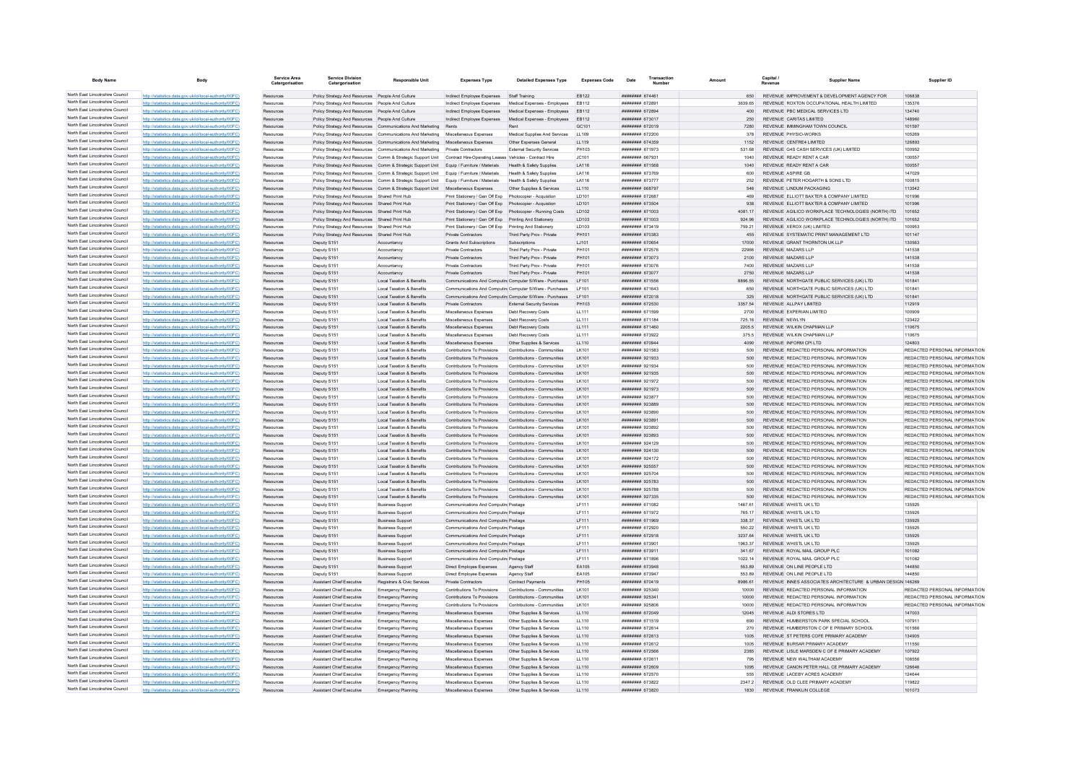| <b>Body Name</b>                                                   |                                                                                                                  | Service Area           | <b>Service Division</b><br>Catergorisation                                                       | <b>Responsible Unit</b>                                                                   | <b>Expenses Type</b>                                                                         | <b>Detailed Expenses Type</b>                              | <b>Expenses Code</b> | Transaction<br>Date                |                   | Capital /<br><b>Supplier Name</b>                                                    | Supplier ID                                                    |
|--------------------------------------------------------------------|------------------------------------------------------------------------------------------------------------------|------------------------|--------------------------------------------------------------------------------------------------|-------------------------------------------------------------------------------------------|----------------------------------------------------------------------------------------------|------------------------------------------------------------|----------------------|------------------------------------|-------------------|--------------------------------------------------------------------------------------|----------------------------------------------------------------|
| North East Lincolnshire Council                                    | http://statistics.data.gov.uk/id/local-authority/00FC)                                                           | Resources              | Policy Strategy And Resources People And Culture                                                 |                                                                                           | Indirect Employee Expenses                                                                   | Staff Training                                             | EB122                | ######## 674461                    | 650               | REVENUE IMPROVEMENT & DEVELOPMENT AGENCY FOR                                         | 106838                                                         |
| North East Lincolnshire Council<br>North East Lincolnshire Council | http://statistics.data.gov.uk/id/local-authority/00FC)                                                           | Resources              | Policy Strategy And Resources People And Culture                                                 |                                                                                           | Indirect Employee Expenses                                                                   | Medical Expenses - Employees                               | FR112                | ####### 672891                     | 3639 65           | REVENUE ROXTON OCCUPATIONAL HEALTH LIMITED                                           | 135376                                                         |
| North East Lincolnshire Council                                    | http://statistics.data.gov.uk/id/local-authority/00FC)                                                           | Resources              | Policy Strategy And Resources People And Culture                                                 |                                                                                           | Indirect Employee Expenses                                                                   | Medical Expenses - Employees                               | EB112                | ######## 672894                    | 400               | REVENUE PBC MEDICAL SERVICES LTD                                                     | 134740                                                         |
| North East Lincolnshire Council                                    | http://statistics.data.gov.uk/id/local-authority/00FC)<br>http://statistics.data.gov.uk/id/local-authority/00FC) | Resources<br>Resources | Policy Strategy And Resources People And Culture                                                 | Policy Strategy And Resources Communications And Marketing                                | Indirect Employee Expenses                                                                   | Medical Expenses - Employees                               | EB112<br>GC101       | ######## 673017<br>######## 672019 | 250<br>7280       | REVENUE CARITAS LIMITED<br>REVENUE IMMINGHAM TOWN COUNCIL                            | 148960<br>101597                                               |
| North East Lincolnshire Council                                    | http://statistics.data.gov.uk/id/local-authority/00FC)                                                           | Resources              |                                                                                                  | Policy Strategy And Resources Communications And Marketing Miscellaneous Expenses         |                                                                                              | Medical Supplies And Services                              | 11109                | ######## 672200                    | 378               | REVENUE PHYSIO-WORKS                                                                 | 105269                                                         |
| North East Lincolnshire Council                                    | http://statistics.data.gov.uk/id/local-authority/00FC)                                                           | Resources              |                                                                                                  | Policy Strategy And Resources Communications And Marketing Miscellaneous Expenses         |                                                                                              | Other Expenses General                                     | LL119                | ######## 674359                    | 1152              | REVENUE CENTRE4 LIMITED                                                              | 126893                                                         |
| North East Lincolnshire Council                                    | http://statistics.data.gov.uk/id/local-authority/00FC)                                                           | Resources              |                                                                                                  | Policy Strategy And Resources Communications And Marketing                                | Private Contractors                                                                          | <b>External Security Services</b>                          | PH103                | ####### 671973                     | 531.68            | REVENUE G4S CASH SERVICES (UK) LIMITED                                               | 100952                                                         |
| North East Lincolnshire Council                                    | http://statistics.data.gov.uk/id/local-authority/00FC)                                                           | Resources              |                                                                                                  | Policy Strategy And Resources Comm & Strategic Support Unit                               | Contract Hire-Operating Leases Vehicles - Contract Hire                                      |                                                            | JC101                | ####### 667931                     | 1040              | REVENUE READY RENT A CAR                                                             | 100557                                                         |
| North East Lincolnshire Council                                    | http://statistics.data.gov.uk/id/local-authority/00FC)                                                           | Resources              |                                                                                                  | Policy Strategy And Resources Comm & Strategic Support Unit Equip / Furniture / Materials |                                                                                              | Health & Safety Supplies                                   | LA116                | ######## 671568                    | 1040              | REVENUE READY RENT A CAR                                                             | 100557                                                         |
| North East Lincolnshire Council                                    | http://statistics.data.gov.uk/id/local-authority/00FC)                                                           | Resources              |                                                                                                  | Policy Strategy And Resources Comm & Strategic Support Unit                               | Equip / Furniture / Materials                                                                | Health & Safety Supplies                                   | LA116                | ####### 673769                     | 600               | REVENUE ASPIRE GB                                                                    | 147029                                                         |
| North East Lincolnshire Council<br>North East Lincolnshire Council | tics.data.gov.uk/id/local-authority/00FC)                                                                        | Resources              |                                                                                                  | Policy Strategy And Resources Comm & Strategic Support Unit                               | Equip / Furniture / Materials                                                                | Health & Safety Supplies                                   | LA116                | ######## 673777                    | 252               | REVENUE PETER HOGARTH & SONS LTD                                                     | 100815                                                         |
| North East Lincolnshire Council                                    | http://statistics.data.gov.uk/id/local-authority/00FC)                                                           | Resources              |                                                                                                  | Policy Strategy And Resources Comm & Strategic Support Unit                               | Miscellaneous Expenses                                                                       | Other Supplies & Services                                  | LL110                | <b>####### 668797</b>              | 546               | REVENUE I INDUM PACKAGING                                                            | 113542                                                         |
| North East Lincolnshire Council                                    | http://statistics.data.gov.uk/id/local-authority/00FC)<br>http://statistics.data.gov.uk/id/local-authority/00FC) | Resources<br>Resources | Policy Strategy And Resources Shared Print Hub<br>Policy Strategy And Resources Shared Print Hub |                                                                                           | Print Stationery / Gen Off Exp    Photocopier - Acquistion<br>Print Stationery / Gen Off Exp | Photocopier - Acquistion                                   | LD101<br>LD101       | ######## 672687<br>######## 673504 | 469<br>938        | REVENUE ELLIOTT BAXTER & COMPANY LIMITED<br>REVENUE ELLIOTT BAXTER & COMPANY LIMITED | 101996<br>101996                                               |
| North East Lincolnshire Council                                    | http://statistics.data.gov.uk/id/local-authority/00FC                                                            | Resources              | Policy Strategy And Resources Shared Print Hub                                                   |                                                                                           | Print Stationery / Gen Off Exp                                                               | Photocopier - Running Costs                                | LD102                | ######## 671003                    | 4081 17           | REVENUE AGILICO WORKPLACE TECHNOLOGIES (NORTH) ITD                                   | 101652                                                         |
| North East Lincolnshire Council                                    | http://statistics.data.gov.uk/id/local-authority/00FC)                                                           | Resources              | Policy Strategy And Resources Shared Print Hub                                                   |                                                                                           | Print Stationery / Gen Off Exp Printing And Stationery                                       |                                                            | LD103                | ######## 671003                    | 924.96            | REVENUE AGILICO WORKPLACE TECHNOLOGIES (NORTH) ITD                                   | 101652                                                         |
| North East Lincolnshire Council                                    | http://statistics.data.gov.uk/id/local-authority/00FC)                                                           | Resources              | Policy Strategy And Resources Shared Print Hub                                                   |                                                                                           | Print Stationery / Gen Off Exp Printing And Stationery                                       |                                                            | LD103                | ######## 673419                    | 759.21            | REVENUE XEROX (UK) LIMITED                                                           | 100953                                                         |
| North East Lincolnshire Council                                    | stics.data.gov.uk/id/local-authority/00FC)                                                                       | Resources              | Policy Strategy And Resources Shared Print Hub                                                   |                                                                                           | Private Contractors                                                                          | Third Party Prov - Private                                 | PH101                | <b>########</b> 670383             | 455               | REVENUE SYSTEMATIC PRINT MANAGEMENT LTD                                              | 101147                                                         |
| North East Lincolnshire Council                                    | http://statistics.data.gov.uk/id/local-authority/00EC)                                                           | Resources              | Deputy S151                                                                                      | Accountancy                                                                               | <b>Grants And Subscriptions</b>                                                              | Subscriptions                                              | LJ101                | <b>MANUTE BREEFER</b>              | 17000             | REVENUE GRANT THORNTON UK LLP                                                        | 130563                                                         |
| North East Lincolnshire Council                                    | http://statistics.data.gov.uk/id/local-authority/00FC)                                                           | Resources              | Deputy S151                                                                                      | Accountancy                                                                               | Private Contractors                                                                          | Third Party Prov - Private                                 | PH101                | ######## 672576                    | 22966             | REVENUE MAZARS LLP                                                                   | 141538                                                         |
| North East Lincolnshire Council                                    | http://statistics.data.gov.uk/id/local-authority/00FC)                                                           | Resources              | Deputy S151                                                                                      | Accountancy                                                                               | Private Contractors                                                                          | Third Party Prov - Private                                 | PH101                | ######## 673073                    | 2100              | REVENUE MAZARS LLP                                                                   | 141538                                                         |
| North East Lincolnshire Council                                    | http://statistics.data.gov.uk/id/local-authority/00FC)                                                           | Resources              | Deputy S151                                                                                      | Accountancy                                                                               | Private Contractors                                                                          | Third Party Prov - Private                                 | PH101                | ######## 673076                    | 7400              | REVENUE MAZARS LLP                                                                   | 141538                                                         |
| North East Lincolnshire Council                                    | http://statistics.data.gov.uk/id/local-authority/00FC)                                                           | Resources              | Deputy S151                                                                                      | Accountancy                                                                               | Private Contractors                                                                          | Third Party Prov - Private                                 | PH101                | <b>иннинни</b> 673077              | 2750              | REVENUE MAZARS LLP                                                                   | 141538                                                         |
| North East Lincolnshire Council                                    | http://statistics.data.gov.uk/id/local-authority/00FC)                                                           | Resources              | Deputy S151                                                                                      | Local Taxation & Benefits                                                                 | Communications And Computin Computer S/Ware - Purchases                                      |                                                            | LF101                | ######## 671556                    | 8896 55           | REVENUE NORTHGATE PUBLIC SERVICES (UK) LTD                                           | 101841                                                         |
| North East Lincolnshire Council                                    | http://statistics.data.gov.uk/id/local-authority/00FC)                                                           | Resources              | Deputy S151                                                                                      | Local Taxation & Benefits                                                                 | Communications And Computin Computer S/Ware - Purchases                                      |                                                            | LF101                | ####### 671643                     |                   | REVENUE NORTHGATE PUBLIC SERVICES (UK) LTD                                           | 101841                                                         |
| North East Lincolnshire Council<br>North East Lincolnshire Council | http://statistics.data.gov.uk/id/local-authority/00FC                                                            |                        | Deputy S151                                                                                      | Local Taxation & Benefits                                                                 | Communications And Computin Computer S/Ware - Purchases                                      |                                                            | LF101                | ######## 672018                    | 325               | REVENUE NORTHGATE PUBLIC SERVICES (UK) LTD                                           | 101841                                                         |
| North East Lincolnshire Council                                    | http://statistics.data.gov.uk/id/local-authority/00FC)                                                           | Resources              | Deputy S151                                                                                      | Local Taxation & Benefits                                                                 | Private Contractors                                                                          | <b>External Security Services</b>                          | PH103                | ######## 672530                    | 3357.54           | REVENUE ALLPAY LIMITED<br>REVENUE EXPERIAN LIMITED                                   | 112919                                                         |
| North East Lincolnshire Council                                    | http://statistics.data.gov.uk/id/local-authority/00FC)                                                           | Resources<br>Resources | Deputy S151<br>Deputy S151                                                                       | Local Taxation & Benefits<br>Local Taxation & Benefits                                    | Miscellaneous Expenses<br>Miscellaneous Expenses                                             | Debt Recovery Costs<br>Debt Recovery Costs                 | LL111<br>LL111       | ######## 671599<br>####### 671184  | 2700<br>725.16    | REVENUE NEWLYN                                                                       | 100909<br>123422                                               |
| North East Lincolnshire Council                                    | http://statistics.data.gov.uk/id/local-authority/00FC)<br>http://statistics.data.gov.uk/id/local-authority/00FC  | Resources              | Deputy S151                                                                                      | <b>Local Taxation &amp; Benefits</b>                                                      | Miscellaneous Expenses                                                                       | Debt Recovery Costs                                        |                      | ####### 671460                     | 2205.5            | REVENUE WILKIN CHAPMAN LLP                                                           | 110675                                                         |
| North East Lincolnshire Council                                    | http://statistics.data.gov.uk/id/local-authority/00FC)                                                           | Resources              | Deputy S151                                                                                      | Local Taxation & Benefits                                                                 | Miscellaneous Expenses                                                                       | Deht Recovery Costs                                        | LL111<br>11111       | ######## 673922                    | 375.5             | REVENUE WILKIN CHAPMAN LLP                                                           | 110675                                                         |
| North East Lincolnshire Council                                    | http://statistics.data.gov.uk/id/local-authority/00FC)                                                           | Resources              | Deputy S151                                                                                      | Local Taxation & Benefits                                                                 | Miscellaneous Expenses                                                                       | Other Supplies & Services                                  | LL110                | <b>########</b> 670944             | 4090              | REVENUE INFORM CPLLTD                                                                | 124803                                                         |
| North East Lincolnshire Council                                    | http://statistics.data.gov.uk/id/local-authority/00FC)                                                           | Resource               | Deputy S151                                                                                      | Local Taxation & Benefits                                                                 | Contributions To Provisions                                                                  | Contributions - Communities                                | LK101                | ####### 921583                     | 500               | REVENUE REDACTED PERSONAL INFORMATION                                                | REDACTED PERSONAL INFORMATION                                  |
| North East Lincolnshire Council                                    | http://statistics.data.gov.uk/id/local-authority/00FC)                                                           | Resources              | Deputy S151                                                                                      | Local Taxation & Benefits                                                                 | Contributions To Provisions                                                                  | Contributions - Communities                                | LK101                | ######## 921933                    | 500               | REVENUE REDACTED PERSONAL INFORMATION                                                | REDACTED PERSONAL INFORMATION                                  |
| North East Lincolnshire Council                                    | http://statistics.data.gov.uk/id/local-authority/00FC)                                                           | Resources              | Deputy S151                                                                                      | Local Taxation & Benefits                                                                 | Contributions To Provisions                                                                  | Contributions - Communities                                | LK101                | ######## 921934                    | 500               | REVENUE REDACTED PERSONAL INFORMATION                                                | REDACTED PERSONAL INFORMATION                                  |
| North East Lincolnshire Council                                    | http://statistics.data.gov.uk/id/local-authority/00FC)                                                           | Resources              | Deputy S151                                                                                      | <b>Local Taxation &amp; Benefits</b>                                                      | Contributions To Provisions Contributions - Communities                                      |                                                            | LK101                | ######## 921935                    | 500               | REVENUE REDACTED PERSONAL INFORMATION                                                | REDACTED PERSONAL INFORMATION                                  |
| North East Lincolnshire Council                                    | http://statistics.data.gov.uk/id/local-authority/00FC)                                                           | Resources              | Deputy S151                                                                                      | Local Taxation & Benefits                                                                 | Contributions To Provisions                                                                  | Contributions - Communities                                | LK101                | ######## 921972                    | 500               | REVENUE REDACTED PERSONAL INFORMATION                                                | REDACTED PERSONAL INFORMATION                                  |
| North East Lincolnshire Council                                    | http://statistics.data.gov.uk/id/local-authority/00FC)                                                           | Resources              | Deputy S151                                                                                      | <b>Local Taxation &amp; Benefits</b>                                                      | Contributions To Provisions                                                                  | Contributions - Communities                                | I K101               | ######## 921973                    | 500               | REVENUE REDACTED PERSONAL INFORMATION                                                | REDACTED PERSONAL INFORMATION                                  |
| North East Lincolnshire Council                                    | http://statistics.data.gov.uk/id/local-authority/00FC)                                                           | Resources              | Deputy S151                                                                                      | Local Taxation & Benefits                                                                 | Contributions To Provisions                                                                  | Contributions - Communities                                | I K101               | ######## 923877                    | 500               | REVENUE REDACTED PERSONAL INFORMATION                                                | REDACTED PERSONAL INFORMATION                                  |
| North East Lincolnshire Council                                    | http://statistics.data.gov.uk/id/local-authority/00FC)                                                           | Resources              | Deputy S151                                                                                      | <b>Local Taxation &amp; Benefits</b>                                                      | Contributions To Provisions                                                                  | Contributions - Communities                                | LK101                | ######## 923889                    | 50                | REVENUE REDACTED PERSONAL INFORMATION                                                | REDACTED PERSONAL INFORMATION                                  |
| North East Lincolnshire Council                                    | http://statistics.data.gov.uk/id/local-authority/00FC                                                            | Resource               | Deputy S151                                                                                      | Local Taxation & Benefits                                                                 | Contributions To Provisions                                                                  | Contributions - Communities                                | I K101               | ######## 923890                    | 500               | REVENUE REDACTED PERSONAL INFORMATION                                                | REDACTED PERSONAL INFORMATION                                  |
| North East Lincolnshire Council<br>North East Lincolnshire Council | http://statistics.data.gov.uk/id/local-authority/00EC)                                                           |                        | Deputy S151                                                                                      | Local Taxation & Benefits                                                                 | Contributions To Provisions                                                                  | Contributions - Communities                                | LK101                | ######## 923891                    | 500               | REVENUE REDACTED PERSONAL INFORMATION                                                | REDACTED PERSONAL INFORMATION                                  |
| North East Lincolnshire Council                                    | http://statistics.data.gov.uk/id/local-authority/00EC)                                                           | Resources              | Deputy S151                                                                                      | Local Taxation & Benefits                                                                 | Contributions To Provisions                                                                  | Contributions - Communities                                | I K101               | ######## 923892                    | 500               | REVENUE, REDACTED PERSONAL INFORMATION                                               | REDACTED PERSONAL INFORMATION                                  |
| North East Lincolnshire Council                                    | http://statistics.data.gov.uk/id/local-authority/00FC)                                                           | Resources              | Deputy S151                                                                                      | Local Taxation & Benefits                                                                 | Contributions To Provisions                                                                  | Contributions - Communities                                | LK101                | ######## 923893                    | 500<br>500        | REVENUE REDACTED PERSONAL INFORMATION                                                | REDACTED PERSONAL INFORMATION                                  |
| North East Lincolnshire Council                                    | http://statistics.data.gov.uk/id/local-authority/00FC)<br>http://statistics.data.gov.uk/id/local-authority/00FC) | Resources<br>Resources | Deputy S151<br>Deputy S151                                                                       | Local Taxation & Benefits<br>Local Taxation & Benefits                                    | Contributions To Provisions<br>Contributions To Provisions                                   | Contributions - Communities<br>Contributions - Communities | LK101<br>LK101       | ####### 924129<br>######## 924130  | 500               | REVENUE REDACTED PERSONAL INFORMATION<br>REVENUE REDACTED PERSONAL INFORMATION       | REDACTED PERSONAL INFORMATION<br>REDACTED PERSONAL INFORMATION |
| North East Lincolnshire Council                                    | http://statistics.data.gov.uk/id/local-authority/00FC)                                                           | Resources              | Deputy S151                                                                                      | Local Taxation & Benefits                                                                 | Contributions To Provisions                                                                  | Contributions - Communities                                | LK101                | ######## 924172                    | 500               | REVENUE REDACTED PERSONAL INFORMATION                                                | REDACTED PERSONAL INFORMATION                                  |
| North East Lincolnshire Council                                    | ics.data.gov.uk/id/local-authority/00FC)                                                                         | Resources              | Deputy S151                                                                                      | <b>Local Taxation &amp; Benefits</b>                                                      | Contributions To Provisions                                                                  | Contributions - Communities                                | LK101                | ######## 925557                    |                   | REVENUE REDACTED PERSONAL INFORMATION                                                | REDACTED PERSONAL INFORMATION                                  |
| North East Lincolnshire Council                                    | http://statistics.data.gov.uk/id/local-authority/00FC)                                                           | Resource               | Deputy S151                                                                                      | Local Taxation & Benefits                                                                 | Contributions To Provisions                                                                  | Contributions - Communities                                | LK101                | ######## 925704                    | 500               | REVENUE REDACTED PERSONAL INFORMATION                                                | REDACTED PERSONAL INFORMATION                                  |
| North East Lincolnshire Council                                    | http://statistics.data.gov.uk/id/local-authority/00EC)                                                           | Resources              | Deputy S151                                                                                      | Local Taxation & Benefits                                                                 | Contributions To Provisions                                                                  | Contributions - Communities                                | LK101                | ######## 925783                    | 500               | REVENUE REDACTED PERSONAL INFORMATION                                                | REDACTED PERSONAL INFORMATION                                  |
| North East Lincolnshire Council                                    | http://statistics.data.gov.uk/id/local-authority/00FC)                                                           | Resources              | Deputy S151                                                                                      | Local Taxation & Benefits                                                                 | Contributions To Provisions                                                                  | Contributions - Communities                                | LK101                | ######## 925788                    | 500               | REVENUE REDACTED PERSONAL INFORMATION                                                | REDACTED PERSONAL INFORMATION                                  |
| North East Lincolnshire Council                                    | http://statistics.data.gov.uk/id/local-authority/00FC)                                                           | Resources              | Deputy S151                                                                                      | Local Taxation & Benefits                                                                 | Contributions To Provisions Contributions - Communities                                      |                                                            | LK101                | ######## 927335                    |                   | REVENUE REDACTED PERSONAL INFORMATION                                                | REDACTED PERSONAL INFORMATION                                  |
| North East Lincolnshire Council                                    | http://statistics.data.gov.uk/id/local-authority/00FC)                                                           | Resources              | Deputy S151                                                                                      | <b>Business Support</b>                                                                   | Communications And Computin Postage                                                          |                                                            | LF111                | ######## 671082                    | 1467.61           | REVENUE WHISTL UK LTD                                                                | 135925                                                         |
| North East Lincolnshire Council                                    | http://statistics.data.gov.uk/id/local-authority/00EC)                                                           | Resources              | Deputy S151                                                                                      | <b>Business Support</b>                                                                   | Communications And Computin Postage                                                          |                                                            | <b>LF111</b>         | ######## 671972                    | 765 17            | REVENUE WHISTLUK ITD                                                                 | 135925                                                         |
| North East Lincolnshire Council                                    | tics data nov uk/id/local-authority/00FC)                                                                        | Resources              | Deputy S151                                                                                      | <b>Business Support</b>                                                                   | Communications And Computin Postage                                                          |                                                            | LF111                | ####### 671969                     | 338.37            | REVENUE WHISTL UK LTD                                                                | 135925                                                         |
| North East Lincolnshire Council                                    | tistics.data.gov.uk/id/local-authority/00FC)                                                                     | Resources              | Deputy S15                                                                                       | <b>Business Support</b>                                                                   | Communications And Computin Postage                                                          |                                                            | LF111                | ####### 672920                     | 550.22            | REVENUE WHISTL UK LTD                                                                | 135925                                                         |
| North East Lincolnshire Council<br>North East Lincolnshire Council | http://statistics.data.gov.uk/id/local-authority/00EC)                                                           | Resources              | Deputy S151                                                                                      | <b>Business Support</b>                                                                   | Communications And Computin Postage                                                          |                                                            | LF111                | ####### 672918                     | 3237.64           | REVENUE WHISTL UK LTD                                                                | 135925                                                         |
| North East Lincolnshire Council                                    | http://statistics.data.gov.uk/id/local-authority/00FC)                                                           | Resources              | Deputy S151                                                                                      | <b>Business Support</b>                                                                   | Communications And Computin Postage                                                          |                                                            | LF111                | ######## 673901                    | 1963.37           | REVENUE WHISTL UK LTD                                                                | 135925                                                         |
| North East Lincolnshire Council                                    | http://statistics.data.gov.uk/id/local-authority/00FC)                                                           | Resources              | Deputy S151                                                                                      | <b>Business Support</b>                                                                   | Communications And Computin Postage                                                          |                                                            | LF111                | ######## 673911                    | 341.67            | REVENUE ROYAL MAIL GROUP PLC                                                         | 101082                                                         |
| North East Lincolnshire Council                                    | http://statistics.data.gov.uk/id/local-authority/00FC)<br>http://statistics.data.gov.uk/id/local-authority/00EC) | Resources<br>Resources | Deputy S151<br>Deputy S151                                                                       | <b>Business Support</b><br><b>Business Support</b>                                        | Communications And Computin Postage<br>Direct Employee Expenses                              | Agency Staff                                               | LF111<br>EA105       | ####### 671896<br>######## 673948  | 1022.14<br>553.89 | REVENUE ROYAL MAIL GROUP PLC<br>REVENUE ON LINE PEOPLE LTD                           | 101082<br>144850                                               |
| North East Lincolnshire Council                                    | http://statistics.data.gov.uk/id/local-authority/00FC)                                                           | Resources              | Deputy S151                                                                                      | <b>Business Support</b>                                                                   | Direct Employee Expenses                                                                     | Agency Staff                                               | EA105                | ######## 673947                    | 553.89            | REVENUE ON LINE PEOPLE LTD                                                           | 144850                                                         |
| North East Lincolnshire Council                                    | data gov uk/id/local-authi                                                                                       | Resources              | Assistant Chief Executive                                                                        | Registrars & Civic Services                                                               | Private Contractors                                                                          | <b>Contract Payments</b>                                   | <b>PH105</b>         | ######## 670419                    | 8986.6            | REVENUE INNES ASSOCIATES ARCHITECTURE & URBAN DESIGN 146269                          |                                                                |
| North East Lincolnshire Council                                    | http://statistics.data.gov.uk/id/local-authority/00FC)                                                           | Resource               | Assistant Chief Executive                                                                        | Emergency Planning                                                                        | Contributions To Provisions                                                                  | Contributions - Communities                                | LK101                | ######## 925340                    | 10000             | REVENUE REDACTED PERSONAL INFORMATION                                                | REDACTED PERSONAL INFORMATION                                  |
| North East Lincolnshire Council                                    | http://statistics.data.gov.uk/id/local-authority/00EC)                                                           | Resources              | Assistant Chief Executive                                                                        | Emergency Planning                                                                        | Contributions To Provisions                                                                  | Contributions - Communities                                | I K101               | ######## 925341                    | 10000             | REVENUE REDACTED PERSONAL INFORMATION                                                | REDACTED PERSONAL INFORMATION                                  |
| North East Lincolnshire Council                                    | http://statistics.data.gov.uk/id/local-authority/00FC)                                                           | Resources              | Assistant Chief Executive                                                                        | Emergency Planning                                                                        | Contributions To Provisions                                                                  | Contributions - Communities                                | LK101                | ######## 925806                    | 10000             | REVENUE REDACTED PERSONAL INFORMATION                                                | REDACTED PERSONAL INFORMATION                                  |
| North East Lincolnshire Council                                    | http://statistics.data.gov.uk/id/local-authority/00FC)                                                           | Resources              | Assistant Chief Executive                                                                        | Emergency Planning                                                                        | Miscellaneous Expenses                                                                       | Other Supplies & Services                                  | LL110                | ######## 672049                    | 12045             | REVENUE ALDI STORES LTD                                                              | 147003                                                         |
| North East Lincolnshire Council                                    | http://statistics.data.gov.uk/id/local-authority/00FC)                                                           | Resources              | Assistant Chief Executive                                                                        | <b>Emergency Planning</b>                                                                 | Miscellaneous Expenses                                                                       | Other Supplies & Services                                  | LL110                | ####### 671519                     | 690               | REVENUE HUMBERSTON PARK SPECIAL SCHOOL                                               | 107911                                                         |
| North East Lincolnshire Council                                    | http://statistics.data.gov.uk/id/local-authority/00FC)                                                           | Resources              | Assistant Chief Executive                                                                        | Emergency Planning                                                                        | Miscellaneous Expenses                                                                       | Other Supplies & Services                                  | LL110                | ######## 672614                    | 270               | REVENUE HUMBERSTON C OF E PRIMARY SCHOOL                                             | 101566                                                         |
| North East Lincolnshire Council                                    | s.data.gov.uk/id/local-authority/00FC)                                                                           | Resources              | Assistant Chief Executive                                                                        | <b>Emergency Planning</b>                                                                 | Miscellaneous Expenses                                                                       | Other Supplies & Services                                  | LL110                | ######## 672613                    | 1005              | REVENUE ST PETERS COFE PRIMARY ACADEMY                                               | 134905                                                         |
| North East Lincolnshire Council                                    | http://statistics.data.gov.uk/id/local-authority/00FC)                                                           | Resources              | Assistant Chief Executive                                                                        | Emergency Planning                                                                        | Miscellaneous Expenses                                                                       | Other Supplies & Services                                  | LL110                | ####### 672612                     | 1005              | REVENUE BURSAR PRIMARY ACADEMY                                                       | 111550                                                         |
| North East Lincolnshire Council                                    | http://statistics.data.gov.uk/id/local-authority/00EC)                                                           | Resources              | Assistant Chief Executive                                                                        | Emergency Planning                                                                        | Miscellaneous Expenses                                                                       | Other Supplies & Services                                  | LL110                | ######## 672566                    | 2385              | REVENUE LISLE MARSDEN C OF E PRIMARY ACADEMY                                         | 107922                                                         |
| North East Lincolnshire Council<br>North East Lincolnshire Council | http://statistics.data.gov.uk/id/local-authority/00FC)                                                           | Resources              | Assistant Chief Executive                                                                        | Emergency Planning                                                                        | Miscellaneous Expenses                                                                       | Other Supplies & Services                                  | LL110                | ####### 672611                     | 795               | REVENUE NEW WALTHAM ACADEMY                                                          | 108556                                                         |
| North East Lincolnshire Council                                    | http://statistics.data.gov.uk/id/local-authority/00FC                                                            | Resources              | Assistant Chief Executive                                                                        | Emergency Planning                                                                        | Miscellaneous Expenses                                                                       | Other Supplies & Services                                  | LL110                | ####### 672609                     | 1095              | REVENUE CANON PETER HALL CE PRIMARY ACADEMY                                          | 126646                                                         |
| North East Lincolnshire Council                                    | http://statistics.data.gov.uk/id/local-authority/00FC)<br>http://statistics.data.gov.uk/id/local-authority/00EC) | Resources<br>Resources | <b>Assistant Chief Executive</b><br><b>Assistant Chief Executive</b>                             | Emergency Planning                                                                        | Miscellaneous Expenses<br>Miscellaneous Expenses                                             | Other Supplies & Services<br>Other Supplies & Services     | LL110<br>LL110       | ######## 672570<br>######## 673822 | 555<br>23472      | REVENUE LACEBY ACRES ACADEMY<br>REVENUE OLD CLEE PRIMARY ACADEMY                     | 124644<br>119822                                               |
| North East Lincolnshire Council                                    | http://statistics.data.gov.uk/id/local-authority/00FC)                                                           | Resources              | Assistant Chief Executive                                                                        | Emergency Planning<br>Emergency Planning                                                  | Miscellaneous Expenses                                                                       | Other Supplies & Services                                  | LL110                | ######## 673820                    | 1830              | REVENUE FRANKLIN COLLEGE                                                             | 101073                                                         |
|                                                                    |                                                                                                                  |                        |                                                                                                  |                                                                                           |                                                                                              |                                                            |                      |                                    |                   |                                                                                      |                                                                |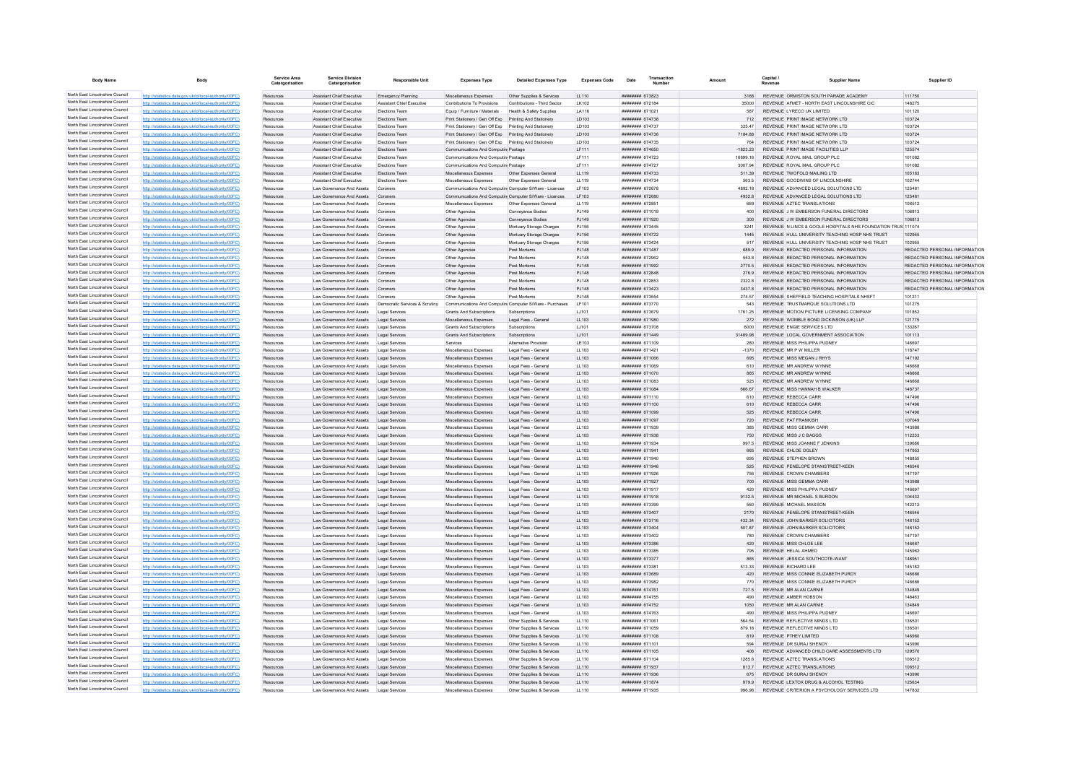| <b>Body Name</b>                                                   |                                                                                                                  | Service Area           | <b>Service Division</b><br>Catergorisation                            | <b>Responsible Unit</b>          | <b>Expenses Type</b>                                                             | <b>Detailed Expenses Type</b>                          | <b>Expenses Code</b> | Date                                                    | Transaction |                  | Capital / | Supplier Name                                                                  | Supplier ID                                                    |
|--------------------------------------------------------------------|------------------------------------------------------------------------------------------------------------------|------------------------|-----------------------------------------------------------------------|----------------------------------|----------------------------------------------------------------------------------|--------------------------------------------------------|----------------------|---------------------------------------------------------|-------------|------------------|-----------|--------------------------------------------------------------------------------|----------------------------------------------------------------|
| North East Lincolnshire Council                                    | http://statistics.data.gov.uk/id/local-authority/00FC)                                                           | Resources              | <b>Assistant Chief Executive</b>                                      | Emergency Planning               | Miscellaneous Expenses                                                           | Other Supplies & Services                              | LL110                | ######## 673823                                         |             | 3168             |           | REVENUE ORMISTON SOUTH PARADE ACADEMY                                          | 111750                                                         |
| North East Lincolnshire Council<br>North East Lincolnshire Council | http://statistics.data.gov.uk/id/local-authority/00FC)                                                           | Resources              | Assistant Chief Executive                                             | Assistant Chief Executive        | Contributions To Provisions                                                      | Contributions - Third Sector                           | I K102               | ####### 672184                                          |             | 35000            |           | REVENUE AFMET - NORTH EAST LINCOLNSHIRE CIC                                    | 148275                                                         |
| North East Lincolnshire Council                                    | http://statistics.data.gov.uk/id/local-authority/00FC)                                                           | Resources              | <b>Assistant Chief Executive</b>                                      | <b>Elections Team</b>            | Equip / Furniture / Materials                                                    | Health & Safety Supplier                               | LA116                | ######## 671021                                         |             | 587              |           | REVENUE LYRECO UK LIMITED                                                      | 101120                                                         |
| North East Lincolnshire Council                                    | http://statistics.data.gov.uk/id/local-authority/00FC)<br>http://statistics.data.gov.uk/id/local-authority/00FC) | Resources<br>Resources | <b>Assistant Chief Executive</b><br><b>Assistant Chief Executive</b>  | Elections Team<br>Elections Team | Print Stationery / Gen Off Exp<br>Print Stationery / Gen Off Exp                 | Printing And Stationery<br>Printing And Stationery     | LD103<br>LD103       | ######## 674738<br><b><i><u>********</u></i></b> 674737 |             | 712<br>325.47    |           | REVENUE PRINT IMAGE NETWORK LTD<br>REVENUE PRINT IMAGE NETWORK I TD            | 103724<br>103724                                               |
| North East Lincolnshire Council                                    | http://statistics.data.gov.uk/id/local-authority/00EC)                                                           | Resources              | Assistant Chief Executive                                             | <b>Flections Team</b>            | Print Stationery / Gen Off Exp Printing And Stationery                           |                                                        | <b>ID103</b>         | <b>######## 674736</b>                                  |             | 718488           |           | REVENUE PRINT IMAGE NETWORK LTD                                                | 103724                                                         |
| North East Lincolnshire Council                                    | http://statistics.data.gov.uk/id/local-authority/00FC)                                                           | Resources              | Assistant Chief Executive                                             | Elections Team                   | Print Stationery / Gen Off Exp Printing And Stationery                           |                                                        | LD103                | ####### 674735                                          |             | 764              |           | REVENUE PRINT IMAGE NETWORK LTD                                                | 103724                                                         |
| North East Lincolnshire Council                                    | http://statistics.data.gov.uk/id/local-authority/00FC)                                                           | Resources              | Assistant Chief Executive                                             | Elections Team                   | Communications And Computin Postage                                              |                                                        | LF111                | ####### 674650                                          |             | $-1823.23$       |           | REVENUE PRINT IMAGE FACILITIES LLP                                             | 125574                                                         |
| North East Lincolnshire Council                                    | http://statistics.data.gov.uk/id/local-authority/00FC)                                                           | Resources              | Assistant Chief Executive                                             | Elections Team                   | Communications And Computin Postage                                              |                                                        | LF111                | ######## 674723                                         |             | 16899.16         |           | REVENUE ROYAL MAIL GROUP PLC                                                   | 101082                                                         |
| North East Lincolnshire Council                                    | http://statistics.data.gov.uk/id/local-authority/00FC)                                                           | Resources              | Assistant Chief Executive                                             | Elections Team                   | Communications And Computin Postage                                              |                                                        | <b>LF111</b>         | ######## 674727                                         |             | 3007.94          |           | REVENUE ROYAL MAIL GROUP PLC                                                   | 101082                                                         |
| North East Lincolnshire Council<br>North East Lincolnshire Council | http://statistics.data.gov.uk/id/local-authority/00FC)                                                           | Resources              | Assistant Chief Executive                                             | Elections Team                   | Miscellaneous Expenses                                                           | Other Expenses General                                 | LL119                | ######## 674733                                         |             | 511.39           |           | REVENUE TWOFOLD MAILING LTD                                                    | 105163                                                         |
| North East Lincolnshire Council                                    | cs.data.gov.uk/id/local-authority/00FC<br>http://statistics.data.gov.uk/id/local-authority/00EC)                 | Resource               | Assistant Chief Executive<br>I aw Governance And Assets               | Elections Tea                    | Miscellaneous Expenses<br>Communications And Computin Computer S/Ware - Licences | Other Expenses Genera                                  | LL119<br>I F103      | ######## 674734<br>####### 672678                       |             | 563.5<br>4892 18 |           | REVENUE GOODWINS OF LINCOLNSHIRE<br>REVENUE ADVANCED LEGAL SOLUTIONS LTD.      | 102744<br>125461                                               |
| North East Lincolnshire Council                                    | http://statistics.data.gov.uk/id/local-authority/00FC)                                                           | Resources<br>Resources | Law Governance And Assets                                             | Coroners<br>Coroners             | Communications And Computin Computer S/Ware - Licences                           |                                                        | LF103                | ######## 672680                                         |             | 4932.8           |           | REVENUE ADVANCED LEGAL SOLUTIONS LTD                                           | 125461                                                         |
| North East Lincolnshire Council                                    | http://statistics.data.gov.uk/id/local-authority/00FC)                                                           | Resources              | Law Governance And Assets                                             | Coroners                         | Miscellaneous Expenses                                                           | Other Expenses General                                 | LL119                | ####### 672851                                          |             |                  |           | REVENUE AZTEC TRANSLATIONS                                                     | 106512                                                         |
| North East Lincolnshire Council                                    | http://statistics.data.gov.uk/id/local-authority/00FC                                                            | Resources              | Law Governance And Assets                                             | Coroners                         | Other Agencies                                                                   | Conveyance Bodies                                      | PJ149                | <b><i>BRESHER 671019</i></b>                            |             | 400              |           | REVENUE J W EMBERSON FUNERAL DIRECTORS                                         | 106813                                                         |
| North East Lincolnshire Council                                    | http://statistics.data.gov.uk/id/local-authority/00FC)                                                           | Resources              | I aw Governance And Assets                                            | Coroners                         | Other Agencies                                                                   | Conveyance Bodies                                      | P.1149               | ######## 671920                                         |             | 300              |           | REVENUE J W EMBERSON FUNERAL DIRECTORS                                         | 106813                                                         |
| North East Lincolnshire Council                                    | http://statistics.data.gov.uk/id/local-authority/00FC)                                                           | Resources              | Law Governance And Assets                                             | Coroners                         | Other Agencies                                                                   | Mortuary Storage Charges                               | PJ156                | <b>########</b> 673445                                  |             | 3241             |           | REVENUE N LINCS & GOOLE HOSPITALS NHS FOUNDATION TRUS 111074                   |                                                                |
| North East Lincolnshire Council                                    | tics.data.gov.uk/id/local-authority/00FC)                                                                        | Resources              | Law Governance And Assets                                             | Coroners                         | Other Agencies                                                                   | Mortuary Storage Charges                               | PJ156                | ######## 674722                                         |             | 1445             |           | REVENUE HULL UNIVERSITY TEACHING HOSP NHS TRUST                                | 102955                                                         |
| North East Lincolnshire Council                                    | http://statistics.data.gov.uk/id/local-authority/00EC                                                            | Resources              | I aw Governance And Assets                                            | Coroners                         | Other Agencies                                                                   | Mortuary Storage Charges                               | PJ156                | <b>ининнин</b> 673424                                   |             | 517              |           | REVENUE HULL UNIVERSITY TEACHING HOSP NHS TRUST                                | 102955                                                         |
| North East Lincolnshire Council<br>North East Lincolnshire Council | http://statistics.data.gov.uk/id/local-authority/00FC)                                                           | Resources              | Law Governance And Assets Coroners                                    |                                  | Other Agencies                                                                   | Post Mortems                                           | PJ148                | ######## 671487                                         |             | 689.9            |           | REVENUE REDACTED PERSONAL INFORMATION                                          | REDACTED PERSONAL INFORMATION                                  |
| North East Lincolnshire Council                                    | http://statistics.data.gov.uk/id/local-authority/00FC)<br>http://statistics.data.gov.uk/id/local-authority/00FC) | Resources<br>Resources | Law Governance And Assets<br>Law Governance And Assets                | Coroners<br>Coroners             | Other Agencies<br>Other Agencies                                                 | Post Mortems<br>Post Mortems                           | PJ148<br>PJ148       | ######## 672962<br>######## 671992                      |             | 553.8<br>2770.5  |           | REVENUE REDACTED PERSONAL INFORMATION<br>REVENUE REDACTED PERSONAL INFORMATION | REDACTED PERSONAL INFORMATION<br>REDACTED PERSONAL INFORMATION |
| North East Lincolnshire Council                                    | http://statistics.data.gov.uk/id/local-authority/00FC)                                                           | Resources              | Law Governance And Assets                                             | Coroners                         | Other Agencies                                                                   | Post Mortems                                           | PJ148                | <b>НИНИНИН</b> 672848                                   |             | 276.9            |           | REVENUE REDACTED PERSONAL INFORMATION                                          | REDACTED PERSONAL INFORMATION                                  |
| North East Lincolnshire Council                                    | http://statistics.data.gov.uk/id/local-authority/00FC)                                                           | Resources              | Law Governance And Assets                                             | Coroners                         | Other Agencies                                                                   | Post Mortems                                           | PJ148                | ######## 672853                                         |             | 23228            |           | REVENUE REDACTED PERSONAL INFORMATION                                          | REDACTED PERSONAL INFORMATION                                  |
| North East Lincolnshire Council                                    | http://statistics.data.gov.uk/id/local-authority/00FC)                                                           | Resources              | Law Governance And Assets                                             | Coroners                         | Other Agencies                                                                   | Post Mortems                                           | PJ148                | ######## 673423                                         |             | 3437.8           |           | REVENUE REDACTED PERSONAL INFORMATION                                          | REDACTED PERSONAL INFORMATION                                  |
| North East Lincolnshire Council                                    | http://statistics.data.gov.uk/id/local-authority/00FC                                                            | Resource               | Law Governance And Assets                                             | Coroners                         | Other Agencies                                                                   | Post Mortems                                           | PJ148                | ####### 673554                                          |             | 274.57           |           | REVENUE SHEFFIELD TEACHING HOSPITALS NHSFT                                     | 10121                                                          |
| North East Lincolnshire Council                                    | http://statistics.data.gov.uk/id/local-authority/00EC)                                                           | Resources              | I aw Governance And Assets                                            | Democratic Services & Scrutiny   | Communications And Computin Computer S/Ware - Purchases                          |                                                        | IF101                | <b>####### 673770</b>                                   |             | 543              |           | REVENUE TRUSTMARQUE SOLUTIONS LTD.                                             | 101275                                                         |
| North East Lincolnshire Council                                    | http://statistics.data.gov.uk/id/local-authority/00FC)                                                           | Resources              | I aw Governance And Assets                                            | Legal Services                   | Grants And Subscriptions                                                         | Subscriptions                                          | LJ101                | ####### 673679                                          |             | 1761 25          |           | REVENUE MOTION PICTURE LICENSING COMPANY                                       | 101852                                                         |
| North East Lincolnshire Council                                    | http://statistics.data.gov.uk/id/local-authority/00FC)                                                           | Resources              | Law Governance And Assets                                             | Legal Services                   | Miscellaneous Expenses                                                           | Legal Fees - Genera                                    | LL103                | ######## 671980                                         |             | 272              |           | REVENUE WOMBLE BOND DICKINSON (UK) LLF                                         | 121775                                                         |
| North East Lincolnshire Council                                    | http://statistics.data.gov.uk/id/local-authority/00FC)                                                           | Resources              | I aw Governance And Assets                                            | Legal Services                   | Grants And Subscriptions                                                         | Subscriptions                                          | LJ101                | $HHHHHHHH$ 673708                                       |             | 6000             |           | REVENUE ENGIE SERVICES LTD                                                     | 133267                                                         |
| North East Lincolnshire Council<br>North East Lincolnshire Council | http://statistics.data.gov.uk/id/local-authority/00FC)                                                           | Resources              | I aw Governance And Assets                                            | Legal Services                   | Grants And Subscriptions                                                         | Subscriptions                                          | 1.1101               | ######## 671449                                         |             | 31489 98         |           | REVENUE LOCAL GOVERNMENT ASSOCIATION<br>REVENUE MISS PHILIPPA PUDNEY           | 101113                                                         |
| North East Lincolnshire Council                                    | http://statistics.data.gov.uk/id/local-authority/00FC)<br>http://statistics.data.gov.uk/id/local-authority/00FC) | Resources<br>Resource  | Law Governance And Assets<br>Law Governance And Assets                | Legal Services<br>Legal Services | Services<br>Miscellaneous Expenses                                               | Alternative Provision<br>Legal Fees - Genera           | LE103<br>LL103       | ######## 671109<br>######## 671421                      |             | 280<br>$-1370$   |           | REVENUE MR P W MILLER                                                          | 146697<br>118747                                               |
| North East Lincolnshire Council                                    | http://statistics.data.gov.uk/id/local-authority/00FC)                                                           | Resources              | Law Governance And Assets                                             | Legal Services                   | Miscellaneous Expenses                                                           | Legal Fees - General                                   | LL103                | 880158 HBBBBBBB                                         |             | 695              |           | REVENUE MISS MEGAN J RHYS                                                      | 147192                                                         |
| North East Lincolnshire Council                                    | http://statistics.data.gov.uk/id/local-authority/00FC)                                                           | Resources              | Law Governance And Assets                                             | Legal Services                   | Miscellaneous Expenses                                                           | Legal Fees - General                                   | LL103                | ######## 671069                                         |             | 610              |           | REVENUE MR ANDREW WYNNE                                                        | 146668                                                         |
| North East Lincolnshire Council                                    | http://statistics.data.gov.uk/id/local-authority/00FC)                                                           | Resources              | Law Governance And Assets Legal Services                              |                                  | Miscellaneous Expenses                                                           | Legal Fees - General                                   | LL103                | ######## 671070                                         |             |                  |           | REVENUE MR ANDREW WYNNE                                                        | 146668                                                         |
| North East Lincolnshire Council                                    | http://statistics.data.gov.uk/id/local-authority/00FC)                                                           | Resources              | Law Governance And Assets                                             | Legal Services                   | Miscellaneous Expenses                                                           | Legal Fees - Genera                                    | LL103                | ######## 671083                                         |             | 525              |           | REVENUE MR ANDREW WYNNE                                                        | 146668                                                         |
| North East Lincolnshire Council                                    | http://statistics.data.gov.uk/id/local-authority/00FC)                                                           | Resources              | Law Governance And Assets                                             | Legal Services                   | Miscellaneous Expenses                                                           | Legal Fees - General                                   | LL103                | ######## 671084                                         |             | 666.67           |           | REVENUE MISS HANNAH B WALKER                                                   | 148737                                                         |
| North East Lincolnshire Council                                    | http://statistics.data.gov.uk/id/local-authority/00FC)                                                           | Resources              | Law Governance And Assets                                             | Legal Services                   | Miscellaneous Expenses                                                           | Legal Fees - Genera                                    | LL103                | ######## 671110                                         |             | 610              |           | REVENUE REBECCA CARR                                                           | 147496                                                         |
| North East Lincolnshire Council                                    | http://statistics.data.gov.uk/id/local-authority/00FC)                                                           | Resources              | Law Governance And Assets                                             | Legal Services                   | Miscellaneous Expenses                                                           | Legal Fees - Genera                                    | LL103                | ######## 671100                                         |             | 610              |           | REVENUE REBECCA CARR                                                           | 147496                                                         |
| North East Lincolnshire Council<br>North East Lincolnshire Council | http://statistics.data.gov.uk/id/local-authority/00FC                                                            | Resource               | I aw Governance And Assets                                            | Legal Services                   | Miscellaneous Expenses                                                           | Legal Fees - Genera                                    | LL103                | <b>COLLEG HERRER</b>                                    |             | 525              |           | REVENUE REBECCA CARR                                                           | 147496                                                         |
| North East Lincolnshire Council                                    | http://statistics.data.gov.uk/id/local-authority/00EC)                                                           | Resource               | Law Governance And Assets                                             | Legal Services                   | Miscellaneous Expenses                                                           | Legal Fees - Genera                                    | LL103                | ######## 671097                                         |             | 720              |           | REVENUE PAT FRANKISH                                                           | 107049                                                         |
| North East Lincolnshire Council                                    | http://statistics.data.gov.uk/id/local-authority/00EC)<br>http://statistics.data.gov.uk/id/local-authority/00FC) | Resources<br>Resources | I aw Governance And Assets<br>Law Governance And Assets               | Legal Services<br>Legal Services | Miscellaneous Expenses<br>Miscellaneous Expenses                                 | Legal Fees - General<br>Legal Fees - General           | 11103<br>LL103       | ######## 671939<br>######## 671938                      |             | 385<br>750       |           | REVENUE MISS GEMMA CARR<br>REVENUE MISS J C BAGGS                              | 143988<br>112233                                               |
| North East Lincolnshire Council                                    | http://statistics.data.gov.uk/id/local-authority/00FC)                                                           | Resources              | Law Governance And Assets                                             | Legal Services                   | Miscellaneous Expenses                                                           | Legal Fees - Genera                                    | LL103                | ####### 671934                                          |             | 997.5            |           | REVENUE MISS JOANNE F JENKINS                                                  | 139686                                                         |
| North East Lincolnshire Council                                    | http://statistics.data.gov.uk/id/local-authority/00FC)                                                           | Resources              | Law Governance And Assets                                             | Legal Services                   | Miscellaneous Expenses                                                           | Legal Fees - Genera                                    | LL103                | ####### 671941                                          |             | 665              |           | REVENUE CHLOE OGLEY                                                            | 147953                                                         |
| North East Lincolnshire Council                                    | http://statistics.data.gov.uk/id/local-authority/00FC)                                                           | Resources              | Law Governance And Assets                                             | Legal Services                   | Miscellaneous Expenses                                                           | Legal Fees - Genera                                    | LL103                | ######## 671940                                         |             | 695              |           | REVENUE STEPHEN BROWN                                                          | 148855                                                         |
| North East Lincolnshire Council                                    | ics.data.gov.uk/id/local-authority/00FC)                                                                         | Resources              | Law Governance And Assets                                             | Legal Services                   | Miscellaneous Expenses                                                           | Legal Fees - Genera                                    | LL103                | ####### 671946                                          |             | 525              |           | REVENUE PENELOPE STANISTREET-KEEN                                              | 146546                                                         |
| North East Lincolnshire Council                                    | http://statistics.data.gov.uk/id/local-authority/00FC)                                                           | Resources              | Law Governance And Assets                                             | Legal Services                   | Miscellaneous Expenses                                                           | Legal Fees - Genera                                    | LL103                | ####### 671926                                          |             | 756              |           | REVENUE CROWN CHAMBERS                                                         | 147197                                                         |
| North East Lincolnshire Council                                    | http://statistics.data.gov.uk/id/local-authority/00EC)                                                           | Resources              | I aw Governance And Assets                                            | Legal Services                   | Miscellaneous Expenses                                                           | Legal Fees - General                                   | LL103                | ######## 671927                                         |             | 700              |           | REVENUE MISS GEMMA CARR                                                        | 143988                                                         |
| North East Lincolnshire Council                                    | http://statistics.data.gov.uk/id/local-authority/00FC)                                                           | Resources              | Law Governance And Assets                                             | Legal Services                   | Miscellaneous Expenses                                                           | Legal Fees - General                                   | LL103                | ######## 671917                                         |             | 420              |           | REVENUE MISS PHILIPPA PUDNEY                                                   | 146697                                                         |
| North East Lincolnshire Council<br>North East Lincolnshire Council | http://statistics.data.gov.uk/id/local-authority/00FC)                                                           | Resources              | Law Governance And Assets Legal Services                              |                                  | Miscellaneous Expenses                                                           | Legal Fees - Genera                                    | LL103                | ######## 671918                                         |             | 9132.5           |           | REVENUE MR MICHAEL S BURDON                                                    | 104432                                                         |
| North East Lincolnshire Council                                    | http://statistics.data.gov.uk/id/local-authority/00FC)<br>http://statistics.data.gov.uk/id/local-authority/00EC) | Resources<br>Resources | Law Governance And Assets<br>I aw Governance And Assets               | Legal Services<br>Legal Services | Miscellaneous Expenses<br>Miscellaneous Expenses                                 | Legal Fees - Genera<br>Legal Fees - General            | LL103<br>11103       | ######## 673399<br>######## 673407                      |             | 560<br>2170      |           | REVENUE MICHAEL MASSON<br>REVENUE PENELOPE STANISTREET-KEEN                    | 142212<br>146546                                               |
| North East Lincolnshire Council                                    | tics data nov uk/id/local-authority/00EC)                                                                        | Resources              | Law Governance And Assets                                             | Legal Services                   | Miscellaneous Expenses                                                           | Legal Fees - Genera                                    | LL103                | ######## 673716                                         |             | 432.34           |           | REVENUE JOHN BARKER SOLICITORS                                                 | 146152                                                         |
| North East Lincolnshire Council                                    | istics.data.gov.uk/id/local-authority/00FC)                                                                      | Resources              | Law Governance And Assets                                             | Legal Services                   | Miscellaneous Expenses                                                           | Legal Fees - Genera                                    | LL103                | ######## 673404                                         |             | 507.87           |           | REVENUE JOHN BARKER SOLICITORS                                                 | 146152                                                         |
| North East Lincolnshire Council                                    | http://statistics.data.gov.uk/id/local-authority/00EC)                                                           | Resources              | Law Governance And Assets                                             | Legal Services                   | Miscellaneous Expenses                                                           | Legal Fees - Genera                                    | LL103                | ######## 673402                                         |             | 780              |           | REVENUE CROWN CHAMBERS                                                         | 147197                                                         |
| North East Lincolnshire Council                                    | http://statistics.data.gov.uk/id/local-authority/00FC)                                                           | Resources              | Law Governance And Assets                                             | Legal Services                   | Miscellaneous Expenses                                                           | Legal Fees - General                                   | LL103                | ######## 673386                                         |             | 420              |           | REVENUE MISS CHLOE LEE                                                         | 146667                                                         |
| North East Lincolnshire Council                                    | http://statistics.data.gov.uk/id/local-authority/00FC)                                                           | Resources              | Law Governance And Assets                                             | Legal Services                   | Miscellaneous Expenses                                                           | Legal Fees - Genera                                    | LL103                | ######## 673385                                         |             | 795              |           | REVENUE HELAL AHMED                                                            | 145962                                                         |
| North East Lincolnshire Council                                    | http://statistics.data.gov.uk/id/local-authority/00FC)                                                           | Resources              | Law Governance And Assets                                             | Legal Services                   | Miscellaneous Expenses                                                           | Legal Fees - Genera                                    | LL103                | ####### 673377                                          |             | 865              |           | REVENUE JESSICA SOUTHCOTE-WANT                                                 | 148951                                                         |
| North East Lincolnshire Council<br>North East Lincolnshire Council | http://statistics.data.gov.uk/id/local-authority/00EC)                                                           | Resources              | Law Governance And Assets                                             | Legal Services                   | Miscellaneous Expenses                                                           | Legal Fees - Genera                                    | LL103                | <i>ининнин</i> 673381                                   |             | 513.33           |           | REVENUE RICHARD LEE                                                            | 145182                                                         |
| North East Lincolnshire Council                                    | http://statistics.data.gov.uk/id/local-authority/00FC)                                                           | Resources              | Law Governance And Assets                                             | Legal Services                   | Miscellaneous Expenses                                                           | Legal Fees - Genera                                    | LL103                | ######## 673689                                         |             | 420              |           | REVENUE MISS CONNIE ELIZABETH PURDY                                            | 146666                                                         |
| North East Lincolnshire Council                                    | nov uk/id/local-aut<br>http://etgtietics.data.gov.uk/id/local.guthority/00EC)                                    | Resources              | Law Governance And Assets                                             | Legal Services                   | Miscellaneous Expenses                                                           | Legal Fees - Genera                                    | LL103                | ######## 673982                                         |             | 770              |           | REVENUE MISS CONNIE ELIZABETH PURDY                                            | 146666                                                         |
| North East Lincolnshire Council                                    | http://statistics.data.gov.uk/id/local-authority/00EC)                                                           | Resources<br>Resources | Law Governance And Assets<br>I aw Governance And Assets               | Legal Services<br>Legal Services | Miscellaneous Expenses<br>Miscellaneous Expenses                                 | Legal Fees - Genera<br>Legal Fees - General            | LL103<br>11103       | ######## 674761<br>######## 674755                      |             | 727.5<br>490     |           | REVENUE MR ALAN CARNIE<br>REVENUE AMBER HOBSON                                 | 134849<br>148463                                               |
| North East Lincolnshire Council                                    | http://statistics.data.gov.uk/id/local-authority/00FC)                                                           | Resources              | Law Governance And Assets Legal Services                              |                                  | Miscellaneous Expenses                                                           | Legal Fees - General                                   | LL103                | ######## 674752                                         |             | 1050             |           | REVENUE MR ALAN CARNIE                                                         | 134849                                                         |
| North East Lincolnshire Council                                    | http://statistics.data.gov.uk/id/local-authority/00FC)                                                           | Resources              | Law Governance And Assets                                             | Legal Services                   | Miscellaneous Expenses                                                           | Legal Fees - General                                   | LL103                | ####### 674763                                          |             |                  |           | REVENUE MISS PHILIPPA PUDNEY                                                   | 146697                                                         |
| North East Lincolnshire Council                                    | http://statistics.data.gov.uk/id/local-authority/00FC)                                                           | Resources              | Law Governance And Assets                                             | <b>Legal Services</b>            | Miscellaneous Expenses                                                           | Other Supplies & Services                              | LL110                | ####### 671061                                          |             | 564 54           |           | REVENUE REFLECTIVE MINDS LTD                                                   | 136501                                                         |
| North East Lincolnshire Council                                    | http://statistics.data.gov.uk/id/local-authority/00FC)                                                           | Resources              | Law Governance And Assets                                             | Legal Services                   | Miscellaneous Expenses                                                           | Other Supplies & Services                              | LL110                | ######## 671059                                         |             | 879.18           |           | REVENUE REFLECTIVE MINDS LTD                                                   | 136501                                                         |
| North East Lincolnshire Council                                    | data.gov.uk/id/local-aut                                                                                         | Resources              | Law Governance And Assets                                             | Legal Services                   | Miscellaneous Expenses                                                           | Other Supplies & Services                              | LL110                | ######## 671108                                         |             | 819              |           | REVENUE PTHEY LIMITED                                                          | 146960                                                         |
| North East Lincolnshire Council                                    | http://statistics.data.gov.uk/id/local-authority/00FC)                                                           | Resources              | Law Governance And Assets                                             | Legal Services                   | Miscellaneous Expenses                                                           | Other Supplies & Services                              | LL110                | ####### 671101                                          |             |                  |           | REVENUE DR SURAJ SHENOY                                                        | 143990                                                         |
| North East Lincolnshire Council                                    | http://statistics.data.gov.uk/id/local-authority/00EC)                                                           | Resources              | Law Governance And Assets                                             | Legal Services                   | Miscellaneous Expenses                                                           | Other Supplies & Services                              | LL110                | ######## 671105                                         |             | 406              |           | REVENUE ADVANCED CHILD CARE ASSESSMENTS LTD                                    | 129570                                                         |
| North East Lincolnshire Council<br>North East Lincolnshire Council | http://statistics.data.gov.uk/id/local-authority/00FC)                                                           | Resources              | Law Governance And Assets                                             | Legal Services                   | Miscellaneous Expenses                                                           | Other Supplies & Services                              | LL110                | ######## 671104                                         |             | 1285.6           |           | REVENUE AZTEC TRANSLATIONS                                                     | 106512                                                         |
| North East Lincolnshire Council                                    | http://statistics.data.gov.uk/id/local-authority/00FC                                                            | Resources              | Law Governance And Assets                                             | Legal Services                   | Miscellaneous Expenses                                                           | Other Supplies & Services                              | LL110                | ####### 671937                                          |             | 813.7            |           | REVENUE AZTEC TRANSLATIONS                                                     | 106512                                                         |
| North East Lincolnshire Council                                    | http://statistics.data.gov.uk/id/local-authority/00FC)<br>http://statistics.data.gov.uk/id/local-authority/00EC) | Resources<br>Resources | Law Governance And Assets<br>Law Governance And Assets Legal Services | Legal Services                   | Miscellaneous Expenses<br>Miscellaneous Expenses                                 | Other Supplies & Services<br>Other Supplies & Services | LL110<br>LL110       | ######## 671936<br><b>######## 671874</b>               |             | 675<br>9799      |           | REVENUE DR SURAJ SHENOY<br>REVENUE LEXTOX DRUG & ALCOHOL TESTING               | 143990<br>125634                                               |
| North East Lincolnshire Council                                    | http://statistics.data.gov.uk/id/local-authority/00FC)                                                           | Resources              | Law Governance And Assets                                             | Legal Services                   | Miscellaneous Expenses                                                           | Other Supplies & Services                              | LL110                | ######## 671935                                         |             | 996.96           |           | REVENUE CRITERION A PSYCHOLOGY SERVICES LTD                                    | 147832                                                         |
|                                                                    |                                                                                                                  |                        |                                                                       |                                  |                                                                                  |                                                        |                      |                                                         |             |                  |           |                                                                                |                                                                |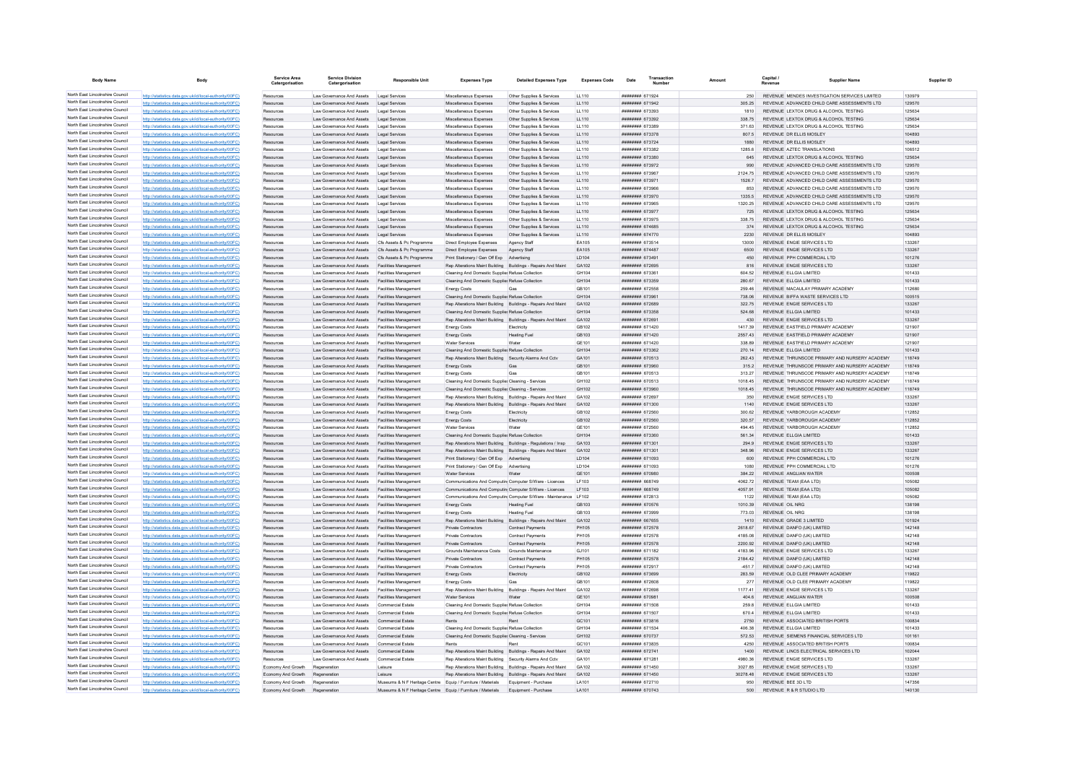| <b>Body Name</b>                                                   | Body                                                                                                             | <b>Service Area</b><br>Catergorisation | <b>Service Division</b><br>Catergorisation                                        | <b>Responsible Unit</b>                                                          | <b>Expenses Type</b>                                                                                        | <b>Detailed Expenses Type</b>                                   | <b>Expenses Code</b> | Date                               | Transaction | Amount             | Capital | <b>Supplier Name</b>                                                | Supplier ID      |
|--------------------------------------------------------------------|------------------------------------------------------------------------------------------------------------------|----------------------------------------|-----------------------------------------------------------------------------------|----------------------------------------------------------------------------------|-------------------------------------------------------------------------------------------------------------|-----------------------------------------------------------------|----------------------|------------------------------------|-------------|--------------------|---------|---------------------------------------------------------------------|------------------|
| North East Lincolnshire Council                                    | http://statistics.data.gov.uk/id/local-authority/00FC)                                                           | Resources                              | Law Governance And Assets                                                         | Legal Services                                                                   | Miscellaneous Expenses                                                                                      | Other Supplies & Services                                       | 11110                | ######## 671924                    |             | 250                |         | REVENUE MENDES INVESTIGATION SERVICES LIMITED.                      | 130979           |
| North East Lincolnshire Council                                    | http://statistics.data.gov.uk/id/local-authority/00FC)                                                           | Resources                              | Law Governance And Assets                                                         | Legal Services                                                                   | Miscellaneous Expenses                                                                                      | Other Supplies & Services                                       | LL110                | ####### 671942                     |             | 305.25             |         | REVENUE ADVANCED CHILD CARE ASSESSMENTS LTD                         | 129570           |
| North East Lincolnshire Council                                    | http://statistics.data.gov.uk/id/local-authority/00FC)                                                           | Resources                              | Law Governance And Assets                                                         | <b>Legal Services</b>                                                            | Miscellaneous Expenses                                                                                      | Other Supplies & Services                                       | LL110                | ######## 673393                    |             | 1810               |         | REVENUE LEXTOX DRUG & ALCOHOL TESTING                               | 125634           |
| North East Lincolnshire Council                                    | http://statistics.data.gov.uk/id/local-authority/00FC)                                                           | Resources                              | Law Governance And Assets                                                         | Legal Services                                                                   | Miscellaneous Expenses                                                                                      | Other Supplies & Services                                       | LL110                | ####### 673392                     |             | 338.75             |         | REVENUE LEXTOX DRUG & ALCOHOL TESTING                               | 125634           |
| North East Lincolnshire Council<br>North East Lincolnshire Council | http://statistics.data.gov.uk/id/local-authority/00FC)                                                           | Resources                              | I aw Governance And Assets                                                        | Legal Services                                                                   | Miscellaneous Exnenses                                                                                      | Other Supplies & Services                                       | 11110                | ######## 673389                    |             | 371 63             |         | REVENUE LEXTOX DRUG & ALCOHOL TESTING                               | 125634           |
| North East Lincolnshire Council                                    | http://statistics.data.gov.uk/id/local-authority/00FC)                                                           | Resources                              | Law Governance And Assets                                                         | Legal Services                                                                   | Miscellaneous Expenses                                                                                      | Other Supplies & Services                                       | LL110                | ######## 673378                    |             | 807.5              |         | REVENUE DR ELLIS MOSLEY                                             | 104893           |
| North East Lincolnshire Council                                    | http://statistics.data.gov.uk/id/local-authority/00FC)                                                           | Resources                              | Law Governance And Assets                                                         | Legal Services                                                                   | Miscellaneous Expenses                                                                                      | Other Supplies & Services                                       | LL110                | ######## 673724                    |             | 1880               |         | REVENUE DR ELLIS MOSLEY                                             | 104893           |
| North East Lincolnshire Council                                    | http://statistics.data.gov.uk/id/local-authority/00FC<br>http://statistics.data.gov.uk/id/local-authority/00FC)  | Resources<br>Resources                 | Law Governance And Assets<br>I aw Governance And Assets                           | Legal Services<br>Legal Services                                                 | Miscellaneous Expenses<br>Miscellaneous Expenses                                                            | Other Supplies & Services<br>Other Supplies & Services          | LL110<br>11110       | ####### 673382<br>######## 673380  |             | 1285.6<br>645      |         | REVENUE AZTEC TRANSLATIONS<br>REVENUE LEXTOX DRUG & ALCOHOL TESTING | 106512<br>125634 |
| North East Lincolnshire Council                                    | http://statistics.data.gov.uk/id/local-authority/00FC)                                                           | Resources                              | Law Governance And Assets                                                         | Legal Services                                                                   | Miscellaneous Expenses                                                                                      | Other Supplies & Services                                       | LL110                | ######## 673972                    |             | 990                |         | REVENUE ADVANCED CHILD CARE ASSESSMENTS LTD                         | 129570           |
| North East Lincolnshire Council                                    | stics.data.gov.uk/id/local-authority/00FC)                                                                       |                                        | Law Governance And Assets                                                         | Legal Services                                                                   | Miscellaneous Expenses                                                                                      | Other Supplies & Services                                       | LL110                | ######## 673967                    |             | 2124.75            |         | REVENUE ADVANCED CHILD CARE ASSESSMENTS LTD                         | 129570           |
| North East Lincolnshire Council                                    | http://statistics.data.gov.uk/id/local-authority/00FC                                                            |                                        | Law Governance And Assets                                                         | Legal Services                                                                   | Miscellaneous Expenses                                                                                      | Other Supplies & Services                                       | LL110                | ######## 673971                    |             | 1526.7             |         | REVENUE ADVANCED CHILD CARE ASSESSMENTS LTD                         | 129570           |
| North East Lincolnshire Council                                    | http://statistics.data.gov.uk/id/local-authority/00FC)                                                           | Resources                              | Law Governance And Assets                                                         | Legal Services                                                                   | Miscellaneous Expenses                                                                                      | Other Supplies & Services                                       | LL110                | ######## 673966                    |             | 853                |         | REVENUE ADVANCED CHILD CARE ASSESSMENTS LTD                         | 129570           |
| North East Lincolnshire Council                                    | http://statistics.data.gov.uk/id/local-authority/00FC)                                                           | Resources                              | Law Governance And Assets                                                         | Legal Services                                                                   | Miscellaneous Expenses                                                                                      | Other Supplies & Services                                       | LL110                | ######## 673970                    |             | 1335.5             |         | REVENUE ADVANCED CHILD CARE ASSESSMENTS LTD                         | 129570           |
| North East Lincolnshire Council                                    | http://statistics.data.gov.uk/id/local-authority/00FC                                                            | Resource                               | Law Governance And Assets                                                         | Legal Service                                                                    | Miscellaneous Expenses                                                                                      | Other Supplies & Services                                       | LL110                | ####### 673965                     |             | 1320.25            |         | REVENUE ADVANCED CHILD CARE ASSESSMENTS LTD                         | 129570           |
| North East Lincolnshire Council                                    | http://statistics.data.gov.uk/id/local-authority/00FC                                                            | Resources                              | Law Governance And Assets                                                         | Legal Services                                                                   | Miscellaneous Expenses                                                                                      | Other Supplies & Services                                       | LL110                | ######## 673977                    |             | 725                |         | REVENUE LEXTOX DRUG & ALCOHOL TESTING                               | 125634           |
| North East Lincolnshire Council                                    | http://statistics.data.gov.uk/id/local-authority/00FC                                                            | Resources                              | Law Governance And Assets                                                         | Legal Services                                                                   | Miscellaneous Expenses                                                                                      | Other Supplies & Services                                       | LL110                | ######## 673975                    |             | 338.75             |         | REVENUE LEXTOX DRUG & ALCOHOL TESTING                               | 125634           |
| North East Lincolnshire Council                                    | http://statistics.data.gov.uk/id/local-authority/00FC)                                                           | Resources                              | Law Governance And Assets                                                         | Legal Services                                                                   | Miscellaneous Expenses                                                                                      | Other Supplies & Services                                       | LL110                | ####### 674685                     |             | 374                |         | REVENUE LEXTOX DRUG & ALCOHOL TESTING                               | 125634           |
| North East Lincolnshire Council<br>North East Lincolnshire Council | statistics.data.gov.uk/id/local-authority/00FC                                                                   |                                        | Law Governance And Assets                                                         | Legal Services                                                                   | Miscellaneous Expenses                                                                                      | Other Supplies & Services                                       | LL110                | ######## 674770                    |             | 2230               |         | REVENUE DR ELLIS MOSLEY                                             | 104893           |
| North East Lincolnshire Council                                    | http://statistics.data.gov.uk/id/local-authority/00FC)                                                           | Resources<br>Resources                 | I aw Governance And Assets<br>Law Governance And Assets Cfs Assets & Pc Programme | Cfs Assets & Pc Programme                                                        | Direct Employee Expenses                                                                                    | Agency Staff                                                    | FA105<br>EA105       | ######## 673514<br>######## 674487 |             | 13000<br>6500      |         | REVENUE ENGIE SERVICES LTD<br>REVENUE ENGIE SERVICES LTD            | 133267<br>133267 |
| North East Lincolnshire Council                                    | http://statistics.data.gov.uk/id/local-authority/00FC)<br>http://statistics.data.gov.uk/id/local-authority/00FC) | Resources                              | Law Governance And Assets                                                         | Cfs Assets & Pc Programme                                                        | Direct Employee Expenses<br>Print Stationery / Gen Off Exp Advertising                                      | Agency Staff                                                    | LD104                | ######## 673491                    |             | 450                |         | REVENUE PPH COMMERCIAL LTD                                          | 101276           |
| North East Lincolnshire Council                                    | http://statistics.data.gov.uk/id/local-authority/00FC                                                            | Resources                              | Law Governance And Assets                                                         | <b>Facilities Management</b>                                                     |                                                                                                             | Rep Alterations Maint Building Buildings - Repairs And Maint    | GA102                | ######## 672695                    |             | 816                |         | REVENUE ENGIE SERVICES LTD                                          | 133267           |
| North East Lincolnshire Council                                    | http://statistics.data.gov.uk/id/local-authority/00FC)                                                           | Resources                              | I aw Governance And Assets                                                        | Facilities Management                                                            | Cleaning And Domestic Supplier Refuse Collection                                                            |                                                                 | GH104                | ######## 673361                    |             | 604 52             |         | REVENUE ELLGIA LIMITED                                              | 101433           |
| North East Lincolnshire Council                                    | http://statistics.data.gov.uk/id/local-authority/00FC)                                                           | Resources                              | Law Governance And Assets                                                         | <b>Facilities Management</b>                                                     | Cleaning And Domestic Supplie: Refuse Collection                                                            |                                                                 | GH104                | ######## 673359                    |             | 280.67             |         | REVENUE ELLGIA LIMITED                                              | 101433           |
| North East Lincolnshire Council                                    | tics.data.gov.uk/id/local-authority/00FC)                                                                        |                                        | Law Governance And Assets                                                         | Facilities Management                                                            | <b>Energy Costs</b>                                                                                         |                                                                 | GB101                | ####### 672558                     |             | 259.46             |         | REVENUE MACAULAY PRIMARY ACADEMY                                    | 112680           |
| North East Lincolnshire Council                                    | http://statistics.data.gov.uk/id/local-authority/00FC)                                                           | Resources                              | Law Governance And Assets                                                         | Facilities Management                                                            | Cleaning And Domestic Supplie: Refuse Collection                                                            |                                                                 | GH104                | ######## 673961                    |             | 738.06             |         | REVENUE BIFFA WASTE SERVICES LTD                                    | 100515           |
| North East Lincolnshire Council                                    | http://statistics.data.gov.uk/id/local-authority/00FC)                                                           | Resources                              | Law Governance And Assets                                                         | Facilities Management                                                            |                                                                                                             | Rep Alterations Maint Building Buildings - Repairs And Maint    | GA102                | ######## 672689                    |             | 322.75             |         | REVENUE ENGIE SERVICES LTD                                          | 133267           |
| North East Lincolnshire Council                                    | http://statistics.data.gov.uk/id/local-authority/00FC)                                                           | Resources                              | Law Governance And Assets                                                         | Facilities Management                                                            | Cleaning And Domestic Supplie: Refuse Collection                                                            |                                                                 | GH104                | ####### 673358                     |             | 524.68             |         | REVENUE ELLGIA LIMITED                                              | 101433           |
| North East Lincolnshire Council                                    | http://statistics.data.gov.uk/id/local-authority/00FC                                                            | Resources                              | Law Governance And Assets                                                         | Facilities Management                                                            |                                                                                                             | Rep Alterations Maint Building Buildings - Repairs And Maint    | GA102                | ####### 672691                     |             | 430                |         | REVENUE ENGIE SERVICES LTD                                          | 133267           |
| North East Lincolnshire Council                                    | http://statistics.data.gov.uk/id/local-authority/00FC                                                            | Resources                              | I aw Governance And Assets                                                        | Facilities Management                                                            | <b>Energy Costs</b>                                                                                         | Electricity                                                     | GB102                | ######## 671420                    |             | 141739             |         | REVENUE EASTFIELD PRIMARY ACADEMY                                   | 121907           |
| North East Lincolnshire Council<br>North East Lincolnshire Council | http://statistics.data.gov.uk/id/local-authority/00FC                                                            | Resources                              | Law Governance And Assets                                                         | Facilities Management                                                            | <b>Energy Costs</b>                                                                                         | <b>Heating Fuel</b>                                             | GB103                | ######## 671420                    |             | 2557.43            |         | REVENUE EASTFIELD PRIMARY ACADEMY                                   | 121907           |
| North East Lincolnshire Council                                    | http://statistics.data.gov.uk/id/local-authority/00FC)                                                           | Resources                              | Law Governance And Assets                                                         | Facilities Management                                                            | Water Services                                                                                              | Wate                                                            | GE101                | ######## 671420                    |             | 338.89<br>270.14   |         | REVENUE EASTFIELD PRIMARY ACADEMY<br>REVENUE ELLGIA LIMITED         | 121907           |
| North East Lincolnshire Council                                    | //statistics.data.gov.uk/id/local-authority/00FC<br>http://statistics.data.gov.uk/id/local-authority/00EC)       | Resources                              | Law Governance And Assets<br>I aw Governance And Assets                           | Facilities Management<br>Facilities Management                                   | Cleaning And Domestic Supplie: Refuse Collection<br>Rep Alterations Maint Building Security Alarms And Cctv |                                                                 | GH104<br>GA101       | ######## 673362<br>######## 670513 |             | 262 43             |         | REVENUE THRUNSCOF PRIMARY AND NURSERY ACADEMY                       | 101433<br>118749 |
| North East Lincolnshire Council                                    | http://statistics.data.gov.uk/id/local-authority/00FC)                                                           | Resources                              | Law Governance And Assets Facilities Management                                   |                                                                                  | <b>Energy Costs</b>                                                                                         | Gas                                                             | GB101                | ######## 673960                    |             | 315.2              |         | REVENUE THRUNSCOE PRIMARY AND NURSERY ACADEMY                       | 118749           |
| North East Lincolnshire Council                                    | http://statistics.data.gov.uk/id/local-authority/00FC)                                                           | Resources                              | Law Governance And Assets                                                         | Facilities Management                                                            | <b>Energy Costs</b>                                                                                         | Gas                                                             | GB101                | ######## 670513                    |             | 313.27             |         | REVENUE THRUNSCOE PRIMARY AND NURSERY ACADEMY                       | 118749           |
| North East Lincolnshire Council                                    | http://statistics.data.gov.uk/id/local-authority/00FC                                                            | Resources                              | Law Governance And Assets                                                         | Facilities Management                                                            | Cleaning And Domestic Supplie: Cleaning - Services                                                          |                                                                 | GH102                | ######## 670513                    |             | 1018.45            |         | REVENUE THRUNSCOE PRIMARY AND NURSERY ACADEMY                       | 118749           |
| North East Lincolnshire Council                                    | http://statistics.data.gov.uk/id/local-authority/00FC)                                                           | Resources                              | I aw Governance And Assets                                                        | Facilities Management                                                            | Cleaning And Domestic Supplier Cleaning - Services                                                          |                                                                 | GH102                | ######## 673960                    |             | 1018 45            |         | REVENUE THRUNSCOF PRIMARY AND NURSERY ACADEMY                       | 118749           |
| North East Lincolnshire Council                                    | http://statistics.data.gov.uk/id/local-authority/00FC)                                                           | Resources                              | Law Governance And Assets                                                         | Facilities Management                                                            |                                                                                                             | Rep Alterations Maint Building Buildings - Repairs And Maint    | GA102                | ######## 672697                    |             | 350                |         | REVENUE ENGIE SERVICES LTD                                          | 133267           |
| North East Lincolnshire Council                                    | tics.data.gov.uk/id/local-authority/00FC                                                                         |                                        | Law Governance And Assets                                                         | Facilities Management                                                            |                                                                                                             | Rep Alterations Maint Building Buildings - Repairs And Maint    | GA102                | ####### 671300                     |             | 1140               |         | REVENUE ENGIE SERVICES LTD                                          | 133267           |
| North East Lincolnshire Council                                    | http://statistics.data.gov.uk/id/local-authority/00FC)                                                           | Resources                              | Law Governance And Assets                                                         | <b>Facilities Management</b>                                                     | <b>Energy Costs</b>                                                                                         | Electricity                                                     | GB102                | ####### 672560                     |             | 300.62             |         | REVENUE YARBOROUGH ACADEMY                                          | 112852           |
| North East Lincolnshire Council<br>North East Lincolnshire Council | http://statistics.data.gov.uk/id/local-authority/00EC)                                                           |                                        | Law Governance And Assets                                                         | Facilities Management                                                            | <b>Energy Costs</b>                                                                                         | Flectricity                                                     | GR102                | ######## 672560                    |             | 320.57             |         | REVENUE YARBOROUGH ACADEMY                                          | 112852           |
| North East Lincolnshire Council                                    | http://statistics.data.gov.uk/id/local-authority/00FC)                                                           | Resources                              | Law Governance And Assets                                                         | Facilities Management                                                            | <b>Water Services</b>                                                                                       | Water                                                           | GE101                | ######## 672560                    |             | 494.45             |         | REVENUE YARBOROUGH ACADEMY                                          | 112852           |
| North East Lincolnshire Council                                    | http://statistics.data.gov.uk/id/local-authority/00FC                                                            | Resources                              | Law Governance And Assets                                                         | Facilities Management                                                            | Cleaning And Domestic Supplier Refuse Collection                                                            |                                                                 | GH104                | ######## 673360                    |             | 561.34             |         | REVENUE ELLGIA LIMITED                                              | 101433<br>133267 |
| North East Lincolnshire Council                                    | http://statistics.data.gov.uk/id/local-authority/00FC)<br>http://statistics.data.gov.uk/id/local-authority/00EC  | Resource<br>Resources                  | Law Governance And Assets<br>Law Governance And Assets                            | Facilities Management<br>Facilities Management                                   | Rep Alterations Maint Building Buildings - Regulations / Insp                                               | Rep Alterations Maint Building Buildings - Repairs And Maint    | GA103<br>GA102       | ######## 671301<br>######## 671301 |             | 294.9<br>348.96    |         | REVENUE ENGIE SERVICES LTD<br>REVENUE ENGIE SERVICES LTD            | 133267           |
| North East Lincolnshire Council                                    | stics.data.gov.uk/id/local-authority/00FC)                                                                       | Resources                              | Law Governance And Assets                                                         | Facilities Management                                                            | Print Stationery / Gen Off Exp Advertising                                                                  |                                                                 | LD104                | ######## 671093                    |             | 600                |         | REVENUE PPH COMMERCIAL LTD                                          | 101276           |
| North East Lincolnshire Council                                    | data nov uk/id/local-auth                                                                                        | Resources                              | Law Governance And Assets                                                         | Facilities Management                                                            | Print Stationery / Gen Off Exp Advertising                                                                  |                                                                 | LD104                | ######## 671093                    |             | 1080               |         | REVENUE PPH COMMERCIAL LTD                                          | 101276           |
| North East Lincolnshire Council                                    | http://statistics.data.gov.uk/id/local-authority/00EC)                                                           | Resources                              | Law Governance And Assets                                                         | Facilities Management                                                            | Water Services                                                                                              | Wate                                                            | GE101                | ######## 670980                    |             | 384.22             |         | <b>REVENUE ANGLIAN WATER</b>                                        | 100508           |
| North East Lincolnshire Council                                    | http://statistics.data.gov.uk/id/local-authority/00EC)                                                           | Resources                              | I aw Governance And Assets                                                        | Facilities Management                                                            | Communications And Computin Computer S/Mare - Licences                                                      |                                                                 | LE103                | ######## 668749                    |             | 406272             |         | REVENUE TEAM (FAA I TD)                                             | 105082           |
| North East Lincolnshire Council                                    | http://statistics.data.gov.uk/id/local-authority/00FC                                                            | Resources                              | Law Governance And Assets                                                         | <b>Eacilities Management</b>                                                     | Communications And Computin Computer S/Ware - Licences                                                      |                                                                 | LF103                | ######## 668749                    |             | 4057.91            |         | REVENUE TEAM (EAA LTD)                                              | 105082           |
| North East Lincolnshire Council                                    | http://statistics.data.gov.uk/id/local-authority/00FC                                                            | Resources                              | Law Governance And Assets                                                         | Facilities Management                                                            |                                                                                                             | Communications And Computin Computer S/Ware - Maintenance LF102 |                      | ####### 672813                     |             | 1122               |         | REVENUE TEAM (EAA LTD)                                              | 105082           |
| North East Lincolnshire Council                                    | http://statistics.data.gov.uk/id/local-authority/00FC1                                                           | Resources                              | Law Governance And Assets                                                         | <b>Facilities Management</b>                                                     | <b>Energy Costs</b>                                                                                         | <b>Heating Fuel</b>                                             | GB103                | ######## 670576                    |             | 1010.39            |         | <b>REVENUE OIL NRG</b>                                              | 138198           |
| North East Lincolnshire Council<br>North East Lincolnshire Council | http://statistics.data.gov.uk/id/local-authority/00FC)                                                           | Resources                              | Law Governance And Assets                                                         | Facilities Management                                                            | <b>Energy Costs</b>                                                                                         | <b>Heating Fuel</b>                                             | GB103                | ######## 673999                    |             | 773.03             |         | <b>REVENUE OIL NRG</b>                                              | 138198           |
| North East Lincolnshire Council                                    | data.gov.uk/id/local-authority/00FC                                                                              | Resources                              | Law Governance And Assets                                                         | Facilities Management                                                            |                                                                                                             | Rep Alterations Maint Building Buildings - Repairs And Maint    | GA102                | ####### 667655                     |             | 1410               |         | REVENUE GRADE 3 LIMITED                                             | 101924           |
| North East Lincolnshire Council                                    | /statistics.data.gov.uk/id/local-authority/00FC<br>http://statistics.data.gov.uk/id/local-authority/00EC)        | Resources                              | Law Governance And Assets<br>Law Governance And Assets                            | <b>Facilities Management</b>                                                     | Private Contractors<br>Private Contractors                                                                  | Contract Payments<br><b>Contract Payments</b>                   | PH105<br>PH105       | ####### 672578<br>####### 672578   |             | 2618.67<br>4185.08 |         | REVENUE DANFO (UK) LIMITED<br>REVENUE DANFO (UK) LIMITED            | 142148<br>142148 |
| North East Lincolnshire Council                                    | http://statistics.data.gov.uk/id/local-authority/00FC)                                                           | Resources                              | Law Governance And Assets                                                         | Facilities Management                                                            | Private Contractors                                                                                         | <b>Contract Payments</b>                                        | PH105                | ######## 672578                    |             | 2200.92            |         | REVENUE DANFO (UK) LIMITED                                          | 142148           |
| North East Lincolnshire Council                                    | http://statistics.data.gov.uk/id/local-authority/00FC                                                            | Resources                              | Law Governance And Assets                                                         | Facilities Management                                                            | Grounds Maintenance Costs                                                                                   | Grounds Maintenance                                             | GJ101                | ####### 671182                     |             | 4183.96            |         | REVENUE ENGIE SERVICES LTD                                          | 133267           |
| North East Lincolnshire Council                                    | http://statistics.data.gov.uk/id/local-authority/00FC)                                                           | Resources                              | Law Governance And Assets                                                         | <b>Facilities Management</b>                                                     | Private Contractors                                                                                         | <b>Contract Payments</b>                                        | PH105                | ######## 672578                    |             | 2184.42            |         | REVENUE DANFO (UK) LIMITED                                          | 142148           |
| North East Lincolnshire Council                                    | http://statistics.data.gov.uk/id/local-authority/00EC                                                            | Resources                              | Law Governance And Assets                                                         | Facilities Management                                                            | Private Contractors                                                                                         | Contract Payments                                               | <b>PH105</b>         | ######## 672917                    |             | $-4517$            |         | REVENUE DANFO (UK) LIMITED                                          | 142148           |
| North East Lincolnshire Council                                    | tics.data.gov.uk/id/local-authority/00FC)                                                                        | Resources                              | Law Governance And Assets                                                         | Facilities Management                                                            | <b>Energy Costs</b>                                                                                         | Electricity                                                     | GB102                | ######## 673699                    |             | 283.59             |         | REVENUE OLD CLEE PRIMARY ACADEMY                                    | 119822           |
| North East Lincolnshire Council                                    | data.gov.uk/id/local-authority/00FC                                                                              | Resources                              | Law Governance And Assets                                                         | Facilities Management                                                            | <b>Energy Costs</b>                                                                                         | Gas                                                             | GB101                | ######## 672608                    |             | 277                |         | REVENUE OLD CLEE PRIMARY ACADEMY                                    | 119822           |
| North East Lincolnshire Council                                    | http://statistics.data.gov.uk/id/local-authority/00EC                                                            | Resources                              | Law Governance And Assets                                                         | Facilities Management                                                            | Rep Alterations Maint Building                                                                              | Buildings - Repairs And Maint                                   | GA102                | ######## 672698                    |             | 1177.41            |         | REVENUE ENGIE SERVICES LTD                                          | 133267           |
| North East Lincolnshire Council                                    | http://statistics.data.gov.uk/id/local-authority/00EC)                                                           | Resources                              | I aw Governance And Assets                                                        | Facilities Management                                                            | Water Services                                                                                              | Water                                                           | GF101                | ######## 670981                    |             | 404.6              |         | REVENUE ANGLIAN WATER                                               | 100508           |
| North East Lincolnshire Council<br>North East Lincolnshire Council | http://statistics.data.gov.uk/id/local-authority/00FC)                                                           | Resources                              | Law Governance And Assets                                                         | Commercial Estate                                                                | Cleaning And Domestic Supplie: Refuse Collection                                                            |                                                                 | GH104                | ####### 671508                     |             | 259.8              |         | REVENUE ELLGIA LIMITED                                              | 101433           |
| North East Lincolnshire Council                                    | http://statistics.data.gov.uk/id/local-authority/00FC                                                            | Resources                              | Law Governance And Assets                                                         | Commercial Estate                                                                | Cleaning And Domestic Supplie: Refuse Collection                                                            |                                                                 | GH104                | ####### 671507                     |             | 670.4              |         | REVENUE ELLGIA LIMITED                                              | 101433           |
| North East Lincolnshire Council                                    | http://statistics.data.gov.uk/id/local-authority/00FC1                                                           | Resources                              | Law Governance And Assets                                                         | Commercial Estate                                                                | Rents                                                                                                       | Rent                                                            | GC101                | ####### 673816                     |             | 2750               |         | REVENUE ASSOCIATED BRITISH PORTS                                    | 100834           |
| North East Lincolnshire Council                                    | http://statistics.data.gov.uk/id/local-authority/00FC)<br>ta.gov.uk/id/local-authority/00FC                      | Resources<br>Resources                 | Law Governance And Assets<br>Law Governance And Assets                            | Commercial Estate<br>Commercial Estate                                           | Cleaning And Domestic Supplier Refuse Collection<br>Cleaning And Domestic Supplie: Cleaning - Services      |                                                                 | GH104<br>GH102       | ######## 671534<br>######## 670737 |             | 406.38<br>572.53   |         | REVENUE ELLGIA LIMITED<br>REVENUE SIEMENS FINANCIAL SERVICES LTD    | 101433<br>101161 |
| North East Lincolnshire Council                                    | //statistics.data.gov.uk/id/local-authority/00FC                                                                 | Resources                              | Law Governance And Assets                                                         | Com<br>ercial Estate                                                             |                                                                                                             |                                                                 | GC101                | ####### 673835                     |             | 4250               |         | REVENUE ASSOCIATED BRITISH PORT                                     | 100834           |
| North East Lincolnshire Council                                    | http://statistics.data.gov.uk/id/local-authority/00EC)                                                           | Resources                              | Law Governance And Assets                                                         | Commercial Estate                                                                | Rep Alterations Maint Building Buildings - Repairs And Maint                                                |                                                                 | GA102                | ####### 672741                     |             | 1400               |         | REVENUE LINCS ELECTRICAL SERVICES LTD                               | 102044           |
| North East Lincolnshire Council                                    | http://statistics.data.gov.uk/id/local-authority/00FC)                                                           | Resources                              | Law Governance And Assets                                                         | Commercial Estate                                                                | Rep Alterations Maint Building Security Alarms And Cctv                                                     |                                                                 | GA101                | ######## 671281                    |             | 4980.36            |         | REVENUE ENGIE SERVICES LTD                                          | 133267           |
| North East Lincolnshire Council                                    | http://statistics.data.gov.uk/id/local-authority/00FC                                                            | Economy And Growth                     | Regeneration                                                                      | Leisure                                                                          |                                                                                                             | Rep Alterations Maint Building Buildings - Repairs And Maint    | GA102                | ####### 671450                     |             | 3027.85            |         | REVENUE ENGIE SERVICES LTD                                          | 133267           |
| North East Lincolnshire Council                                    | http://statistics.data.gov.uk/id/local-authority/00FC)                                                           | Economy And Growth                     | Regeneration                                                                      | Leisure                                                                          |                                                                                                             | Rep Alterations Maint Building Buildings - Repairs And Maint    | GA102                | ######## 671450                    |             | 30278.48           |         | REVENUE ENGIE SERVICES LTD                                          | 133267           |
| North East Lincolnshire Council                                    | http://statistics.data.gov.uk/id/local-authority/00EC)                                                           | Economy And Growth                     | Regeneration                                                                      | Museums & N F Heritage Centre Equip / Furniture / Materials Equipment - Purchase |                                                                                                             |                                                                 | I A101               | ######## 672710                    |             | 950                |         | REVENUE REE 3D LTD                                                  | 147356           |
| North East Lincolnshire Council                                    | stics.data.gov.uk/id/local-authority/00FC)                                                                       | Economy And Growth                     | Regeneration                                                                      | Museums & N F Heritage Centre Equip / Furniture / Materials                      |                                                                                                             | Equipment - Purchase                                            | LA101                | ######## 670743                    |             | 500                |         | REVENUE R & R STUDIO LTD                                            | 140130           |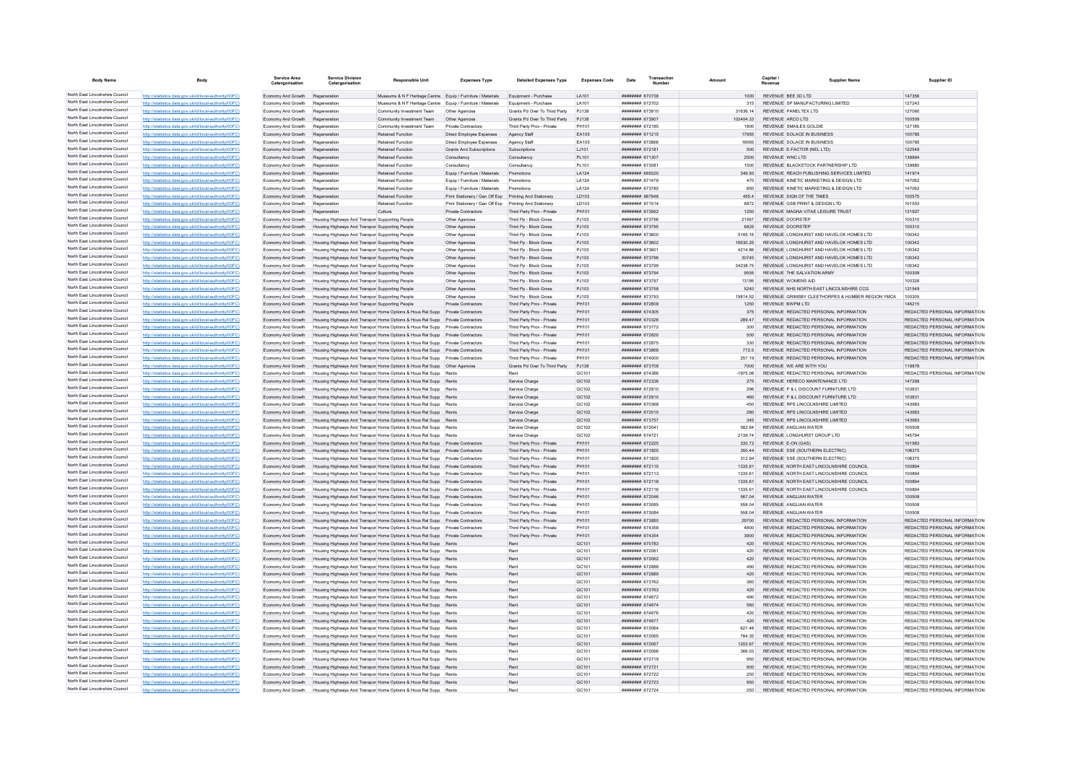| <b>Body Name</b>                                                   |                                                                                                                  | Service Area<br>Catergorisation          | <b>Service Division</b><br>Catergorisation                                                         | <b>Responsible Unit</b>                                                                                                                                          | <b>Expenses Type</b>                                                                                             | <b>Detailed Expenses Type</b>                            | <b>Expenses Code</b> | Date                                            | Transactio |                   | Capital /<br>Revenue                                        | Supplier Name                                                                  | Supplier ID                                                    |
|--------------------------------------------------------------------|------------------------------------------------------------------------------------------------------------------|------------------------------------------|----------------------------------------------------------------------------------------------------|------------------------------------------------------------------------------------------------------------------------------------------------------------------|------------------------------------------------------------------------------------------------------------------|----------------------------------------------------------|----------------------|-------------------------------------------------|------------|-------------------|-------------------------------------------------------------|--------------------------------------------------------------------------------|----------------------------------------------------------------|
| North East Lincolnshire Council                                    | http://statistics.data.gov.uk/id/local-authority/00FC)                                                           | Economy And Growth                       | Regeneration                                                                                       | Museums & N F Heritage Centre Equip / Furniture / Materials Equipment - Purchase                                                                                 |                                                                                                                  |                                                          | LA101                | ######## 670738                                 |            | 1000              | REVENUE BEE 3D LTD                                          |                                                                                | 147356                                                         |
| North East Lincolnshire Council                                    | http://statistics.data.gov.uk/id/local-authority/00FC)                                                           | Economy And Growth                       | Regeneration                                                                                       | Museums & N F Heritage Centre Equip / Furniture / Materials                                                                                                      |                                                                                                                  | Equipment - Purchase                                     | LA101                | ######## 672702                                 |            | 315               | REVENUE SP MANUFACTURING LIMITED                            |                                                                                | 127243                                                         |
| North East Lincolnshire Council                                    | http://statistics.data.gov.uk/id/local-authority/00FC)                                                           | Economy And Growth                       | Regeneration                                                                                       | Community Investment Team                                                                                                                                        | Other Agencie                                                                                                    | Grants Pd Over To Third Party                            | PJ138                | ####### 673910                                  |            | 31636 14          | REVENUE PANELTEX LTD                                        |                                                                                | 127060                                                         |
| North East Lincolnshire Council<br>North East Lincolnshire Council | http://statistics.data.gov.uk/id/local-authority/00FC)                                                           | Economy And Growth                       | Regeneration                                                                                       | Community Investment Team                                                                                                                                        | Other Agencies                                                                                                   | Grants Pd Over To Third Party                            | P.1138               | ######## 673907                                 |            | 102404.33         | REVENUE ARCO LTD                                            |                                                                                | 100509                                                         |
| North East Lincolnshire Council                                    | http://statistics.data.gov.uk/id/local-authority/00FC)<br>http://statistics.data.gov.uk/id/local-authority/00FC) | Economy And Growth<br>Economy And Growth | Regeneration<br>Regeneration                                                                       | Community Investment Team<br>Retained Function                                                                                                                   | <b>Private Contractors</b><br>Direct Employee Expenses                                                           | Third Party Prov - Private<br>Agency Staff               | PH101<br>EA105       | ####### 672185<br>######## 671215               |            | 1800<br>17955     | REVENUE SMAILES GOLDIE<br>REVENUE SOLACE IN BUSINESS        |                                                                                | 127185<br>100785                                               |
| North East Lincolnshire Council                                    | http://statistics.data.gov.uk/id/local-authority/00FC)                                                           | Economy And Growth                       | Regeneration                                                                                       | <b>Retained Function</b>                                                                                                                                         | Direct Employee Expenses                                                                                         | Agency Staff                                             | EA105                | 88878 HBBBBBB                                   |            | 16065             | REVENUE SOLACE IN BUSINESS                                  |                                                                                | 100785                                                         |
| North East Lincolnshire Council                                    | http://statistics.data.gov.uk/id/local-authority/00FC)                                                           | Economy And Growth                       | Regeneration                                                                                       | <b>Retained Function</b>                                                                                                                                         | Grants And Subscriptions                                                                                         | Subscriptions                                            | 1.1101               | ######## 672181                                 |            | 500               | REVENUE E-FACTOR (NEL LTD)                                  |                                                                                | 122549                                                         |
| North East Lincolnshire Council                                    | http://statistics.data.gov.uk/id/local-authority/00FC)                                                           | Economy And Growth                       | Regeneration                                                                                       | <b>Retained Function</b>                                                                                                                                         | Consultancy                                                                                                      | Consultancy                                              | PL101                | ######## 671307                                 |            | 2500              | REVENUE WNCLTD                                              |                                                                                | 138884                                                         |
| North East Lincolnshire Council                                    | http://statistics.data.gov.uk/id/local-authority/00FC)                                                           | Economy And Growth                       | Regeneration                                                                                       | Retained Function                                                                                                                                                | Consultancy                                                                                                      | Consultancy                                              | PL101                | ####### 673081                                  |            | 1500              | REVENUE BLACKSTOCK PARTNERSHIP LTD                          |                                                                                | 139880                                                         |
| North East Lincolnshire Council                                    | http://statistics.data.gov.uk/id/local-authority/00FC                                                            | Economy And Growth                       | Regeneration                                                                                       | <b>Retained Function</b>                                                                                                                                         | Equip / Furniture / Materials                                                                                    | <b>Promotion</b>                                         | LA124                | ######## 669320                                 |            | 349.93            |                                                             | REVENUE REACH PUBLISHING SERVICES LIMITED                                      | 141974                                                         |
| North East Lincolnshire Council<br>North East Lincolnshire Council | http://statistics.data.gov.uk/id/local-authority/00FC)                                                           | Economy And Growth                       | Regeneration                                                                                       | <b>Retained Function</b>                                                                                                                                         | Equip / Furniture / Materials                                                                                    | Promotions                                               | LA124                | ######## 671479                                 |            | 470               |                                                             | REVENUE KINETIC MARKETING & DESIGN LTD                                         | 147062                                                         |
| North East Lincolnshire Council                                    | http://statistics.data.gov.uk/id/local-authority/00FC)                                                           | Economy And Growth                       | Regeneration                                                                                       | <b>Retained Function</b>                                                                                                                                         | Equip / Furniture / Materials                                                                                    | Promotions                                               | LA124                | ####### 673785                                  |            | 850<br>455.4      |                                                             | REVENUE KINETIC MARKETING & DESIGN LTD                                         | 147062                                                         |
| North East Lincolnshire Council                                    | http://statistics.data.gov.uk/id/local-authority/00FC<br>http://statistics.data.gov.uk/id/local-authority/00FC)  | Economy And Growth<br>Economy And Growth | Regeneration<br>Regeneration                                                                       | Retained Function<br><b>Retained Function</b>                                                                                                                    | Print Stationery / Gen Off Exp Printing And Stationery<br>Print Stationery / Gen Off Exp Printing And Stationery |                                                          | LD103<br>LD103       | ######## 667948<br>####### 671514               |            | 6872              | REVENUE SIGN OF THE TIMES<br>REVENUE GSB PRINT & DESIGN LTD |                                                                                | 100575<br>101553                                               |
| North East Lincolnshire Council                                    | http://statistics.data.gov.uk/id/local-authority/00FC)                                                           | Economy And Growth                       | Regeneration                                                                                       | Culture                                                                                                                                                          | Private Contractors                                                                                              | Third Party Prov - Private                               | PH101                | ######## 673562                                 |            | 1250              | REVENUE MAGNA VITAE LEISURE TRUST                           |                                                                                | 131927                                                         |
| North East Lincolnshire Council                                    | http://statistics.data.gov.uk/id/local-authority/00FC)                                                           | Economy And Growth                       | Housing Highways And Transpor Supporting People                                                    |                                                                                                                                                                  | Other Agencies                                                                                                   | Third Po - Block Gross                                   | PJ103                | ######## 673796                                 |            | 21567             | REVENUE DOORSTEP                                            |                                                                                | 100310                                                         |
| North East Lincolnshire Council                                    | http://statistics.data.gov.uk/id/local-authority/00FC)                                                           | Economy And Growth                       | Housing Highways And Transpor Supporting People                                                    |                                                                                                                                                                  | Other Agencies                                                                                                   | Third Pp - Block Gross                                   | PJ103                | ######## 673795                                 |            | 6825              | REVENUE DOORSTEP                                            |                                                                                | 100310                                                         |
| North East Lincolnshire Council                                    | http://statistics.data.gov.uk/id/local-authority/00FC)                                                           | Economy And Growth                       | Housing Highways And Transpor Supporting People                                                    |                                                                                                                                                                  | Other Agencies                                                                                                   | Third Po - Block Gross                                   | P.1103               | ######## 673800                                 |            | 5165 16           |                                                             | REVENUE LONGHURST AND HAVELOK HOMES LTD.                                       | 100342                                                         |
| North East Lincolnshire Council                                    | http://statistics.data.gov.uk/id/local-authority/00FC)                                                           | Economy And Growth                       | Housing Highways And Transpor Supporting People                                                    |                                                                                                                                                                  | Other Agencies                                                                                                   | Third Po - Block Gross                                   | PJ103                | ######## 673802                                 |            | 16630.25          |                                                             | REVENUE LONGHURST AND HAVELOK HOMES LTD                                        | 100342                                                         |
| North East Lincolnshire Council                                    | http://statistics.data.gov.uk/id/local-authority/00FC)                                                           | Economy And Growth                       | Housing Highways And Transpor Supporting People                                                    |                                                                                                                                                                  | Other Agencies                                                                                                   | Third Po - Block Gross                                   | PJ103                | ######## 673801                                 |            | 4214.86           |                                                             | REVENUE LONGHURST AND HAVELOK HOMES LTD                                        | 100342                                                         |
| North East Lincolnshire Council<br>North East Lincolnshire Council | http://statistics.data.gov.uk/id/local-authority/00FC)                                                           | Economy And Growth                       | Housing Highways And Transpor Supporting People                                                    |                                                                                                                                                                  | Other Agencies                                                                                                   | Third Pp - Block Gross                                   | PJ103                | ######## 673798                                 |            | 30745             |                                                             | REVENUE LONGHURST AND HAVELOK HOMES LTD                                        | 100342                                                         |
| North East Lincolnshire Council                                    | http://statistics.data.gov.uk/id/local-authority/00FC)                                                           | Economy And Growth                       | Housing Highways And Transpor Supporting People                                                    |                                                                                                                                                                  | Other Agencies                                                                                                   | Third Po - Block Gross<br>Third Pp - Block Gross         | PJ103<br>PJ103       | ######## 673799<br>######## 673794              |            | 34238.75<br>9555  | REVENUE THE SALVATION ARMY                                  | REVENUE LONGHURST AND HAVELOK HOMES LTD                                        | 100342<br>100309                                               |
| North East Lincolnshire Council                                    | http://statistics.data.gov.uk/id/local-authority/00FC)<br>tics.data.gov.uk/id/local-authority/00FC)              | Economy And Growth<br>Economy And Growth | Housing Highways And Transpor Supporting People<br>Housing Highways And Transpor Supporting People |                                                                                                                                                                  | Other Agencies<br>Other Agencies                                                                                 | Third Pp - Block Gross                                   | PJ103                | ######## 673797                                 |            | 13195             | <b>REVENUE WOMENS AID</b>                                   |                                                                                | 100326                                                         |
| North East Lincolnshire Council                                    | http://statistics.data.gov.uk/id/local-authority/00FC)                                                           | Economy And Growth                       | ing Highways And Transpor Supporting People                                                        |                                                                                                                                                                  | Other Agencies                                                                                                   | Third Pp - Block Gross                                   | PJ103                | ####### 673758                                  |            | 5240              |                                                             | REVENUE NHS NORTH EAST LINCOLNSHIRE CCG                                        | 121549                                                         |
| North East Lincolnshire Council                                    | http://statistics.data.gov.uk/id/local-authority/00FC)                                                           | Economy And Growth                       | Housing Highways And Transpor Supporting People                                                    |                                                                                                                                                                  | Other Agencies                                                                                                   | Third Pp - Block Gross                                   | PJ103                | ######## 673793                                 |            | 19814.52          |                                                             | REVENUE GRIMSBY CLEETHORPES & HUMBER REGION YMCA                               | 100305                                                         |
| North East Lincolnshire Council                                    | http://statistics.data.gov.uk/id/local-authority/00FC)                                                           | Economy And Growth                       | Housing Highways And Transpor Supporting People                                                    |                                                                                                                                                                  | Private Contractors                                                                                              | Third Party Prov - Private                               | PH101                | ######## 672809                                 |            | 1250              | REVENUE BWPM LTD                                            |                                                                                | 146215                                                         |
| North East Lincolnshire Council                                    | http://statistics.data.gov.uk/id/local-authority/00FC)                                                           | Economy And Growth                       |                                                                                                    | Housing Highways And Transpor Home Options & Hous Rel Supp                                                                                                       | Private Contractors                                                                                              | Third Party Prov - Private                               | PH101                | ####### 674305                                  |            | 375               |                                                             | REVENUE REDACTED PERSONAL INFORMATION                                          | REDACTED PERSONAL INFORMATION                                  |
| North East Lincolnshire Council                                    | http://statistics.data.gov.uk/id/local-authority/00FC)                                                           | Economy And Growth                       |                                                                                                    | Housing Highways And Transpor Home Options & Hous Rel Supp Private Contractors                                                                                   |                                                                                                                  | Third Party Prov - Private                               | PH101                | ######## 670326                                 |            | 289.47            |                                                             | REVENUE REDACTED PERSONAL INFORMATION                                          | REDACTED PERSONAL INFORMATION                                  |
| North East Lincolnshire Council                                    | http://statistics.data.gov.uk/id/local-authority/00FC)                                                           | Economy And Growth                       |                                                                                                    | Housing Highways And Transpor Home Options & Hous Rel Supp Private Contractors                                                                                   |                                                                                                                  | Third Party Prov - Private                               | PH101                | ######## 673772                                 |            | 300               |                                                             | REVENUE REDACTED PERSONAL INFORMATION                                          | REDACTED PERSONAL INFORMATION                                  |
| North East Lincolnshire Council<br>North East Lincolnshire Council | http://statistics.data.gov.uk/id/local-authority/00FC)                                                           | Economy And Growth                       |                                                                                                    | Housing Highways And Transpor Home Options & Hous Rel Supp                                                                                                       | <b>Private Contractors</b>                                                                                       | Third Party Prov - Private                               | PH101                | ####### 672820                                  |            |                   |                                                             | REVENUE REDACTED PERSONAL INFORMATION                                          | REDACTED PERSONAL INFORMATION                                  |
| North East Lincolnshire Council                                    | http://statistics.data.gov.uk/id/local-authority/00FC)<br>http://statistics.data.gov.uk/id/local-authority/00EC) | Economy And Growth                       |                                                                                                    | sing Highways And Transpor Home Options & Hous Rel Supp Private Contractors<br>Housing Highways And Transpor Home Options & Hous Rel Supp Private Contractors    |                                                                                                                  | Third Party Prov - Private                               | PH101<br>PH101       | <b><i>HHHHHHH 672875</i></b><br>######## 673868 |            | 330<br>7725       |                                                             | REVENUE REDACTED PERSONAL INFORMATION<br>REVENUE REDACTED PERSONAL INFORMATION | REDACTED PERSONAL INFORMATION<br>REDACTED PERSONAL INFORMATION |
| North East Lincolnshire Council                                    | http://statistics.data.gov.uk/id/local-authority/00FC)                                                           | Economy And Growth<br>Economy And Growth |                                                                                                    | Housing Highways And Transpor Home Options & Hous Rel Supp Private Contractors                                                                                   |                                                                                                                  | Third Party Prov - Private<br>Third Party Prov - Private | PH101                | ######## 674000                                 |            | 257.19            |                                                             | REVENUE REDACTED PERSONAL INFORMATION                                          | REDACTED PERSONAL INFORMATION                                  |
| North East Lincolnshire Council                                    | http://statistics.data.gov.uk/id/local-authority/00FC)                                                           | Economy And Growth                       |                                                                                                    |                                                                                                                                                                  |                                                                                                                  | Grants Pd Over To Third Party                            | PJ138                | ######## 673709                                 |            | 7000              | REVENUE WE ARE WITH YOU                                     |                                                                                | 119878                                                         |
| North East Lincolnshire Council                                    | http://statistics.data.gov.uk/id/local-authority/00FC)                                                           | Economy And Growth                       |                                                                                                    | Housing Highways And Transpor Home Options & Hous Rel Supp Rents                                                                                                 |                                                                                                                  | Rent                                                     | GC101                |                                                 |            | $-1975.08$        |                                                             | REVENUE REDACTED PERSONAL INFORMATION                                          | REDACTED PERSONAL INFORMATION                                  |
| North East Lincolnshire Council                                    | http://statistics.data.gov.uk/id/local-authority/00FC)                                                           | Economy And Growth                       |                                                                                                    | Housing Highways And Transpor Home Options & Hous Rel Supp Rents                                                                                                 |                                                                                                                  | Service Charge                                           | GC102                | ######## 672336                                 |            | 275               | REVENUE HERECO MAINTENANCE LTD                              |                                                                                | 147268                                                         |
| North East Lincolnshire Council                                    | http://statistics.data.gov.uk/id/local-authority/00FC)                                                           | Economy And Growth                       |                                                                                                    | Housing Highways And Transpor Home Options & Hous Rel Supp                                                                                                       |                                                                                                                  | Service Charge                                           | GC102                | ######## 672810                                 |            | 296               | REVENUE P & L DISCOUNT FURNITURE LTD                        |                                                                                | 103831                                                         |
| North East Lincolnshire Council                                    | http://statistics.data.gov.uk/id/local-authority/00FC)                                                           | Economy And Growth                       |                                                                                                    | sing Highways And Transpor Home Options & Hous Rel Supp                                                                                                          |                                                                                                                  | Service Charge                                           | GC102                | ######## 672810                                 |            | 460               | REVENUE P & L DISCOUNT FURNITURE LTD                        |                                                                                | 103831                                                         |
| North East Lincolnshire Council                                    | http://statistics.data.gov.uk/id/local-authority/00FC)                                                           | Fconomy And Growth                       |                                                                                                    | Housing Highways And Transpor Home Options & Hous Rel Supp Rents                                                                                                 |                                                                                                                  | Service Charge                                           | GC102                | 82073 HBBBBBBB                                  |            | 450               | REVENUE RPS LINCOLNSHIRE LIMITED                            |                                                                                | 143983                                                         |
| North East Lincolnshire Council<br>North East Lincolnshire Council | http://statistics.data.gov.uk/id/local-authority/00FC)                                                           | Economy And Growth                       |                                                                                                    | Housing Highways And Transpor Home Options & Hous Rel Supp Rents                                                                                                 |                                                                                                                  | Service Charge                                           | GC102                | ######## 672010                                 |            | 280               | REVENUE RPS LINCOLNSHIRE LIMITED                            |                                                                                | 143983                                                         |
| North East Lincolnshire Council                                    | http://statistics.data.gov.uk/id/local-authority/00FC)<br>http://statistics.data.gov.uk/id/local-authority/00FC) | Economy And Growth<br>Economy And Growth |                                                                                                    | Housing Highways And Transpor Home Options & Hous Rel Supp Rents<br>Housing Highways And Transpor Home Options & Hous Rel Supp Rents                             |                                                                                                                  | Service Charge<br>Service Charge                         | GC102<br>GC102       | ######## 673757<br>####### 672041               |            | 345<br>582.64     | REVENUE RPS LINCOLNSHIRE LIMITED<br>REVENUE ANGLIAN WATER   |                                                                                | 143983<br>100508                                               |
| North East Lincolnshire Council                                    | http://statistics.data.gov.uk/id/local-authority/00FC)                                                           | Economy And Growth                       |                                                                                                    | Housing Highways And Transpor Home Options & Hous Rel Supp Rents                                                                                                 |                                                                                                                  | Service Charge                                           | GC102                | ######## 674721                                 |            | 2139.74           | REVENUE LONGHURST GROUP LTD                                 |                                                                                | 145794                                                         |
| North East Lincolnshire Council                                    | http://statistics.data.gov.uk/id/local-authority/00EC)                                                           | Fronomy And Growth                       |                                                                                                    | Housing Highways And Transpor Home Options & Hous Rel Supp Private Contractors                                                                                   |                                                                                                                  | Third Party Prov - Private                               | PH101                | ######## 672225                                 |            | 330.72            | REVENUE E-ON (GAS)                                          |                                                                                | 101983                                                         |
| North East Lincolnshire Council                                    | ics.data.gov.uk/id/local-authority/00FC)                                                                         | Economy And Growth                       |                                                                                                    | Housing Highways And Transpor Home Options & Hous Rel Supp Private Contractors                                                                                   |                                                                                                                  | Third Party Prov - Private                               | PH101                | ######## 671825                                 |            | 350.44            | REVENUE SSE (SOUTHERN ELECTRIC)                             |                                                                                | 108375                                                         |
| North East Lincolnshire Council                                    | http://statistics.data.gov.uk/id/local-authority/00FC)                                                           | Economy And Growth                       |                                                                                                    | Housing Highways And Transpor Home Options & Hous Rel Supp Private Contractors                                                                                   |                                                                                                                  | Third Party Prov - Private                               | PH101                | ####### 671825                                  |            | 312.94            | REVENUE SSE (SOUTHERN ELECTRIC)                             |                                                                                | 108375                                                         |
| North East Lincolnshire Council                                    | http://statistics.data.gov.uk/id/local-authority/00EC)                                                           | Economy And Growth                       |                                                                                                    | sing Highways And Transpor Home Options & Hous Rel Supp Private Contractors                                                                                      |                                                                                                                  | Third Party Prov - Private                               | PH101                | ####### 672115                                  |            | 1335.61           |                                                             | REVENUE NORTH EAST LINCOLNSHIRE COUNCIL                                        | 100894                                                         |
| North East Lincolnshire Council                                    | http://statistics.data.gov.uk/id/local-authority/00FC)                                                           | Economy And Growth                       |                                                                                                    | Housing Highways And Transpor Home Options & Hous Rel Supp Private Contractors                                                                                   |                                                                                                                  | Third Party Prov - Private                               | PH101                | ######## 672113                                 |            | 1335.61           |                                                             | REVENUE NORTH EAST LINCOLNSHIRE COUNCIL                                        | 100894                                                         |
| North East Lincolnshire Council<br>North East Lincolnshire Council | http://statistics.data.gov.uk/id/local-authority/00FC)                                                           | Economy And Growth                       |                                                                                                    | Housing Highways And Transpor Home Options & Hous Rel Supp Private Contractors                                                                                   |                                                                                                                  | Third Party Prov - Private                               | PH101                | ######## 672118                                 |            | 1335.61           |                                                             | REVENUE NORTH EAST LINCOLNSHIRE COUNCIL                                        | 100894                                                         |
| North East Lincolnshire Council                                    | http://statistics.data.gov.uk/id/local-authority/00FC)                                                           | Economy And Growth                       |                                                                                                    | Housing Highways And Transpor Home Options & Hous Rel Supp Private Contractors                                                                                   |                                                                                                                  | Third Party Prov - Private                               | PH101                | ####### 672116<br>######## 672046               |            | 1335.61<br>567.04 | REVENUE ANGLIAN WATER                                       | REVENUE NORTH EAST LINCOLNSHIRE COUNCIL                                        | 100894<br>100508                                               |
| North East Lincolnshire Council                                    | http://statistics.data.gov.uk/id/local-authority/00FC)<br>http://statistics.data.gov.uk/id/local-authority/00FC) | Economy And Growth<br>Economy And Growth |                                                                                                    | Housing Highways And Transpor Home Options & Hous Rel Supp Private Contractors<br>Housing Highways And Transpor Home Options & Hous Rel Supp Private Contractors |                                                                                                                  | Third Party Prov - Private<br>Third Party Prov - Private | PH101<br>PH101       | ######## 673085                                 |            | 558.04            | REVENUE ANGLIAN WATER                                       |                                                                                | 100508                                                         |
| North East Lincolnshire Council                                    | ics.data.gov.uk/id/local-authority/00FC)                                                                         | Economy And Growth                       |                                                                                                    | Housing Highways And Transpor Home Options & Hous Rel Supp Private Contractors                                                                                   |                                                                                                                  | Third Party Prov - Private                               | PH101                | ######## 673084                                 |            | 558.04            | REVENUE ANGLIAN WATER                                       |                                                                                | 100508                                                         |
| North East Lincolnshire Council                                    | http://statistics.data.gov.uk/id/local-authority/00EC)                                                           | Economy And Growth                       |                                                                                                    | ing Highways And Transpor Home Options & Hous Rel Supp Private Contractors                                                                                       |                                                                                                                  | Third Party Prov - Private                               | PH101                | ######## 673880                                 |            | 29700             |                                                             | REVENUE REDACTED PERSONAL INFORMATION                                          | REDACTED PERSONAL INFORMATION                                  |
| North East Lincolnshire Council                                    | http://statistics.data.gov.uk/id/local-authority/00EC)                                                           | Fronomy And Growth                       |                                                                                                    | Housing Highways And Transpor Home Options & Hous Rel Supp Private Contractors                                                                                   |                                                                                                                  | Third Party Prov - Private                               | PH101                | ######## 674358                                 |            | 4800              |                                                             | REVENUE REDACTED PERSONAL INFORMATION                                          | REDACTED PERSONAL INFORMATION                                  |
| North East Lincolnshire Council                                    | http://statistics.data.gov.uk/id/local-authority/00FC)                                                           | Economy And Growth                       |                                                                                                    | Housing Highways And Transpor Home Options & Hous Rel Supp Private Contractors                                                                                   |                                                                                                                  | Third Party Prov - Private                               | PH101                | ####### 674354                                  |            | 3900              |                                                             | REVENUE REDACTED PERSONAL INFORMATION                                          | REDACTED PERSONAL INFORMATION                                  |
| North East Lincolnshire Council                                    | http://statistics.data.gov.uk/id/local-authority/00FC)                                                           | Economy And Growth                       |                                                                                                    | Housing Highways And Transpor Home Options & Hous Rel Supp Rents                                                                                                 |                                                                                                                  | Rent                                                     | GC101                | ####### 670783                                  |            | 420               |                                                             | REVENUE REDACTED PERSONAL INFORMATION                                          | REDACTED PERSONAL INFORMATION                                  |
| North East Lincolnshire Council<br>North East Lincolnshire Council | http://statistics.data.gov.uk/id/local-authority/00FC)                                                           | Economy And Growth                       |                                                                                                    | Housing Highways And Transpor Home Options & Hous Rel Supp Rents                                                                                                 |                                                                                                                  | Rent                                                     | GC101                | ####### 672061                                  |            | 420               |                                                             | REVENUE REDACTED PERSONAL INFORMATION                                          | REDACTED PERSONAL INFORMATION                                  |
| North East Lincolnshire Council                                    | http://statistics.data.gov.uk/id/local-authority/00FC)<br>tics.data.gov.uk/id/local-authority/00FC)              | Economy And Growth                       |                                                                                                    | Housing Highways And Transpor Home Options & Hous Rel Supp Rents                                                                                                 |                                                                                                                  | Rent<br>Rent                                             | GC101<br>GC101       | ######## 672062                                 |            | 420               |                                                             | REVENUE REDACTED PERSONAL INFORMATION<br>REVENUE REDACTED PERSONAL INFORMATION | REDACTED PERSONAL INFORMATION<br>REDACTED PERSONAL INFORMATION |
| North East Lincolnshire Council                                    | http://statistics.data.gov.uk/id/local-authority/00FC)                                                           | Economy And Growth<br>Economy And Growth |                                                                                                    | Housing Highways And Transpor Home Options & Hous Rel Supp Rents<br>ing Highways And Transpor Home Options & Hous Rel Supp                                       |                                                                                                                  | Rent                                                     | GC101                | ####### 672888<br>####### 672889                |            | 490<br>420        |                                                             | REVENUE REDACTED PERSONAL INFORMATION                                          | REDACTED PERSONAL INFORMATION                                  |
| North East Lincolnshire Council                                    | http://statistics.data.gov.uk/id/local-authority/00EC)                                                           | Economy And Growth                       |                                                                                                    | Housing Highways And Transpor Home Options & Hous Rel Supp Rents                                                                                                 |                                                                                                                  | Rent                                                     | GC101                | <b>ининнин</b> 673762                           |            | 360               |                                                             | REVENUE REDACTED PERSONAL INFORMATION                                          | REDACTED PERSONAL INFORMATION                                  |
| North East Lincolnshire Council                                    | http://statistics.data.gov.uk/id/local-authority/00FC)                                                           | Economy And Growth                       |                                                                                                    | Housing Highways And Transpor Home Options & Hous Rel Supp Rents                                                                                                 |                                                                                                                  | Rent                                                     | GC101                | ######## 673763                                 |            | 420               |                                                             | REVENUE REDACTED PERSONAL INFORMATION                                          | REDACTED PERSONAL INFORMATION                                  |
| North East Lincolnshire Council                                    | http://statistics.data.gov.uk/id/local-authority/00FC)                                                           | Economy And Growth                       |                                                                                                    | Housing Highways And Transpor Home Options & Hous Rel Supp Rents                                                                                                 |                                                                                                                  | Rent                                                     | GC101                | ######## 674672                                 |            | 490               |                                                             | REVENUE REDACTED PERSONAL INFORMATION                                          | REDACTED PERSONAL INFORMATION                                  |
| North East Lincolnshire Council                                    | http://statistics.data.gov.uk/id/local-authority/00FC)                                                           | Economy And Growth                       |                                                                                                    | Housing Highways And Transpor Home Options & Hous Rel Supp Rents                                                                                                 |                                                                                                                  | Rent                                                     | GC101                | ######## 674674                                 |            | 560               |                                                             | REVENUE REDACTED PERSONAL INFORMATION                                          | REDACTED PERSONAL INFORMATION                                  |
| North East Lincolnshire Council                                    | http://statistics.data.gov.uk/id/local-authority/00EC)                                                           | Economy And Growth                       |                                                                                                    | Housing Highways And Transpor Home Options & Hous Rel Supp Rents                                                                                                 |                                                                                                                  | Rent                                                     | GC101                | ####### 674676                                  |            | 420               |                                                             | REVENUE REDACTED PERSONAL INFORMATION                                          | REDACTED PERSONAL INFORMATION                                  |
| North East Lincolnshire Council                                    | http://statistics.data.gov.uk/id/local-authority/00EC)                                                           | Economy And Growth                       |                                                                                                    | Housing Highways And Transpor Home Options & Hous Rel Supp Rents                                                                                                 |                                                                                                                  | Rent                                                     | GC101                | ######## 674677                                 |            | 420               |                                                             | REVENUE REDACTED PERSONAL INFORMATION                                          | REDACTED PERSONAL INFORMATION                                  |
| North East Lincolnshire Council<br>North East Lincolnshire Council | istics data gov uk/id/local-authority/00EC)                                                                      | Economy And Growth                       |                                                                                                    | Housing Highways And Transpor Home Options & Hous Rel Supp                                                                                                       |                                                                                                                  | Rent                                                     | GC101                | ####### 672064                                  |            |                   |                                                             | REVENUE REDACTED PERSONAL INFORMATION                                          | REDACTED PERSONAL INFORMATION                                  |
| North East Lincolnshire Council                                    | http://etgtietics.data.gov.uk/id/local.guthority/00EC)                                                           | Economy And Growth                       |                                                                                                    | Housing Highways And Transpor Home Options & Hous Rel Supp                                                                                                       |                                                                                                                  | Rent                                                     | GC101                | ####### 672065                                  |            | 784.35            |                                                             | REVENUE REDACTED PERSONAL INFORMATION                                          | REDACTED PERSONAL INFORMATION                                  |
| North East Lincolnshire Council                                    | http://statistics.data.gov.uk/id/local-authority/00FC)<br>http://statistics.data.gov.uk/id/local-authority/00FC) | Economy And Growth<br>Economy And Growth |                                                                                                    | Housing Highways And Transpor Home Options & Hous Rel Supp Rents<br>Housing Highways And Transpor Home Options & Hous Rel Supp Rents                             |                                                                                                                  | Rent<br>Rent                                             | GC101<br>GC101       | ######## 672067<br>######## 672066              |            | 1202.67<br>366.03 |                                                             | REVENUE REDACTED PERSONAL INFORMATION<br>REVENUE REDACTED PERSONAL INFORMATION | REDACTED PERSONAL INFORMATION<br>REDACTED PERSONAL INFORMATION |
| North East Lincolnshire Council                                    | http://statistics.data.gov.uk/id/local-authority/00FC)                                                           | Economy And Growth                       |                                                                                                    | Housing Highways And Transpor Home Options & Hous Rel Supp Rents                                                                                                 |                                                                                                                  | Rent                                                     | GC101                | ####### 672719                                  |            | 950               |                                                             | REVENUE REDACTED PERSONAL INFORMATION                                          | REDACTED PERSONAL INFORMATION                                  |
| North East Lincolnshire Council                                    | http://statistics.data.gov.uk/id/local-authority/00EC)                                                           | Economy And Growth                       |                                                                                                    | Housing Highways And Transpor Home Options & Hous Rel Supp Rents                                                                                                 |                                                                                                                  | Rent                                                     | GC101                | ######## 672721                                 |            | 900               |                                                             | REVENUE REDACTED PERSONAL INFORMATION                                          | REDACTED PERSONAL INFORMATION                                  |
| North East Lincolnshire Council                                    | http://statistics.data.gov.uk/id/local-authority/00FC)                                                           | Economy And Growth                       |                                                                                                    | Housing Highways And Transpor Home Options & Hous Rel Supp Rents                                                                                                 |                                                                                                                  | Rent                                                     | GC101                | ######## 672722                                 |            | 250               |                                                             | REVENUE REDACTED PERSONAL INFORMATION                                          | REDACTED PERSONAL INFORMATION                                  |
| North East Lincolnshire Council                                    | tics.data.gov.uk/id/local-authority/00FC)                                                                        | Economy And Growth                       |                                                                                                    | Housing Highways And Transpor Home Options & Hous Rel Supp Rents                                                                                                 |                                                                                                                  | Rent                                                     | GC101                | ######## 672723                                 |            | 950               |                                                             | REVENUE REDACTED PERSONAL INFORMATION                                          | REDACTED PERSONAL INFORMATION                                  |
| North East Lincolnshire Council                                    | http://statistics.data.gov.uk/id/local-authority/00FC)                                                           | Economy And Growth                       |                                                                                                    | Housing Highways And Transpor Home Options & Hous Rel Supp                                                                                                       |                                                                                                                  | Rent                                                     | GC101                | ######## 672724                                 |            | 250               |                                                             | REVENUE REDACTED PERSONAL INFORMATION                                          | REDACTED PERSONAL INFORMATION                                  |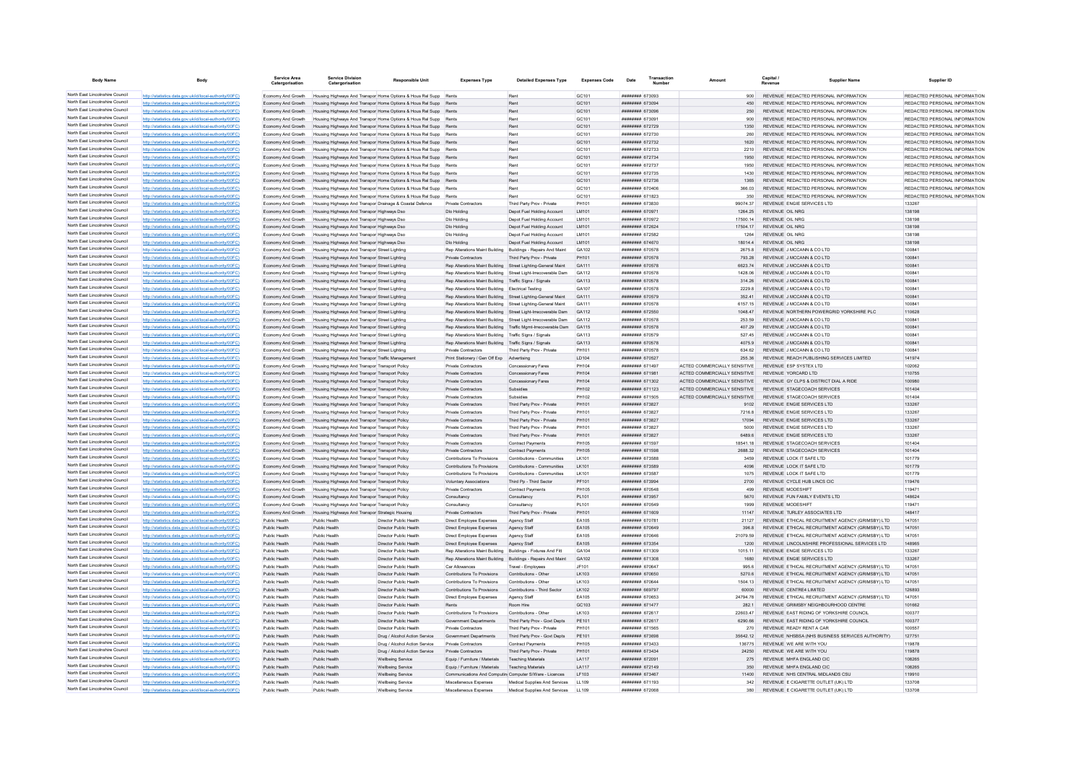| <b>Body Name</b>                                                   | <b>Body</b>                                                                                                      | <b>Service Area</b><br>Catergorisation   | Service Division<br>Catergorisation                                                              | <b>Responsible Unit</b>                                                                                                              | <b>Expenses Type</b>                                             | <b>Detailed Expenses Type</b>                                   | <b>Expenses Code</b>       | Date                               | Transactio<br>Number |                                                              | Capital / | <b>Supplier Name</b>                                                                                 | Supplier ID                                                    |
|--------------------------------------------------------------------|------------------------------------------------------------------------------------------------------------------|------------------------------------------|--------------------------------------------------------------------------------------------------|--------------------------------------------------------------------------------------------------------------------------------------|------------------------------------------------------------------|-----------------------------------------------------------------|----------------------------|------------------------------------|----------------------|--------------------------------------------------------------|-----------|------------------------------------------------------------------------------------------------------|----------------------------------------------------------------|
| North East Lincolnshire Council                                    | http://statistics.data.gov.uk/id/local-authority/00FC)                                                           | Economy And Growth                       |                                                                                                  | Housing Highways And Transpor Home Options & Hous Rel Supp Rents                                                                     |                                                                  | Rent                                                            | GC101                      | ######## 673093                    |                      | 900                                                          |           | REVENUE REDACTED PERSONAL INFORMATION                                                                | REDACTED PERSONAL INFORMATION                                  |
| North East Lincolnshire Council                                    | http://statistics.data.gov.uk/id/local-authority/00FC)                                                           | Economy And Growth                       |                                                                                                  | Housing Highways And Transpor Home Options & Hous Rel Supp Rents                                                                     |                                                                  | Rent                                                            | GC101                      | ######## 673094                    |                      | 450                                                          |           | REVENUE REDACTED PERSONAL INFORMATION                                                                | REDACTED PERSONAL INFORMATION                                  |
| North East Lincolnshire Council                                    | http://statistics.data.gov.uk/id/local-authority/00FC)                                                           | Economy And Growth                       |                                                                                                  | Housing Highways And Transpor Home Options & Hous Rel Supp Rents                                                                     |                                                                  | Rent                                                            | GC101                      | ######## 673096                    |                      | 250                                                          |           | REVENUE REDACTED PERSONAL INFORMATION                                                                | REDACTED PERSONAL INFORMATION                                  |
| North East Lincolnshire Council                                    | http://statistics.data.gov.uk/id/local-authority/00FC                                                            | Economy And Growth                       |                                                                                                  | Housing Highways And Transpor Home Options & Hous Rel Supp Rents                                                                     |                                                                  | Rent                                                            | GC101                      | ######## 673091                    |                      | 900                                                          |           | REVENUE REDACTED PERSONAL INFORMATION                                                                | REDACTED PERSONAL INFORMATION                                  |
| North East Lincolnshire Council<br>North East Lincolnshire Council | http://statistics.data.gov.uk/id/local-authority/00FC)                                                           | Economy And Growth                       |                                                                                                  | Housing Highways And Transpor Home Options & Hous Rel Supp Rents                                                                     |                                                                  | Rent                                                            | GC101                      | ######## 672729                    |                      | 1350                                                         |           | REVENUE REDACTED PERSONAL INFORMATION                                                                | REDACTED PERSONAL INFORMATION                                  |
| North East Lincolnshire Council                                    | http://statistics.data.gov.uk/id/local-authority/00FC)                                                           | Economy And Growth                       |                                                                                                  | Housing Highways And Transpor Home Options & Hous Rel Supp Rents                                                                     |                                                                  | Rent<br>Rent                                                    | GC101                      | ####### 672730<br>######## 672732  |                      | 260<br>1620                                                  |           | REVENUE REDACTED PERSONAL INFORMATION<br>REVENUE REDACTED PERSONAL INFORMATION                       | REDACTED PERSONAL INFORMATION<br>REDACTED PERSONAL INFORMATION |
| North East Lincolnshire Council                                    | http://statistics.data.gov.uk/id/local-authority/00FC)<br>http://statistics.data.gov.uk/id/local-authority/00FC) | Economy And Growth<br>Economy And Growth |                                                                                                  | Housing Highways And Transpor Home Options & Hous Rel Supp Rents<br>Housing Highways And Transpor Home Options & Hous Rel Supp Rents |                                                                  | Rent                                                            | GC101<br>GC <sub>101</sub> | ######## 672733                    |                      | 2210                                                         |           | REVENUE REDACTED PERSONAL INFORMATION                                                                | REDACTED PERSONAL INFORMATION                                  |
| North East Lincolnshire Council                                    | http://statistics.data.gov.uk/id/local-authority/00FC)                                                           | Economy And Growth                       |                                                                                                  | Housing Highways And Transpor Home Options & Hous Rel Supp Rents                                                                     |                                                                  | Rent                                                            | GC101                      | ######## 672734                    |                      | 1950                                                         |           | REVENUE REDACTED PERSONAL INFORMATION                                                                | REDACTED PERSONAL INFORMATION                                  |
| North East Lincolnshire Council                                    | http://statistics.data.gov.uk/id/local-authority/00FC)                                                           | Economy And Growth                       |                                                                                                  | Housing Highways And Transpor Home Options & Hous Rel Supp                                                                           |                                                                  | Rent                                                            | GC101                      | ######## 672737                    |                      | 1950                                                         |           | REVENUE REDACTED PERSONAL INFORMATION                                                                | REDACTED PERSONAL INFORMATION                                  |
| North East Lincolnshire Council                                    | http://statistics.data.gov.uk/id/local-authority/00FC)                                                           | Economy And Growth                       |                                                                                                  | Housing Highways And Transpor Home Options & Hous Rel Supp                                                                           |                                                                  | Rent                                                            | GC101                      | ######## 672735                    |                      | 1430                                                         |           | REVENUE REDACTED PERSONAL INFORMATION                                                                | REDACTED PERSONAL INFORMATION                                  |
| North East Lincolnshire Council                                    | http://statistics.data.gov.uk/id/local-authority/00EC                                                            | Economy And Growth                       |                                                                                                  | Housing Highways And Transpor Home Options & Hous Rel Supp Rents                                                                     |                                                                  | Rent                                                            | GC <sub>101</sub>          | ######## 672736                    |                      | 1365                                                         |           | REVENUE REDACTED PERSONAL INFORMATION                                                                | REDACTED PERSONAL INFORMATION                                  |
| North East Lincolnshire Council                                    | http://statistics.data.gov.uk/id/local-authority/00FC)                                                           | Economy And Growth                       |                                                                                                  | Housing Highways And Transpor Home Options & Hous Rel Supp Rents                                                                     |                                                                  | Rent                                                            | GC101                      | ######## 670406                    |                      | 366.03                                                       |           | REVENUE REDACTED PERSONAL INFORMATION                                                                | REDACTED PERSONAL INFORMATION                                  |
| North East Lincolnshire Council                                    | http://statistics.data.gov.uk/id/local-authority/00FC                                                            | Economy And Growth                       |                                                                                                  | Housing Highways And Transpor Home Options & Hous Rel Supp Rents                                                                     |                                                                  | Rent                                                            | GC101                      | ####### 671823                     |                      | 350                                                          |           | REVENUE REDACTED PERSONAL INFORMATION                                                                | REDACTED PERSONAL INFORMATION                                  |
| North East Lincolnshire Council<br>North East Lincolnshire Council | http://statistics.data.gov.uk/id/local-authority/00FC                                                            | Economy And Growth                       | Housing Highways And Transpor Drainage & Coastal Defence                                         |                                                                                                                                      | Private Contractors                                              | Third Party Prov - Private                                      | PH101                      | ######## 673830                    |                      | 99074.37                                                     |           | REVENUE ENGIE SERVICES LTD                                                                           | 133267                                                         |
| North East Lincolnshire Council                                    | http://statistics.data.gov.uk/id/local-authority/00FC)                                                           | Economy And Growth                       | Housing Highways And Transpor Highways Dso                                                       |                                                                                                                                      | Dlo Holding<br>Dlo Holding                                       | Depot Fuel Holding Account                                      | LM101<br>LM101             | ######## 670971<br>####### 670972  |                      | 1264.25<br>17500.14                                          |           | <b>REVENUE OIL NRG</b><br>REVENUE OIL NRG                                                            | 138198<br>138198                                               |
| North East Lincolnshire Council                                    | http://statistics.data.gov.uk/id/local-authority/00FC)<br>http://statistics.data.gov.uk/id/local-authority/00FC) | Economy And Growth<br>Economy And Growth | Housing Highways And Transpor Highways Dsc<br>Housing Highways And Transpor Highways Dso         |                                                                                                                                      | Dlo Holding                                                      | Depot Fuel Holding Account<br>Depot Fuel Holding Account        | LM101                      | ####### 672624                     |                      | 17504.17                                                     |           | REVENUE OIL NRG                                                                                      | 138198                                                         |
| North East Lincolnshire Council                                    | http://statistics.data.gov.uk/id/local-authority/00FC                                                            | Economy And Growth                       | Housing Highways And Transpor Highways Dso                                                       |                                                                                                                                      | Dio Holding                                                      | Depot Fuel Holding Account                                      | <b>IM101</b>               | ######## 672582                    |                      | 1264                                                         |           | REVENUE OIL NRG                                                                                      | 138198                                                         |
| North East Lincolnshire Council                                    | http://statistics.data.gov.uk/id/local-authority/00FC)                                                           | Economy And Growth                       | Housing Highways And Transpor Highways Dso                                                       |                                                                                                                                      | Dio Holding                                                      | Depot Fuel Holding Account                                      | LM101                      | ######## 674670                    |                      | 18014.4                                                      |           | REVENUE OIL NRG                                                                                      | 138198                                                         |
| North East Lincolnshire Council                                    | http://statistics.data.gov.uk/id/local-authority/00FC)                                                           | Economy And Growth                       | Housing Highways And Transpor Street Lighting                                                    |                                                                                                                                      | Rep Alterations Maint Building                                   | Buildings - Repairs And Maint                                   | GA102                      | ####### 670578                     |                      | 2675.8                                                       |           | REVENUE J MCCANN & CO LTD                                                                            | 100841                                                         |
| North East Lincolnshire Council                                    | http://statistics.data.gov.uk/id/local-authority/00FC)                                                           | Economy And Growth                       | Housing Highways And Transpor Street Lighting                                                    |                                                                                                                                      | Private Contractors                                              | Third Party Prov - Private                                      | PH101                      | ######## 670578                    |                      | 793.28                                                       |           | REVENUE J MCCANN & CO LTD                                                                            | 100841                                                         |
| North East Lincolnshire Council                                    | http://statistics.data.gov.uk/id/local-authority/00EC)                                                           | Economy And Growth                       | Housing Highways And Transpor Street Lighting                                                    |                                                                                                                                      |                                                                  | Rep Alterations Maint Building Street Lighting-General Maint    | GA111                      | ######## 670578                    |                      | 6623 74                                                      |           | REVENUE J MCCANN & CO LTD                                                                            | 100841                                                         |
| North East Lincolnshire Council                                    | http://statistics.data.gov.uk/id/local-authority/00FC)                                                           | Economy And Growth                       | Housing Highways And Transpor Street Lighting                                                    |                                                                                                                                      | Rep Alterations Maint Building                                   | Street Light-Irrecoverable Dam                                  | GA112                      | ######## 670578                    |                      | 1428.06                                                      |           | REVENUE J MCCANN & CO LTD                                                                            | 100841                                                         |
| North East Lincolnshire Council                                    | stics.data.gov.uk/id/local-authority/00FC)                                                                       | Economy And Growth                       | Housing Highways And Transpor Street Lighting                                                    |                                                                                                                                      | Rep Alterations Maint Building                                   | Traffic Signs / Signals                                         | GA113                      | ######## 670578                    |                      | 314.26                                                       |           | REVENUE J MCCANN & CO LTD                                                                            | 100841                                                         |
| North East Lincolnshire Council<br>North East Lincolnshire Council | statistics.data.gov.uk/id/local-authority/00FC                                                                   | Economy And Growth                       | ing Highways And Transpor Street Lighting                                                        |                                                                                                                                      | Ren Alterations Maint Building                                   | <b>Electrical Testing</b>                                       | GA107                      | ######## 670578                    |                      | 2229.8                                                       |           | REVENUE J MCCANN & CO LTD                                                                            | 100841                                                         |
| North East Lincolnshire Council                                    | http://statistics.data.gov.uk/id/local-authority/00FC)                                                           | Economy And Growth                       | Housing Highways And Transpor Street Lighting                                                    |                                                                                                                                      | Rep Alterations Maint Building<br>Rep Alterations Maint Building | Street Lighting-General Maint                                   | GA111<br>GA111             | ######## 670579<br>######## 670578 |                      | 352.41<br>6157.15                                            |           | REVENUE J MCCANN & CO LTD<br>REVENUE J MCCANN & CO LTD                                               | 100841<br>100841                                               |
| North East Lincolnshire Council                                    | http://statistics.data.gov.uk/id/local-authority/00FC)<br>http://statistics.data.gov.uk/id/local-authority/00FC  | Economy And Growth<br>Economy And Growth | Housing Highways And Transpor Street Lighting<br>Housing Highways And Transpor Street Lighting   |                                                                                                                                      | Rep Alterations Maint Building                                   | Street Lighting-General Maint<br>Street Light-Irrecoverable Dam | GA112                      | ####### 672550                     |                      | 1048.47                                                      |           | REVENUE NORTHERN POWERGRID YORKSHIRE PLC                                                             | 110628                                                         |
| North East Lincolnshire Council                                    | http://statistics.data.gov.uk/id/local-authority/00FC                                                            | Economy And Growth                       | Housing Highways And Transpor Street Lighting                                                    |                                                                                                                                      | Rep Alterations Maint Building                                   | Street Light-Irrecoverable Dam                                  | GA112                      | ####### 670578                     |                      | 253.59                                                       |           | REVENUE J MCCANN & CO LTD                                                                            | 100841                                                         |
| North East Lincolnshire Council                                    | http://statistics.data.gov.uk/id/local-authority/00FC)                                                           | Economy And Growth                       | Housing Highways And Transpor Street Lighting                                                    |                                                                                                                                      | Rep Alterations Maint Building                                   | Traffic Mgmt-Irrecoverable Dam                                  | GA115                      | ######## 670578                    |                      | 407.29                                                       |           | REVENUE J MCCANN & CO LTD                                                                            | 100841                                                         |
| North East Lincolnshire Council                                    | http://statistics.data.gov.uk/id/local-authority/00FC)                                                           | Economy And Growth                       | Housing Highways And Transpor Street Lighting                                                    |                                                                                                                                      | Rep Alterations Maint Building                                   | Traffic Signs / Signals                                         | GA113                      | ######## 670579                    |                      | 527.45                                                       |           | REVENUE J MCCANN & CO LTD                                                                            | 100841                                                         |
| North East Lincolnshire Council                                    | http://statistics.data.gov.uk/id/local-authority/00FC)                                                           | Economy And Growth                       | Housing Highways And Transpor Street Lighting                                                    |                                                                                                                                      | Rep Alterations Maint Building                                   | Traffic Signs / Signals                                         | GA113                      | ######## 670578                    |                      | 4075.9                                                       |           | REVENUE J MCCANN & CO LTD                                                                            | 100841                                                         |
| North East Lincolnshire Council                                    | http://statistics.data.gov.uk/id/local-authority/00EC)                                                           | Economy And Growth                       | Housing Highways And Transpor Street Lighting                                                    |                                                                                                                                      | Private Contractors                                              | Third Party Prov - Private                                      | PH101                      | ######## 670578                    |                      | 634.62                                                       |           | REVENUE J MCCANN & CO LTD                                                                            | 100841                                                         |
| North East Lincolnshire Council                                    | http://statistics.data.gov.uk/id/local-authority/00FC)                                                           | Economy And Growth                       | Housing Highways And Transpor Traffic Management                                                 |                                                                                                                                      | Print Stationery / Gen Off Exp Advertising                       |                                                                 | LD104                      | ######## 670527                    |                      | 255.36                                                       |           | REVENUE REACH PUBLISHING SERVICES LIMITED                                                            | 141974                                                         |
| North East Lincolnshire Council                                    | http://statistics.data.gov.uk/id/local-authority/00FC)                                                           | Economy And Growth                       | Housing Highways And Transpor Transport Policy                                                   |                                                                                                                                      | Private Contractors                                              | Concessionary Fares                                             | PH104                      | ####### 671497                     |                      | ACTED COMMERCIALLY SENSITIVE                                 |           | REVENUE ESP SYSTEX LTD                                                                               | 102062                                                         |
| North East Lincolnshire Council<br>North East Lincolnshire Council | http://statistics.data.gov.uk/id/local-authority/00FC)                                                           | Economy And Growth                       | Housing Highways And Transpor Transport Policy                                                   |                                                                                                                                      | Private Contractors                                              | Concessionary Fares                                             | PH104                      | ####### 671981                     |                      | ACTED COMMERCIALLY SENSITIVE                                 |           | REVENUE YORCARD LTD                                                                                  | 110755                                                         |
| North East Lincolnshire Council                                    | http://statistics.data.gov.uk/id/local-authority/00EC)                                                           | Economy And Growth                       | Housing Highways And Transpor Transport Policy                                                   |                                                                                                                                      | Private Contractors                                              | Concessionary Fares                                             | PH104<br>PH102             | ######## 671302<br>######## 671123 |                      | ACTED COMMERCIALLY SENSITIVE<br>ACTED COMMERCIALLY SENSITIVE |           | REVENUE GY CLPS & DISTRICT DIAL A RIDE<br>REVENUE STAGECOACH SERVICES                                | 100980<br>101404                                               |
| North East Lincolnshire Council                                    | http://statistics.data.gov.uk/id/local-authority/00FC)<br>ics.data.gov.uk/id/local-autho                         | Economy And Growth<br>Economy And Growth | Housing Highways And Transpor Transport Policy<br>Housing Highways And Transpor Transport Policy |                                                                                                                                      | Private Contractors<br>Private Contractor                        | Subsidies<br>Subsidies                                          | PH102                      | <b>####### 671505</b>              |                      | ACTED COMMERCIALLY SENSITIVE                                 |           | REVENUE STAGECOACH SERVICES                                                                          | 101404                                                         |
| North East Lincolnshire Council                                    | http://statistics.data.gov.uk/id/local-authority/00FC                                                            | Economy And Growth                       | ing Highways And Transpor Transport Policy                                                       |                                                                                                                                      | Private Contractors                                              | Third Party Prov - Private                                      | PH101                      | ######## 673827                    |                      | 9102                                                         |           | REVENUE ENGIE SERVICES LTD                                                                           | 133267                                                         |
| North East Lincolnshire Council                                    | http://statistics.data.gov.uk/id/local-authority/00FC)                                                           | Economy And Growth                       | Housing Highways And Transpor Transport Policy                                                   |                                                                                                                                      | Private Contractors                                              | Third Party Prov - Private                                      | PH101                      | ######## 673827                    |                      | 7216.8                                                       |           | REVENUE ENGIE SERVICES LTD                                                                           | 133267                                                         |
| North East Lincolnshire Council                                    | http://statistics.data.gov.uk/id/local-authority/00FC)                                                           | Economy And Growth                       | Housing Highways And Transpor Transport Policy                                                   |                                                                                                                                      | Private Contractors                                              | Third Party Prov - Private                                      | PH101                      | ######## 673827                    |                      | 17094                                                        |           | REVENUE ENGIE SERVICES LTD                                                                           | 133267                                                         |
| North East Lincolnshire Council                                    | http://statistics.data.gov.uk/id/local-authority/00FC)                                                           | Economy And Growth                       | Housing Highways And Transpor Transport Policy                                                   |                                                                                                                                      | Private Contractors                                              | Third Party Prov - Private                                      | PH101                      | ######## 673827                    |                      | 5000                                                         |           | REVENUE ENGIE SERVICES LTD                                                                           | 133267                                                         |
| North East Lincolnshire Council                                    | http://statistics.data.gov.uk/id/local-authority/00FC)                                                           | Economy And Growth                       | Housing Highways And Transpor Transport Policy                                                   |                                                                                                                                      | Private Contractors                                              | Third Party Prov - Private                                      | PH101                      | ######## 673827                    |                      | 6489.6                                                       |           | REVENUE ENGIE SERVICES LTD                                                                           | 133267                                                         |
| North East Lincolnshire Council                                    | http://statistics.data.gov.uk/id/local-authority/00EC)                                                           | Economy And Growth                       | Housing Highways And Transpor Transport Policy                                                   |                                                                                                                                      | Private Contractors                                              | Contract Payments                                               | PH105                      | ######## 671597                    |                      | 18541.18                                                     |           | REVENUE STAGECOACH SERVICES                                                                          | 101404                                                         |
| North East Lincolnshire Council                                    | http://statistics.data.gov.uk/id/local-authority/00FC)                                                           | Economy And Growth                       | Housing Highways And Transpor Transport Policy                                                   |                                                                                                                                      | <b>Private Contractors</b>                                       | <b>Contract Payments</b>                                        | PH105                      | ######## 671598                    |                      | 2688.32                                                      |           | REVENUE STAGECOACH SERVICES                                                                          | 101404                                                         |
| North East Lincolnshire Council<br>North East Lincolnshire Council |                                                                                                                  | Economy And Growth                       | Housing Highways And Transpor Transport Policy                                                   |                                                                                                                                      | Contributions To Provisions                                      | Contributions - Communities                                     | LK101                      | ######## 673588                    |                      | 3459                                                         |           | REVENUE LOCK IT SAFE LTD                                                                             | 101779                                                         |
| North East Lincolnshire Council                                    | http://statistics.data.gov.uk/id/local-authority/00FC1                                                           | Economy And Growth                       | sing Highways And Transpor Transport Policy                                                      |                                                                                                                                      | Contributions To Provisions                                      | Contributions - Communities                                     | LK101                      | ######## 673589                    |                      | 4096                                                         |           | REVENUE LOCK IT SAFE LTD                                                                             | 101779                                                         |
| North East Lincolnshire Council                                    | http://statistics.data.gov.uk/id/local-authority/00EC)<br>http://statistics.data.gov.uk/id/local-authority/00FC) | Fconomy And Growth                       | Housing Highways And Transpor Transport Policy                                                   |                                                                                                                                      | Contributions To Provisions                                      | Contributions - Communities                                     | 1 K101                     | ######## 673587                    |                      | 1075                                                         |           | REVENUE LOCK IT SAFE LTD                                                                             | 101779<br>119476                                               |
| North East Lincolnshire Council                                    | //statistics.data.gov.uk/id/local-authority/00FC)                                                                | Economy And Growth<br>Economy And Growth | Housing Highways And Transpor Transport Policy<br>Housing Highways And Transpor Transport Policy |                                                                                                                                      | Voluntary Associations<br>Private Contractors                    | Third Po - Third Sector<br><b>Contract Payments</b>             | PF101<br><b>PH105</b>      | ######## 673994<br>######## 670548 |                      | 2700<br>499                                                  |           | REVENUE CYCLE HUB LINCS CIC<br><b>REVENUE MODESHIFT</b>                                              | 119471                                                         |
| North East Lincolnshire Council                                    | http://statistics.data.gov.uk/id/local-authority/00FC)                                                           | Economy And Growth                       | Housing Highways And Transpor Transport Policy                                                   |                                                                                                                                      | Consultancy                                                      | Consultancy                                                     | PL101                      | ######## 673957                    |                      | 5670                                                         |           | REVENUE FUN FAMILY EVENTS LTD                                                                        | 148624                                                         |
| North East Lincolnshire Council                                    | (//statistics.data.gov.uk/id/local-authority/00EC)                                                               | Fronomy And Growth                       | Housing Highways And Transpor Transport Policy                                                   |                                                                                                                                      | Consultancy                                                      | Consultancy                                                     | PI 101                     | ######## 670549                    |                      | 1999                                                         |           | REVENUE MODESHIET                                                                                    | 119471                                                         |
| North East Lincolnshire Council                                    | s.data.gov.uk/id/local-authority/00FC)                                                                           | Economy And Growth                       | Housing Highways And Transpor Strategic Housing                                                  |                                                                                                                                      | Private Contractors                                              | Third Party Prov - Private                                      | PH101                      | ######## 671609                    |                      | 11147                                                        |           | REVENUE TURLEY ASSOCIATES LTD                                                                        | 148417                                                         |
| North East Lincolnshire Council                                    | distics.data.gov.uk/id/local-authority/00FC)                                                                     | Public Health                            | Public Healt                                                                                     | Director Public Health                                                                                                               | Direct Employee Expenses                                         | Agency Staf                                                     | EA105                      | ********* 67078                    |                      | 21127                                                        |           | REVENUE ETHICAL RECRUITMENT AGENCY (GRIMSBY) LTD                                                     | 147051                                                         |
| North East Lincolnshire Council                                    | http://statistics.data.gov.uk/id/local-authority/00EC)                                                           | Public Health                            | Public Health                                                                                    | Director Public Health                                                                                                               | Direct Employee Expenses                                         | Agency Staff                                                    | EA105                      | ####### 670649                     |                      | 396.8                                                        |           | REVENUE ETHICAL RECRUITMENT AGENCY (GRIMSBY) LTD                                                     | 147051                                                         |
| North East Lincolnshire Council                                    | http://statistics.data.gov.uk/id/local-authority/00FC)                                                           | Public Health                            | Public Health                                                                                    | Director Public Health                                                                                                               | Direct Employee Expenses                                         | Agency Staff                                                    | EA105                      | ######## 670646                    |                      | 21079.59                                                     |           | REVENUE ETHICAL RECRUITMENT AGENCY (GRIMSBY) LTD                                                     | 147051                                                         |
| North East Lincolnshire Council                                    | http://statistics.data.gov.uk/id/local-authority/00FC                                                            | Public Health                            | Public Health                                                                                    | Director Public Health                                                                                                               | Direct Employee Expenses                                         | Agency Staff                                                    | EA105                      | ######## 673354                    |                      | 1200                                                         |           | REVENUE LINCOLNSHIRE PROFESSIONAL SERVICES LTD                                                       | 148965                                                         |
| North East Lincolnshire Council<br>North East Lincolnshire Council | http://statistics.data.gov.uk/id/local-authority/00FC)                                                           | Public Health                            | Public Health                                                                                    | Director Public Health                                                                                                               | Rep Alterations Maint Building                                   | Buildings - Fixtures And Fitt                                   | GA104                      | ####### 671309                     |                      | 1015.11                                                      |           | REVENUE ENGIE SERVICES LTD                                                                           | 133267                                                         |
| North East Lincolnshire Council                                    | http://statistics.data.gov.uk/id/local-authority/00FC)                                                           | Public Health                            | Public Health                                                                                    | Director Public Health                                                                                                               |                                                                  | Rep Alterations Maint Building Buildings - Repairs And Maint    | GA102                      | ######## 671308                    |                      | 1680                                                         |           | REVENUE ENGIE SERVICES LTD                                                                           | 133267<br>147051                                               |
| North East Lincolnshire Council                                    | http://statistics.data.gov.uk/id/local-authority/00FC)<br>cs.data.gov.uk/id/local-authority/00FC)                | Public Health<br>Public Health           | Public Health<br>Public Health                                                                   | Director Public Health<br>Director Public Health                                                                                     | Car Allowances<br><b>Contributions To Provisions</b>             | Travel - Employees<br>Contributions - Other                     | JF101<br>LK103             | ######## 670647<br>######## 670650 |                      | 995.6<br>5270.6                                              |           | REVENUE ETHICAL RECRUITMENT AGENCY (GRIMSBY) LTD<br>REVENUE ETHICAL RECRUITMENT AGENCY (GRIMSBY) LTD | 147051                                                         |
| North East Lincolnshire Council                                    | http://statistics.data.gov.uk/id/local-authority/00EC)                                                           | Public Health                            | Public Health                                                                                    | Director Public Health                                                                                                               | Contributions To Provisions                                      | Contributions - Other                                           | LK103                      | ######## 670644                    |                      | 1504.13                                                      |           | REVENUE ETHICAL RECRUITMENT AGENCY (GRIMSBY) LTD                                                     | 147051                                                         |
| North East Lincolnshire Council                                    | http://statistics.data.gov.uk/id/local-authority/00EC)                                                           | Public Health                            | Public Health                                                                                    | Director Public Health                                                                                                               | Contributions To Provisions                                      | Contributions - Third Sector                                    | LK102                      | ######## 669797                    |                      | 60000                                                        |           | REVENUE CENTRE4 LIMITED                                                                              | 126893                                                         |
| North East Lincolnshire Council                                    | http://statistics.data.gov.uk/id/local-authority/00FC)                                                           | Public Health                            | Public Health                                                                                    | Director Public Health                                                                                                               | Direct Employee Expenses                                         | Agency Staff                                                    | EA105                      | ######## 670653                    |                      | 24794.78                                                     |           | REVENUE ETHICAL RECRUITMENT AGENCY (GRIMSBY) LTD                                                     | 147051                                                         |
| North East Lincolnshire Council                                    | http://statistics.data.gov.uk/id/local-authority/00FC)                                                           | Public Health                            | Public Health                                                                                    | Director Public Health                                                                                                               | Rents                                                            | Room Hire                                                       | GC103                      | ######## 671477                    |                      | 282.1                                                        |           | REVENUE GRIMSBY NEIGHBOURHOOD CENTRE                                                                 | 101662                                                         |
| North East Lincolnshire Council                                    | http://statistics.data.gov.uk/id/local-authority/00FC)                                                           | Public Health                            | Public Health                                                                                    | Director Public Health                                                                                                               | Contributions To Provisions                                      | Contributions - Other                                           | LK103                      | ######## 672617                    |                      | 22603.47                                                     |           | REVENUE EAST RIDING OF YORKSHIRE COUNCIL                                                             | 100377                                                         |
| North East Lincolnshire Council                                    | http://statistics.data.gov.uk/id/local-authority/00FC)                                                           | Public Health                            | Public Health                                                                                    | Director Public Health                                                                                                               | Government Departments                                           | Third Party Prov - Govt Depts                                   | PE101                      | ######## 672617                    |                      | 6290.66                                                      |           | REVENUE EAST RIDING OF YORKSHIRE COUNCIL                                                             | 100377                                                         |
| North East Lincolnshire Council                                    | cs.data.gov.uk/id/local-authority/00FC)                                                                          | Public Health                            | Public Health                                                                                    | Director Public Health                                                                                                               | Private Contractors                                              | Third Party Prov - Private                                      | PH101                      | ######## 671565                    |                      | 270                                                          |           | REVENUE READY RENT A CAR                                                                             | 100557                                                         |
| North East Lincolnshire Council<br>North East Lincolnshire Council | latistics.data.gov.uk/id/local-authority/00FC                                                                    | Public Health                            | Public Health                                                                                    | Drug / Alcohol Action Service                                                                                                        | Government Departments                                           | Third Party Prov - Govt Depts                                   | PE101                      | ######## 673698                    |                      | 35642.12                                                     |           | REVENUE NHSBSA (NHS BUSINESS SERVICES AUTHORITY)                                                     | 127751                                                         |
| North East Lincolnshire Council                                    | http://statistics.data.gov.uk/id/local-authority/00EC)                                                           | Public Health                            | Public Health                                                                                    | Drug / Alcohol Action Service                                                                                                        | Private Contractors                                              | <b>Contract Payments</b>                                        | <b>PH105</b>               | ######## 673433                    |                      | 136775                                                       |           | REVENUE WE ARE WITH YOU                                                                              | 119878                                                         |
| North East Lincolnshire Council                                    | http://statistics.data.gov.uk/id/local-authority/00FC)<br>http://statistics.data.gov.uk/id/local-authority/00FC  | Public Health<br>Public Health           | Public Health<br>Public Health                                                                   | Drug / Alcohol Action Service<br>Wellbeing Service                                                                                   | Private Contractors<br>Equip / Furniture / Materials             | Third Party Prov - Private<br><b>Teaching Materials</b>         | PH101<br>LA117             | ######## 673434<br>######## 672091 |                      | 24250<br>275                                                 |           | REVENUE WE ARE WITH YOU<br>REVENUE MHFA ENGLAND CIC                                                  | 119878<br>108265                                               |
| North East Lincolnshire Council                                    | http://statistics.data.gov.uk/id/local-authority/00FC                                                            | Public Health                            | Public Health                                                                                    | <b>Wellbeing Service</b>                                                                                                             | Equip / Furniture / Materials                                    | <b>Teaching Materials</b>                                       | LA117                      | ######## 672149                    |                      | 350                                                          |           | REVENUE MHFA ENGLAND CIC                                                                             | 108265                                                         |
| North East Lincolnshire Council                                    | http://statistics.data.gov.uk/id/local-authority/00FC                                                            | Public Health                            | Public Health                                                                                    | <b>Wellbeing Service</b>                                                                                                             | Communications And Computin Computer S/Ware - Licences           |                                                                 | LF103                      | ######## 673467                    |                      | 11400                                                        |           | REVENUE NHS CENTRAL MIDI ANDS CSU                                                                    | 119910                                                         |
| North East Lincolnshire Council                                    | http://statistics.data.gov.uk/id/local-authority/00FC)                                                           | Public Health                            | Public Health                                                                                    | Wellbeing Service                                                                                                                    | Miscellaneous Expenses                                           | Medical Supplies And Services                                   | LL109                      | ######## 671193                    |                      | 342                                                          |           | REVENUE E CIGARETTE OUTLET (UK) LTD                                                                  | 133708                                                         |
| North East Lincolnshire Council                                    | stistics.data.gov.uk/id/local-authority/00FC)                                                                    | Public Health                            | <b>Public Health</b>                                                                             | Wellbeing Service                                                                                                                    | Miscellaneous Expenses                                           | Medical Supplies And Services                                   |                            | ####### 672068                     |                      |                                                              |           | REVENUE E CIGARETTE OUTLET (UK) LTD                                                                  | 133708                                                         |